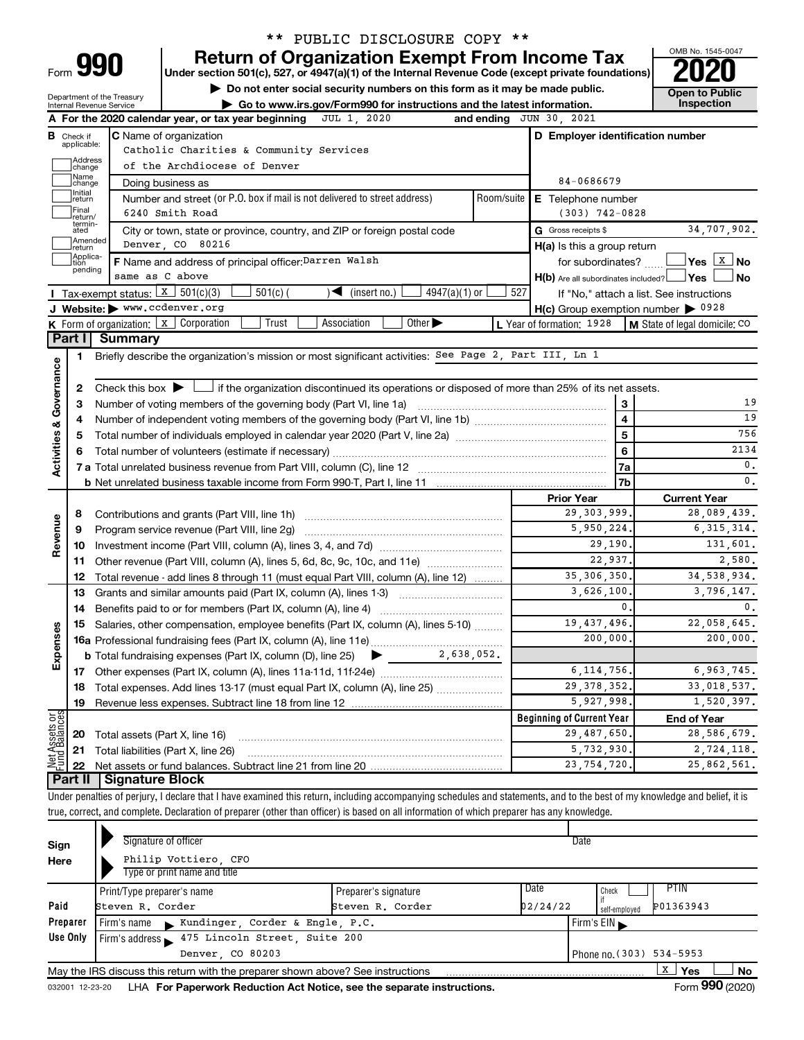| Form |  |
|------|--|

# \*\* PUBLIC DISCLOSURE COPY \*\*

**990** Return of Organization Exempt From Income Tax <br>
Under section 501(c), 527, or 4947(a)(1) of the Internal Revenue Code (except private foundations)<br> **PO20** 

**10 Do not enter social security numbers on this form as it may be made public. Open to Public** 

Department of the Treasury

|                                                                                              |                                                                                                                                            | $\sim$<br>Go to www.irs.gov/Form990 for instructions and the latest information.<br>Internal Revenue Service |                                                                                                                                                                            |            |                                                     | Inspection                    |  |  |
|----------------------------------------------------------------------------------------------|--------------------------------------------------------------------------------------------------------------------------------------------|--------------------------------------------------------------------------------------------------------------|----------------------------------------------------------------------------------------------------------------------------------------------------------------------------|------------|-----------------------------------------------------|-------------------------------|--|--|
| JUL 1 2020<br>and ending JUN 30, 2021<br>A For the 2020 calendar year, or tax year beginning |                                                                                                                                            |                                                                                                              |                                                                                                                                                                            |            |                                                     |                               |  |  |
|                                                                                              | <b>B</b> Check if                                                                                                                          |                                                                                                              | <b>C</b> Name of organization                                                                                                                                              |            | D Employer identification number                    |                               |  |  |
|                                                                                              | applicable:                                                                                                                                |                                                                                                              | Catholic Charities & Community Services                                                                                                                                    |            |                                                     |                               |  |  |
|                                                                                              | change                                                                                                                                     | Address<br>of the Archdiocese of Denver                                                                      |                                                                                                                                                                            |            |                                                     |                               |  |  |
|                                                                                              | Name<br>change                                                                                                                             |                                                                                                              | Doing business as                                                                                                                                                          |            | 84-0686679                                          |                               |  |  |
|                                                                                              | Initial<br>return                                                                                                                          |                                                                                                              | Number and street (or P.O. box if mail is not delivered to street address)                                                                                                 | Room/suite | E Telephone number                                  |                               |  |  |
|                                                                                              | Final<br>return/                                                                                                                           |                                                                                                              | 6240 Smith Road                                                                                                                                                            |            | $(303)$ 742-0828                                    |                               |  |  |
|                                                                                              | termin-<br>ated                                                                                                                            |                                                                                                              | City or town, state or province, country, and ZIP or foreign postal code                                                                                                   |            | G Gross receipts \$                                 | 34,707,902.                   |  |  |
|                                                                                              | Amended<br>return                                                                                                                          |                                                                                                              | Denver, CO 80216                                                                                                                                                           |            | H(a) Is this a group return                         |                               |  |  |
|                                                                                              | Applica-<br>tion                                                                                                                           |                                                                                                              | F Name and address of principal officer: Darren Walsh                                                                                                                      |            | for subordinates?                                   |                               |  |  |
|                                                                                              | pending                                                                                                                                    |                                                                                                              | same as C above                                                                                                                                                            |            | $H(b)$ Are all subordinates included? $\Box$ Yes    | No                            |  |  |
|                                                                                              |                                                                                                                                            | Tax-exempt status: $x \mid 301(c)(3)$                                                                        | $4947(a)(1)$ or<br>$501(c)$ (<br>(insert no.)<br>$\blacktriangleright$                                                                                                     | 527        | If "No," attach a list. See instructions            |                               |  |  |
|                                                                                              |                                                                                                                                            | J Website: www.ccdenver.org                                                                                  |                                                                                                                                                                            |            | $H(c)$ Group exemption number $\triangleright$ 0928 |                               |  |  |
|                                                                                              |                                                                                                                                            |                                                                                                              | Association<br>Other $\blacktriangleright$<br><b>K</b> Form of organization: $\boxed{x}$ Corporation<br>Trust                                                              |            | L Year of formation: 1928                           | M State of legal domicile: CO |  |  |
|                                                                                              |                                                                                                                                            | Part I Summary                                                                                               |                                                                                                                                                                            |            |                                                     |                               |  |  |
|                                                                                              | 1                                                                                                                                          |                                                                                                              | Briefly describe the organization's mission or most significant activities: See Page 2, Part III, Ln 1                                                                     |            |                                                     |                               |  |  |
| Governance                                                                                   |                                                                                                                                            |                                                                                                              |                                                                                                                                                                            |            |                                                     |                               |  |  |
|                                                                                              | 2                                                                                                                                          |                                                                                                              | Check this box $\blacktriangleright$ $\Box$ if the organization discontinued its operations or disposed of more than 25% of its net assets.                                |            |                                                     |                               |  |  |
|                                                                                              | З                                                                                                                                          |                                                                                                              |                                                                                                                                                                            |            | 3                                                   | 19                            |  |  |
|                                                                                              | 4                                                                                                                                          |                                                                                                              |                                                                                                                                                                            |            | $\overline{\mathbf{4}}$                             | 19                            |  |  |
|                                                                                              | 5                                                                                                                                          |                                                                                                              |                                                                                                                                                                            |            | 5                                                   | 756                           |  |  |
|                                                                                              | 6                                                                                                                                          |                                                                                                              |                                                                                                                                                                            |            | 6                                                   | 2134                          |  |  |
| <b>Activities &amp;</b>                                                                      |                                                                                                                                            |                                                                                                              |                                                                                                                                                                            |            | 7a                                                  | 0.                            |  |  |
|                                                                                              |                                                                                                                                            |                                                                                                              |                                                                                                                                                                            |            | 7b                                                  | $\mathbf{0}$ .                |  |  |
|                                                                                              |                                                                                                                                            |                                                                                                              |                                                                                                                                                                            |            | <b>Prior Year</b>                                   | <b>Current Year</b>           |  |  |
|                                                                                              | 8                                                                                                                                          |                                                                                                              |                                                                                                                                                                            |            | 29, 303, 999.                                       | 28,089,439.                   |  |  |
|                                                                                              | 9                                                                                                                                          |                                                                                                              |                                                                                                                                                                            |            | 5,950,224.                                          | 6, 315, 314.                  |  |  |
| Revenue                                                                                      | 10                                                                                                                                         |                                                                                                              |                                                                                                                                                                            |            | 29,190.                                             | 131,601.                      |  |  |
|                                                                                              | 11                                                                                                                                         |                                                                                                              | Other revenue (Part VIII, column (A), lines 5, 6d, 8c, 9c, 10c, and 11e)                                                                                                   |            | 22,937.                                             | 2,580.                        |  |  |
|                                                                                              | 12                                                                                                                                         |                                                                                                              | Total revenue - add lines 8 through 11 (must equal Part VIII, column (A), line 12)                                                                                         |            | 35, 306, 350.                                       | 34,538,934.                   |  |  |
|                                                                                              | 13                                                                                                                                         |                                                                                                              | Grants and similar amounts paid (Part IX, column (A), lines 1-3)                                                                                                           |            | 3,626,100.                                          | 3,796,147.                    |  |  |
|                                                                                              | 14                                                                                                                                         |                                                                                                              |                                                                                                                                                                            |            | 0.                                                  | $\mathbf{0}$ .                |  |  |
|                                                                                              | 15                                                                                                                                         |                                                                                                              | Salaries, other compensation, employee benefits (Part IX, column (A), lines 5-10)                                                                                          |            | 19,437,496.                                         | 22,058,645.                   |  |  |
| Expenses                                                                                     |                                                                                                                                            |                                                                                                              |                                                                                                                                                                            |            | 200,000.                                            | 200,000.                      |  |  |
|                                                                                              |                                                                                                                                            |                                                                                                              | <b>b</b> Total fundraising expenses (Part IX, column (D), line 25) $\bullet$ 2, 638, 052.                                                                                  |            |                                                     |                               |  |  |
|                                                                                              |                                                                                                                                            |                                                                                                              |                                                                                                                                                                            |            | 6, 114, 756.                                        | 6,963,745.                    |  |  |
|                                                                                              |                                                                                                                                            |                                                                                                              | 18 Total expenses. Add lines 13-17 (must equal Part IX, column (A), line 25)                                                                                               |            | 29 378 352.                                         | 33,018,537.                   |  |  |
|                                                                                              | 19                                                                                                                                         |                                                                                                              |                                                                                                                                                                            |            | 5,927,998.                                          | 1,520,397.                    |  |  |
|                                                                                              |                                                                                                                                            |                                                                                                              |                                                                                                                                                                            |            | <b>Beginning of Current Year</b>                    | <b>End of Year</b>            |  |  |
| Net Assets or                                                                                | 20                                                                                                                                         | Total assets (Part X, line 16)                                                                               |                                                                                                                                                                            |            | 29,487,650.                                         | 28,586,679.                   |  |  |
|                                                                                              | 21                                                                                                                                         |                                                                                                              | Total liabilities (Part X, line 26)                                                                                                                                        |            | 5,732,930.                                          | 2,724,118.                    |  |  |
|                                                                                              | 22                                                                                                                                         |                                                                                                              |                                                                                                                                                                            |            | 23, 754, 720.                                       | 25,862,561.                   |  |  |
|                                                                                              | ∣ Part II                                                                                                                                  | Signature Block                                                                                              |                                                                                                                                                                            |            |                                                     |                               |  |  |
|                                                                                              |                                                                                                                                            |                                                                                                              | Under penalties of perjury, I declare that I have examined this return, including accompanying schedules and statements, and to the best of my knowledge and belief, it is |            |                                                     |                               |  |  |
|                                                                                              | true, correct, and complete. Declaration of preparer (other than officer) is based on all information of which preparer has any knowledge. |                                                                                                              |                                                                                                                                                                            |            |                                                     |                               |  |  |

| Sign<br>Here                                             | Signature of officer<br>Philip Vottiero, CFO<br>Type or print name and title                      |                                          | Date                                                                     |  |  |  |  |
|----------------------------------------------------------|---------------------------------------------------------------------------------------------------|------------------------------------------|--------------------------------------------------------------------------|--|--|--|--|
| Paid                                                     | Print/Type preparer's name<br>Steven R. Corder                                                    | Preparer's signature<br>Steven R. Corder | <b>PTIN</b><br>l Date<br>Check<br>P01363943<br>02/24/22<br>self-employed |  |  |  |  |
| Preparer                                                 | Firm's name Kundinger, Corder & Engle, P.C.                                                       |                                          | Firm's $EIN$                                                             |  |  |  |  |
| Use Only<br>Firm's address 175 Lincoln Street, Suite 200 |                                                                                                   |                                          |                                                                          |  |  |  |  |
|                                                          | Denver, CO 80203<br>Phone no. (303) 534-5953                                                      |                                          |                                                                          |  |  |  |  |
|                                                          | x<br>Yes<br>No<br>May the IRS discuss this return with the preparer shown above? See instructions |                                          |                                                                          |  |  |  |  |

032001 12-23-20 LHA **For Paperwork Reduction Act Notice, see the separate instructions.** Form 990 (2020)

OMB No. 1545-0047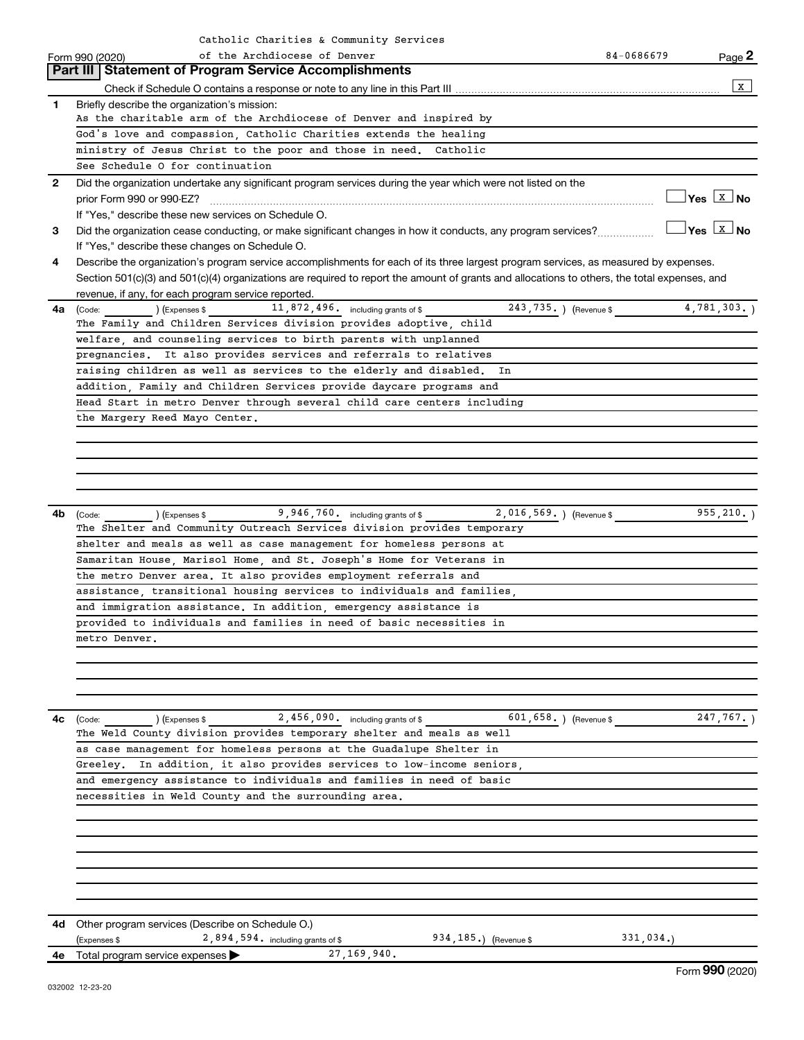|              | Catholic Charities & Community Services                                                                                                      |            |                                  |
|--------------|----------------------------------------------------------------------------------------------------------------------------------------------|------------|----------------------------------|
|              | of the Archdiocese of Denver<br>Form 990 (2020)                                                                                              | 84-0686679 | Page 2                           |
|              | <b>Part III Statement of Program Service Accomplishments</b>                                                                                 |            |                                  |
|              |                                                                                                                                              |            | $\,$ X $\,$                      |
| $\mathbf{1}$ | Briefly describe the organization's mission:                                                                                                 |            |                                  |
|              | As the charitable arm of the Archdiocese of Denver and inspired by                                                                           |            |                                  |
|              | God's love and compassion, Catholic Charities extends the healing                                                                            |            |                                  |
|              | ministry of Jesus Christ to the poor and those in need. Catholic                                                                             |            |                                  |
|              | See Schedule O for continuation                                                                                                              |            |                                  |
| $\mathbf{2}$ | Did the organization undertake any significant program services during the year which were not listed on the                                 |            |                                  |
|              |                                                                                                                                              |            | $\Box$ Yes $\boxed{\text{x}}$ No |
|              | If "Yes," describe these new services on Schedule O.                                                                                         |            |                                  |
| 3            | Did the organization cease conducting, or make significant changes in how it conducts, any program services?                                 |            | __ Yes <u>  x</u>   No           |
|              | If "Yes," describe these changes on Schedule O.                                                                                              |            |                                  |
| 4            | Describe the organization's program service accomplishments for each of its three largest program services, as measured by expenses.         |            |                                  |
|              | Section 501(c)(3) and 501(c)(4) organizations are required to report the amount of grants and allocations to others, the total expenses, and |            |                                  |
|              | revenue, if any, for each program service reported.                                                                                          |            |                                  |
| 4a l         | 243,735.) (Revenue \$4,781,303.)<br>11,872,496. including grants of \$<br>) (Expenses \$<br>(Code:                                           |            |                                  |
|              | The Family and Children Services division provides adoptive, child                                                                           |            |                                  |
|              | welfare, and counseling services to birth parents with unplanned                                                                             |            |                                  |
|              | pregnancies. It also provides services and referrals to relatives                                                                            |            |                                  |
|              | raising children as well as services to the elderly and disabled.<br>In                                                                      |            |                                  |
|              | addition, Family and Children Services provide daycare programs and                                                                          |            |                                  |
|              | Head Start in metro Denver through several child care centers including                                                                      |            |                                  |
|              | the Margery Reed Mayo Center.                                                                                                                |            |                                  |
|              |                                                                                                                                              |            |                                  |
|              |                                                                                                                                              |            |                                  |
|              |                                                                                                                                              |            |                                  |
|              |                                                                                                                                              |            |                                  |
|              | 2,016,569.) (Revenue \$<br>9,946,760. including grants of \$                                                                                 |            | $955, 210.$ )                    |
| 4b           | ) (Expenses \$<br>(Code:<br>The Shelter and Community Outreach Services division provides temporary                                          |            |                                  |
|              | shelter and meals as well as case management for homeless persons at                                                                         |            |                                  |
|              | Samaritan House, Marisol Home, and St. Joseph's Home for Veterans in                                                                         |            |                                  |
|              | the metro Denver area. It also provides employment referrals and                                                                             |            |                                  |
|              | assistance, transitional housing services to individuals and families,                                                                       |            |                                  |
|              | and immigration assistance. In addition, emergency assistance is                                                                             |            |                                  |
|              | provided to individuals and families in need of basic necessities in                                                                         |            |                                  |
|              | metro Denver.                                                                                                                                |            |                                  |
|              |                                                                                                                                              |            |                                  |
|              |                                                                                                                                              |            |                                  |
|              |                                                                                                                                              |            |                                  |
|              |                                                                                                                                              |            |                                  |
| 4с           | 2,456,090. including grants of \$<br>601,658.) (Revenue \$<br>(Expenses \$<br>(Code:                                                         |            | 247,767.                         |
|              | The Weld County division provides temporary shelter and meals as well                                                                        |            |                                  |
|              | as case management for homeless persons at the Guadalupe Shelter in                                                                          |            |                                  |
|              | Greeley. In addition, it also provides services to low-income seniors,                                                                       |            |                                  |
|              | and emergency assistance to individuals and families in need of basic                                                                        |            |                                  |
|              | necessities in Weld County and the surrounding area.                                                                                         |            |                                  |
|              |                                                                                                                                              |            |                                  |
|              |                                                                                                                                              |            |                                  |
|              |                                                                                                                                              |            |                                  |
|              |                                                                                                                                              |            |                                  |
|              |                                                                                                                                              |            |                                  |
|              |                                                                                                                                              |            |                                  |
|              |                                                                                                                                              |            |                                  |
| 4d           | Other program services (Describe on Schedule O.)                                                                                             |            |                                  |
|              | $2,894,594.$ including grants of \$<br>934, 185.) (Revenue \$<br>(Expenses \$                                                                | 331,034.   |                                  |
| 4е           | 27, 169, 940.<br>Total program service expenses                                                                                              |            | $F = 000 (0000)$                 |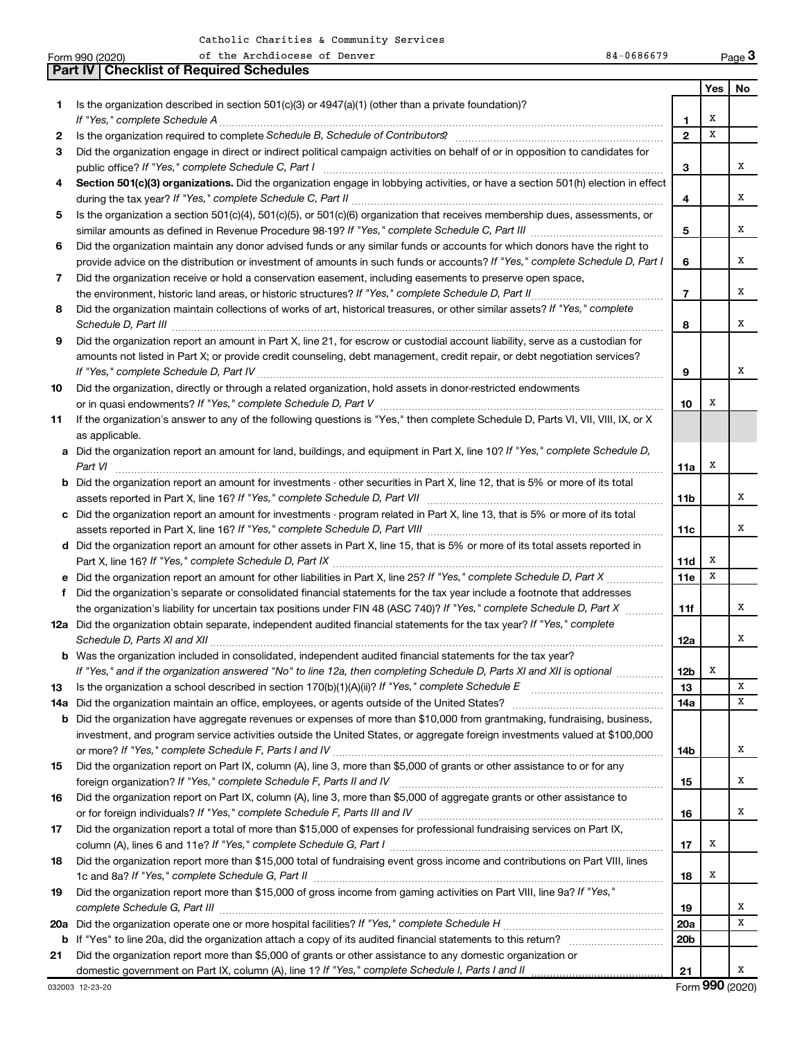|     | of the Archdiocese of Denver<br>84-0686679<br>Form 990 (2020)                                                                                                                                                              |                 |     | Page 3                      |
|-----|----------------------------------------------------------------------------------------------------------------------------------------------------------------------------------------------------------------------------|-----------------|-----|-----------------------------|
|     | <b>Part IV   Checklist of Required Schedules</b>                                                                                                                                                                           |                 |     |                             |
|     |                                                                                                                                                                                                                            |                 | Yes | <b>No</b>                   |
| 1   | Is the organization described in section $501(c)(3)$ or $4947(a)(1)$ (other than a private foundation)?                                                                                                                    |                 |     |                             |
|     |                                                                                                                                                                                                                            | 1               | х   |                             |
| 2   | Is the organization required to complete Schedule B, Schedule of Contributors? [11] The organization required to complete Schedule B, Schedule of Contributors?                                                            | $\overline{2}$  | X   |                             |
| 3   | Did the organization engage in direct or indirect political campaign activities on behalf of or in opposition to candidates for                                                                                            |                 |     |                             |
|     |                                                                                                                                                                                                                            | 3               |     | х                           |
| 4   | Section 501(c)(3) organizations. Did the organization engage in lobbying activities, or have a section 501(h) election in effect                                                                                           |                 |     |                             |
|     |                                                                                                                                                                                                                            | 4               |     | х                           |
| 5   | Is the organization a section 501(c)(4), 501(c)(5), or 501(c)(6) organization that receives membership dues, assessments, or                                                                                               |                 |     |                             |
|     |                                                                                                                                                                                                                            | 5               |     | х                           |
| 6   | Did the organization maintain any donor advised funds or any similar funds or accounts for which donors have the right to                                                                                                  |                 |     |                             |
|     | provide advice on the distribution or investment of amounts in such funds or accounts? If "Yes," complete Schedule D, Part I                                                                                               | 6               |     | х                           |
| 7   | Did the organization receive or hold a conservation easement, including easements to preserve open space,                                                                                                                  |                 |     |                             |
|     | the environment, historic land areas, or historic structures? If "Yes," complete Schedule D, Part II                                                                                                                       | $\overline{7}$  |     | x                           |
| 8   | Did the organization maintain collections of works of art, historical treasures, or other similar assets? If "Yes," complete                                                                                               | 8               |     | x                           |
| 9   | Did the organization report an amount in Part X, line 21, for escrow or custodial account liability, serve as a custodian for                                                                                              |                 |     |                             |
|     | amounts not listed in Part X; or provide credit counseling, debt management, credit repair, or debt negotiation services?                                                                                                  |                 |     |                             |
|     |                                                                                                                                                                                                                            | 9               |     | х                           |
| 10  | Did the organization, directly or through a related organization, hold assets in donor-restricted endowments                                                                                                               |                 |     |                             |
|     |                                                                                                                                                                                                                            | 10              | х   |                             |
| 11  | If the organization's answer to any of the following questions is "Yes," then complete Schedule D, Parts VI, VII, VIII, IX, or X<br>as applicable.                                                                         |                 |     |                             |
|     | a Did the organization report an amount for land, buildings, and equipment in Part X, line 10? If "Yes," complete Schedule D,                                                                                              |                 |     |                             |
|     | Part VI                                                                                                                                                                                                                    | 11a             | х   |                             |
|     | <b>b</b> Did the organization report an amount for investments - other securities in Part X, line 12, that is 5% or more of its total                                                                                      |                 |     |                             |
|     |                                                                                                                                                                                                                            | 11b             |     | x                           |
|     | c Did the organization report an amount for investments - program related in Part X, line 13, that is 5% or more of its total                                                                                              |                 |     |                             |
|     |                                                                                                                                                                                                                            | 11c             |     | x                           |
|     | d Did the organization report an amount for other assets in Part X, line 15, that is 5% or more of its total assets reported in                                                                                            |                 |     |                             |
|     |                                                                                                                                                                                                                            | 11d             | Х   |                             |
|     |                                                                                                                                                                                                                            | 11e             | x   |                             |
| f   | Did the organization's separate or consolidated financial statements for the tax year include a footnote that addresses                                                                                                    |                 |     |                             |
|     | the organization's liability for uncertain tax positions under FIN 48 (ASC 740)? If "Yes," complete Schedule D, Part X                                                                                                     | 11f             |     | x                           |
|     | 12a Did the organization obtain separate, independent audited financial statements for the tax year? If "Yes," complete                                                                                                    |                 |     |                             |
|     |                                                                                                                                                                                                                            | 12a             |     | x                           |
|     | <b>b</b> Was the organization included in consolidated, independent audited financial statements for the tax year?                                                                                                         |                 |     |                             |
|     | If "Yes," and if the organization answered "No" to line 12a, then completing Schedule D, Parts XI and XII is optional <i>manimum</i>                                                                                       | 12 <sub>b</sub> | х   |                             |
| 13  | Is the organization a school described in section 170(b)(1)(A)(ii)? If "Yes," complete Schedule E manual content content of the organization a school described in section 170(b)(1)(A)(ii)? If "Yes," complete Schedule E | 13              |     | х                           |
| 14a | Did the organization maintain an office, employees, or agents outside of the United States?                                                                                                                                | 14a             |     | х                           |
| b   | Did the organization have aggregate revenues or expenses of more than \$10,000 from grantmaking, fundraising, business,                                                                                                    |                 |     |                             |
|     | investment, and program service activities outside the United States, or aggregate foreign investments valued at \$100,000                                                                                                 |                 |     |                             |
|     |                                                                                                                                                                                                                            | 14b             |     | х                           |
| 15  | Did the organization report on Part IX, column (A), line 3, more than \$5,000 of grants or other assistance to or for any                                                                                                  |                 |     |                             |
|     |                                                                                                                                                                                                                            | 15              |     | х                           |
| 16  | Did the organization report on Part IX, column (A), line 3, more than \$5,000 of aggregate grants or other assistance to                                                                                                   |                 |     |                             |
|     |                                                                                                                                                                                                                            | 16              |     | х                           |
| 17  | Did the organization report a total of more than \$15,000 of expenses for professional fundraising services on Part IX,                                                                                                    |                 |     |                             |
|     |                                                                                                                                                                                                                            | 17              | х   |                             |
| 18  | Did the organization report more than \$15,000 total of fundraising event gross income and contributions on Part VIII, lines                                                                                               |                 |     |                             |
|     |                                                                                                                                                                                                                            | 18              | X   |                             |
| 19  | Did the organization report more than \$15,000 of gross income from gaming activities on Part VIII, line 9a? If "Yes,"                                                                                                     |                 |     |                             |
|     |                                                                                                                                                                                                                            | 19              |     | х                           |
| 20a |                                                                                                                                                                                                                            | 20a             |     | x                           |
| b   |                                                                                                                                                                                                                            | 20 <sub>b</sub> |     |                             |
| 21  | Did the organization report more than \$5,000 of grants or other assistance to any domestic organization or                                                                                                                |                 |     |                             |
|     | domestic government on Part IX, column (A), line 1? If "Yes," complete Schedule I, Parts I and II                                                                                                                          | 21              |     | х                           |
|     |                                                                                                                                                                                                                            |                 |     | $T_{\text{max}}$ 000 (0000) |

Form (2020) **990**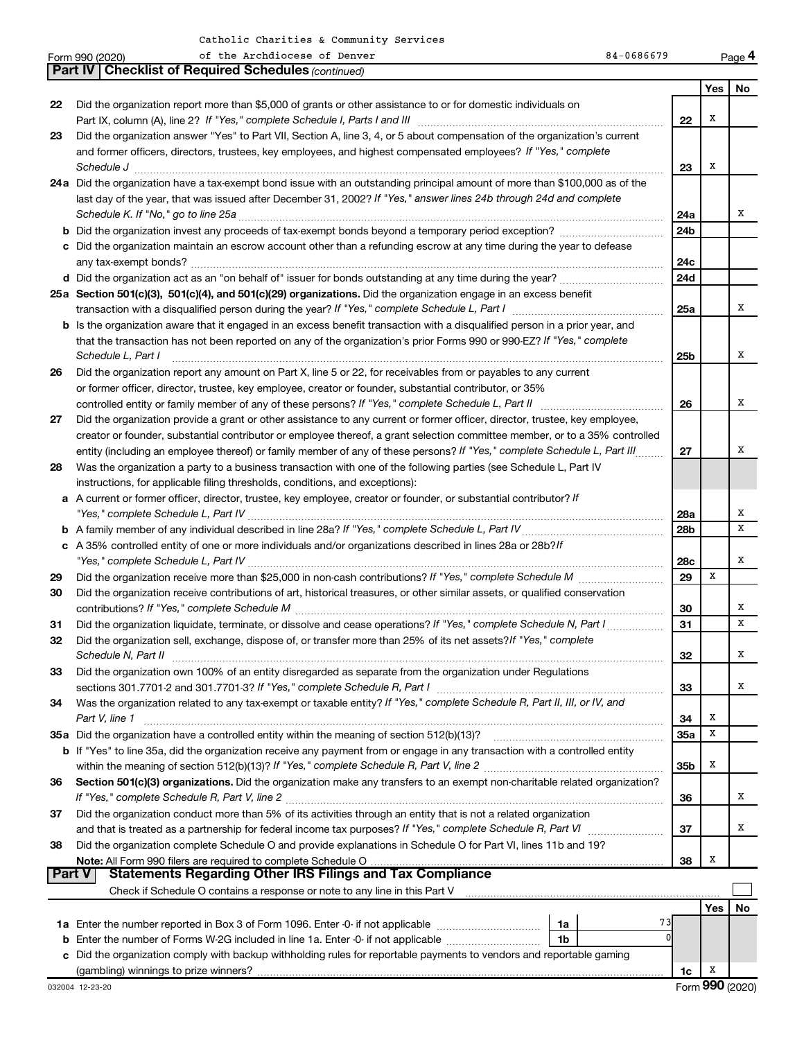| <b>Part IV   Checklist of Required Schedules (continued)</b><br>Yes<br>No<br>Did the organization report more than \$5,000 of grants or other assistance to or for domestic individuals on<br>22<br>х<br>22<br>Did the organization answer "Yes" to Part VII, Section A, line 3, 4, or 5 about compensation of the organization's current<br>23<br>and former officers, directors, trustees, key employees, and highest compensated employees? If "Yes," complete<br>Х<br>23<br>$\textit{Schedule J} \textit{ \textbf{}} \textit{ \textbf{}} \textit{ \textbf{}} \textit{ \textbf{}} \textit{ \textbf{}} \textit{ \textbf{}} \textit{ \textbf{}} \textit{ \textbf{}} \textit{ \textbf{}} \textit{ \textbf{}} \textit{ \textbf{}} \textit{ \textbf{}} \textit{ \textbf{}} \textit{ \textbf{}} \textit{ \textbf{}} \textit{ \textbf{}} \textit{ \textbf{}} \textit{ \textbf{}} \textit{ \textbf{}} \textit{ \textbf{}} \textit{ \textbf{}}$<br>24a Did the organization have a tax-exempt bond issue with an outstanding principal amount of more than \$100,000 as of the<br>last day of the year, that was issued after December 31, 2002? If "Yes," answer lines 24b through 24d and complete<br>х<br>24a<br>24 <sub>b</sub><br>c Did the organization maintain an escrow account other than a refunding escrow at any time during the year to defease<br>24c<br>24d<br>25a Section 501(c)(3), 501(c)(4), and 501(c)(29) organizations. Did the organization engage in an excess benefit<br>25a<br>х<br><b>b</b> Is the organization aware that it engaged in an excess benefit transaction with a disqualified person in a prior year, and<br>that the transaction has not been reported on any of the organization's prior Forms 990 or 990-EZ? If "Yes," complete<br>х<br>Schedule L, Part I<br>25b<br>Did the organization report any amount on Part X, line 5 or 22, for receivables from or payables to any current<br>26<br>or former officer, director, trustee, key employee, creator or founder, substantial contributor, or 35%<br>х<br>controlled entity or family member of any of these persons? If "Yes," complete Schedule L, Part II<br>26<br>Did the organization provide a grant or other assistance to any current or former officer, director, trustee, key employee,<br>27<br>creator or founder, substantial contributor or employee thereof, a grant selection committee member, or to a 35% controlled<br>Х<br>entity (including an employee thereof) or family member of any of these persons? If "Yes," complete Schedule L, Part III.<br>27<br>Was the organization a party to a business transaction with one of the following parties (see Schedule L, Part IV<br>28<br>instructions, for applicable filing thresholds, conditions, and exceptions):<br>a A current or former officer, director, trustee, key employee, creator or founder, or substantial contributor? If<br>х<br>"Yes," complete Schedule L, Part IV<br>28a<br>x<br>28 <sub>b</sub><br>c A 35% controlled entity of one or more individuals and/or organizations described in lines 28a or 28b?/f<br>х<br>28c<br>X<br>29<br>Did the organization receive more than \$25,000 in non-cash contributions? If "Yes," complete Schedule M<br>29<br>Did the organization receive contributions of art, historical treasures, or other similar assets, or qualified conservation<br>30<br>х<br>30<br>x<br>Did the organization liquidate, terminate, or dissolve and cease operations? If "Yes," complete Schedule N, Part I.<br>31<br>31<br>Did the organization sell, exchange, dispose of, or transfer more than 25% of its net assets?/f "Yes," complete<br>32<br>х<br>Schedule N, Part II<br>Did the organization own 100% of an entity disregarded as separate from the organization under Regulations<br>33<br>33<br>x<br>Was the organization related to any tax-exempt or taxable entity? If "Yes," complete Schedule R, Part II, III, or IV, and<br>34<br>X<br>Part V, line 1<br>34<br>35a Did the organization have a controlled entity within the meaning of section 512(b)(13)?<br>x<br>35a<br>b If "Yes" to line 35a, did the organization receive any payment from or engage in any transaction with a controlled entity<br>X<br>35 <sub>b</sub><br>Section 501(c)(3) organizations. Did the organization make any transfers to an exempt non-charitable related organization?<br>36<br>If "Yes," complete Schedule R, Part V, line 2<br>x<br>36<br>Did the organization conduct more than 5% of its activities through an entity that is not a related organization<br>37<br>37<br>х<br>Did the organization complete Schedule O and provide explanations in Schedule O for Part VI, lines 11b and 19?<br>38<br>Х<br>38<br><b>Statements Regarding Other IRS Filings and Tax Compliance</b><br><b>Part V</b><br>Check if Schedule O contains a response or note to any line in this Part V [11] [12] Check if Schedule O contains a response or note to any line in this Part V<br>No<br>Yes<br>73<br>1a<br>1 <sub>b</sub><br><b>b</b> Enter the number of Forms W-2G included in line 1a. Enter -0- if not applicable<br>c Did the organization comply with backup withholding rules for reportable payments to vendors and reportable gaming<br>X<br>1c<br>Form 990 (2020)<br>032004 12-23-20 | 84-0686679<br>of the Archdiocese of Denver<br>Form 990 (2020) |  | Page 4 |
|-----------------------------------------------------------------------------------------------------------------------------------------------------------------------------------------------------------------------------------------------------------------------------------------------------------------------------------------------------------------------------------------------------------------------------------------------------------------------------------------------------------------------------------------------------------------------------------------------------------------------------------------------------------------------------------------------------------------------------------------------------------------------------------------------------------------------------------------------------------------------------------------------------------------------------------------------------------------------------------------------------------------------------------------------------------------------------------------------------------------------------------------------------------------------------------------------------------------------------------------------------------------------------------------------------------------------------------------------------------------------------------------------------------------------------------------------------------------------------------------------------------------------------------------------------------------------------------------------------------------------------------------------------------------------------------------------------------------------------------------------------------------------------------------------------------------------------------------------------------------------------------------------------------------------------------------------------------------------------------------------------------------------------------------------------------------------------------------------------------------------------------------------------------------------------------------------------------------------------------------------------------------------------------------------------------------------------------------------------------------------------------------------------------------------------------------------------------------------------------------------------------------------------------------------------------------------------------------------------------------------------------------------------------------------------------------------------------------------------------------------------------------------------------------------------------------------------------------------------------------------------------------------------------------------------------------------------------------------------------------------------------------------------------------------------------------------------------------------------------------------------------------------------------------------------------------------------------------------------------------------------------------------------------------------------------------------------------------------------------------------------------------------------------------------------------------------------------------------------------------------------------------------------------------------------------------------------------------------------------------------------------------------------------------------------------------------------------------------------------------------------------------------------------------------------------------------------------------------------------------------------------------------------------------------------------------------------------------------------------------------------------------------------------------------------------------------------------------------------------------------------------------------------------------------------------------------------------------------------------------------------------------------------------------------------------------------------------------------------------------------------------------------------------------------------------------------------------------------------------------------------------------------------------------------------------------------------------------------------------------------------------------------------------------------------------------------------------------------------------------------------------------------------------------------------------------------------------------------------------------------------------------------------------------------------------------------------------------------------------------------------------------------------------------------------------------------------------------------------------------------------------------------------------------------------------------------------------------------------------------------------------------------------------------------------------|---------------------------------------------------------------|--|--------|
|                                                                                                                                                                                                                                                                                                                                                                                                                                                                                                                                                                                                                                                                                                                                                                                                                                                                                                                                                                                                                                                                                                                                                                                                                                                                                                                                                                                                                                                                                                                                                                                                                                                                                                                                                                                                                                                                                                                                                                                                                                                                                                                                                                                                                                                                                                                                                                                                                                                                                                                                                                                                                                                                                                                                                                                                                                                                                                                                                                                                                                                                                                                                                                                                                                                                                                                                                                                                                                                                                                                                                                                                                                                                                                                                                                                                                                                                                                                                                                                                                                                                                                                                                                                                                                                                                                                                                                                                                                                                                                                                                                                                                                                                                                                                                                                                                                                                                                                                                                                                                                                                                                                                                                                                                                                                                                           |                                                               |  |        |
|                                                                                                                                                                                                                                                                                                                                                                                                                                                                                                                                                                                                                                                                                                                                                                                                                                                                                                                                                                                                                                                                                                                                                                                                                                                                                                                                                                                                                                                                                                                                                                                                                                                                                                                                                                                                                                                                                                                                                                                                                                                                                                                                                                                                                                                                                                                                                                                                                                                                                                                                                                                                                                                                                                                                                                                                                                                                                                                                                                                                                                                                                                                                                                                                                                                                                                                                                                                                                                                                                                                                                                                                                                                                                                                                                                                                                                                                                                                                                                                                                                                                                                                                                                                                                                                                                                                                                                                                                                                                                                                                                                                                                                                                                                                                                                                                                                                                                                                                                                                                                                                                                                                                                                                                                                                                                                           |                                                               |  |        |
|                                                                                                                                                                                                                                                                                                                                                                                                                                                                                                                                                                                                                                                                                                                                                                                                                                                                                                                                                                                                                                                                                                                                                                                                                                                                                                                                                                                                                                                                                                                                                                                                                                                                                                                                                                                                                                                                                                                                                                                                                                                                                                                                                                                                                                                                                                                                                                                                                                                                                                                                                                                                                                                                                                                                                                                                                                                                                                                                                                                                                                                                                                                                                                                                                                                                                                                                                                                                                                                                                                                                                                                                                                                                                                                                                                                                                                                                                                                                                                                                                                                                                                                                                                                                                                                                                                                                                                                                                                                                                                                                                                                                                                                                                                                                                                                                                                                                                                                                                                                                                                                                                                                                                                                                                                                                                                           |                                                               |  |        |
|                                                                                                                                                                                                                                                                                                                                                                                                                                                                                                                                                                                                                                                                                                                                                                                                                                                                                                                                                                                                                                                                                                                                                                                                                                                                                                                                                                                                                                                                                                                                                                                                                                                                                                                                                                                                                                                                                                                                                                                                                                                                                                                                                                                                                                                                                                                                                                                                                                                                                                                                                                                                                                                                                                                                                                                                                                                                                                                                                                                                                                                                                                                                                                                                                                                                                                                                                                                                                                                                                                                                                                                                                                                                                                                                                                                                                                                                                                                                                                                                                                                                                                                                                                                                                                                                                                                                                                                                                                                                                                                                                                                                                                                                                                                                                                                                                                                                                                                                                                                                                                                                                                                                                                                                                                                                                                           |                                                               |  |        |
|                                                                                                                                                                                                                                                                                                                                                                                                                                                                                                                                                                                                                                                                                                                                                                                                                                                                                                                                                                                                                                                                                                                                                                                                                                                                                                                                                                                                                                                                                                                                                                                                                                                                                                                                                                                                                                                                                                                                                                                                                                                                                                                                                                                                                                                                                                                                                                                                                                                                                                                                                                                                                                                                                                                                                                                                                                                                                                                                                                                                                                                                                                                                                                                                                                                                                                                                                                                                                                                                                                                                                                                                                                                                                                                                                                                                                                                                                                                                                                                                                                                                                                                                                                                                                                                                                                                                                                                                                                                                                                                                                                                                                                                                                                                                                                                                                                                                                                                                                                                                                                                                                                                                                                                                                                                                                                           |                                                               |  |        |
|                                                                                                                                                                                                                                                                                                                                                                                                                                                                                                                                                                                                                                                                                                                                                                                                                                                                                                                                                                                                                                                                                                                                                                                                                                                                                                                                                                                                                                                                                                                                                                                                                                                                                                                                                                                                                                                                                                                                                                                                                                                                                                                                                                                                                                                                                                                                                                                                                                                                                                                                                                                                                                                                                                                                                                                                                                                                                                                                                                                                                                                                                                                                                                                                                                                                                                                                                                                                                                                                                                                                                                                                                                                                                                                                                                                                                                                                                                                                                                                                                                                                                                                                                                                                                                                                                                                                                                                                                                                                                                                                                                                                                                                                                                                                                                                                                                                                                                                                                                                                                                                                                                                                                                                                                                                                                                           |                                                               |  |        |
|                                                                                                                                                                                                                                                                                                                                                                                                                                                                                                                                                                                                                                                                                                                                                                                                                                                                                                                                                                                                                                                                                                                                                                                                                                                                                                                                                                                                                                                                                                                                                                                                                                                                                                                                                                                                                                                                                                                                                                                                                                                                                                                                                                                                                                                                                                                                                                                                                                                                                                                                                                                                                                                                                                                                                                                                                                                                                                                                                                                                                                                                                                                                                                                                                                                                                                                                                                                                                                                                                                                                                                                                                                                                                                                                                                                                                                                                                                                                                                                                                                                                                                                                                                                                                                                                                                                                                                                                                                                                                                                                                                                                                                                                                                                                                                                                                                                                                                                                                                                                                                                                                                                                                                                                                                                                                                           |                                                               |  |        |
|                                                                                                                                                                                                                                                                                                                                                                                                                                                                                                                                                                                                                                                                                                                                                                                                                                                                                                                                                                                                                                                                                                                                                                                                                                                                                                                                                                                                                                                                                                                                                                                                                                                                                                                                                                                                                                                                                                                                                                                                                                                                                                                                                                                                                                                                                                                                                                                                                                                                                                                                                                                                                                                                                                                                                                                                                                                                                                                                                                                                                                                                                                                                                                                                                                                                                                                                                                                                                                                                                                                                                                                                                                                                                                                                                                                                                                                                                                                                                                                                                                                                                                                                                                                                                                                                                                                                                                                                                                                                                                                                                                                                                                                                                                                                                                                                                                                                                                                                                                                                                                                                                                                                                                                                                                                                                                           |                                                               |  |        |
|                                                                                                                                                                                                                                                                                                                                                                                                                                                                                                                                                                                                                                                                                                                                                                                                                                                                                                                                                                                                                                                                                                                                                                                                                                                                                                                                                                                                                                                                                                                                                                                                                                                                                                                                                                                                                                                                                                                                                                                                                                                                                                                                                                                                                                                                                                                                                                                                                                                                                                                                                                                                                                                                                                                                                                                                                                                                                                                                                                                                                                                                                                                                                                                                                                                                                                                                                                                                                                                                                                                                                                                                                                                                                                                                                                                                                                                                                                                                                                                                                                                                                                                                                                                                                                                                                                                                                                                                                                                                                                                                                                                                                                                                                                                                                                                                                                                                                                                                                                                                                                                                                                                                                                                                                                                                                                           |                                                               |  |        |
|                                                                                                                                                                                                                                                                                                                                                                                                                                                                                                                                                                                                                                                                                                                                                                                                                                                                                                                                                                                                                                                                                                                                                                                                                                                                                                                                                                                                                                                                                                                                                                                                                                                                                                                                                                                                                                                                                                                                                                                                                                                                                                                                                                                                                                                                                                                                                                                                                                                                                                                                                                                                                                                                                                                                                                                                                                                                                                                                                                                                                                                                                                                                                                                                                                                                                                                                                                                                                                                                                                                                                                                                                                                                                                                                                                                                                                                                                                                                                                                                                                                                                                                                                                                                                                                                                                                                                                                                                                                                                                                                                                                                                                                                                                                                                                                                                                                                                                                                                                                                                                                                                                                                                                                                                                                                                                           |                                                               |  |        |
|                                                                                                                                                                                                                                                                                                                                                                                                                                                                                                                                                                                                                                                                                                                                                                                                                                                                                                                                                                                                                                                                                                                                                                                                                                                                                                                                                                                                                                                                                                                                                                                                                                                                                                                                                                                                                                                                                                                                                                                                                                                                                                                                                                                                                                                                                                                                                                                                                                                                                                                                                                                                                                                                                                                                                                                                                                                                                                                                                                                                                                                                                                                                                                                                                                                                                                                                                                                                                                                                                                                                                                                                                                                                                                                                                                                                                                                                                                                                                                                                                                                                                                                                                                                                                                                                                                                                                                                                                                                                                                                                                                                                                                                                                                                                                                                                                                                                                                                                                                                                                                                                                                                                                                                                                                                                                                           |                                                               |  |        |
|                                                                                                                                                                                                                                                                                                                                                                                                                                                                                                                                                                                                                                                                                                                                                                                                                                                                                                                                                                                                                                                                                                                                                                                                                                                                                                                                                                                                                                                                                                                                                                                                                                                                                                                                                                                                                                                                                                                                                                                                                                                                                                                                                                                                                                                                                                                                                                                                                                                                                                                                                                                                                                                                                                                                                                                                                                                                                                                                                                                                                                                                                                                                                                                                                                                                                                                                                                                                                                                                                                                                                                                                                                                                                                                                                                                                                                                                                                                                                                                                                                                                                                                                                                                                                                                                                                                                                                                                                                                                                                                                                                                                                                                                                                                                                                                                                                                                                                                                                                                                                                                                                                                                                                                                                                                                                                           |                                                               |  |        |
|                                                                                                                                                                                                                                                                                                                                                                                                                                                                                                                                                                                                                                                                                                                                                                                                                                                                                                                                                                                                                                                                                                                                                                                                                                                                                                                                                                                                                                                                                                                                                                                                                                                                                                                                                                                                                                                                                                                                                                                                                                                                                                                                                                                                                                                                                                                                                                                                                                                                                                                                                                                                                                                                                                                                                                                                                                                                                                                                                                                                                                                                                                                                                                                                                                                                                                                                                                                                                                                                                                                                                                                                                                                                                                                                                                                                                                                                                                                                                                                                                                                                                                                                                                                                                                                                                                                                                                                                                                                                                                                                                                                                                                                                                                                                                                                                                                                                                                                                                                                                                                                                                                                                                                                                                                                                                                           |                                                               |  |        |
|                                                                                                                                                                                                                                                                                                                                                                                                                                                                                                                                                                                                                                                                                                                                                                                                                                                                                                                                                                                                                                                                                                                                                                                                                                                                                                                                                                                                                                                                                                                                                                                                                                                                                                                                                                                                                                                                                                                                                                                                                                                                                                                                                                                                                                                                                                                                                                                                                                                                                                                                                                                                                                                                                                                                                                                                                                                                                                                                                                                                                                                                                                                                                                                                                                                                                                                                                                                                                                                                                                                                                                                                                                                                                                                                                                                                                                                                                                                                                                                                                                                                                                                                                                                                                                                                                                                                                                                                                                                                                                                                                                                                                                                                                                                                                                                                                                                                                                                                                                                                                                                                                                                                                                                                                                                                                                           |                                                               |  |        |
|                                                                                                                                                                                                                                                                                                                                                                                                                                                                                                                                                                                                                                                                                                                                                                                                                                                                                                                                                                                                                                                                                                                                                                                                                                                                                                                                                                                                                                                                                                                                                                                                                                                                                                                                                                                                                                                                                                                                                                                                                                                                                                                                                                                                                                                                                                                                                                                                                                                                                                                                                                                                                                                                                                                                                                                                                                                                                                                                                                                                                                                                                                                                                                                                                                                                                                                                                                                                                                                                                                                                                                                                                                                                                                                                                                                                                                                                                                                                                                                                                                                                                                                                                                                                                                                                                                                                                                                                                                                                                                                                                                                                                                                                                                                                                                                                                                                                                                                                                                                                                                                                                                                                                                                                                                                                                                           |                                                               |  |        |
|                                                                                                                                                                                                                                                                                                                                                                                                                                                                                                                                                                                                                                                                                                                                                                                                                                                                                                                                                                                                                                                                                                                                                                                                                                                                                                                                                                                                                                                                                                                                                                                                                                                                                                                                                                                                                                                                                                                                                                                                                                                                                                                                                                                                                                                                                                                                                                                                                                                                                                                                                                                                                                                                                                                                                                                                                                                                                                                                                                                                                                                                                                                                                                                                                                                                                                                                                                                                                                                                                                                                                                                                                                                                                                                                                                                                                                                                                                                                                                                                                                                                                                                                                                                                                                                                                                                                                                                                                                                                                                                                                                                                                                                                                                                                                                                                                                                                                                                                                                                                                                                                                                                                                                                                                                                                                                           |                                                               |  |        |
|                                                                                                                                                                                                                                                                                                                                                                                                                                                                                                                                                                                                                                                                                                                                                                                                                                                                                                                                                                                                                                                                                                                                                                                                                                                                                                                                                                                                                                                                                                                                                                                                                                                                                                                                                                                                                                                                                                                                                                                                                                                                                                                                                                                                                                                                                                                                                                                                                                                                                                                                                                                                                                                                                                                                                                                                                                                                                                                                                                                                                                                                                                                                                                                                                                                                                                                                                                                                                                                                                                                                                                                                                                                                                                                                                                                                                                                                                                                                                                                                                                                                                                                                                                                                                                                                                                                                                                                                                                                                                                                                                                                                                                                                                                                                                                                                                                                                                                                                                                                                                                                                                                                                                                                                                                                                                                           |                                                               |  |        |
|                                                                                                                                                                                                                                                                                                                                                                                                                                                                                                                                                                                                                                                                                                                                                                                                                                                                                                                                                                                                                                                                                                                                                                                                                                                                                                                                                                                                                                                                                                                                                                                                                                                                                                                                                                                                                                                                                                                                                                                                                                                                                                                                                                                                                                                                                                                                                                                                                                                                                                                                                                                                                                                                                                                                                                                                                                                                                                                                                                                                                                                                                                                                                                                                                                                                                                                                                                                                                                                                                                                                                                                                                                                                                                                                                                                                                                                                                                                                                                                                                                                                                                                                                                                                                                                                                                                                                                                                                                                                                                                                                                                                                                                                                                                                                                                                                                                                                                                                                                                                                                                                                                                                                                                                                                                                                                           |                                                               |  |        |
|                                                                                                                                                                                                                                                                                                                                                                                                                                                                                                                                                                                                                                                                                                                                                                                                                                                                                                                                                                                                                                                                                                                                                                                                                                                                                                                                                                                                                                                                                                                                                                                                                                                                                                                                                                                                                                                                                                                                                                                                                                                                                                                                                                                                                                                                                                                                                                                                                                                                                                                                                                                                                                                                                                                                                                                                                                                                                                                                                                                                                                                                                                                                                                                                                                                                                                                                                                                                                                                                                                                                                                                                                                                                                                                                                                                                                                                                                                                                                                                                                                                                                                                                                                                                                                                                                                                                                                                                                                                                                                                                                                                                                                                                                                                                                                                                                                                                                                                                                                                                                                                                                                                                                                                                                                                                                                           |                                                               |  |        |
|                                                                                                                                                                                                                                                                                                                                                                                                                                                                                                                                                                                                                                                                                                                                                                                                                                                                                                                                                                                                                                                                                                                                                                                                                                                                                                                                                                                                                                                                                                                                                                                                                                                                                                                                                                                                                                                                                                                                                                                                                                                                                                                                                                                                                                                                                                                                                                                                                                                                                                                                                                                                                                                                                                                                                                                                                                                                                                                                                                                                                                                                                                                                                                                                                                                                                                                                                                                                                                                                                                                                                                                                                                                                                                                                                                                                                                                                                                                                                                                                                                                                                                                                                                                                                                                                                                                                                                                                                                                                                                                                                                                                                                                                                                                                                                                                                                                                                                                                                                                                                                                                                                                                                                                                                                                                                                           |                                                               |  |        |
|                                                                                                                                                                                                                                                                                                                                                                                                                                                                                                                                                                                                                                                                                                                                                                                                                                                                                                                                                                                                                                                                                                                                                                                                                                                                                                                                                                                                                                                                                                                                                                                                                                                                                                                                                                                                                                                                                                                                                                                                                                                                                                                                                                                                                                                                                                                                                                                                                                                                                                                                                                                                                                                                                                                                                                                                                                                                                                                                                                                                                                                                                                                                                                                                                                                                                                                                                                                                                                                                                                                                                                                                                                                                                                                                                                                                                                                                                                                                                                                                                                                                                                                                                                                                                                                                                                                                                                                                                                                                                                                                                                                                                                                                                                                                                                                                                                                                                                                                                                                                                                                                                                                                                                                                                                                                                                           |                                                               |  |        |
|                                                                                                                                                                                                                                                                                                                                                                                                                                                                                                                                                                                                                                                                                                                                                                                                                                                                                                                                                                                                                                                                                                                                                                                                                                                                                                                                                                                                                                                                                                                                                                                                                                                                                                                                                                                                                                                                                                                                                                                                                                                                                                                                                                                                                                                                                                                                                                                                                                                                                                                                                                                                                                                                                                                                                                                                                                                                                                                                                                                                                                                                                                                                                                                                                                                                                                                                                                                                                                                                                                                                                                                                                                                                                                                                                                                                                                                                                                                                                                                                                                                                                                                                                                                                                                                                                                                                                                                                                                                                                                                                                                                                                                                                                                                                                                                                                                                                                                                                                                                                                                                                                                                                                                                                                                                                                                           |                                                               |  |        |
|                                                                                                                                                                                                                                                                                                                                                                                                                                                                                                                                                                                                                                                                                                                                                                                                                                                                                                                                                                                                                                                                                                                                                                                                                                                                                                                                                                                                                                                                                                                                                                                                                                                                                                                                                                                                                                                                                                                                                                                                                                                                                                                                                                                                                                                                                                                                                                                                                                                                                                                                                                                                                                                                                                                                                                                                                                                                                                                                                                                                                                                                                                                                                                                                                                                                                                                                                                                                                                                                                                                                                                                                                                                                                                                                                                                                                                                                                                                                                                                                                                                                                                                                                                                                                                                                                                                                                                                                                                                                                                                                                                                                                                                                                                                                                                                                                                                                                                                                                                                                                                                                                                                                                                                                                                                                                                           |                                                               |  |        |
|                                                                                                                                                                                                                                                                                                                                                                                                                                                                                                                                                                                                                                                                                                                                                                                                                                                                                                                                                                                                                                                                                                                                                                                                                                                                                                                                                                                                                                                                                                                                                                                                                                                                                                                                                                                                                                                                                                                                                                                                                                                                                                                                                                                                                                                                                                                                                                                                                                                                                                                                                                                                                                                                                                                                                                                                                                                                                                                                                                                                                                                                                                                                                                                                                                                                                                                                                                                                                                                                                                                                                                                                                                                                                                                                                                                                                                                                                                                                                                                                                                                                                                                                                                                                                                                                                                                                                                                                                                                                                                                                                                                                                                                                                                                                                                                                                                                                                                                                                                                                                                                                                                                                                                                                                                                                                                           |                                                               |  |        |
|                                                                                                                                                                                                                                                                                                                                                                                                                                                                                                                                                                                                                                                                                                                                                                                                                                                                                                                                                                                                                                                                                                                                                                                                                                                                                                                                                                                                                                                                                                                                                                                                                                                                                                                                                                                                                                                                                                                                                                                                                                                                                                                                                                                                                                                                                                                                                                                                                                                                                                                                                                                                                                                                                                                                                                                                                                                                                                                                                                                                                                                                                                                                                                                                                                                                                                                                                                                                                                                                                                                                                                                                                                                                                                                                                                                                                                                                                                                                                                                                                                                                                                                                                                                                                                                                                                                                                                                                                                                                                                                                                                                                                                                                                                                                                                                                                                                                                                                                                                                                                                                                                                                                                                                                                                                                                                           |                                                               |  |        |
|                                                                                                                                                                                                                                                                                                                                                                                                                                                                                                                                                                                                                                                                                                                                                                                                                                                                                                                                                                                                                                                                                                                                                                                                                                                                                                                                                                                                                                                                                                                                                                                                                                                                                                                                                                                                                                                                                                                                                                                                                                                                                                                                                                                                                                                                                                                                                                                                                                                                                                                                                                                                                                                                                                                                                                                                                                                                                                                                                                                                                                                                                                                                                                                                                                                                                                                                                                                                                                                                                                                                                                                                                                                                                                                                                                                                                                                                                                                                                                                                                                                                                                                                                                                                                                                                                                                                                                                                                                                                                                                                                                                                                                                                                                                                                                                                                                                                                                                                                                                                                                                                                                                                                                                                                                                                                                           |                                                               |  |        |
|                                                                                                                                                                                                                                                                                                                                                                                                                                                                                                                                                                                                                                                                                                                                                                                                                                                                                                                                                                                                                                                                                                                                                                                                                                                                                                                                                                                                                                                                                                                                                                                                                                                                                                                                                                                                                                                                                                                                                                                                                                                                                                                                                                                                                                                                                                                                                                                                                                                                                                                                                                                                                                                                                                                                                                                                                                                                                                                                                                                                                                                                                                                                                                                                                                                                                                                                                                                                                                                                                                                                                                                                                                                                                                                                                                                                                                                                                                                                                                                                                                                                                                                                                                                                                                                                                                                                                                                                                                                                                                                                                                                                                                                                                                                                                                                                                                                                                                                                                                                                                                                                                                                                                                                                                                                                                                           |                                                               |  |        |
|                                                                                                                                                                                                                                                                                                                                                                                                                                                                                                                                                                                                                                                                                                                                                                                                                                                                                                                                                                                                                                                                                                                                                                                                                                                                                                                                                                                                                                                                                                                                                                                                                                                                                                                                                                                                                                                                                                                                                                                                                                                                                                                                                                                                                                                                                                                                                                                                                                                                                                                                                                                                                                                                                                                                                                                                                                                                                                                                                                                                                                                                                                                                                                                                                                                                                                                                                                                                                                                                                                                                                                                                                                                                                                                                                                                                                                                                                                                                                                                                                                                                                                                                                                                                                                                                                                                                                                                                                                                                                                                                                                                                                                                                                                                                                                                                                                                                                                                                                                                                                                                                                                                                                                                                                                                                                                           |                                                               |  |        |
|                                                                                                                                                                                                                                                                                                                                                                                                                                                                                                                                                                                                                                                                                                                                                                                                                                                                                                                                                                                                                                                                                                                                                                                                                                                                                                                                                                                                                                                                                                                                                                                                                                                                                                                                                                                                                                                                                                                                                                                                                                                                                                                                                                                                                                                                                                                                                                                                                                                                                                                                                                                                                                                                                                                                                                                                                                                                                                                                                                                                                                                                                                                                                                                                                                                                                                                                                                                                                                                                                                                                                                                                                                                                                                                                                                                                                                                                                                                                                                                                                                                                                                                                                                                                                                                                                                                                                                                                                                                                                                                                                                                                                                                                                                                                                                                                                                                                                                                                                                                                                                                                                                                                                                                                                                                                                                           |                                                               |  |        |
|                                                                                                                                                                                                                                                                                                                                                                                                                                                                                                                                                                                                                                                                                                                                                                                                                                                                                                                                                                                                                                                                                                                                                                                                                                                                                                                                                                                                                                                                                                                                                                                                                                                                                                                                                                                                                                                                                                                                                                                                                                                                                                                                                                                                                                                                                                                                                                                                                                                                                                                                                                                                                                                                                                                                                                                                                                                                                                                                                                                                                                                                                                                                                                                                                                                                                                                                                                                                                                                                                                                                                                                                                                                                                                                                                                                                                                                                                                                                                                                                                                                                                                                                                                                                                                                                                                                                                                                                                                                                                                                                                                                                                                                                                                                                                                                                                                                                                                                                                                                                                                                                                                                                                                                                                                                                                                           |                                                               |  |        |
|                                                                                                                                                                                                                                                                                                                                                                                                                                                                                                                                                                                                                                                                                                                                                                                                                                                                                                                                                                                                                                                                                                                                                                                                                                                                                                                                                                                                                                                                                                                                                                                                                                                                                                                                                                                                                                                                                                                                                                                                                                                                                                                                                                                                                                                                                                                                                                                                                                                                                                                                                                                                                                                                                                                                                                                                                                                                                                                                                                                                                                                                                                                                                                                                                                                                                                                                                                                                                                                                                                                                                                                                                                                                                                                                                                                                                                                                                                                                                                                                                                                                                                                                                                                                                                                                                                                                                                                                                                                                                                                                                                                                                                                                                                                                                                                                                                                                                                                                                                                                                                                                                                                                                                                                                                                                                                           |                                                               |  |        |
|                                                                                                                                                                                                                                                                                                                                                                                                                                                                                                                                                                                                                                                                                                                                                                                                                                                                                                                                                                                                                                                                                                                                                                                                                                                                                                                                                                                                                                                                                                                                                                                                                                                                                                                                                                                                                                                                                                                                                                                                                                                                                                                                                                                                                                                                                                                                                                                                                                                                                                                                                                                                                                                                                                                                                                                                                                                                                                                                                                                                                                                                                                                                                                                                                                                                                                                                                                                                                                                                                                                                                                                                                                                                                                                                                                                                                                                                                                                                                                                                                                                                                                                                                                                                                                                                                                                                                                                                                                                                                                                                                                                                                                                                                                                                                                                                                                                                                                                                                                                                                                                                                                                                                                                                                                                                                                           |                                                               |  |        |
|                                                                                                                                                                                                                                                                                                                                                                                                                                                                                                                                                                                                                                                                                                                                                                                                                                                                                                                                                                                                                                                                                                                                                                                                                                                                                                                                                                                                                                                                                                                                                                                                                                                                                                                                                                                                                                                                                                                                                                                                                                                                                                                                                                                                                                                                                                                                                                                                                                                                                                                                                                                                                                                                                                                                                                                                                                                                                                                                                                                                                                                                                                                                                                                                                                                                                                                                                                                                                                                                                                                                                                                                                                                                                                                                                                                                                                                                                                                                                                                                                                                                                                                                                                                                                                                                                                                                                                                                                                                                                                                                                                                                                                                                                                                                                                                                                                                                                                                                                                                                                                                                                                                                                                                                                                                                                                           |                                                               |  |        |
|                                                                                                                                                                                                                                                                                                                                                                                                                                                                                                                                                                                                                                                                                                                                                                                                                                                                                                                                                                                                                                                                                                                                                                                                                                                                                                                                                                                                                                                                                                                                                                                                                                                                                                                                                                                                                                                                                                                                                                                                                                                                                                                                                                                                                                                                                                                                                                                                                                                                                                                                                                                                                                                                                                                                                                                                                                                                                                                                                                                                                                                                                                                                                                                                                                                                                                                                                                                                                                                                                                                                                                                                                                                                                                                                                                                                                                                                                                                                                                                                                                                                                                                                                                                                                                                                                                                                                                                                                                                                                                                                                                                                                                                                                                                                                                                                                                                                                                                                                                                                                                                                                                                                                                                                                                                                                                           |                                                               |  |        |
|                                                                                                                                                                                                                                                                                                                                                                                                                                                                                                                                                                                                                                                                                                                                                                                                                                                                                                                                                                                                                                                                                                                                                                                                                                                                                                                                                                                                                                                                                                                                                                                                                                                                                                                                                                                                                                                                                                                                                                                                                                                                                                                                                                                                                                                                                                                                                                                                                                                                                                                                                                                                                                                                                                                                                                                                                                                                                                                                                                                                                                                                                                                                                                                                                                                                                                                                                                                                                                                                                                                                                                                                                                                                                                                                                                                                                                                                                                                                                                                                                                                                                                                                                                                                                                                                                                                                                                                                                                                                                                                                                                                                                                                                                                                                                                                                                                                                                                                                                                                                                                                                                                                                                                                                                                                                                                           |                                                               |  |        |
|                                                                                                                                                                                                                                                                                                                                                                                                                                                                                                                                                                                                                                                                                                                                                                                                                                                                                                                                                                                                                                                                                                                                                                                                                                                                                                                                                                                                                                                                                                                                                                                                                                                                                                                                                                                                                                                                                                                                                                                                                                                                                                                                                                                                                                                                                                                                                                                                                                                                                                                                                                                                                                                                                                                                                                                                                                                                                                                                                                                                                                                                                                                                                                                                                                                                                                                                                                                                                                                                                                                                                                                                                                                                                                                                                                                                                                                                                                                                                                                                                                                                                                                                                                                                                                                                                                                                                                                                                                                                                                                                                                                                                                                                                                                                                                                                                                                                                                                                                                                                                                                                                                                                                                                                                                                                                                           |                                                               |  |        |
|                                                                                                                                                                                                                                                                                                                                                                                                                                                                                                                                                                                                                                                                                                                                                                                                                                                                                                                                                                                                                                                                                                                                                                                                                                                                                                                                                                                                                                                                                                                                                                                                                                                                                                                                                                                                                                                                                                                                                                                                                                                                                                                                                                                                                                                                                                                                                                                                                                                                                                                                                                                                                                                                                                                                                                                                                                                                                                                                                                                                                                                                                                                                                                                                                                                                                                                                                                                                                                                                                                                                                                                                                                                                                                                                                                                                                                                                                                                                                                                                                                                                                                                                                                                                                                                                                                                                                                                                                                                                                                                                                                                                                                                                                                                                                                                                                                                                                                                                                                                                                                                                                                                                                                                                                                                                                                           |                                                               |  |        |
|                                                                                                                                                                                                                                                                                                                                                                                                                                                                                                                                                                                                                                                                                                                                                                                                                                                                                                                                                                                                                                                                                                                                                                                                                                                                                                                                                                                                                                                                                                                                                                                                                                                                                                                                                                                                                                                                                                                                                                                                                                                                                                                                                                                                                                                                                                                                                                                                                                                                                                                                                                                                                                                                                                                                                                                                                                                                                                                                                                                                                                                                                                                                                                                                                                                                                                                                                                                                                                                                                                                                                                                                                                                                                                                                                                                                                                                                                                                                                                                                                                                                                                                                                                                                                                                                                                                                                                                                                                                                                                                                                                                                                                                                                                                                                                                                                                                                                                                                                                                                                                                                                                                                                                                                                                                                                                           |                                                               |  |        |
|                                                                                                                                                                                                                                                                                                                                                                                                                                                                                                                                                                                                                                                                                                                                                                                                                                                                                                                                                                                                                                                                                                                                                                                                                                                                                                                                                                                                                                                                                                                                                                                                                                                                                                                                                                                                                                                                                                                                                                                                                                                                                                                                                                                                                                                                                                                                                                                                                                                                                                                                                                                                                                                                                                                                                                                                                                                                                                                                                                                                                                                                                                                                                                                                                                                                                                                                                                                                                                                                                                                                                                                                                                                                                                                                                                                                                                                                                                                                                                                                                                                                                                                                                                                                                                                                                                                                                                                                                                                                                                                                                                                                                                                                                                                                                                                                                                                                                                                                                                                                                                                                                                                                                                                                                                                                                                           |                                                               |  |        |
|                                                                                                                                                                                                                                                                                                                                                                                                                                                                                                                                                                                                                                                                                                                                                                                                                                                                                                                                                                                                                                                                                                                                                                                                                                                                                                                                                                                                                                                                                                                                                                                                                                                                                                                                                                                                                                                                                                                                                                                                                                                                                                                                                                                                                                                                                                                                                                                                                                                                                                                                                                                                                                                                                                                                                                                                                                                                                                                                                                                                                                                                                                                                                                                                                                                                                                                                                                                                                                                                                                                                                                                                                                                                                                                                                                                                                                                                                                                                                                                                                                                                                                                                                                                                                                                                                                                                                                                                                                                                                                                                                                                                                                                                                                                                                                                                                                                                                                                                                                                                                                                                                                                                                                                                                                                                                                           |                                                               |  |        |
|                                                                                                                                                                                                                                                                                                                                                                                                                                                                                                                                                                                                                                                                                                                                                                                                                                                                                                                                                                                                                                                                                                                                                                                                                                                                                                                                                                                                                                                                                                                                                                                                                                                                                                                                                                                                                                                                                                                                                                                                                                                                                                                                                                                                                                                                                                                                                                                                                                                                                                                                                                                                                                                                                                                                                                                                                                                                                                                                                                                                                                                                                                                                                                                                                                                                                                                                                                                                                                                                                                                                                                                                                                                                                                                                                                                                                                                                                                                                                                                                                                                                                                                                                                                                                                                                                                                                                                                                                                                                                                                                                                                                                                                                                                                                                                                                                                                                                                                                                                                                                                                                                                                                                                                                                                                                                                           |                                                               |  |        |
|                                                                                                                                                                                                                                                                                                                                                                                                                                                                                                                                                                                                                                                                                                                                                                                                                                                                                                                                                                                                                                                                                                                                                                                                                                                                                                                                                                                                                                                                                                                                                                                                                                                                                                                                                                                                                                                                                                                                                                                                                                                                                                                                                                                                                                                                                                                                                                                                                                                                                                                                                                                                                                                                                                                                                                                                                                                                                                                                                                                                                                                                                                                                                                                                                                                                                                                                                                                                                                                                                                                                                                                                                                                                                                                                                                                                                                                                                                                                                                                                                                                                                                                                                                                                                                                                                                                                                                                                                                                                                                                                                                                                                                                                                                                                                                                                                                                                                                                                                                                                                                                                                                                                                                                                                                                                                                           |                                                               |  |        |
|                                                                                                                                                                                                                                                                                                                                                                                                                                                                                                                                                                                                                                                                                                                                                                                                                                                                                                                                                                                                                                                                                                                                                                                                                                                                                                                                                                                                                                                                                                                                                                                                                                                                                                                                                                                                                                                                                                                                                                                                                                                                                                                                                                                                                                                                                                                                                                                                                                                                                                                                                                                                                                                                                                                                                                                                                                                                                                                                                                                                                                                                                                                                                                                                                                                                                                                                                                                                                                                                                                                                                                                                                                                                                                                                                                                                                                                                                                                                                                                                                                                                                                                                                                                                                                                                                                                                                                                                                                                                                                                                                                                                                                                                                                                                                                                                                                                                                                                                                                                                                                                                                                                                                                                                                                                                                                           |                                                               |  |        |
|                                                                                                                                                                                                                                                                                                                                                                                                                                                                                                                                                                                                                                                                                                                                                                                                                                                                                                                                                                                                                                                                                                                                                                                                                                                                                                                                                                                                                                                                                                                                                                                                                                                                                                                                                                                                                                                                                                                                                                                                                                                                                                                                                                                                                                                                                                                                                                                                                                                                                                                                                                                                                                                                                                                                                                                                                                                                                                                                                                                                                                                                                                                                                                                                                                                                                                                                                                                                                                                                                                                                                                                                                                                                                                                                                                                                                                                                                                                                                                                                                                                                                                                                                                                                                                                                                                                                                                                                                                                                                                                                                                                                                                                                                                                                                                                                                                                                                                                                                                                                                                                                                                                                                                                                                                                                                                           |                                                               |  |        |
|                                                                                                                                                                                                                                                                                                                                                                                                                                                                                                                                                                                                                                                                                                                                                                                                                                                                                                                                                                                                                                                                                                                                                                                                                                                                                                                                                                                                                                                                                                                                                                                                                                                                                                                                                                                                                                                                                                                                                                                                                                                                                                                                                                                                                                                                                                                                                                                                                                                                                                                                                                                                                                                                                                                                                                                                                                                                                                                                                                                                                                                                                                                                                                                                                                                                                                                                                                                                                                                                                                                                                                                                                                                                                                                                                                                                                                                                                                                                                                                                                                                                                                                                                                                                                                                                                                                                                                                                                                                                                                                                                                                                                                                                                                                                                                                                                                                                                                                                                                                                                                                                                                                                                                                                                                                                                                           |                                                               |  |        |
|                                                                                                                                                                                                                                                                                                                                                                                                                                                                                                                                                                                                                                                                                                                                                                                                                                                                                                                                                                                                                                                                                                                                                                                                                                                                                                                                                                                                                                                                                                                                                                                                                                                                                                                                                                                                                                                                                                                                                                                                                                                                                                                                                                                                                                                                                                                                                                                                                                                                                                                                                                                                                                                                                                                                                                                                                                                                                                                                                                                                                                                                                                                                                                                                                                                                                                                                                                                                                                                                                                                                                                                                                                                                                                                                                                                                                                                                                                                                                                                                                                                                                                                                                                                                                                                                                                                                                                                                                                                                                                                                                                                                                                                                                                                                                                                                                                                                                                                                                                                                                                                                                                                                                                                                                                                                                                           |                                                               |  |        |
|                                                                                                                                                                                                                                                                                                                                                                                                                                                                                                                                                                                                                                                                                                                                                                                                                                                                                                                                                                                                                                                                                                                                                                                                                                                                                                                                                                                                                                                                                                                                                                                                                                                                                                                                                                                                                                                                                                                                                                                                                                                                                                                                                                                                                                                                                                                                                                                                                                                                                                                                                                                                                                                                                                                                                                                                                                                                                                                                                                                                                                                                                                                                                                                                                                                                                                                                                                                                                                                                                                                                                                                                                                                                                                                                                                                                                                                                                                                                                                                                                                                                                                                                                                                                                                                                                                                                                                                                                                                                                                                                                                                                                                                                                                                                                                                                                                                                                                                                                                                                                                                                                                                                                                                                                                                                                                           |                                                               |  |        |
|                                                                                                                                                                                                                                                                                                                                                                                                                                                                                                                                                                                                                                                                                                                                                                                                                                                                                                                                                                                                                                                                                                                                                                                                                                                                                                                                                                                                                                                                                                                                                                                                                                                                                                                                                                                                                                                                                                                                                                                                                                                                                                                                                                                                                                                                                                                                                                                                                                                                                                                                                                                                                                                                                                                                                                                                                                                                                                                                                                                                                                                                                                                                                                                                                                                                                                                                                                                                                                                                                                                                                                                                                                                                                                                                                                                                                                                                                                                                                                                                                                                                                                                                                                                                                                                                                                                                                                                                                                                                                                                                                                                                                                                                                                                                                                                                                                                                                                                                                                                                                                                                                                                                                                                                                                                                                                           |                                                               |  |        |
|                                                                                                                                                                                                                                                                                                                                                                                                                                                                                                                                                                                                                                                                                                                                                                                                                                                                                                                                                                                                                                                                                                                                                                                                                                                                                                                                                                                                                                                                                                                                                                                                                                                                                                                                                                                                                                                                                                                                                                                                                                                                                                                                                                                                                                                                                                                                                                                                                                                                                                                                                                                                                                                                                                                                                                                                                                                                                                                                                                                                                                                                                                                                                                                                                                                                                                                                                                                                                                                                                                                                                                                                                                                                                                                                                                                                                                                                                                                                                                                                                                                                                                                                                                                                                                                                                                                                                                                                                                                                                                                                                                                                                                                                                                                                                                                                                                                                                                                                                                                                                                                                                                                                                                                                                                                                                                           |                                                               |  |        |
|                                                                                                                                                                                                                                                                                                                                                                                                                                                                                                                                                                                                                                                                                                                                                                                                                                                                                                                                                                                                                                                                                                                                                                                                                                                                                                                                                                                                                                                                                                                                                                                                                                                                                                                                                                                                                                                                                                                                                                                                                                                                                                                                                                                                                                                                                                                                                                                                                                                                                                                                                                                                                                                                                                                                                                                                                                                                                                                                                                                                                                                                                                                                                                                                                                                                                                                                                                                                                                                                                                                                                                                                                                                                                                                                                                                                                                                                                                                                                                                                                                                                                                                                                                                                                                                                                                                                                                                                                                                                                                                                                                                                                                                                                                                                                                                                                                                                                                                                                                                                                                                                                                                                                                                                                                                                                                           |                                                               |  |        |
|                                                                                                                                                                                                                                                                                                                                                                                                                                                                                                                                                                                                                                                                                                                                                                                                                                                                                                                                                                                                                                                                                                                                                                                                                                                                                                                                                                                                                                                                                                                                                                                                                                                                                                                                                                                                                                                                                                                                                                                                                                                                                                                                                                                                                                                                                                                                                                                                                                                                                                                                                                                                                                                                                                                                                                                                                                                                                                                                                                                                                                                                                                                                                                                                                                                                                                                                                                                                                                                                                                                                                                                                                                                                                                                                                                                                                                                                                                                                                                                                                                                                                                                                                                                                                                                                                                                                                                                                                                                                                                                                                                                                                                                                                                                                                                                                                                                                                                                                                                                                                                                                                                                                                                                                                                                                                                           |                                                               |  |        |
|                                                                                                                                                                                                                                                                                                                                                                                                                                                                                                                                                                                                                                                                                                                                                                                                                                                                                                                                                                                                                                                                                                                                                                                                                                                                                                                                                                                                                                                                                                                                                                                                                                                                                                                                                                                                                                                                                                                                                                                                                                                                                                                                                                                                                                                                                                                                                                                                                                                                                                                                                                                                                                                                                                                                                                                                                                                                                                                                                                                                                                                                                                                                                                                                                                                                                                                                                                                                                                                                                                                                                                                                                                                                                                                                                                                                                                                                                                                                                                                                                                                                                                                                                                                                                                                                                                                                                                                                                                                                                                                                                                                                                                                                                                                                                                                                                                                                                                                                                                                                                                                                                                                                                                                                                                                                                                           |                                                               |  |        |
|                                                                                                                                                                                                                                                                                                                                                                                                                                                                                                                                                                                                                                                                                                                                                                                                                                                                                                                                                                                                                                                                                                                                                                                                                                                                                                                                                                                                                                                                                                                                                                                                                                                                                                                                                                                                                                                                                                                                                                                                                                                                                                                                                                                                                                                                                                                                                                                                                                                                                                                                                                                                                                                                                                                                                                                                                                                                                                                                                                                                                                                                                                                                                                                                                                                                                                                                                                                                                                                                                                                                                                                                                                                                                                                                                                                                                                                                                                                                                                                                                                                                                                                                                                                                                                                                                                                                                                                                                                                                                                                                                                                                                                                                                                                                                                                                                                                                                                                                                                                                                                                                                                                                                                                                                                                                                                           |                                                               |  |        |
|                                                                                                                                                                                                                                                                                                                                                                                                                                                                                                                                                                                                                                                                                                                                                                                                                                                                                                                                                                                                                                                                                                                                                                                                                                                                                                                                                                                                                                                                                                                                                                                                                                                                                                                                                                                                                                                                                                                                                                                                                                                                                                                                                                                                                                                                                                                                                                                                                                                                                                                                                                                                                                                                                                                                                                                                                                                                                                                                                                                                                                                                                                                                                                                                                                                                                                                                                                                                                                                                                                                                                                                                                                                                                                                                                                                                                                                                                                                                                                                                                                                                                                                                                                                                                                                                                                                                                                                                                                                                                                                                                                                                                                                                                                                                                                                                                                                                                                                                                                                                                                                                                                                                                                                                                                                                                                           |                                                               |  |        |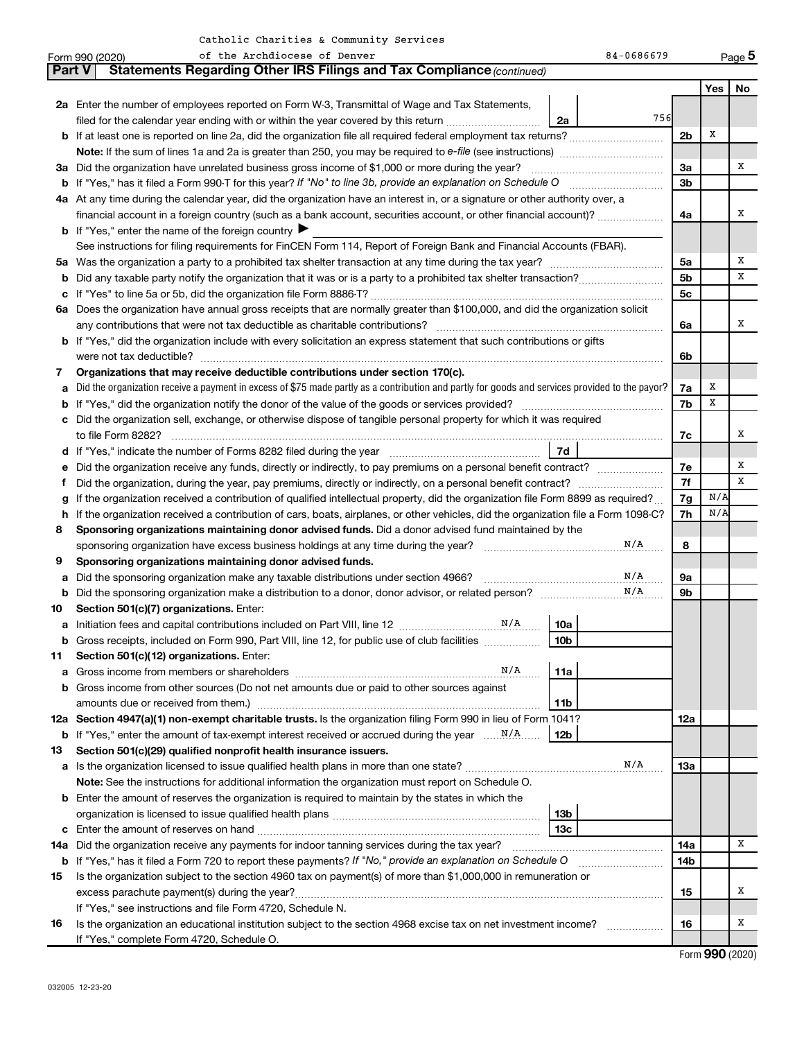|               | of the Archdiocese of Denver<br>84-0686679<br>Form 990 (2020)                                                                                   |                |     | Page 5            |
|---------------|-------------------------------------------------------------------------------------------------------------------------------------------------|----------------|-----|-------------------|
| <b>Part V</b> | Statements Regarding Other IRS Filings and Tax Compliance (continued)                                                                           |                |     |                   |
|               |                                                                                                                                                 |                | Yes | No                |
|               | 2a Enter the number of employees reported on Form W-3, Transmittal of Wage and Tax Statements,                                                  |                |     |                   |
|               | 756<br>filed for the calendar year ending with or within the year covered by this return<br>2a                                                  |                |     |                   |
|               |                                                                                                                                                 | 2 <sub>b</sub> | X   |                   |
|               |                                                                                                                                                 |                |     |                   |
|               | 3a Did the organization have unrelated business gross income of \$1,000 or more during the year?                                                | За             |     | х                 |
|               |                                                                                                                                                 | 3b             |     |                   |
|               | 4a At any time during the calendar year, did the organization have an interest in, or a signature or other authority over, a                    |                |     |                   |
|               | financial account in a foreign country (such as a bank account, securities account, or other financial account)?                                | 4a             |     | х                 |
|               | <b>b</b> If "Yes," enter the name of the foreign country $\blacktriangleright$                                                                  |                |     |                   |
|               | See instructions for filing requirements for FinCEN Form 114, Report of Foreign Bank and Financial Accounts (FBAR).                             |                |     |                   |
|               |                                                                                                                                                 | 5a             |     | Х                 |
| b             |                                                                                                                                                 | 5 <sub>b</sub> |     | x                 |
| с             |                                                                                                                                                 | 5c             |     |                   |
|               | 6a Does the organization have annual gross receipts that are normally greater than \$100,000, and did the organization solicit                  |                |     |                   |
|               |                                                                                                                                                 | 6a             |     | х                 |
|               | <b>b</b> If "Yes," did the organization include with every solicitation an express statement that such contributions or gifts                   |                |     |                   |
|               |                                                                                                                                                 | 6b             |     |                   |
| 7             | Organizations that may receive deductible contributions under section 170(c).                                                                   |                |     |                   |
| а             | Did the organization receive a payment in excess of \$75 made partly as a contribution and partly for goods and services provided to the payor? | 7a             | X   |                   |
| b             |                                                                                                                                                 | 7b             | x   |                   |
| с             | Did the organization sell, exchange, or otherwise dispose of tangible personal property for which it was required                               |                |     |                   |
|               |                                                                                                                                                 | 7c             |     | х                 |
| d             | 7d                                                                                                                                              |                |     |                   |
| е             |                                                                                                                                                 | 7е             |     | Х                 |
| t             |                                                                                                                                                 | 7f             |     | x                 |
|               | If the organization received a contribution of qualified intellectual property, did the organization file Form 8899 as required?                |                | N/A |                   |
| h             | If the organization received a contribution of cars, boats, airplanes, or other vehicles, did the organization file a Form 1098-C?              | 7g<br>7h       | N/A |                   |
| 8             | Sponsoring organizations maintaining donor advised funds. Did a donor advised fund maintained by the                                            |                |     |                   |
|               | N/A<br>sponsoring organization have excess business holdings at any time during the year? [[[[[[[[[[[[[[[[[[[[[[[[[[                            | 8              |     |                   |
| 9             | Sponsoring organizations maintaining donor advised funds.                                                                                       |                |     |                   |
| а             | N/A<br>Did the sponsoring organization make any taxable distributions under section 4966?                                                       | 9а             |     |                   |
| b             | N/A                                                                                                                                             | 9b             |     |                   |
| 10            | Section 501(c)(7) organizations. Enter:                                                                                                         |                |     |                   |
|               | 10a                                                                                                                                             |                |     |                   |
|               | 10 <sub>b</sub><br>Gross receipts, included on Form 990, Part VIII, line 12, for public use of club facilities                                  |                |     |                   |
| 11            | Section 501(c)(12) organizations. Enter:                                                                                                        |                |     |                   |
|               | N/A<br>11a                                                                                                                                      |                |     |                   |
| а<br>b        | Gross income from other sources (Do not net amounts due or paid to other sources against                                                        |                |     |                   |
|               | 11b                                                                                                                                             |                |     |                   |
|               | 12a Section 4947(a)(1) non-exempt charitable trusts. Is the organization filing Form 990 in lieu of Form 1041?                                  | 12a            |     |                   |
|               | 12b                                                                                                                                             |                |     |                   |
| 13            | Section 501(c)(29) qualified nonprofit health insurance issuers.                                                                                |                |     |                   |
| а             | N/A<br>Is the organization licensed to issue qualified health plans in more than one state?                                                     | 13a            |     |                   |
|               | Note: See the instructions for additional information the organization must report on Schedule O.                                               |                |     |                   |
|               |                                                                                                                                                 |                |     |                   |
| b             | Enter the amount of reserves the organization is required to maintain by the states in which the                                                |                |     |                   |
|               | 13 <sub>b</sub><br>13 <sub>c</sub>                                                                                                              |                |     |                   |
| с             | Enter the amount of reserves on hand                                                                                                            |                |     | x                 |
| 14a           | Did the organization receive any payments for indoor tanning services during the tax year?                                                      | 14a            |     |                   |
|               | <b>b</b> If "Yes," has it filed a Form 720 to report these payments? If "No," provide an explanation on Schedule O                              | 14b            |     |                   |
| 15            | Is the organization subject to the section 4960 tax on payment(s) of more than \$1,000,000 in remuneration or                                   |                |     | х                 |
|               | excess parachute payment(s) during the year?                                                                                                    | 15             |     |                   |
|               | If "Yes," see instructions and file Form 4720, Schedule N.                                                                                      |                |     |                   |
| 16            | Is the organization an educational institution subject to the section 4968 excise tax on net investment income?                                 | 16             |     | Х                 |
|               | If "Yes," complete Form 4720, Schedule O.                                                                                                       |                |     | $Form$ QQQ (2020) |

Form (2020) **990**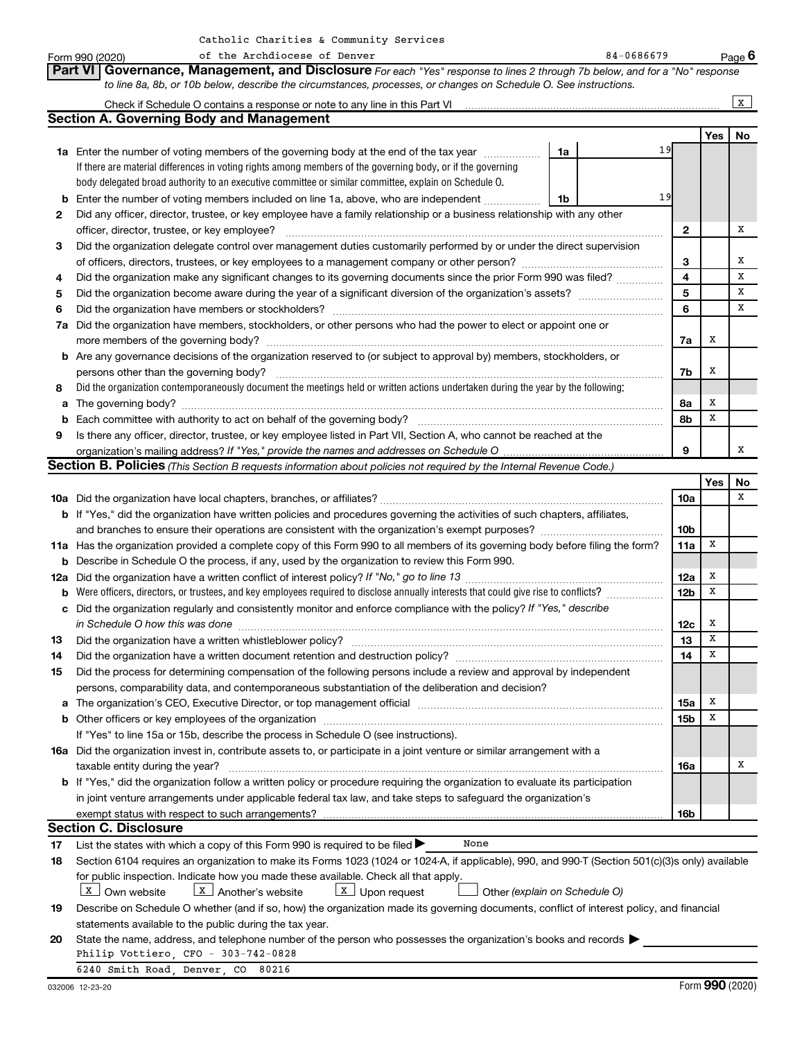**Yes No 1a 1b 1a** Enter the number of voting members of the governing body at the end of the tax year *www.fronoming* **2 3 4 5 6 7 a** Did the organization have members, stockholders, or other persons who had the power to elect or appoint one or **8 9 b** Enter the number of voting members included on line 1a, above, who are independent *controllering* **2 3 4 5 6 7a 7b 8a 8b 9 b** Are any governance decisions of the organization reserved to (or subject to approval by) members, stockholders, or **a** The governing body? ~~~~~~~~~~~~~~~~~~~~~~~~~~~~~~~~~~~~~~~~~~~~~~~~~~~ **b** Each committee with authority to act on behalf of the governing body? ~~~~~~~~~~~~~~~~~~~~~~~~~~ **Yes No Part VI** Governance, Management, and Disclosure For each "Yes" response to lines 2 through 7b below, and for a "No" response *to line 8a, 8b, or 10b below, describe the circumstances, processes, or changes on Schedule O. See instructions. If "Yes," provide the names and addresses on Schedule O* organization's mailing address? **Section B. Policies** (This Section B requests information about policies not required by the Internal Revenue Code.) If there are material differences in voting rights among members of the governing body, or if the governing body delegated broad authority to an executive committee or similar committee, explain on Schedule O. Did the organization contemporaneously document the meetings held or written actions undertaken during the year by the following: Form 990 (2020) The Archdiocese of Denver (1998) 1996 (2020) Page Page 1996 Check if Schedule O contains a response or note to any line in this Part VI Did any officer, director, trustee, or key employee have a family relationship or a business relationship with any other officer, director, trustee, or key employee? ~~~~~~~~~~~~~~~~~~~~~~~~~~~~~~~~~~~~~~~~ Did the organization delegate control over management duties customarily performed by or under the direct supervision of officers, directors, trustees, or key employees to a management company or other person? ~~~~~~~~~~~~~~~ Did the organization make any significant changes to its governing documents since the prior Form 990 was filed? ............... Did the organization become aware during the year of a significant diversion of the organization's assets? \_\_\_\_\_\_\_\_\_\_\_\_\_\_\_\_\_\_\_\_\_\_\_\_\_\_\_\_ Did the organization have members or stockholders? ~~~~~~~~~~~~~~~~~~~~~~~~~~~~~~~~~~~ more members of the governing body? ~~~~~~~~~~~~~~~~~~~~~~~~~~~~~~~~~~~~~~~~~~ persons other than the governing body? ~~~~~~~~~~~~~~~~~~~~~~~~~~~~~~~~~~~~~~~~~ Is there any officer, director, trustee, or key employee listed in Part VII, Section A, who cannot be reached at the **Section A. Governing Body and Management**  $\vert x \vert$ Catholic Charities & Community Services 19 19 X X X X X X X X X X

|     |                                                                                                                                                                                                                                | 10a             |   | X |
|-----|--------------------------------------------------------------------------------------------------------------------------------------------------------------------------------------------------------------------------------|-----------------|---|---|
|     | <b>b</b> If "Yes," did the organization have written policies and procedures governing the activities of such chapters, affiliates,                                                                                            |                 |   |   |
|     |                                                                                                                                                                                                                                | 10 <sub>b</sub> |   |   |
|     | 11a Has the organization provided a complete copy of this Form 990 to all members of its governing body before filing the form?                                                                                                | 11a             | X |   |
| b   | Describe in Schedule O the process, if any, used by the organization to review this Form 990.                                                                                                                                  |                 |   |   |
| 12a |                                                                                                                                                                                                                                | 12a             | x |   |
| b   | Were officers, directors, or trustees, and key employees required to disclose annually interests that could give rise to conflicts?                                                                                            | 12 <sub>b</sub> | х |   |
| c   | Did the organization regularly and consistently monitor and enforce compliance with the policy? If "Yes," describe                                                                                                             |                 |   |   |
|     | in Schedule O how this was done                                                                                                                                                                                                | 12c             | x |   |
| 13  |                                                                                                                                                                                                                                | 13              | X |   |
| 14  |                                                                                                                                                                                                                                | 14              | х |   |
| 15  | Did the process for determining compensation of the following persons include a review and approval by independent                                                                                                             |                 |   |   |
|     | persons, comparability data, and contemporaneous substantiation of the deliberation and decision?                                                                                                                              |                 |   |   |
| а   | The organization's CEO, Executive Director, or top management official manufactured content content of the organization's CEO, Executive Director, or top management official manufactured content of the state of the state o | 15a             | X |   |
| b   |                                                                                                                                                                                                                                | 15 <sub>b</sub> | X |   |
|     | If "Yes" to line 15a or 15b, describe the process in Schedule O (see instructions).                                                                                                                                            |                 |   |   |
|     | <b>16a</b> Did the organization invest in, contribute assets to, or participate in a joint venture or similar arrangement with a                                                                                               |                 |   |   |
|     | taxable entity during the year?                                                                                                                                                                                                | <b>16a</b>      |   | x |
|     | <b>b</b> If "Yes," did the organization follow a written policy or procedure requiring the organization to evaluate its participation                                                                                          |                 |   |   |
|     | in joint venture arrangements under applicable federal tax law, and take steps to safeguard the organization's                                                                                                                 |                 |   |   |
|     |                                                                                                                                                                                                                                | 16 <sub>b</sub> |   |   |
|     | <b>Section C. Disclosure</b>                                                                                                                                                                                                   |                 |   |   |
| 17  | List the states with which a copy of this Form 990 is required to be filed $\blacktriangleright$<br>None                                                                                                                       |                 |   |   |
| 18  | Section 6104 requires an organization to make its Forms 1023 (1024 or 1024-A, if applicable), 990, and 990-T (Section 501(c)(3)s only) available                                                                               |                 |   |   |
|     | for public inspection. Indicate how you made these available. Check all that apply.                                                                                                                                            |                 |   |   |

 $\boxed{\textbf{x}}$  Own website  $\boxed{\textbf{x}}$  Another's website  $\boxed{\textbf{x}}$  Upon request  $\boxed{\text{x}}$  Own website  $\boxed{\text{x}}$  Another's website  $\boxed{\text{x}}$  Upon request

 *(explain on Schedule O)*

| 19 Describe on Schedule O whether (and if so, how) the organization made its governing documents, conflict of interest policy, and financial |
|----------------------------------------------------------------------------------------------------------------------------------------------|
| statements available to the public during the tax year.                                                                                      |

| 20 State the name, address, and telephone number of the person who possesses the organization's books and records |
|-------------------------------------------------------------------------------------------------------------------|
| Philip Vottiero, CFO - 303-742-0828                                                                               |
| 6240 Smith Road Denver CO 80216                                                                                   |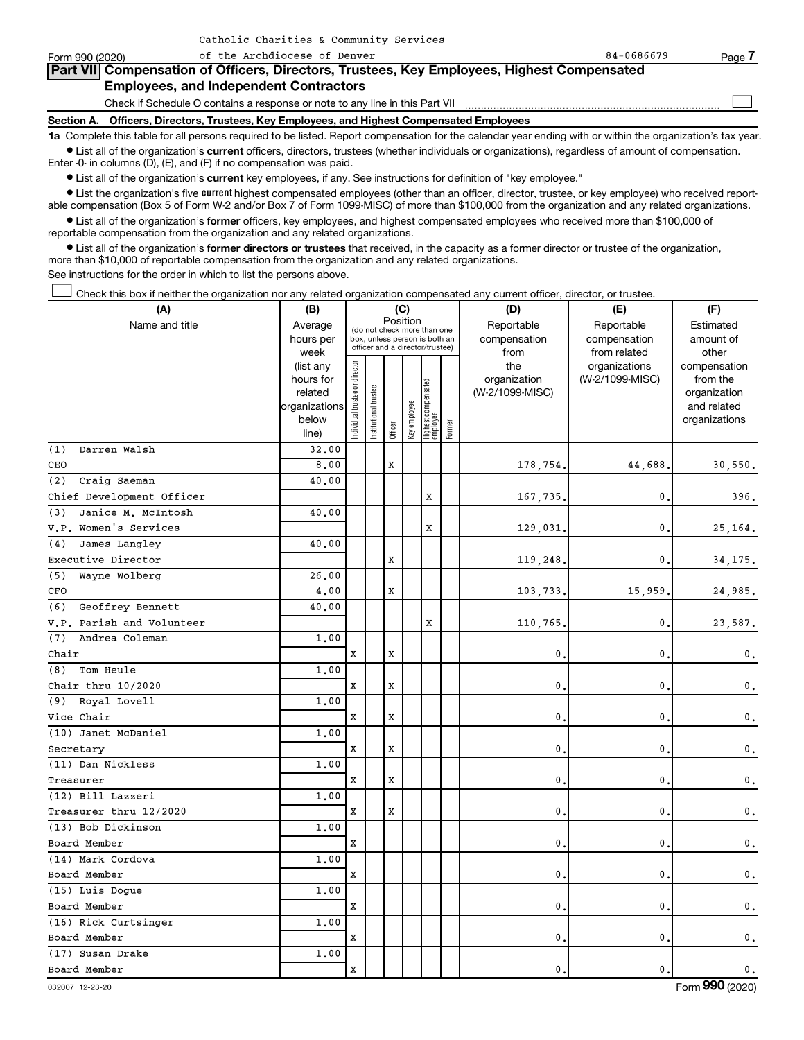| Form 990 (2020) | of the Archdiocese of Denver                                                                                                                               | 84-0686679 | Page 7 |
|-----------------|------------------------------------------------------------------------------------------------------------------------------------------------------------|------------|--------|
|                 | Part VII Compensation of Officers, Directors, Trustees, Key Employees, Highest Compensated                                                                 |            |        |
|                 | <b>Employees, and Independent Contractors</b>                                                                                                              |            |        |
|                 | Check if Schedule O contains a response or note to any line in this Part VII                                                                               |            |        |
|                 | Section A. Officers, Directors, Trustees, Key Employees, and Highest Compensated Employees                                                                 |            |        |
|                 | 1a Complete this table for all persons required to be listed. Report compensation for the calendar year ending with or within the organization's tax year. |            |        |

 $\bullet$  List all of the organization's current officers, directors, trustees (whether individuals or organizations), regardless of amount of compensation. Enter -0- in columns (D), (E), and (F) if no compensation was paid.

**•** List all of the organization's current key employees, if any. See instructions for definition of "key employee."

Catholic Charities & Community Services

• List the organization's five *current* highest compensated employees (other than an officer, director, trustee, or key employee) who received reportable compensation (Box 5 of Form W-2 and/or Box 7 of Form 1099-MISC) of more than \$100,000 from the organization and any related organizations.

 $\bullet$  List all of the organization's former officers, key employees, and highest compensated employees who received more than \$100,000 of reportable compensation from the organization and any related organizations.

**•** List all of the organization's former directors or trustees that received, in the capacity as a former director or trustee of the organization, more than \$10,000 of reportable compensation from the organization and any related organizations.

See instructions for the order in which to list the persons above.

Check this box if neither the organization nor any related organization compensated any current officer, director, or trustee.  $\Box$ 

| (A)                       | (B)                    | (C)                           |                                                                  |         |              |                                 |        | (D)                 | (E)                              | (F)                      |  |  |
|---------------------------|------------------------|-------------------------------|------------------------------------------------------------------|---------|--------------|---------------------------------|--------|---------------------|----------------------------------|--------------------------|--|--|
| Name and title            | Average                |                               | (do not check more than one                                      |         | Position     |                                 |        | Reportable          | Reportable                       | Estimated                |  |  |
|                           | hours per              |                               | box, unless person is both an<br>officer and a director/trustee) |         |              |                                 |        | compensation        | compensation                     | amount of                |  |  |
|                           | week                   |                               |                                                                  |         |              |                                 |        | from                | from related                     | other                    |  |  |
|                           | (list any<br>hours for |                               |                                                                  |         |              |                                 |        | the<br>organization | organizations<br>(W-2/1099-MISC) | compensation<br>from the |  |  |
|                           | related                |                               |                                                                  |         |              |                                 |        | (W-2/1099-MISC)     |                                  | organization             |  |  |
|                           | organizations          |                               |                                                                  |         |              |                                 |        |                     |                                  | and related              |  |  |
|                           | below                  | ndividual trustee or director | Institutional trustee                                            |         | Key employee |                                 |        |                     |                                  | organizations            |  |  |
|                           | line)                  |                               |                                                                  | Officer |              | Highest compensated<br>employee | Former |                     |                                  |                          |  |  |
| (1)<br>Darren Walsh       | 32.00                  |                               |                                                                  |         |              |                                 |        |                     |                                  |                          |  |  |
| CEO                       | 8,00                   |                               |                                                                  | X       |              |                                 |        | 178,754.            | 44,688                           | 30,550.                  |  |  |
| Craig Saeman<br>(2)       | 40.00                  |                               |                                                                  |         |              |                                 |        |                     |                                  |                          |  |  |
| Chief Development Officer |                        |                               |                                                                  |         |              | х                               |        | 167,735             | 0                                | 396.                     |  |  |
| Janice M. McIntosh<br>(3) | 40.00                  |                               |                                                                  |         |              |                                 |        |                     |                                  |                          |  |  |
| V.P. Women's Services     |                        |                               |                                                                  |         |              | $\mathbf x$                     |        | 129,031             | 0.                               | 25,164.                  |  |  |
| James Langley<br>(4)      | 40.00                  |                               |                                                                  |         |              |                                 |        |                     |                                  |                          |  |  |
| Executive Director        |                        |                               |                                                                  | X       |              |                                 |        | 119,248             | $\mathbf{0}$                     | 34,175.                  |  |  |
| (5)<br>Wayne Wolberg      | 26,00                  |                               |                                                                  |         |              |                                 |        |                     |                                  |                          |  |  |
| CFO                       | 4.00                   |                               |                                                                  | X       |              |                                 |        | 103,733             | 15,959.                          | 24,985.                  |  |  |
| (6)<br>Geoffrey Bennett   | 40.00                  |                               |                                                                  |         |              |                                 |        |                     |                                  |                          |  |  |
| V.P. Parish and Volunteer |                        |                               |                                                                  |         |              | X                               |        | 110,765             | 0.                               | 23,587.                  |  |  |
| Andrea Coleman<br>(7)     | 1,00                   |                               |                                                                  |         |              |                                 |        |                     |                                  |                          |  |  |
| Chair                     |                        | X                             |                                                                  | X       |              |                                 |        | 0                   | $\mathbf 0$ .                    | 0.                       |  |  |
| Tom Heule<br>(8)          | 1.00                   |                               |                                                                  |         |              |                                 |        |                     |                                  |                          |  |  |
| Chair thru 10/2020        |                        | X                             |                                                                  | X       |              |                                 |        | 0                   | 0                                | 0.                       |  |  |
| (9) Royal Lovell          | 1.00                   |                               |                                                                  |         |              |                                 |        |                     |                                  |                          |  |  |
| Vice Chair                |                        | X                             |                                                                  | X       |              |                                 |        | $\mathbf{0}$        | $\mathbf{0}$                     | 0.                       |  |  |
| (10) Janet McDaniel       | 1.00                   |                               |                                                                  |         |              |                                 |        |                     |                                  |                          |  |  |
| Secretary                 |                        | X                             |                                                                  | X       |              |                                 |        | 0                   | 0                                | 0.                       |  |  |
| (11) Dan Nickless         | 1.00                   |                               |                                                                  |         |              |                                 |        |                     |                                  |                          |  |  |
| Treasurer                 |                        | X                             |                                                                  | X       |              |                                 |        | $\mathbf{0}$        | $\mathbf{0}$                     | $\mathbf 0$ .            |  |  |
| (12) Bill Lazzeri         | 1.00                   |                               |                                                                  |         |              |                                 |        |                     |                                  |                          |  |  |
| Treasurer thru 12/2020    |                        | X                             |                                                                  | X       |              |                                 |        | 0                   | 0                                | 0.                       |  |  |
| (13) Bob Dickinson        | 1.00                   |                               |                                                                  |         |              |                                 |        |                     |                                  |                          |  |  |
| Board Member              |                        | $\mathbf x$                   |                                                                  |         |              |                                 |        | $\mathbf{0}$        | 0.                               | 0.                       |  |  |
| (14) Mark Cordova         | 1.00                   |                               |                                                                  |         |              |                                 |        |                     |                                  |                          |  |  |
| Board Member              |                        | X                             |                                                                  |         |              |                                 |        | $\mathbf{0}$        | 0                                | $\mathbf 0$ .            |  |  |
| (15) Luis Dogue           | 1.00                   |                               |                                                                  |         |              |                                 |        |                     |                                  |                          |  |  |
| Board Member              |                        | $\mathbf x$                   |                                                                  |         |              |                                 |        | $\mathbf{0}$ .      | $\mathbf 0$ .                    | $\mathbf 0$ .            |  |  |
| (16) Rick Curtsinger      | 1.00                   |                               |                                                                  |         |              |                                 |        |                     |                                  |                          |  |  |
| Board Member              |                        | X                             |                                                                  |         |              |                                 |        | $\mathbf{0}$        | 0.                               | $\mathbf 0$ .            |  |  |
| (17) Susan Drake          | 1.00                   |                               |                                                                  |         |              |                                 |        |                     |                                  |                          |  |  |
| Board Member              |                        | $\mathbf x$                   |                                                                  |         |              |                                 |        | $\mathbf{0}$ .      | 0.                               | $\mathbf 0$ .            |  |  |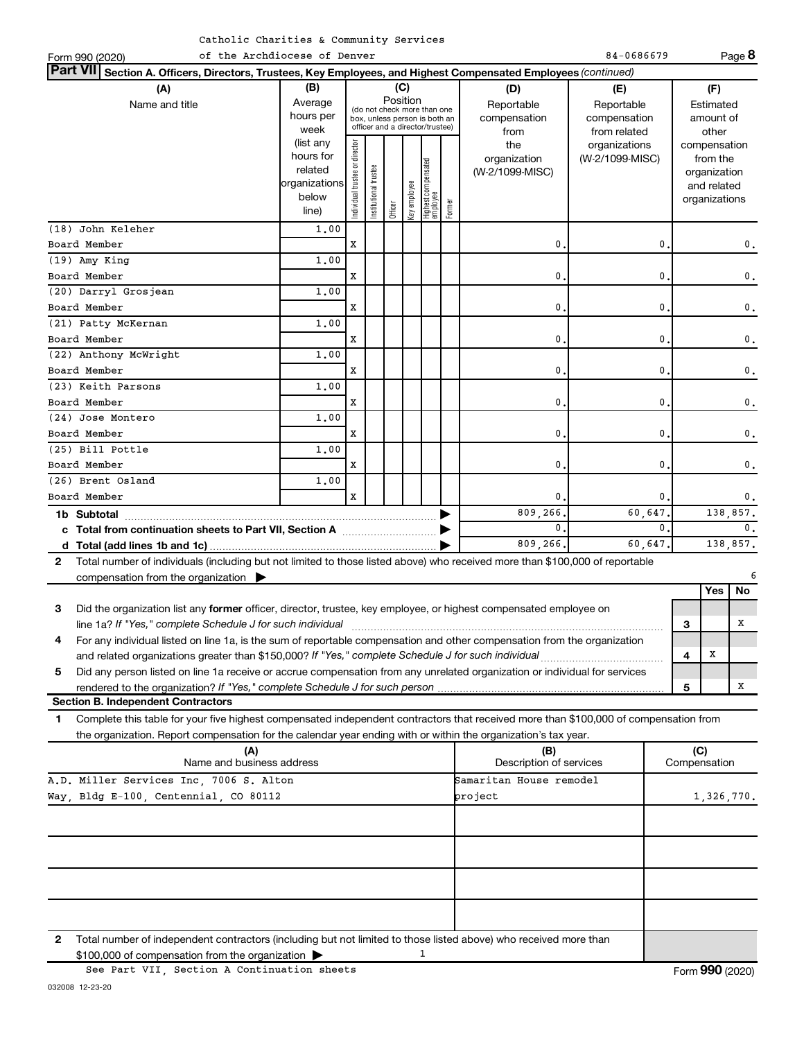|  | Catholic Charities & Community Services |  |  |  |
|--|-----------------------------------------|--|--|--|
|--|-----------------------------------------|--|--|--|

| of the Archdiocese of Denver<br>Form 990 (2020)                                                                                              |                      |                                |                      |          |               |                                   |            |                                | 84-0686679      |              |                             | Page 8         |
|----------------------------------------------------------------------------------------------------------------------------------------------|----------------------|--------------------------------|----------------------|----------|---------------|-----------------------------------|------------|--------------------------------|-----------------|--------------|-----------------------------|----------------|
| <b>Part VII</b><br>Section A. Officers, Directors, Trustees, Key Employees, and Highest Compensated Employees (continued)                    |                      |                                |                      |          |               |                                   |            |                                |                 |              |                             |                |
| (A)                                                                                                                                          | (B)                  |                                |                      |          | (C)           |                                   |            | (D)                            | (E)             |              | (F)                         |                |
| Name and title                                                                                                                               | Average              |                                |                      | Position |               | (do not check more than one       |            | Reportable                     | Reportable      |              | Estimated                   |                |
|                                                                                                                                              | hours per            | box, unless person is both an  |                      |          |               |                                   |            | compensation                   | compensation    |              | amount of                   |                |
|                                                                                                                                              | week                 |                                |                      |          |               | officer and a director/trustee)   |            | from                           | from related    |              | other                       |                |
|                                                                                                                                              | (list any            |                                |                      |          |               |                                   |            | the                            | organizations   |              | compensation                |                |
|                                                                                                                                              | hours for<br>related |                                |                      |          |               |                                   |            | organization                   | (W-2/1099-MISC) |              | from the                    |                |
|                                                                                                                                              | organizations        |                                |                      |          |               |                                   |            | (W-2/1099-MISC)                |                 |              | organization<br>and related |                |
|                                                                                                                                              | below                |                                |                      |          |               |                                   |            |                                |                 |              | organizations               |                |
|                                                                                                                                              | line)                | Individual trustee or director | nstitutional trustee | Officer  | Key employee  | Highest compensated<br>  employee | Former     |                                |                 |              |                             |                |
| (18) John Keleher                                                                                                                            | 1,00                 |                                |                      |          |               |                                   |            |                                |                 |              |                             |                |
| Board Member                                                                                                                                 |                      | x                              |                      |          |               |                                   |            | 0.                             | 0               |              |                             | 0.             |
| $(19)$ Amy King                                                                                                                              | 1,00                 |                                |                      |          |               |                                   |            |                                |                 |              |                             |                |
| Board Member                                                                                                                                 |                      | x                              |                      |          |               |                                   |            | 0.                             | 0               |              |                             | 0.             |
| (20) Darryl Grosjean                                                                                                                         | 1,00                 |                                |                      |          |               |                                   |            |                                |                 |              |                             |                |
| Board Member                                                                                                                                 |                      | X                              |                      |          |               |                                   |            | $\mathbf{0}$ .                 | 0               |              |                             | 0.             |
| (21) Patty McKernan                                                                                                                          | 1,00                 |                                |                      |          |               |                                   |            |                                |                 |              |                             |                |
| $\mathbf{0}$ .<br>0<br>Board Member<br>X                                                                                                     |                      |                                |                      |          | $\mathbf 0$ . |                                   |            |                                |                 |              |                             |                |
| (22) Anthony McWright                                                                                                                        | 1,00                 |                                |                      |          |               |                                   |            |                                |                 |              |                             |                |
| Board Member                                                                                                                                 |                      | x                              |                      |          |               |                                   |            | 0.                             | 0               |              |                             | $\mathbf 0$ .  |
| (23) Keith Parsons                                                                                                                           | 1,00                 |                                |                      |          |               |                                   |            |                                |                 |              |                             |                |
| Board Member                                                                                                                                 |                      | x                              |                      |          |               |                                   |            | 0.                             | 0               |              |                             | $\mathbf 0$ .  |
| (24) Jose Montero                                                                                                                            | 1,00                 |                                |                      |          |               |                                   |            |                                |                 |              |                             |                |
| Board Member                                                                                                                                 |                      | X                              |                      |          |               |                                   |            | 0.                             | 0               |              |                             | 0.             |
| (25) Bill Pottle                                                                                                                             | 1.00                 |                                |                      |          |               |                                   |            |                                |                 |              |                             |                |
| Board Member                                                                                                                                 |                      | X                              |                      |          |               |                                   |            | 0.                             | 0               |              |                             | $\mathbf 0$ .  |
| (26) Brent Osland                                                                                                                            | 1,00                 |                                |                      |          |               |                                   |            |                                |                 |              |                             |                |
| Board Member                                                                                                                                 |                      | X                              |                      |          |               |                                   |            | 0.                             |                 | $\mathbf{0}$ |                             | $\mathbf 0$ .  |
| 1b Subtotal                                                                                                                                  |                      |                                |                      |          |               |                                   |            | 809, 266.                      | 60,647          |              | 138,857.                    |                |
| c Total from continuation sheets to Part VII, Section A manufactured by                                                                      |                      |                                |                      |          |               |                                   |            | $\mathbf{0}$ .                 | $\Omega$        |              |                             | $\mathbf{0}$ . |
|                                                                                                                                              |                      |                                |                      |          |               |                                   |            | 809,266.                       | 60,647.         |              |                             | 138,857.       |
| Total number of individuals (including but not limited to those listed above) who received more than \$100,000 of reportable<br>$\mathbf{2}$ |                      |                                |                      |          |               |                                   |            |                                |                 |              |                             |                |
| compensation from the organization $\blacktriangleright$                                                                                     |                      |                                |                      |          |               |                                   |            |                                |                 |              |                             |                |
|                                                                                                                                              |                      |                                |                      |          |               |                                   |            |                                |                 |              | Yes                         | No.            |
| Did the organization list any former officer, director, trustee, key employee, or highest compensated employee on<br>3                       |                      |                                |                      |          |               |                                   |            |                                |                 |              |                             |                |
|                                                                                                                                              |                      |                                |                      |          |               |                                   |            |                                |                 | з            |                             | x              |
| For any individual listed on line 1a, is the sum of reportable compensation and other compensation from the organization                     |                      |                                |                      |          |               |                                   |            |                                |                 |              |                             |                |
| and related organizations greater than \$150,000? If "Yes," complete Schedule J for such individual                                          |                      |                                |                      |          |               |                                   |            |                                |                 | 4            | х                           |                |
| Did any person listed on line 1a receive or accrue compensation from any unrelated organization or individual for services<br>5              |                      |                                |                      |          |               |                                   |            |                                |                 |              |                             |                |
| rendered to the organization? If "Yes," complete Schedule J for such person.                                                                 |                      |                                |                      |          |               |                                   |            |                                |                 | 5            |                             | x              |
| <b>Section B. Independent Contractors</b>                                                                                                    |                      |                                |                      |          |               |                                   |            |                                |                 |              |                             |                |
| Complete this table for your five highest compensated independent contractors that received more than \$100,000 of compensation from<br>1.   |                      |                                |                      |          |               |                                   |            |                                |                 |              |                             |                |
| the organization. Report compensation for the calendar year ending with or within the organization's tax year.                               |                      |                                |                      |          |               |                                   |            |                                |                 |              |                             |                |
| (A)<br>Name and business address                                                                                                             |                      |                                |                      |          |               |                                   |            | (B)<br>Description of services |                 | Compensation | (C)                         |                |
|                                                                                                                                              |                      |                                |                      |          |               |                                   |            | Samaritan House remodel        |                 |              |                             |                |
| A.D. Miller Services Inc, 7006 S. Alton                                                                                                      |                      |                                |                      |          |               |                                   |            |                                |                 |              |                             |                |
| Way, Bldg E-100, Centennial, CO 80112<br>project                                                                                             |                      |                                |                      |          |               |                                   | 1,326,770. |                                |                 |              |                             |                |
|                                                                                                                                              |                      |                                |                      |          |               |                                   |            |                                |                 |              |                             |                |
|                                                                                                                                              |                      |                                |                      |          |               |                                   |            |                                |                 |              |                             |                |
|                                                                                                                                              |                      |                                |                      |          |               |                                   |            |                                |                 |              |                             |                |
|                                                                                                                                              |                      |                                |                      |          |               |                                   |            |                                |                 |              |                             |                |
|                                                                                                                                              |                      |                                |                      |          |               |                                   |            |                                |                 |              |                             |                |

**2** Total number of independent contractors (including but not limited to those listed above) who received more than \$100,000 of compensation from the organization 1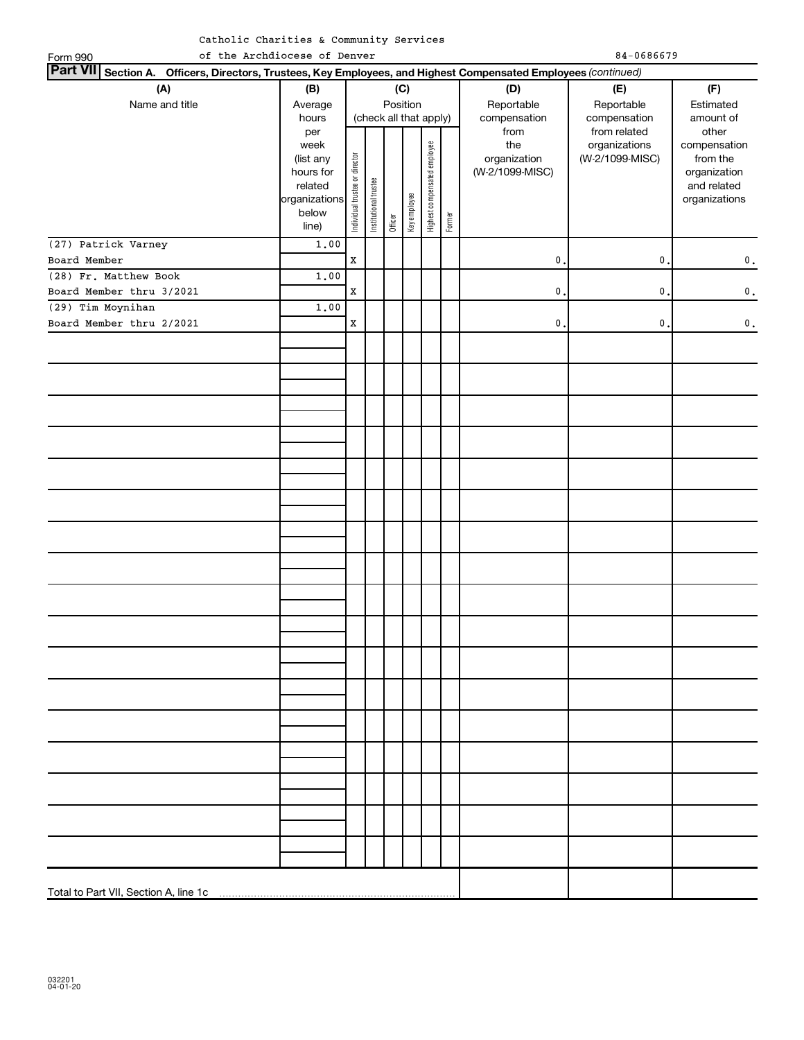| Part VII Section A. Officers, Directors, Trustees, Key Employees, and Highest Compensated Employees (continued)<br>(A)<br>(B)<br>(C)<br>(D)<br>(F)<br>(E)<br>Position<br>Name and title<br>Reportable<br>Reportable<br>Estimated<br>Average<br>(check all that apply)<br>compensation<br>compensation<br>hours<br>amount of<br>from<br>from related<br>other<br>per<br>Highest compensated employee<br>the<br>organizations<br>compensation<br>week<br>Individual trustee or director<br>organization<br>(W-2/1099-MISC)<br>from the<br>(list any<br>(W-2/1099-MISC)<br>hours for<br>organization<br>Institutional trustee<br>related<br>and related<br>Key employee<br>organizations<br>organizations<br>below<br>Former<br>Officer<br>line)<br>(27) Patrick Varney<br>1.00<br>$\mathbf X$<br>$\mathbf{0}$ .<br>$\mathbf{0}$ .<br>Board Member<br>$\mathbf 0$ .<br>(28) Fr. Matthew Book<br>1.00<br>Board Member thru 3/2021<br>$\mathbf X$<br>$\mathbf{0}$ .<br>$\mathbf 0$ .<br>$\mathbf 0$ .<br>(29) Tim Moynihan<br>1.00<br>Board Member thru 2/2021<br>$\mathbf X$<br>$\mathfrak o$ .<br>$\mathbf{0}$ .<br>$\mathbf 0$ . | of the Archdiocese of Denver<br>Form 990 |  |  |  |  |  |  | $84 - 0686679$ |  |
|--------------------------------------------------------------------------------------------------------------------------------------------------------------------------------------------------------------------------------------------------------------------------------------------------------------------------------------------------------------------------------------------------------------------------------------------------------------------------------------------------------------------------------------------------------------------------------------------------------------------------------------------------------------------------------------------------------------------------------------------------------------------------------------------------------------------------------------------------------------------------------------------------------------------------------------------------------------------------------------------------------------------------------------------------------------------------------------------------------------------------------|------------------------------------------|--|--|--|--|--|--|----------------|--|
|                                                                                                                                                                                                                                                                                                                                                                                                                                                                                                                                                                                                                                                                                                                                                                                                                                                                                                                                                                                                                                                                                                                                |                                          |  |  |  |  |  |  |                |  |
|                                                                                                                                                                                                                                                                                                                                                                                                                                                                                                                                                                                                                                                                                                                                                                                                                                                                                                                                                                                                                                                                                                                                |                                          |  |  |  |  |  |  |                |  |
|                                                                                                                                                                                                                                                                                                                                                                                                                                                                                                                                                                                                                                                                                                                                                                                                                                                                                                                                                                                                                                                                                                                                |                                          |  |  |  |  |  |  |                |  |
|                                                                                                                                                                                                                                                                                                                                                                                                                                                                                                                                                                                                                                                                                                                                                                                                                                                                                                                                                                                                                                                                                                                                |                                          |  |  |  |  |  |  |                |  |
|                                                                                                                                                                                                                                                                                                                                                                                                                                                                                                                                                                                                                                                                                                                                                                                                                                                                                                                                                                                                                                                                                                                                |                                          |  |  |  |  |  |  |                |  |
|                                                                                                                                                                                                                                                                                                                                                                                                                                                                                                                                                                                                                                                                                                                                                                                                                                                                                                                                                                                                                                                                                                                                |                                          |  |  |  |  |  |  |                |  |
|                                                                                                                                                                                                                                                                                                                                                                                                                                                                                                                                                                                                                                                                                                                                                                                                                                                                                                                                                                                                                                                                                                                                |                                          |  |  |  |  |  |  |                |  |
|                                                                                                                                                                                                                                                                                                                                                                                                                                                                                                                                                                                                                                                                                                                                                                                                                                                                                                                                                                                                                                                                                                                                |                                          |  |  |  |  |  |  |                |  |
|                                                                                                                                                                                                                                                                                                                                                                                                                                                                                                                                                                                                                                                                                                                                                                                                                                                                                                                                                                                                                                                                                                                                |                                          |  |  |  |  |  |  |                |  |
|                                                                                                                                                                                                                                                                                                                                                                                                                                                                                                                                                                                                                                                                                                                                                                                                                                                                                                                                                                                                                                                                                                                                |                                          |  |  |  |  |  |  |                |  |
|                                                                                                                                                                                                                                                                                                                                                                                                                                                                                                                                                                                                                                                                                                                                                                                                                                                                                                                                                                                                                                                                                                                                |                                          |  |  |  |  |  |  |                |  |
|                                                                                                                                                                                                                                                                                                                                                                                                                                                                                                                                                                                                                                                                                                                                                                                                                                                                                                                                                                                                                                                                                                                                |                                          |  |  |  |  |  |  |                |  |
|                                                                                                                                                                                                                                                                                                                                                                                                                                                                                                                                                                                                                                                                                                                                                                                                                                                                                                                                                                                                                                                                                                                                |                                          |  |  |  |  |  |  |                |  |
|                                                                                                                                                                                                                                                                                                                                                                                                                                                                                                                                                                                                                                                                                                                                                                                                                                                                                                                                                                                                                                                                                                                                |                                          |  |  |  |  |  |  |                |  |
|                                                                                                                                                                                                                                                                                                                                                                                                                                                                                                                                                                                                                                                                                                                                                                                                                                                                                                                                                                                                                                                                                                                                |                                          |  |  |  |  |  |  |                |  |
|                                                                                                                                                                                                                                                                                                                                                                                                                                                                                                                                                                                                                                                                                                                                                                                                                                                                                                                                                                                                                                                                                                                                |                                          |  |  |  |  |  |  |                |  |
|                                                                                                                                                                                                                                                                                                                                                                                                                                                                                                                                                                                                                                                                                                                                                                                                                                                                                                                                                                                                                                                                                                                                |                                          |  |  |  |  |  |  |                |  |
|                                                                                                                                                                                                                                                                                                                                                                                                                                                                                                                                                                                                                                                                                                                                                                                                                                                                                                                                                                                                                                                                                                                                |                                          |  |  |  |  |  |  |                |  |
|                                                                                                                                                                                                                                                                                                                                                                                                                                                                                                                                                                                                                                                                                                                                                                                                                                                                                                                                                                                                                                                                                                                                |                                          |  |  |  |  |  |  |                |  |
|                                                                                                                                                                                                                                                                                                                                                                                                                                                                                                                                                                                                                                                                                                                                                                                                                                                                                                                                                                                                                                                                                                                                |                                          |  |  |  |  |  |  |                |  |
|                                                                                                                                                                                                                                                                                                                                                                                                                                                                                                                                                                                                                                                                                                                                                                                                                                                                                                                                                                                                                                                                                                                                |                                          |  |  |  |  |  |  |                |  |
|                                                                                                                                                                                                                                                                                                                                                                                                                                                                                                                                                                                                                                                                                                                                                                                                                                                                                                                                                                                                                                                                                                                                |                                          |  |  |  |  |  |  |                |  |
|                                                                                                                                                                                                                                                                                                                                                                                                                                                                                                                                                                                                                                                                                                                                                                                                                                                                                                                                                                                                                                                                                                                                |                                          |  |  |  |  |  |  |                |  |
|                                                                                                                                                                                                                                                                                                                                                                                                                                                                                                                                                                                                                                                                                                                                                                                                                                                                                                                                                                                                                                                                                                                                |                                          |  |  |  |  |  |  |                |  |
|                                                                                                                                                                                                                                                                                                                                                                                                                                                                                                                                                                                                                                                                                                                                                                                                                                                                                                                                                                                                                                                                                                                                |                                          |  |  |  |  |  |  |                |  |
|                                                                                                                                                                                                                                                                                                                                                                                                                                                                                                                                                                                                                                                                                                                                                                                                                                                                                                                                                                                                                                                                                                                                |                                          |  |  |  |  |  |  |                |  |
|                                                                                                                                                                                                                                                                                                                                                                                                                                                                                                                                                                                                                                                                                                                                                                                                                                                                                                                                                                                                                                                                                                                                |                                          |  |  |  |  |  |  |                |  |
|                                                                                                                                                                                                                                                                                                                                                                                                                                                                                                                                                                                                                                                                                                                                                                                                                                                                                                                                                                                                                                                                                                                                |                                          |  |  |  |  |  |  |                |  |
|                                                                                                                                                                                                                                                                                                                                                                                                                                                                                                                                                                                                                                                                                                                                                                                                                                                                                                                                                                                                                                                                                                                                |                                          |  |  |  |  |  |  |                |  |
|                                                                                                                                                                                                                                                                                                                                                                                                                                                                                                                                                                                                                                                                                                                                                                                                                                                                                                                                                                                                                                                                                                                                |                                          |  |  |  |  |  |  |                |  |
|                                                                                                                                                                                                                                                                                                                                                                                                                                                                                                                                                                                                                                                                                                                                                                                                                                                                                                                                                                                                                                                                                                                                |                                          |  |  |  |  |  |  |                |  |
|                                                                                                                                                                                                                                                                                                                                                                                                                                                                                                                                                                                                                                                                                                                                                                                                                                                                                                                                                                                                                                                                                                                                |                                          |  |  |  |  |  |  |                |  |
|                                                                                                                                                                                                                                                                                                                                                                                                                                                                                                                                                                                                                                                                                                                                                                                                                                                                                                                                                                                                                                                                                                                                |                                          |  |  |  |  |  |  |                |  |
|                                                                                                                                                                                                                                                                                                                                                                                                                                                                                                                                                                                                                                                                                                                                                                                                                                                                                                                                                                                                                                                                                                                                |                                          |  |  |  |  |  |  |                |  |
|                                                                                                                                                                                                                                                                                                                                                                                                                                                                                                                                                                                                                                                                                                                                                                                                                                                                                                                                                                                                                                                                                                                                |                                          |  |  |  |  |  |  |                |  |
|                                                                                                                                                                                                                                                                                                                                                                                                                                                                                                                                                                                                                                                                                                                                                                                                                                                                                                                                                                                                                                                                                                                                |                                          |  |  |  |  |  |  |                |  |
|                                                                                                                                                                                                                                                                                                                                                                                                                                                                                                                                                                                                                                                                                                                                                                                                                                                                                                                                                                                                                                                                                                                                |                                          |  |  |  |  |  |  |                |  |
|                                                                                                                                                                                                                                                                                                                                                                                                                                                                                                                                                                                                                                                                                                                                                                                                                                                                                                                                                                                                                                                                                                                                |                                          |  |  |  |  |  |  |                |  |
|                                                                                                                                                                                                                                                                                                                                                                                                                                                                                                                                                                                                                                                                                                                                                                                                                                                                                                                                                                                                                                                                                                                                |                                          |  |  |  |  |  |  |                |  |
|                                                                                                                                                                                                                                                                                                                                                                                                                                                                                                                                                                                                                                                                                                                                                                                                                                                                                                                                                                                                                                                                                                                                |                                          |  |  |  |  |  |  |                |  |
|                                                                                                                                                                                                                                                                                                                                                                                                                                                                                                                                                                                                                                                                                                                                                                                                                                                                                                                                                                                                                                                                                                                                |                                          |  |  |  |  |  |  |                |  |
|                                                                                                                                                                                                                                                                                                                                                                                                                                                                                                                                                                                                                                                                                                                                                                                                                                                                                                                                                                                                                                                                                                                                |                                          |  |  |  |  |  |  |                |  |
|                                                                                                                                                                                                                                                                                                                                                                                                                                                                                                                                                                                                                                                                                                                                                                                                                                                                                                                                                                                                                                                                                                                                |                                          |  |  |  |  |  |  |                |  |
|                                                                                                                                                                                                                                                                                                                                                                                                                                                                                                                                                                                                                                                                                                                                                                                                                                                                                                                                                                                                                                                                                                                                |                                          |  |  |  |  |  |  |                |  |

.

Total to Part VII, Section A, line 1c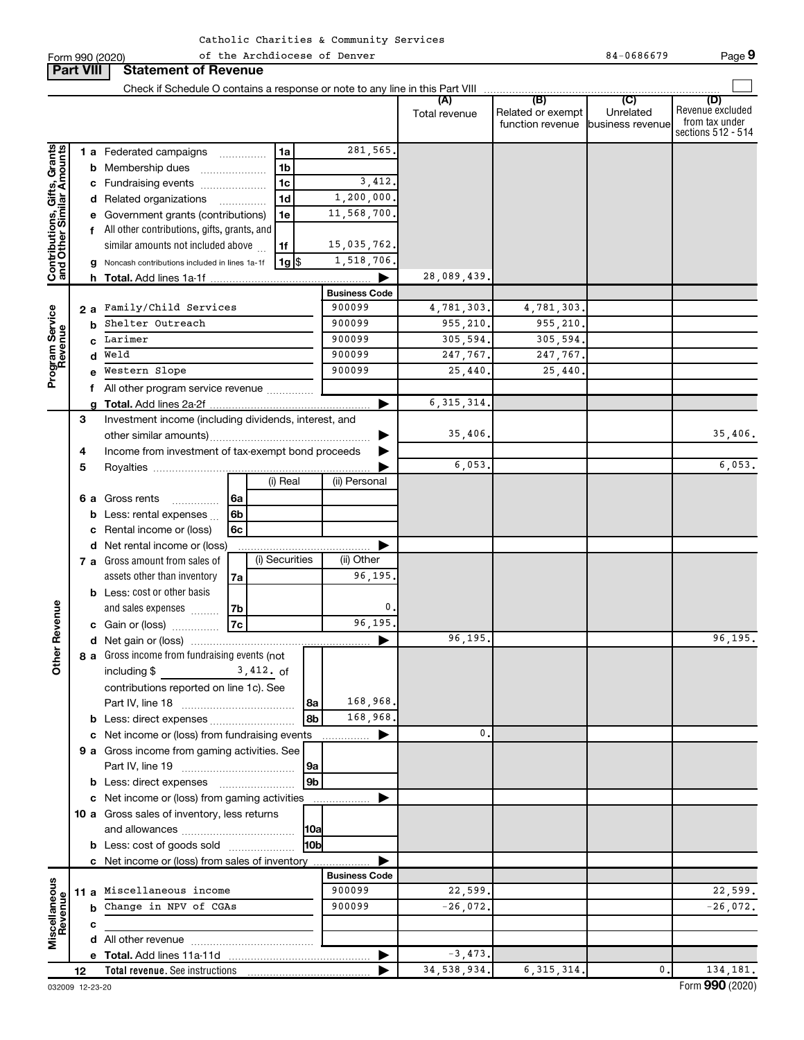| Catholic Charities & Community Services |  |  |  |
|-----------------------------------------|--|--|--|
|-----------------------------------------|--|--|--|

Form 990 (2020) The Archdiocese of Denver Change is a control of the Archdiocese of Denver Change is a control of the Archdiocese of Denver Change is a control of the Archdiocese of Denver Change is a control of the Septem **Part VIII Statement of Revenue**  $\Box$ Check if Schedule O contains a response or note to any line in this Part VIII **(A) (B) (C) (D)** Unrelated Revenue excluded Total revenue | Related or exempt from tax under function revenue business revenue sections 512 - 514 281,565. Contributions, Gifts, Grants<br>and Other Similar Amounts **Contributions, Gifts, Grants and Other Similar Amounts** 1 **a** Federated campaigns .............. **1 a b** Membership dues .................... **1 b** 3,412. **c** Fundraising events .................... **1 c** 1,200,000. **d** Related organizations .............. **1 d** 11,568,700. **e** Government grants (contributions) **1 e f** All other contributions, gifts, grants, and 15,035,762. similar amounts not included above  $\,\ldots\,$ **1 f** 1,518,706. **g** Noncash contributions included in lines 1a-1f | 1g **1** \$ 28,089,439. **h Total.**  Add lines 1a-1f | **Business Code a 2** Family/Child Services 900099 4,781,303. 4,781,303. **Program Service**<br>Revenue **Program Service b** Shelter Outreach 200099 900099 955,210. 955,210. Larimer 305,594. 305,594. 305,594. **c** Weld 900099 247,767. 247,767. **d** Western Slope 25,440 25,440 25,440. **e f** All other program service revenue .............. 6,315,314. **g Total.**  Add lines 2a-2f | Investment income (including dividends, interest, and **3** 35,406. 35,406. other similar amounts) ~~~~~~~~~~~~~~~~~ | **4** Income from investment of tax-exempt bond proceeds  $\blacktriangleright$ 6,053. 6,053. Royalties | **5** (i) Real (ii) Personal **6a 6 a** Gross rents **6b b** Less: rental expenses ... **6c c** Rental income or (loss) **d** Net rental income or (loss) | (i) Securities (ii) Other **7 a** Gross amount from sales of assets other than inventory **7a** 96,195. **b** Less: cost or other basis **Other Revenue** 0. **7b** and sales expenses  $\quad \ldots \ldots \ldots$ 96,195. **7c c** Gain or (loss) ~~~~~ 96,195. 96,195. **d** Net gain or (loss) | **a 8** Gross income from fundraising events (not  $including$   $$$ 3,412. contributions reported on line 1c). See Part IV, line 18 ~~~~~~~~~~~~ 168,968. **8a** 168,968. **8b b** Less: direct expenses ........................... 0. **c** Net income or (loss) from fundraising events | **9 a** Gross income from gaming activities. See Part IV, line 19 ~~~~~~~~~~~~ **9a 9b b** Less: direct expenses ........................ **c** Net income or (loss) from gaming activities  $\blacktriangleright$ **10 a** Gross sales of inventory, less returns and allowances ~~~~~~~~~~~~ **10a 10b b** Less: cost of goods sold .................... **c** Net income or (loss) from sales of inventory | **Business Code Miscellaneous 11 a** Miscellaneous income 900099 22,599. **Revenue b** Change in NPV of CGAs 900099 -26,072. **c d** All other revenue ~~~~~~~~~~~~~ -3,473. **e Total.**  Add lines 11a-11d | 34,538,934. 6,315,314. 0. 134,181.**Total revenue.**  See instructions **12** |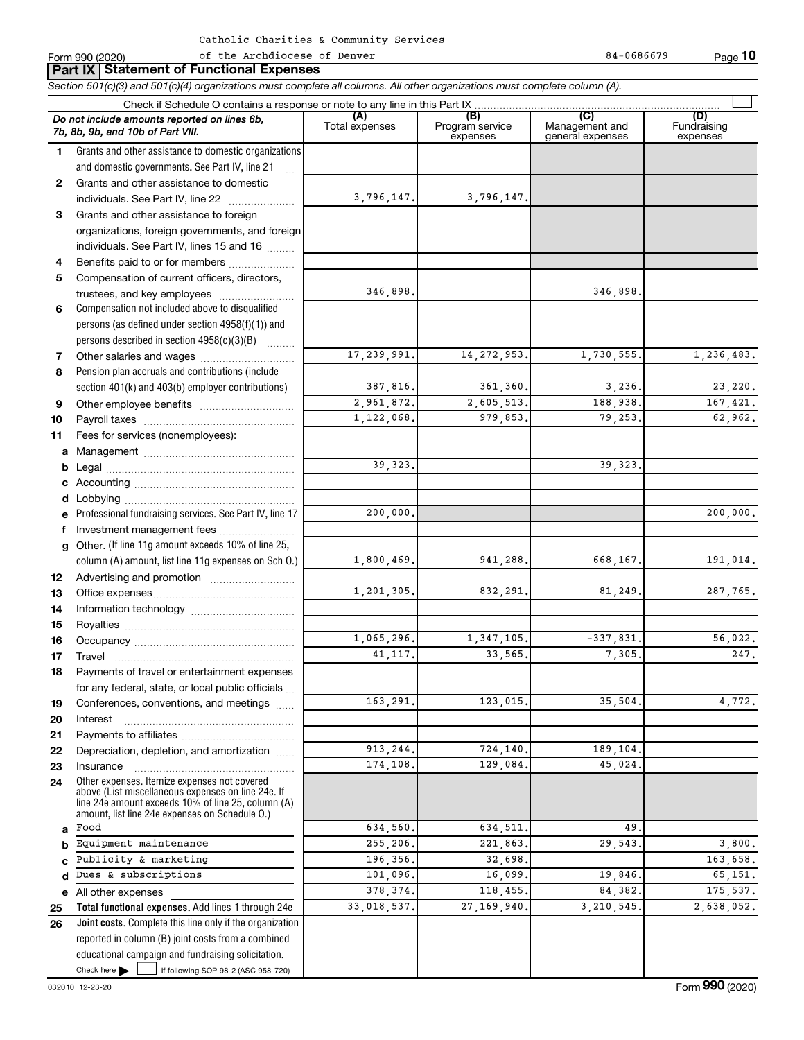|          | Part IX   Statement of Functional Expenses                                                                                                                                                                 |                       |                                    |                                           |                                |  |  |  |  |  |  |
|----------|------------------------------------------------------------------------------------------------------------------------------------------------------------------------------------------------------------|-----------------------|------------------------------------|-------------------------------------------|--------------------------------|--|--|--|--|--|--|
|          | Section 501(c)(3) and 501(c)(4) organizations must complete all columns. All other organizations must complete column (A).                                                                                 |                       |                                    |                                           |                                |  |  |  |  |  |  |
|          |                                                                                                                                                                                                            |                       |                                    |                                           |                                |  |  |  |  |  |  |
|          | Do not include amounts reported on lines 6b,<br>7b, 8b, 9b, and 10b of Part VIII.                                                                                                                          | (A)<br>Total expenses | (B)<br>Program service<br>expenses | (C)<br>Management and<br>general expenses | (D)<br>Fundraising<br>expenses |  |  |  |  |  |  |
| 1.       | Grants and other assistance to domestic organizations                                                                                                                                                      |                       |                                    |                                           |                                |  |  |  |  |  |  |
|          | and domestic governments. See Part IV, line 21                                                                                                                                                             |                       |                                    |                                           |                                |  |  |  |  |  |  |
| 2        | Grants and other assistance to domestic                                                                                                                                                                    |                       |                                    |                                           |                                |  |  |  |  |  |  |
|          | individuals. See Part IV, line 22                                                                                                                                                                          | 3,796,147.            | 3,796,147.                         |                                           |                                |  |  |  |  |  |  |
| 3        | Grants and other assistance to foreign                                                                                                                                                                     |                       |                                    |                                           |                                |  |  |  |  |  |  |
|          | organizations, foreign governments, and foreign                                                                                                                                                            |                       |                                    |                                           |                                |  |  |  |  |  |  |
|          | individuals. See Part IV, lines 15 and 16                                                                                                                                                                  |                       |                                    |                                           |                                |  |  |  |  |  |  |
| 4        | Benefits paid to or for members                                                                                                                                                                            |                       |                                    |                                           |                                |  |  |  |  |  |  |
| 5        | Compensation of current officers, directors,                                                                                                                                                               |                       |                                    |                                           |                                |  |  |  |  |  |  |
|          | trustees, and key employees                                                                                                                                                                                | 346,898.              |                                    | 346,898                                   |                                |  |  |  |  |  |  |
| 6        | Compensation not included above to disqualified                                                                                                                                                            |                       |                                    |                                           |                                |  |  |  |  |  |  |
|          | persons (as defined under section 4958(f)(1)) and                                                                                                                                                          |                       |                                    |                                           |                                |  |  |  |  |  |  |
|          | persons described in section 4958(c)(3)(B)                                                                                                                                                                 |                       |                                    |                                           |                                |  |  |  |  |  |  |
| 7        | Other salaries and wages                                                                                                                                                                                   | 17, 239, 991.         | 14, 272, 953.                      | 1,730,555.                                | 1,236,483.                     |  |  |  |  |  |  |
| 8        | Pension plan accruals and contributions (include                                                                                                                                                           |                       |                                    |                                           |                                |  |  |  |  |  |  |
|          | section 401(k) and 403(b) employer contributions)                                                                                                                                                          | 387,816.              | 361,360.                           | 3,236.                                    | 23,220.                        |  |  |  |  |  |  |
| 9        |                                                                                                                                                                                                            | 2,961,872.            | 2,605,513.                         | 188,938.                                  | 167,421.                       |  |  |  |  |  |  |
| 10       |                                                                                                                                                                                                            | 1,122,068.            | 979,853.                           | 79,253.                                   | 62,962.                        |  |  |  |  |  |  |
| 11       | Fees for services (nonemployees):                                                                                                                                                                          |                       |                                    |                                           |                                |  |  |  |  |  |  |
| а        |                                                                                                                                                                                                            |                       |                                    |                                           |                                |  |  |  |  |  |  |
| b        |                                                                                                                                                                                                            | 39, 323.              |                                    | 39, 323.                                  |                                |  |  |  |  |  |  |
| с        |                                                                                                                                                                                                            |                       |                                    |                                           |                                |  |  |  |  |  |  |
| d        | Lobbying                                                                                                                                                                                                   |                       |                                    |                                           |                                |  |  |  |  |  |  |
| е        | Professional fundraising services. See Part IV, line 17                                                                                                                                                    | 200,000.              |                                    |                                           | 200,000.                       |  |  |  |  |  |  |
| f.       | Investment management fees                                                                                                                                                                                 |                       |                                    |                                           |                                |  |  |  |  |  |  |
| g        | Other. (If line 11g amount exceeds 10% of line 25,                                                                                                                                                         |                       |                                    |                                           |                                |  |  |  |  |  |  |
|          | column (A) amount, list line 11g expenses on Sch O.)                                                                                                                                                       | 1,800,469.            | 941,288.                           | 668,167.                                  | 191,014.                       |  |  |  |  |  |  |
| 12       |                                                                                                                                                                                                            | 1,201,305.            | 832,291.                           | 81,249.                                   | 287,765.                       |  |  |  |  |  |  |
| 13       |                                                                                                                                                                                                            |                       |                                    |                                           |                                |  |  |  |  |  |  |
| 14       |                                                                                                                                                                                                            |                       |                                    |                                           |                                |  |  |  |  |  |  |
| 15<br>16 |                                                                                                                                                                                                            | 1,065,296.            | 1,347,105.                         | $-337,831.$                               | 56,022.                        |  |  |  |  |  |  |
|          |                                                                                                                                                                                                            | 41, 117.              | 33,565.                            | 7,305.                                    | 247.                           |  |  |  |  |  |  |
| 17<br>18 | Travel<br>Payments of travel or entertainment expenses                                                                                                                                                     |                       |                                    |                                           |                                |  |  |  |  |  |  |
|          | for any federal, state, or local public officials                                                                                                                                                          |                       |                                    |                                           |                                |  |  |  |  |  |  |
| 19       | Conferences, conventions, and meetings                                                                                                                                                                     | 163,291.              | 123,015.                           | 35,504.                                   | 4,772.                         |  |  |  |  |  |  |
| 20       | Interest                                                                                                                                                                                                   |                       |                                    |                                           |                                |  |  |  |  |  |  |
| 21       |                                                                                                                                                                                                            |                       |                                    |                                           |                                |  |  |  |  |  |  |
| 22       | Depreciation, depletion, and amortization                                                                                                                                                                  | 913,244.              | 724,140.                           | 189,104.                                  |                                |  |  |  |  |  |  |
| 23       | Insurance                                                                                                                                                                                                  | 174,108.              | 129,084.                           | 45,024.                                   |                                |  |  |  |  |  |  |
| 24       | Other expenses. Itemize expenses not covered<br>above (List miscellaneous expenses on line 24e. If<br>line 24e amount exceeds 10% of line 25, column (A)<br>amount. list line 24e expenses on Schedule O.) |                       |                                    |                                           |                                |  |  |  |  |  |  |
| a        | Food                                                                                                                                                                                                       | 634,560.              | 634,511.                           | 49                                        |                                |  |  |  |  |  |  |
| b        | Equipment maintenance                                                                                                                                                                                      | 255,206.              | 221,863.                           | 29,543                                    | 3,800.                         |  |  |  |  |  |  |
|          | Publicity & marketing                                                                                                                                                                                      | 196,356.              | 32,698.                            |                                           | 163.658.                       |  |  |  |  |  |  |
| d        | Dues & subscriptions                                                                                                                                                                                       | 101,096.              | 16,099.                            | 19,846.                                   | 65,151.                        |  |  |  |  |  |  |
| е        | All other expenses                                                                                                                                                                                         | 378, 374.             | 118,455.                           | 84, 382.                                  | 175,537.                       |  |  |  |  |  |  |
| 25       | Total functional expenses. Add lines 1 through 24e                                                                                                                                                         | 33,018,537.           | 27, 169, 940.                      | 3, 210, 545.                              | 2,638,052.                     |  |  |  |  |  |  |
| 26       | <b>Joint costs.</b> Complete this line only if the organization                                                                                                                                            |                       |                                    |                                           |                                |  |  |  |  |  |  |
|          | reported in column (B) joint costs from a combined                                                                                                                                                         |                       |                                    |                                           |                                |  |  |  |  |  |  |
|          | educational campaign and fundraising solicitation.                                                                                                                                                         |                       |                                    |                                           |                                |  |  |  |  |  |  |

Check here

Check here  $\begin{array}{c} \begin{array}{|c} \hline \end{array} \end{array}$  if following SOP 98-2 (ASC 958-720)

of the Archdiocese of Denver 84-0686679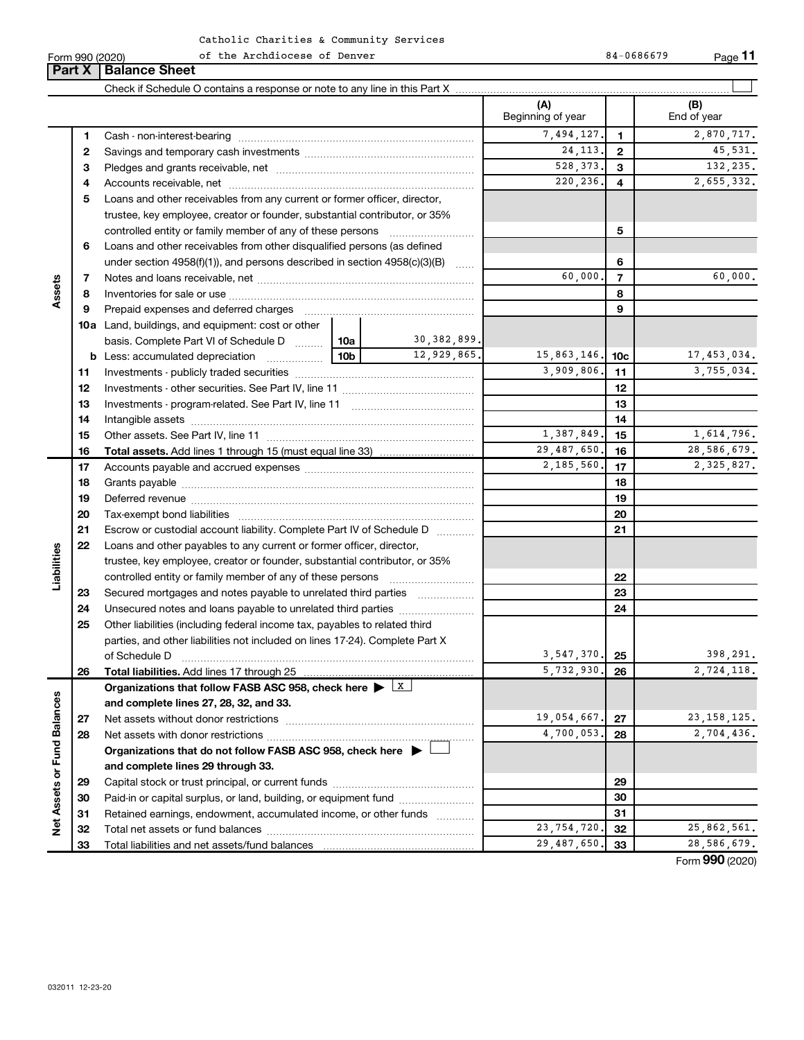#### Form 990 (2020) of the Archdiocese of Denver 84-0686679 Page of the Archdiocese of Denver 84-0686679

**11**

|                             |    | <b>Part X   Balance Sheet</b>                                                               |                 |                |                          |              |                    |
|-----------------------------|----|---------------------------------------------------------------------------------------------|-----------------|----------------|--------------------------|--------------|--------------------|
|                             |    |                                                                                             |                 |                |                          |              |                    |
|                             |    |                                                                                             |                 |                | (A)<br>Beginning of year |              | (B)<br>End of year |
|                             | 1  |                                                                                             |                 |                | 7,494,127.               | 1            | 2,870,717.         |
|                             | 2  |                                                                                             |                 |                | 24, 113.                 | $\mathbf{2}$ | 45,531.            |
|                             | 3  |                                                                                             |                 |                | 528, 373.                | 3            | 132,235.           |
|                             | 4  |                                                                                             |                 |                | 220, 236.                | 4            | 2,655,332.         |
|                             | 5  | Loans and other receivables from any current or former officer, director,                   |                 |                |                          |              |                    |
|                             |    | trustee, key employee, creator or founder, substantial contributor, or 35%                  |                 |                |                          |              |                    |
|                             |    |                                                                                             |                 |                |                          | 5            |                    |
|                             | 6  | Loans and other receivables from other disqualified persons (as defined                     |                 |                |                          |              |                    |
|                             |    | under section 4958(f)(1)), and persons described in section 4958(c)(3)(B)                   |                 |                |                          | 6            |                    |
|                             | 7  |                                                                                             | 60,000.         | $\overline{7}$ | 60,000.                  |              |                    |
| Assets                      | 8  |                                                                                             |                 | 8              |                          |              |                    |
|                             | 9  | Prepaid expenses and deferred charges                                                       |                 |                | 9                        |              |                    |
|                             |    | <b>10a</b> Land, buildings, and equipment: cost or other                                    |                 |                |                          |              |                    |
|                             |    | basis. Complete Part VI of Schedule D  10a                                                  |                 | 30,382,899.    |                          |              |                    |
|                             | b  | Less: accumulated depreciation                                                              | 10 <sub>b</sub> | 12,929,865.    | 15,863,146.              | 10c          | 17,453,034.        |
|                             | 11 |                                                                                             |                 |                | 3,909,806.               | 11           | 3,755,034.         |
|                             | 12 |                                                                                             |                 |                |                          | 12           |                    |
|                             | 13 |                                                                                             |                 | 13             |                          |              |                    |
|                             | 14 |                                                                                             |                 |                | 14                       |              |                    |
|                             | 15 |                                                                                             |                 |                | 1,387,849.               | 15           | 1,614,796.         |
|                             | 16 |                                                                                             |                 |                | 29,487,650.              | 16           | 28,586,679.        |
|                             | 17 |                                                                                             |                 |                | 2,185,560.               | 17           | 2,325,827.         |
|                             | 18 |                                                                                             |                 |                | 18                       |              |                    |
|                             | 19 |                                                                                             |                 |                | 19                       |              |                    |
|                             | 20 |                                                                                             |                 |                |                          | 20           |                    |
|                             | 21 | Escrow or custodial account liability. Complete Part IV of Schedule D                       |                 |                |                          | 21           |                    |
|                             | 22 | Loans and other payables to any current or former officer, director,                        |                 |                |                          |              |                    |
| Liabilities                 |    | trustee, key employee, creator or founder, substantial contributor, or 35%                  |                 |                |                          |              |                    |
|                             |    | controlled entity or family member of any of these persons [                                |                 |                |                          | 22           |                    |
|                             | 23 | Secured mortgages and notes payable to unrelated third parties                              |                 |                |                          | 23           |                    |
|                             | 24 | Unsecured notes and loans payable to unrelated third parties                                |                 |                |                          | 24           |                    |
|                             | 25 | Other liabilities (including federal income tax, payables to related third                  |                 |                |                          |              |                    |
|                             |    | parties, and other liabilities not included on lines 17-24). Complete Part X                |                 |                |                          |              |                    |
|                             |    | of Schedule D                                                                               |                 |                | 3,547,370.               | 25           | 398,291.           |
|                             | 26 | Total liabilities. Add lines 17 through 25                                                  |                 |                | 5,732,930.               | 26           | 2.724.118.         |
|                             |    | Organizations that follow FASB ASC 958, check here $\blacktriangleright$ $\boxed{\text{X}}$ |                 |                |                          |              |                    |
|                             |    | and complete lines 27, 28, 32, and 33.                                                      |                 |                |                          |              |                    |
|                             | 27 |                                                                                             |                 |                | 19,054,667.              | 27           | 23, 158, 125.      |
|                             | 28 |                                                                                             |                 |                | 4,700,053.               | 28           | 2,704,436.         |
|                             |    | Organizations that do not follow FASB ASC 958, check here $\blacktriangleright$             |                 |                |                          |              |                    |
|                             |    | and complete lines 29 through 33.                                                           |                 |                |                          |              |                    |
| Net Assets or Fund Balances | 29 |                                                                                             |                 |                | 29                       |              |                    |
|                             | 30 | Paid-in or capital surplus, or land, building, or equipment fund                            |                 |                |                          | 30           |                    |
|                             | 31 | Retained earnings, endowment, accumulated income, or other funds                            |                 |                |                          | 31           |                    |
|                             | 32 |                                                                                             |                 |                | 23, 754, 720.            | 32           | 25,862,561.        |
|                             | 33 |                                                                                             |                 |                | 29,487,650.              | 33           | 28,586,679.        |

Form (2020) **990**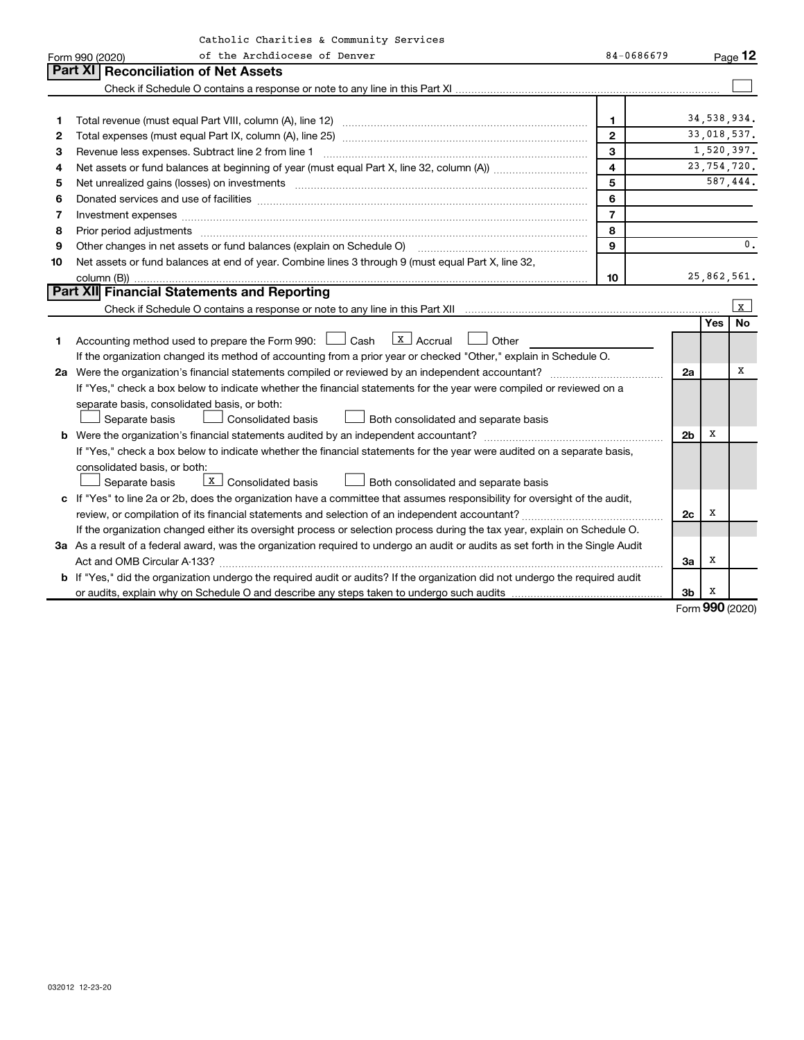|    | Catholic Charities & Community Services                                                                                                                                                                                        |                         |                |            |                |
|----|--------------------------------------------------------------------------------------------------------------------------------------------------------------------------------------------------------------------------------|-------------------------|----------------|------------|----------------|
|    | of the Archdiocese of Denver<br>Form 990 (2020)                                                                                                                                                                                | 84-0686679              |                |            | Page 12        |
|    | Part XI   Reconciliation of Net Assets                                                                                                                                                                                         |                         |                |            |                |
|    |                                                                                                                                                                                                                                |                         |                |            |                |
|    |                                                                                                                                                                                                                                |                         |                |            |                |
| 1  |                                                                                                                                                                                                                                | 1                       |                |            | 34,538,934.    |
| 2  |                                                                                                                                                                                                                                | $\mathbf{2}$            |                |            | 33,018,537.    |
| 3  | Revenue less expenses. Subtract line 2 from line 1                                                                                                                                                                             | 3                       |                |            | 1,520,397.     |
| 4  |                                                                                                                                                                                                                                | $\overline{\mathbf{4}}$ |                |            | 23,754,720.    |
| 5  | Net unrealized gains (losses) on investments [111] matter in the contract of the contract of the contract of the contract of the contract of the contract of the contract of the contract of the contract of the contract of t | 5                       |                |            | 587,444.       |
| 6  | Donated services and use of facilities [[111] non-manual content of the service and use of facilities [[11] no                                                                                                                 | 6                       |                |            |                |
| 7  | Investment expenses www.communication.communication.com/www.communication.com/www.communication.com                                                                                                                            | $\overline{7}$          |                |            |                |
| 8  | Prior period adjustments www.communication.communication.communication.com/                                                                                                                                                    | 8                       |                |            |                |
| 9  | Other changes in net assets or fund balances (explain on Schedule O) manufactured controller changes in net assets or fund balances (explain on Schedule O)                                                                    | 9                       |                |            | $\mathbf{0}$ . |
| 10 | Net assets or fund balances at end of year. Combine lines 3 through 9 (must equal Part X, line 32,                                                                                                                             |                         |                |            |                |
|    |                                                                                                                                                                                                                                | 10                      |                |            | 25,862,561.    |
|    | Part XII Financial Statements and Reporting                                                                                                                                                                                    |                         |                |            |                |
|    |                                                                                                                                                                                                                                |                         |                |            | $\sqrt{x}$     |
|    |                                                                                                                                                                                                                                |                         |                | <b>Yes</b> | <b>No</b>      |
| 1  | Accounting method used to prepare the Form 990: $\Box$ Cash $\Box$ Accrual $\Box$ Other                                                                                                                                        |                         |                |            |                |
|    | If the organization changed its method of accounting from a prior year or checked "Other," explain in Schedule O.                                                                                                              |                         |                |            |                |
|    |                                                                                                                                                                                                                                |                         | 2a             |            | x              |
|    | If "Yes," check a box below to indicate whether the financial statements for the year were compiled or reviewed on a                                                                                                           |                         |                |            |                |
|    | separate basis, consolidated basis, or both:                                                                                                                                                                                   |                         |                |            |                |
|    | Separate basis<br>Consolidated basis<br>Both consolidated and separate basis                                                                                                                                                   |                         |                |            |                |
|    |                                                                                                                                                                                                                                |                         | 2 <sub>b</sub> | x          |                |
|    | If "Yes," check a box below to indicate whether the financial statements for the year were audited on a separate basis,                                                                                                        |                         |                |            |                |
|    | consolidated basis, or both:                                                                                                                                                                                                   |                         |                |            |                |
|    | $\boxed{\mathbf{X}}$ Consolidated basis<br>Both consolidated and separate basis<br>Separate basis                                                                                                                              |                         |                |            |                |
|    | c If "Yes" to line 2a or 2b, does the organization have a committee that assumes responsibility for oversight of the audit,                                                                                                    |                         |                |            |                |
|    |                                                                                                                                                                                                                                |                         | 2c             | х          |                |
|    | If the organization changed either its oversight process or selection process during the tax year, explain on Schedule O.                                                                                                      |                         |                |            |                |
|    | 3a As a result of a federal award, was the organization required to undergo an audit or audits as set forth in the Single Audit                                                                                                |                         |                |            |                |
|    | Act and OMB Circular A-133?                                                                                                                                                                                                    |                         | За             | х          |                |
|    | <b>b</b> If "Yes," did the organization undergo the required audit or audits? If the organization did not undergo the required audit                                                                                           |                         |                |            |                |
|    |                                                                                                                                                                                                                                |                         | 3b             | X          |                |

Form (2020) **990**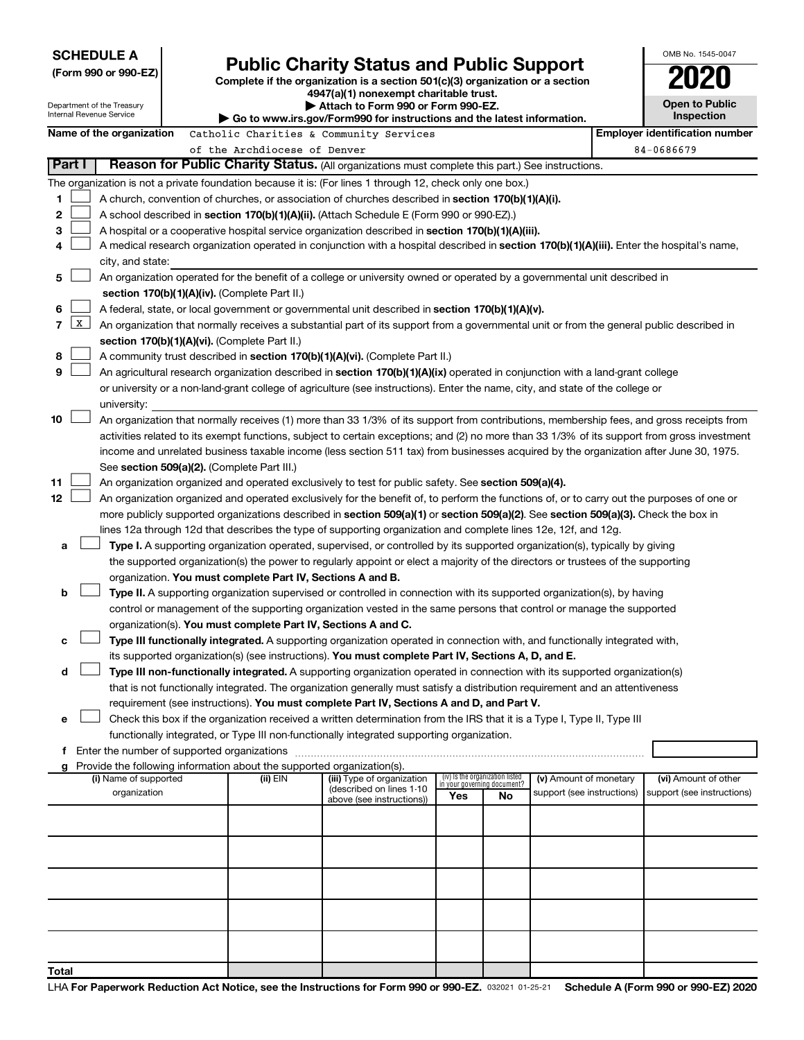|                                                                                                                                |                  | <b>SCHEDULE A</b>          |  |                                                                        |                                                                                                                                              |                       |                                                                |                            |  | OMB No. 1545-0047                     |
|--------------------------------------------------------------------------------------------------------------------------------|------------------|----------------------------|--|------------------------------------------------------------------------|----------------------------------------------------------------------------------------------------------------------------------------------|-----------------------|----------------------------------------------------------------|----------------------------|--|---------------------------------------|
|                                                                                                                                |                  | (Form 990 or 990-EZ)       |  |                                                                        | <b>Public Charity Status and Public Support</b>                                                                                              |                       |                                                                |                            |  |                                       |
|                                                                                                                                |                  |                            |  |                                                                        | Complete if the organization is a section 501(c)(3) organization or a section<br>4947(a)(1) nonexempt charitable trust.                      |                       |                                                                |                            |  |                                       |
|                                                                                                                                |                  | Department of the Treasury |  | Attach to Form 990 or Form 990-EZ.                                     |                                                                                                                                              | <b>Open to Public</b> |                                                                |                            |  |                                       |
|                                                                                                                                |                  | Internal Revenue Service   |  |                                                                        | Go to www.irs.gov/Form990 for instructions and the latest information.                                                                       |                       |                                                                |                            |  | Inspection                            |
|                                                                                                                                |                  | Name of the organization   |  |                                                                        | Catholic Charities & Community Services                                                                                                      |                       |                                                                |                            |  | <b>Employer identification number</b> |
|                                                                                                                                |                  |                            |  | of the Archdiocese of Denver                                           |                                                                                                                                              | 84-0686679            |                                                                |                            |  |                                       |
| Part I                                                                                                                         |                  |                            |  |                                                                        | Reason for Public Charity Status. (All organizations must complete this part.) See instructions.                                             |                       |                                                                |                            |  |                                       |
|                                                                                                                                |                  |                            |  |                                                                        | The organization is not a private foundation because it is: (For lines 1 through 12, check only one box.)                                    |                       |                                                                |                            |  |                                       |
| 1                                                                                                                              |                  |                            |  |                                                                        | A church, convention of churches, or association of churches described in section 170(b)(1)(A)(i).                                           |                       |                                                                |                            |  |                                       |
| 2                                                                                                                              |                  |                            |  |                                                                        | A school described in section 170(b)(1)(A)(ii). (Attach Schedule E (Form 990 or 990-EZ).)                                                    |                       |                                                                |                            |  |                                       |
| 3                                                                                                                              |                  |                            |  |                                                                        | A hospital or a cooperative hospital service organization described in section 170(b)(1)(A)(iii).                                            |                       |                                                                |                            |  |                                       |
| 4                                                                                                                              |                  |                            |  |                                                                        | A medical research organization operated in conjunction with a hospital described in section 170(b)(1)(A)(iii). Enter the hospital's name,   |                       |                                                                |                            |  |                                       |
|                                                                                                                                | city, and state: |                            |  |                                                                        |                                                                                                                                              |                       |                                                                |                            |  |                                       |
| An organization operated for the benefit of a college or university owned or operated by a governmental unit described in<br>5 |                  |                            |  |                                                                        |                                                                                                                                              |                       |                                                                |                            |  |                                       |
|                                                                                                                                |                  |                            |  | section 170(b)(1)(A)(iv). (Complete Part II.)                          |                                                                                                                                              |                       |                                                                |                            |  |                                       |
| 6                                                                                                                              |                  |                            |  |                                                                        | A federal, state, or local government or governmental unit described in section 170(b)(1)(A)(v).                                             |                       |                                                                |                            |  |                                       |
| 7                                                                                                                              | $\mathbf{x}$     |                            |  |                                                                        | An organization that normally receives a substantial part of its support from a governmental unit or from the general public described in    |                       |                                                                |                            |  |                                       |
|                                                                                                                                |                  |                            |  | section 170(b)(1)(A)(vi). (Complete Part II.)                          |                                                                                                                                              |                       |                                                                |                            |  |                                       |
| 8                                                                                                                              |                  |                            |  |                                                                        | A community trust described in section 170(b)(1)(A)(vi). (Complete Part II.)                                                                 |                       |                                                                |                            |  |                                       |
| 9                                                                                                                              |                  |                            |  |                                                                        | An agricultural research organization described in section 170(b)(1)(A)(ix) operated in conjunction with a land-grant college                |                       |                                                                |                            |  |                                       |
|                                                                                                                                |                  |                            |  |                                                                        | or university or a non-land-grant college of agriculture (see instructions). Enter the name, city, and state of the college or               |                       |                                                                |                            |  |                                       |
|                                                                                                                                |                  | university:                |  |                                                                        |                                                                                                                                              |                       |                                                                |                            |  |                                       |
| 10                                                                                                                             |                  |                            |  |                                                                        | An organization that normally receives (1) more than 33 1/3% of its support from contributions, membership fees, and gross receipts from     |                       |                                                                |                            |  |                                       |
|                                                                                                                                |                  |                            |  |                                                                        | activities related to its exempt functions, subject to certain exceptions; and (2) no more than 33 1/3% of its support from gross investment |                       |                                                                |                            |  |                                       |
|                                                                                                                                |                  |                            |  |                                                                        | income and unrelated business taxable income (less section 511 tax) from businesses acquired by the organization after June 30, 1975.        |                       |                                                                |                            |  |                                       |
|                                                                                                                                |                  |                            |  | See section 509(a)(2). (Complete Part III.)                            |                                                                                                                                              |                       |                                                                |                            |  |                                       |
| 11                                                                                                                             |                  |                            |  |                                                                        | An organization organized and operated exclusively to test for public safety. See section 509(a)(4).                                         |                       |                                                                |                            |  |                                       |
| 12                                                                                                                             |                  |                            |  |                                                                        | An organization organized and operated exclusively for the benefit of, to perform the functions of, or to carry out the purposes of one or   |                       |                                                                |                            |  |                                       |
|                                                                                                                                |                  |                            |  |                                                                        | more publicly supported organizations described in section 509(a)(1) or section 509(a)(2). See section 509(a)(3). Check the box in           |                       |                                                                |                            |  |                                       |
|                                                                                                                                |                  |                            |  |                                                                        | lines 12a through 12d that describes the type of supporting organization and complete lines 12e, 12f, and 12g.                               |                       |                                                                |                            |  |                                       |
| а                                                                                                                              |                  |                            |  |                                                                        | Type I. A supporting organization operated, supervised, or controlled by its supported organization(s), typically by giving                  |                       |                                                                |                            |  |                                       |
|                                                                                                                                |                  |                            |  |                                                                        | the supported organization(s) the power to regularly appoint or elect a majority of the directors or trustees of the supporting              |                       |                                                                |                            |  |                                       |
|                                                                                                                                |                  |                            |  | organization. You must complete Part IV, Sections A and B.             |                                                                                                                                              |                       |                                                                |                            |  |                                       |
| b                                                                                                                              |                  |                            |  |                                                                        | Type II. A supporting organization supervised or controlled in connection with its supported organization(s), by having                      |                       |                                                                |                            |  |                                       |
|                                                                                                                                |                  |                            |  |                                                                        | control or management of the supporting organization vested in the same persons that control or manage the supported                         |                       |                                                                |                            |  |                                       |
|                                                                                                                                |                  |                            |  | organization(s). You must complete Part IV, Sections A and C.          |                                                                                                                                              |                       |                                                                |                            |  |                                       |
| с                                                                                                                              |                  |                            |  |                                                                        | Type III functionally integrated. A supporting organization operated in connection with, and functionally integrated with,                   |                       |                                                                |                            |  |                                       |
|                                                                                                                                |                  |                            |  |                                                                        | its supported organization(s) (see instructions). You must complete Part IV, Sections A, D, and E.                                           |                       |                                                                |                            |  |                                       |
| d                                                                                                                              |                  |                            |  |                                                                        | Type III non-functionally integrated. A supporting organization operated in connection with its supported organization(s)                    |                       |                                                                |                            |  |                                       |
|                                                                                                                                |                  |                            |  |                                                                        | that is not functionally integrated. The organization generally must satisfy a distribution requirement and an attentiveness                 |                       |                                                                |                            |  |                                       |
|                                                                                                                                |                  |                            |  |                                                                        | requirement (see instructions). You must complete Part IV, Sections A and D, and Part V.                                                     |                       |                                                                |                            |  |                                       |
| e                                                                                                                              |                  |                            |  |                                                                        | Check this box if the organization received a written determination from the IRS that it is a Type I, Type II, Type III                      |                       |                                                                |                            |  |                                       |
|                                                                                                                                |                  |                            |  |                                                                        | functionally integrated, or Type III non-functionally integrated supporting organization.                                                    |                       |                                                                |                            |  |                                       |
|                                                                                                                                |                  |                            |  |                                                                        |                                                                                                                                              |                       |                                                                |                            |  |                                       |
| g                                                                                                                              |                  |                            |  | Provide the following information about the supported organization(s). |                                                                                                                                              |                       |                                                                |                            |  |                                       |
|                                                                                                                                |                  | (i) Name of supported      |  | (ii) EIN                                                               | (iii) Type of organization                                                                                                                   |                       | (iv) Is the organization listed<br>in your governing document? | (v) Amount of monetary     |  | (vi) Amount of other                  |
|                                                                                                                                |                  | organization               |  |                                                                        | (described on lines 1-10<br>above (see instructions))                                                                                        | Yes                   | No                                                             | support (see instructions) |  | support (see instructions)            |
|                                                                                                                                |                  |                            |  |                                                                        |                                                                                                                                              |                       |                                                                |                            |  |                                       |
|                                                                                                                                |                  |                            |  |                                                                        |                                                                                                                                              |                       |                                                                |                            |  |                                       |
|                                                                                                                                |                  |                            |  |                                                                        |                                                                                                                                              |                       |                                                                |                            |  |                                       |
|                                                                                                                                |                  |                            |  |                                                                        |                                                                                                                                              |                       |                                                                |                            |  |                                       |
|                                                                                                                                |                  |                            |  |                                                                        |                                                                                                                                              |                       |                                                                |                            |  |                                       |
|                                                                                                                                |                  |                            |  |                                                                        |                                                                                                                                              |                       |                                                                |                            |  |                                       |
|                                                                                                                                |                  |                            |  |                                                                        |                                                                                                                                              |                       |                                                                |                            |  |                                       |
|                                                                                                                                |                  |                            |  |                                                                        |                                                                                                                                              |                       |                                                                |                            |  |                                       |
|                                                                                                                                |                  |                            |  |                                                                        |                                                                                                                                              |                       |                                                                |                            |  |                                       |
|                                                                                                                                |                  |                            |  |                                                                        |                                                                                                                                              |                       |                                                                |                            |  |                                       |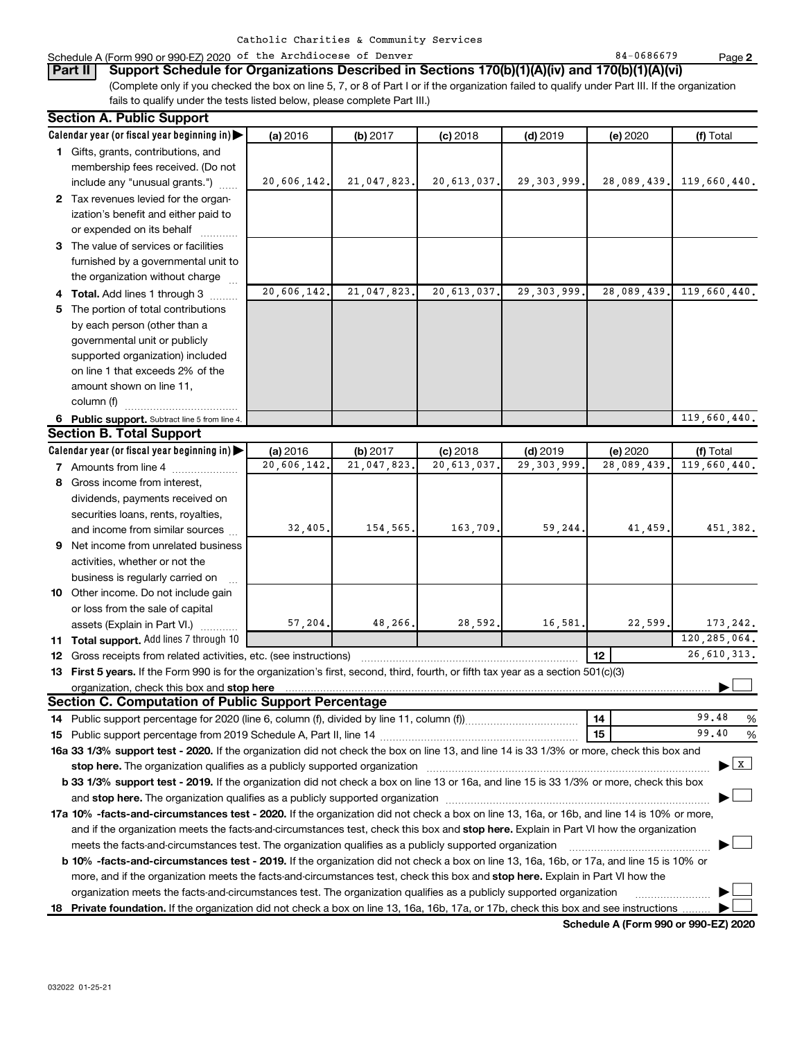#### Schedule A (Form 990 or 990-EZ) 2020 of the Archdiocese of Denver 84 and the Rege of Benedicts of Denver 84-0686679

(Complete only if you checked the box on line 5, 7, or 8 of Part I or if the organization failed to qualify under Part III. If the organization fails to qualify under the tests listed below, please complete Part III.) **Part II Support Schedule for Organizations Described in Sections 170(b)(1)(A)(iv) and 170(b)(1)(A)(vi)**

| <b>Section A. Public Support</b>                                                                                                               |             |             |             |               |             |                                    |
|------------------------------------------------------------------------------------------------------------------------------------------------|-------------|-------------|-------------|---------------|-------------|------------------------------------|
| Calendar year (or fiscal year beginning in)                                                                                                    | (a) 2016    | (b) 2017    | $(c)$ 2018  | $(d)$ 2019    | (e) 2020    | (f) Total                          |
| 1 Gifts, grants, contributions, and                                                                                                            |             |             |             |               |             |                                    |
| membership fees received. (Do not                                                                                                              |             |             |             |               |             |                                    |
| include any "unusual grants.")                                                                                                                 | 20,606,142. | 21,047,823. | 20,613,037. | 29, 303, 999. | 28,089,439. | 119,660,440.                       |
| 2 Tax revenues levied for the organ-                                                                                                           |             |             |             |               |             |                                    |
| ization's benefit and either paid to                                                                                                           |             |             |             |               |             |                                    |
| or expended on its behalf                                                                                                                      |             |             |             |               |             |                                    |
| 3 The value of services or facilities                                                                                                          |             |             |             |               |             |                                    |
| furnished by a governmental unit to                                                                                                            |             |             |             |               |             |                                    |
| the organization without charge                                                                                                                |             |             |             |               |             |                                    |
| 4 Total. Add lines 1 through 3                                                                                                                 | 20,606,142. | 21,047,823. | 20,613,037. | 29, 303, 999. | 28,089,439. | 119,660,440.                       |
| 5 The portion of total contributions                                                                                                           |             |             |             |               |             |                                    |
| by each person (other than a                                                                                                                   |             |             |             |               |             |                                    |
| governmental unit or publicly                                                                                                                  |             |             |             |               |             |                                    |
| supported organization) included                                                                                                               |             |             |             |               |             |                                    |
| on line 1 that exceeds 2% of the                                                                                                               |             |             |             |               |             |                                    |
| amount shown on line 11,                                                                                                                       |             |             |             |               |             |                                    |
| column (f)                                                                                                                                     |             |             |             |               |             |                                    |
| 6 Public support. Subtract line 5 from line 4.                                                                                                 |             |             |             |               |             | 119,660,440.                       |
| <b>Section B. Total Support</b>                                                                                                                |             |             |             |               |             |                                    |
| Calendar year (or fiscal year beginning in)                                                                                                    | (a) 2016    | (b) 2017    | $(c)$ 2018  | $(d)$ 2019    | (e) 2020    | (f) Total                          |
| <b>7</b> Amounts from line 4                                                                                                                   | 20,606,142. | 21,047,823  | 20,613,037  | 29, 303, 999  | 28,089,439  | 119,660,440.                       |
| 8 Gross income from interest,                                                                                                                  |             |             |             |               |             |                                    |
| dividends, payments received on                                                                                                                |             |             |             |               |             |                                    |
| securities loans, rents, royalties,                                                                                                            |             |             |             |               |             |                                    |
| and income from similar sources                                                                                                                | 32,405.     | 154,565.    | 163,709.    | 59,244.       | 41,459      | 451,382.                           |
| 9 Net income from unrelated business                                                                                                           |             |             |             |               |             |                                    |
| activities, whether or not the                                                                                                                 |             |             |             |               |             |                                    |
| business is regularly carried on                                                                                                               |             |             |             |               |             |                                    |
| 10 Other income. Do not include gain                                                                                                           |             |             |             |               |             |                                    |
| or loss from the sale of capital                                                                                                               |             |             |             |               |             |                                    |
| assets (Explain in Part VI.)                                                                                                                   | 57,204.     | 48,266.     | 28,592.     | 16,581        | 22,599.     | 173, 242.                          |
| 11 Total support. Add lines 7 through 10                                                                                                       |             |             |             |               |             | 120, 285, 064.                     |
| <b>12</b> Gross receipts from related activities, etc. (see instructions)                                                                      |             |             |             |               | 12          | 26,610,313.                        |
| 13 First 5 years. If the Form 990 is for the organization's first, second, third, fourth, or fifth tax year as a section 501(c)(3)             |             |             |             |               |             |                                    |
|                                                                                                                                                |             |             |             |               |             |                                    |
| Section C. Computation of Public Support Percentage                                                                                            |             |             |             |               |             |                                    |
|                                                                                                                                                |             |             |             |               | 14          | 99.48<br>%                         |
|                                                                                                                                                |             |             |             |               | 15          | 99.40<br>%                         |
| 16a 33 1/3% support test - 2020. If the organization did not check the box on line 13, and line 14 is 33 1/3% or more, check this box and      |             |             |             |               |             |                                    |
| stop here. The organization qualifies as a publicly supported organization                                                                     |             |             |             |               |             | $\blacktriangleright$ $\mathbf{X}$ |
| b 33 1/3% support test - 2019. If the organization did not check a box on line 13 or 16a, and line 15 is 33 1/3% or more, check this box       |             |             |             |               |             |                                    |
|                                                                                                                                                |             |             |             |               |             |                                    |
| 17a 10% -facts-and-circumstances test - 2020. If the organization did not check a box on line 13, 16a, or 16b, and line 14 is 10% or more,     |             |             |             |               |             |                                    |
| and if the organization meets the facts-and-circumstances test, check this box and stop here. Explain in Part VI how the organization          |             |             |             |               |             |                                    |
| meets the facts-and-circumstances test. The organization qualifies as a publicly supported organization                                        |             |             |             |               |             |                                    |
| <b>b 10%</b> -facts-and-circumstances test - 2019. If the organization did not check a box on line 13, 16a, 16b, or 17a, and line 15 is 10% or |             |             |             |               |             |                                    |
| more, and if the organization meets the facts-and-circumstances test, check this box and stop here. Explain in Part VI how the                 |             |             |             |               |             |                                    |
| organization meets the facts-and-circumstances test. The organization qualifies as a publicly supported organization                           |             |             |             |               |             |                                    |
| 18 Private foundation. If the organization did not check a box on line 13, 16a, 16b, 17a, or 17b, check this box and see instructions          |             |             |             |               |             |                                    |

**Schedule A (Form 990 or 990-EZ) 2020**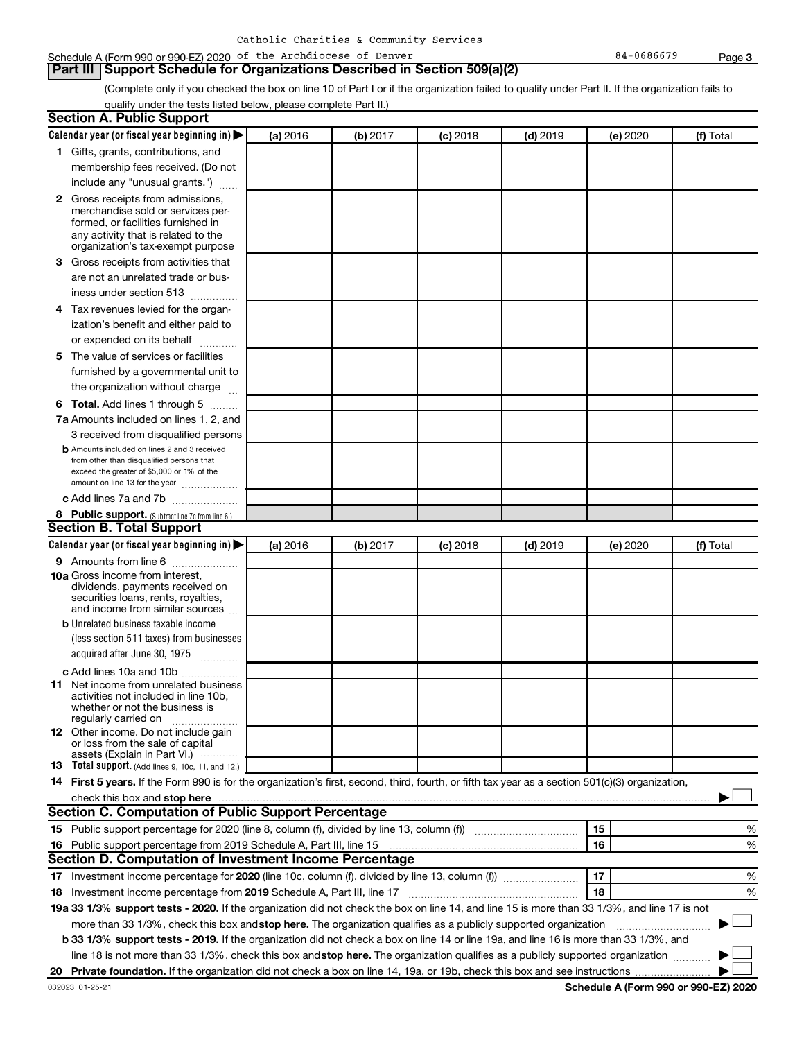#### Schedule A (Form 990 or 990-EZ) 2020 of the Archdiocese of Denver 84 and the Rege of Benedicts of Denver 84-0686679

**Part III Support Schedule for Organizations Described in Section 509(a)(2)** 

(Complete only if you checked the box on line 10 of Part I or if the organization failed to qualify under Part II. If the organization fails to qualify under the tests listed below, please complete Part II.)

| <b>Section A. Public Support</b>                                                                                                                 |          |          |            |            |          |           |
|--------------------------------------------------------------------------------------------------------------------------------------------------|----------|----------|------------|------------|----------|-----------|
| Calendar year (or fiscal year beginning in)                                                                                                      | (a) 2016 | (b) 2017 | $(c)$ 2018 | $(d)$ 2019 | (e) 2020 | (f) Total |
| 1 Gifts, grants, contributions, and                                                                                                              |          |          |            |            |          |           |
| membership fees received. (Do not                                                                                                                |          |          |            |            |          |           |
| include any "unusual grants.")                                                                                                                   |          |          |            |            |          |           |
| 2 Gross receipts from admissions,                                                                                                                |          |          |            |            |          |           |
| merchandise sold or services per-                                                                                                                |          |          |            |            |          |           |
| formed, or facilities furnished in                                                                                                               |          |          |            |            |          |           |
| any activity that is related to the<br>organization's tax-exempt purpose                                                                         |          |          |            |            |          |           |
| 3 Gross receipts from activities that                                                                                                            |          |          |            |            |          |           |
| are not an unrelated trade or bus-                                                                                                               |          |          |            |            |          |           |
| iness under section 513                                                                                                                          |          |          |            |            |          |           |
| 4 Tax revenues levied for the organ-                                                                                                             |          |          |            |            |          |           |
| ization's benefit and either paid to                                                                                                             |          |          |            |            |          |           |
| or expended on its behalf                                                                                                                        |          |          |            |            |          |           |
| 5 The value of services or facilities                                                                                                            |          |          |            |            |          |           |
| furnished by a governmental unit to                                                                                                              |          |          |            |            |          |           |
| the organization without charge                                                                                                                  |          |          |            |            |          |           |
| 6 Total. Add lines 1 through 5                                                                                                                   |          |          |            |            |          |           |
| 7a Amounts included on lines 1, 2, and                                                                                                           |          |          |            |            |          |           |
| 3 received from disqualified persons                                                                                                             |          |          |            |            |          |           |
| <b>b</b> Amounts included on lines 2 and 3 received                                                                                              |          |          |            |            |          |           |
| from other than disqualified persons that                                                                                                        |          |          |            |            |          |           |
| exceed the greater of \$5,000 or 1% of the<br>amount on line 13 for the year                                                                     |          |          |            |            |          |           |
| c Add lines 7a and 7b                                                                                                                            |          |          |            |            |          |           |
| 8 Public support. (Subtract line 7c from line 6.)                                                                                                |          |          |            |            |          |           |
| <b>Section B. Total Support</b>                                                                                                                  |          |          |            |            |          |           |
| Calendar year (or fiscal year beginning in)                                                                                                      | (a) 2016 | (b) 2017 | $(c)$ 2018 | $(d)$ 2019 | (e) 2020 | (f) Total |
| <b>9</b> Amounts from line 6                                                                                                                     |          |          |            |            |          |           |
| <b>10a</b> Gross income from interest,                                                                                                           |          |          |            |            |          |           |
| dividends, payments received on                                                                                                                  |          |          |            |            |          |           |
| securities loans, rents, royalties,                                                                                                              |          |          |            |            |          |           |
| and income from similar sources                                                                                                                  |          |          |            |            |          |           |
| <b>b</b> Unrelated business taxable income<br>(less section 511 taxes) from businesses                                                           |          |          |            |            |          |           |
| acquired after June 30, 1975                                                                                                                     |          |          |            |            |          |           |
| $\overline{\phantom{a}}$                                                                                                                         |          |          |            |            |          |           |
| c Add lines 10a and 10b                                                                                                                          |          |          |            |            |          |           |
| 11 Net income from unrelated business<br>activities not included in line 10b.                                                                    |          |          |            |            |          |           |
| whether or not the business is                                                                                                                   |          |          |            |            |          |           |
| regularly carried on                                                                                                                             |          |          |            |            |          |           |
| <b>12</b> Other income. Do not include gain<br>or loss from the sale of capital                                                                  |          |          |            |            |          |           |
| assets (Explain in Part VI.)                                                                                                                     |          |          |            |            |          |           |
| <b>13</b> Total support. (Add lines 9, 10c, 11, and 12.)                                                                                         |          |          |            |            |          |           |
| 14 First 5 years. If the Form 990 is for the organization's first, second, third, fourth, or fifth tax year as a section 501(c)(3) organization, |          |          |            |            |          |           |
|                                                                                                                                                  |          |          |            |            |          |           |
| Section C. Computation of Public Support Percentage                                                                                              |          |          |            |            |          |           |
|                                                                                                                                                  |          |          |            |            | 15       | ℅         |
| 16 Public support percentage from 2019 Schedule A, Part III, line 15                                                                             |          |          |            |            | 16       | %         |
| Section D. Computation of Investment Income Percentage                                                                                           |          |          |            |            |          |           |
|                                                                                                                                                  |          |          |            |            | 17       | %         |
| 18 Investment income percentage from 2019 Schedule A, Part III, line 17                                                                          |          |          |            |            | 18       | %         |
| 19a 33 1/3% support tests - 2020. If the organization did not check the box on line 14, and line 15 is more than 33 1/3%, and line 17 is not     |          |          |            |            |          |           |
| more than 33 1/3%, check this box and stop here. The organization qualifies as a publicly supported organization                                 |          |          |            |            |          |           |
| b 33 1/3% support tests - 2019. If the organization did not check a box on line 14 or line 19a, and line 16 is more than 33 1/3%, and            |          |          |            |            |          |           |
| line 18 is not more than 33 1/3%, check this box and stop here. The organization qualifies as a publicly supported organization                  |          |          |            |            |          |           |
|                                                                                                                                                  |          |          |            |            |          |           |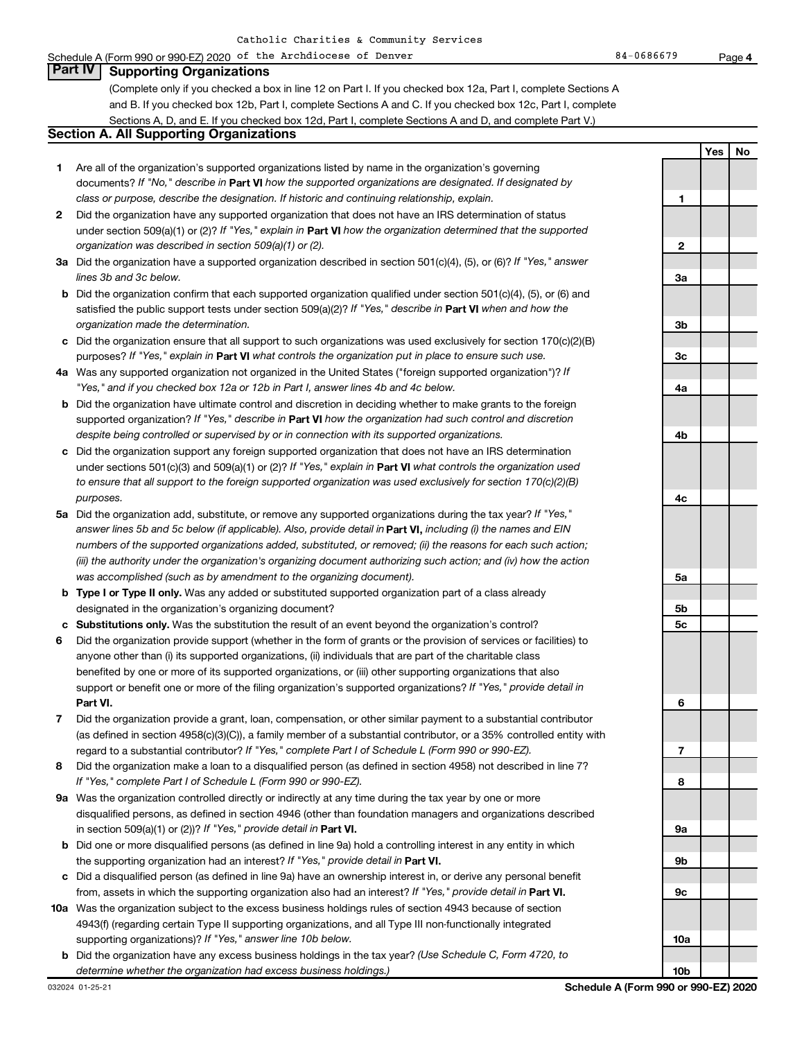### Schedule A (Form 990 or 990-EZ) 2020 of the Archdiocese of Denver 84 and the Rege of Benedicts of Denver 84-0686679 **Part IV Supporting Organizations**

(Complete only if you checked a box in line 12 on Part I. If you checked box 12a, Part I, complete Sections A and B. If you checked box 12b, Part I, complete Sections A and C. If you checked box 12c, Part I, complete Sections A, D, and E. If you checked box 12d, Part I, complete Sections A and D, and complete Part V.)

### **Section A. All Supporting Organizations**

- **1** Are all of the organization's supported organizations listed by name in the organization's governing documents? If "No," describe in Part VI how the supported organizations are designated. If designated by *class or purpose, describe the designation. If historic and continuing relationship, explain.*
- **2** Did the organization have any supported organization that does not have an IRS determination of status under section 509(a)(1) or (2)? If "Yes," explain in Part **VI** how the organization determined that the supported *organization was described in section 509(a)(1) or (2).*
- **3a** Did the organization have a supported organization described in section 501(c)(4), (5), or (6)? If "Yes," answer *lines 3b and 3c below.*
- **b** Did the organization confirm that each supported organization qualified under section 501(c)(4), (5), or (6) and satisfied the public support tests under section 509(a)(2)? If "Yes," describe in Part VI when and how the *organization made the determination.*
- **c** Did the organization ensure that all support to such organizations was used exclusively for section 170(c)(2)(B) purposes? If "Yes," explain in Part VI what controls the organization put in place to ensure such use.
- **4 a** *If* Was any supported organization not organized in the United States ("foreign supported organization")? *"Yes," and if you checked box 12a or 12b in Part I, answer lines 4b and 4c below.*
- **b** Did the organization have ultimate control and discretion in deciding whether to make grants to the foreign supported organization? If "Yes," describe in Part VI how the organization had such control and discretion *despite being controlled or supervised by or in connection with its supported organizations.*
- **c** Did the organization support any foreign supported organization that does not have an IRS determination under sections 501(c)(3) and 509(a)(1) or (2)? If "Yes," explain in Part VI what controls the organization used *to ensure that all support to the foreign supported organization was used exclusively for section 170(c)(2)(B) purposes.*
- **5a** Did the organization add, substitute, or remove any supported organizations during the tax year? If "Yes," answer lines 5b and 5c below (if applicable). Also, provide detail in **Part VI,** including (i) the names and EIN *numbers of the supported organizations added, substituted, or removed; (ii) the reasons for each such action; (iii) the authority under the organization's organizing document authorizing such action; and (iv) how the action was accomplished (such as by amendment to the organizing document).*
- **b** Type I or Type II only. Was any added or substituted supported organization part of a class already designated in the organization's organizing document?
- **c Substitutions only.**  Was the substitution the result of an event beyond the organization's control?
- **6** Did the organization provide support (whether in the form of grants or the provision of services or facilities) to **Part VI.** support or benefit one or more of the filing organization's supported organizations? If "Yes," provide detail in anyone other than (i) its supported organizations, (ii) individuals that are part of the charitable class benefited by one or more of its supported organizations, or (iii) other supporting organizations that also
- **7** Did the organization provide a grant, loan, compensation, or other similar payment to a substantial contributor regard to a substantial contributor? If "Yes," complete Part I of Schedule L (Form 990 or 990-EZ). (as defined in section 4958(c)(3)(C)), a family member of a substantial contributor, or a 35% controlled entity with
- **8** Did the organization make a loan to a disqualified person (as defined in section 4958) not described in line 7? *If "Yes," complete Part I of Schedule L (Form 990 or 990-EZ).*
- **9 a** Was the organization controlled directly or indirectly at any time during the tax year by one or more in section 509(a)(1) or (2))? If "Yes," provide detail in **Part VI.** disqualified persons, as defined in section 4946 (other than foundation managers and organizations described
- **b** Did one or more disqualified persons (as defined in line 9a) hold a controlling interest in any entity in which the supporting organization had an interest? If "Yes," provide detail in Part VI.
- **c** Did a disqualified person (as defined in line 9a) have an ownership interest in, or derive any personal benefit from, assets in which the supporting organization also had an interest? If "Yes," provide detail in Part VI.
- **10 a** Was the organization subject to the excess business holdings rules of section 4943 because of section supporting organizations)? If "Yes," answer line 10b below. 4943(f) (regarding certain Type II supporting organizations, and all Type III non-functionally integrated
- **b** Did the organization have any excess business holdings in the tax year? (Use Schedule C, Form 4720, to *determine whether the organization had excess business holdings.)*

**10b**

**Yes No**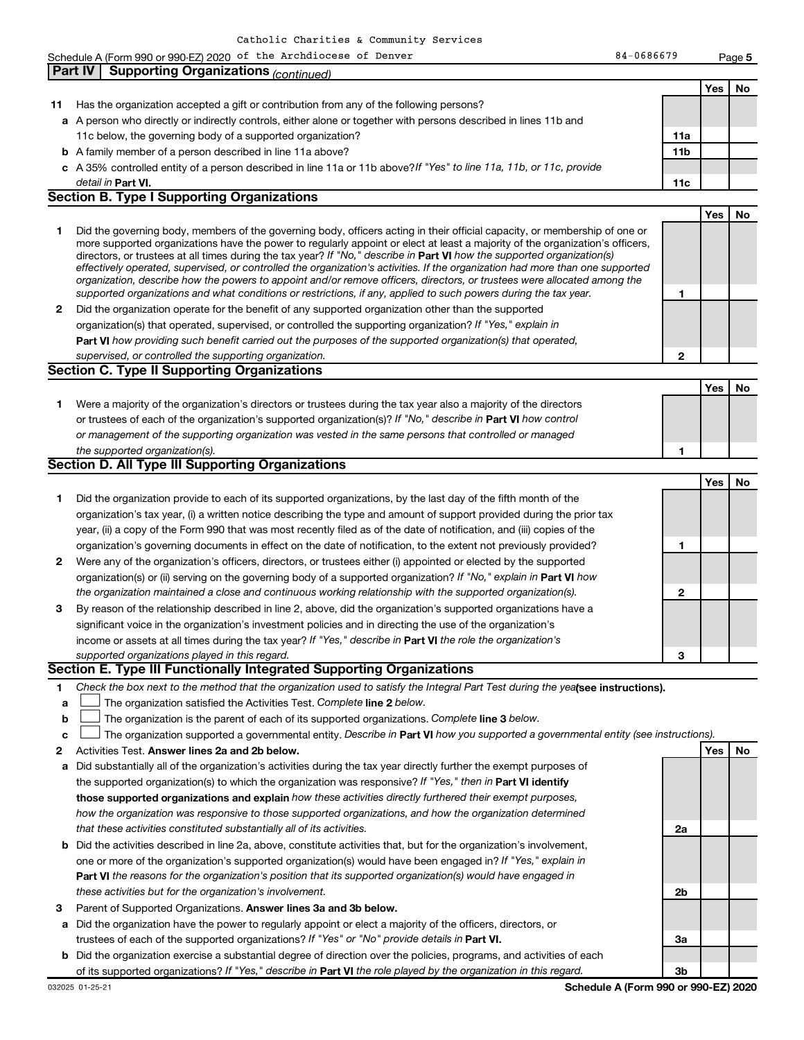|    | Schedule A (Form 990 or 990-EZ) 2020 of the Archdiocese of Denver                                                                                                                                                                                                                                                                                                                                                                                                                                                                                                                                                                                                                                                                                                        | 84-0686679      |     | Page 5 |
|----|--------------------------------------------------------------------------------------------------------------------------------------------------------------------------------------------------------------------------------------------------------------------------------------------------------------------------------------------------------------------------------------------------------------------------------------------------------------------------------------------------------------------------------------------------------------------------------------------------------------------------------------------------------------------------------------------------------------------------------------------------------------------------|-----------------|-----|--------|
|    | <b>Supporting Organizations (continued)</b><br><b>Part IV</b>                                                                                                                                                                                                                                                                                                                                                                                                                                                                                                                                                                                                                                                                                                            |                 |     |        |
|    |                                                                                                                                                                                                                                                                                                                                                                                                                                                                                                                                                                                                                                                                                                                                                                          |                 | Yes | No     |
| 11 | Has the organization accepted a gift or contribution from any of the following persons?                                                                                                                                                                                                                                                                                                                                                                                                                                                                                                                                                                                                                                                                                  |                 |     |        |
|    | a A person who directly or indirectly controls, either alone or together with persons described in lines 11b and                                                                                                                                                                                                                                                                                                                                                                                                                                                                                                                                                                                                                                                         |                 |     |        |
|    | 11c below, the governing body of a supported organization?                                                                                                                                                                                                                                                                                                                                                                                                                                                                                                                                                                                                                                                                                                               | 11a             |     |        |
|    | <b>b</b> A family member of a person described in line 11a above?                                                                                                                                                                                                                                                                                                                                                                                                                                                                                                                                                                                                                                                                                                        | 11 <sub>b</sub> |     |        |
|    | c A 35% controlled entity of a person described in line 11a or 11b above? If "Yes" to line 11a, 11b, or 11c, provide                                                                                                                                                                                                                                                                                                                                                                                                                                                                                                                                                                                                                                                     |                 |     |        |
|    | detail in Part VI.                                                                                                                                                                                                                                                                                                                                                                                                                                                                                                                                                                                                                                                                                                                                                       | 11c             |     |        |
|    | <b>Section B. Type I Supporting Organizations</b>                                                                                                                                                                                                                                                                                                                                                                                                                                                                                                                                                                                                                                                                                                                        |                 |     |        |
|    |                                                                                                                                                                                                                                                                                                                                                                                                                                                                                                                                                                                                                                                                                                                                                                          |                 | Yes | No     |
| 1  | Did the governing body, members of the governing body, officers acting in their official capacity, or membership of one or<br>more supported organizations have the power to regularly appoint or elect at least a majority of the organization's officers,<br>directors, or trustees at all times during the tax year? If "No," describe in Part VI how the supported organization(s)<br>effectively operated, supervised, or controlled the organization's activities. If the organization had more than one supported<br>organization, describe how the powers to appoint and/or remove officers, directors, or trustees were allocated among the<br>supported organizations and what conditions or restrictions, if any, applied to such powers during the tax year. | 1               |     |        |
|    | 2 Did the organization operate for the benefit of any supported organization other than the supported                                                                                                                                                                                                                                                                                                                                                                                                                                                                                                                                                                                                                                                                    |                 |     |        |
|    | organization(s) that operated, supervised, or controlled the supporting organization? If "Yes," explain in                                                                                                                                                                                                                                                                                                                                                                                                                                                                                                                                                                                                                                                               |                 |     |        |
|    | Part VI how providing such benefit carried out the purposes of the supported organization(s) that operated,                                                                                                                                                                                                                                                                                                                                                                                                                                                                                                                                                                                                                                                              |                 |     |        |
|    | supervised, or controlled the supporting organization.                                                                                                                                                                                                                                                                                                                                                                                                                                                                                                                                                                                                                                                                                                                   | $\mathbf{2}$    |     |        |
|    | <b>Section C. Type II Supporting Organizations</b>                                                                                                                                                                                                                                                                                                                                                                                                                                                                                                                                                                                                                                                                                                                       |                 |     |        |
|    |                                                                                                                                                                                                                                                                                                                                                                                                                                                                                                                                                                                                                                                                                                                                                                          |                 | Yes | No     |
| 1. | Were a majority of the organization's directors or trustees during the tax year also a majority of the directors                                                                                                                                                                                                                                                                                                                                                                                                                                                                                                                                                                                                                                                         |                 |     |        |
|    | or trustees of each of the organization's supported organization(s)? If "No," describe in Part VI how control                                                                                                                                                                                                                                                                                                                                                                                                                                                                                                                                                                                                                                                            |                 |     |        |
|    | or management of the supporting organization was vested in the same persons that controlled or managed                                                                                                                                                                                                                                                                                                                                                                                                                                                                                                                                                                                                                                                                   |                 |     |        |
|    | the supported organization(s).                                                                                                                                                                                                                                                                                                                                                                                                                                                                                                                                                                                                                                                                                                                                           | 1               |     |        |
|    | <b>Section D. All Type III Supporting Organizations</b>                                                                                                                                                                                                                                                                                                                                                                                                                                                                                                                                                                                                                                                                                                                  |                 |     |        |
|    |                                                                                                                                                                                                                                                                                                                                                                                                                                                                                                                                                                                                                                                                                                                                                                          |                 | Yes | No     |
| 1  | Did the organization provide to each of its supported organizations, by the last day of the fifth month of the                                                                                                                                                                                                                                                                                                                                                                                                                                                                                                                                                                                                                                                           |                 |     |        |
|    | organization's tax year, (i) a written notice describing the type and amount of support provided during the prior tax                                                                                                                                                                                                                                                                                                                                                                                                                                                                                                                                                                                                                                                    |                 |     |        |
|    | year, (ii) a copy of the Form 990 that was most recently filed as of the date of notification, and (iii) copies of the                                                                                                                                                                                                                                                                                                                                                                                                                                                                                                                                                                                                                                                   |                 |     |        |
|    | organization's governing documents in effect on the date of notification, to the extent not previously provided?                                                                                                                                                                                                                                                                                                                                                                                                                                                                                                                                                                                                                                                         | 1               |     |        |
|    | 2 Were any of the organization's officers, directors, or trustees either (i) appointed or elected by the supported                                                                                                                                                                                                                                                                                                                                                                                                                                                                                                                                                                                                                                                       |                 |     |        |
|    | organization(s) or (ii) serving on the governing body of a supported organization? If "No," explain in <b>Part VI</b> how                                                                                                                                                                                                                                                                                                                                                                                                                                                                                                                                                                                                                                                |                 |     |        |
|    | the organization maintained a close and continuous working relationship with the supported organization(s).                                                                                                                                                                                                                                                                                                                                                                                                                                                                                                                                                                                                                                                              | 2               |     |        |
| 3  | By reason of the relationship described in line 2, above, did the organization's supported organizations have a                                                                                                                                                                                                                                                                                                                                                                                                                                                                                                                                                                                                                                                          |                 |     |        |
|    | significant voice in the organization's investment policies and in directing the use of the organization's                                                                                                                                                                                                                                                                                                                                                                                                                                                                                                                                                                                                                                                               |                 |     |        |
|    | income or assets at all times during the tax year? If "Yes," describe in Part VI the role the organization's                                                                                                                                                                                                                                                                                                                                                                                                                                                                                                                                                                                                                                                             |                 |     |        |
|    | supported organizations played in this regard.                                                                                                                                                                                                                                                                                                                                                                                                                                                                                                                                                                                                                                                                                                                           | 3               |     |        |
|    | Section E. Type III Functionally Integrated Supporting Organizations                                                                                                                                                                                                                                                                                                                                                                                                                                                                                                                                                                                                                                                                                                     |                 |     |        |
| 1  | Check the box next to the method that the organization used to satisfy the Integral Part Test during the yealsee instructions).                                                                                                                                                                                                                                                                                                                                                                                                                                                                                                                                                                                                                                          |                 |     |        |
| a  | The organization satisfied the Activities Test. Complete line 2 below.                                                                                                                                                                                                                                                                                                                                                                                                                                                                                                                                                                                                                                                                                                   |                 |     |        |
| b  | The organization is the parent of each of its supported organizations. Complete line 3 below.                                                                                                                                                                                                                                                                                                                                                                                                                                                                                                                                                                                                                                                                            |                 |     |        |
| c  | The organization supported a governmental entity. Describe in Part VI how you supported a governmental entity (see instructions).                                                                                                                                                                                                                                                                                                                                                                                                                                                                                                                                                                                                                                        |                 |     |        |
| 2  | Activities Test. Answer lines 2a and 2b below.                                                                                                                                                                                                                                                                                                                                                                                                                                                                                                                                                                                                                                                                                                                           |                 | Yes | No     |
|    | a Did substantially all of the organization's activities during the tax year directly further the exempt purposes of                                                                                                                                                                                                                                                                                                                                                                                                                                                                                                                                                                                                                                                     |                 |     |        |
|    | the supported organization(s) to which the organization was responsive? If "Yes," then in Part VI identify                                                                                                                                                                                                                                                                                                                                                                                                                                                                                                                                                                                                                                                               |                 |     |        |
|    | those supported organizations and explain how these activities directly furthered their exempt purposes,                                                                                                                                                                                                                                                                                                                                                                                                                                                                                                                                                                                                                                                                 |                 |     |        |
|    | how the organization was responsive to those supported organizations, and how the organization determined                                                                                                                                                                                                                                                                                                                                                                                                                                                                                                                                                                                                                                                                |                 |     |        |
|    | that these activities constituted substantially all of its activities.                                                                                                                                                                                                                                                                                                                                                                                                                                                                                                                                                                                                                                                                                                   | 2a              |     |        |
|    | <b>b</b> Did the activities described in line 2a, above, constitute activities that, but for the organization's involvement,                                                                                                                                                                                                                                                                                                                                                                                                                                                                                                                                                                                                                                             |                 |     |        |
|    | one or more of the organization's supported organization(s) would have been engaged in? If "Yes," explain in                                                                                                                                                                                                                                                                                                                                                                                                                                                                                                                                                                                                                                                             |                 |     |        |
|    | Part VI the reasons for the organization's position that its supported organization(s) would have engaged in                                                                                                                                                                                                                                                                                                                                                                                                                                                                                                                                                                                                                                                             |                 |     |        |

- *these activities but for the organization's involvement.*
- 3 Parent of Supported Organizations. Answer lines 3a and 3b below.
- **a** Did the organization have the power to regularly appoint or elect a majority of the officers, directors, or trustees of each of the supported organizations? If "Yes" or "No" provide details in Part VI.
- **b** Did the organization exercise a substantial degree of direction over the policies, programs, and activities of each of its supported organizations? If "Yes," describe in Part VI the role played by the organization in this regard.

**2b**

**3a**

**3b**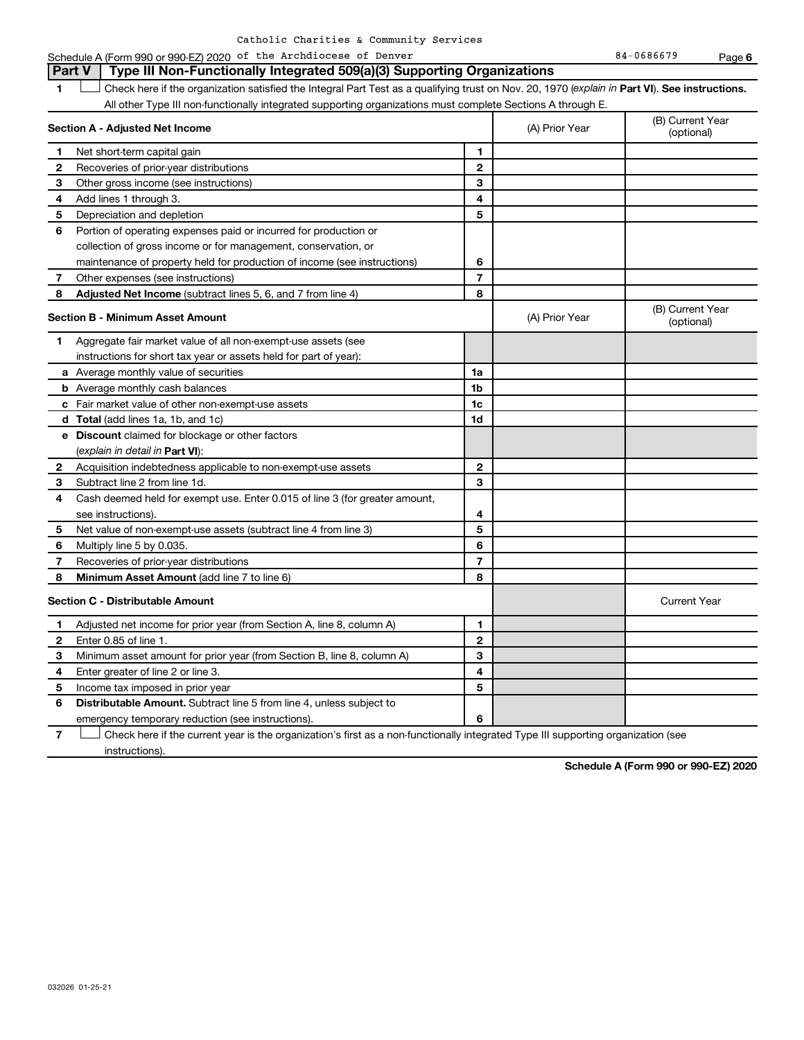|      |  | Catholic Charities & Community Services |  |  |
|------|--|-----------------------------------------|--|--|
| ---- |  |                                         |  |  |

1 **Letter See instructions.** Check here if the organization satisfied the Integral Part Test as a qualifying trust on Nov. 20, 1970 (*explain in* Part **VI**). See instructions. **Part V Type III Non-Functionally Integrated 509(a)(3) Supporting Organizations** 

|  | All other Type III non-functionally integrated supporting organizations must complete Sections A through E. |  |  |
|--|-------------------------------------------------------------------------------------------------------------|--|--|
|  |                                                                                                             |  |  |

| Section A - Adjusted Net Income |                                                                             | (A) Prior Year          | (B) Current Year<br>(optional) |                                |
|---------------------------------|-----------------------------------------------------------------------------|-------------------------|--------------------------------|--------------------------------|
| 1                               | Net short-term capital gain                                                 | 1                       |                                |                                |
| $\mathbf{2}$                    | Recoveries of prior-year distributions                                      | $\mathbf{2}$            |                                |                                |
| 3                               | Other gross income (see instructions)                                       | 3                       |                                |                                |
| 4                               | Add lines 1 through 3.                                                      | $\overline{\mathbf{4}}$ |                                |                                |
| 5                               | Depreciation and depletion                                                  | 5                       |                                |                                |
| 6                               | Portion of operating expenses paid or incurred for production or            |                         |                                |                                |
|                                 | collection of gross income or for management, conservation, or              |                         |                                |                                |
|                                 | maintenance of property held for production of income (see instructions)    | 6                       |                                |                                |
| 7                               | Other expenses (see instructions)                                           | $\overline{7}$          |                                |                                |
| 8                               | Adjusted Net Income (subtract lines 5, 6, and 7 from line 4)                | 8                       |                                |                                |
|                                 | <b>Section B - Minimum Asset Amount</b>                                     |                         | (A) Prior Year                 | (B) Current Year<br>(optional) |
| 1                               | Aggregate fair market value of all non-exempt-use assets (see               |                         |                                |                                |
|                                 | instructions for short tax year or assets held for part of year):           |                         |                                |                                |
|                                 | a Average monthly value of securities                                       | 1a                      |                                |                                |
|                                 | <b>b</b> Average monthly cash balances                                      | 1b                      |                                |                                |
|                                 | c Fair market value of other non-exempt-use assets                          | 1c                      |                                |                                |
|                                 | d Total (add lines 1a, 1b, and 1c)                                          | 1d                      |                                |                                |
|                                 | e Discount claimed for blockage or other factors                            |                         |                                |                                |
|                                 | (explain in detail in <b>Part VI</b> ):                                     |                         |                                |                                |
| 2                               | Acquisition indebtedness applicable to non-exempt-use assets                | $\mathbf{2}$            |                                |                                |
| 3                               | Subtract line 2 from line 1d.                                               | 3                       |                                |                                |
| 4                               | Cash deemed held for exempt use. Enter 0.015 of line 3 (for greater amount, |                         |                                |                                |
|                                 | see instructions).                                                          | 4                       |                                |                                |
| 5                               | Net value of non-exempt-use assets (subtract line 4 from line 3)            | 5                       |                                |                                |
| 6                               | Multiply line 5 by 0.035.                                                   | 6                       |                                |                                |
| 7                               | Recoveries of prior-year distributions                                      | $\overline{7}$          |                                |                                |
| 8                               | <b>Minimum Asset Amount (add line 7 to line 6)</b>                          | 8                       |                                |                                |
|                                 | <b>Section C - Distributable Amount</b>                                     |                         |                                | <b>Current Year</b>            |
| 1                               | Adjusted net income for prior year (from Section A, line 8, column A)       | 1                       |                                |                                |
| 2                               | Enter 0.85 of line 1.                                                       | $\mathbf{2}$            |                                |                                |
| З                               | Minimum asset amount for prior year (from Section B, line 8, column A)      | 3                       |                                |                                |
| 4                               | Enter greater of line 2 or line 3.                                          | 4                       |                                |                                |
| 5                               | Income tax imposed in prior year                                            | 5                       |                                |                                |
| 6                               | <b>Distributable Amount.</b> Subtract line 5 from line 4, unless subject to |                         |                                |                                |
|                                 | emergency temporary reduction (see instructions).                           | 6                       |                                |                                |

**7** Let Check here if the current year is the organization's first as a non-functionally integrated Type III supporting organization (see instructions).

**Schedule A (Form 990 or 990-EZ) 2020**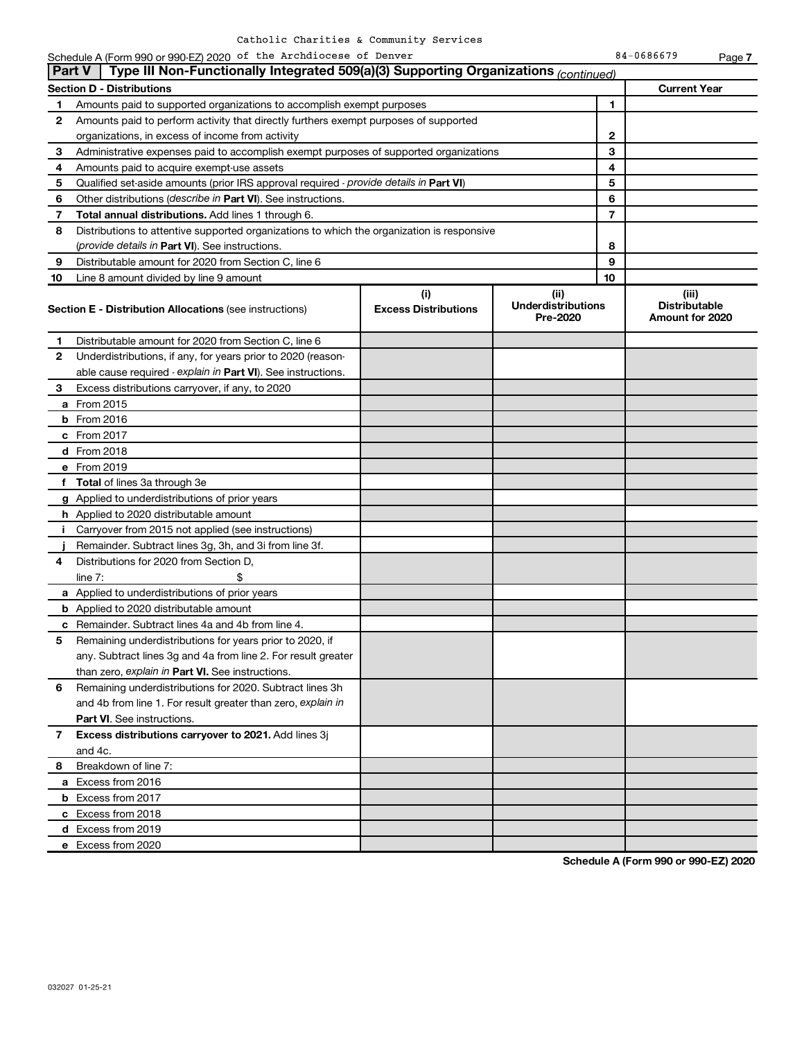|    | Schedule A (Form 990 or 990-EZ) 2020 of the Archdiocese of Denver                             |                                    |                                                |                | 84-0686679                                       | Page 7 |  |
|----|-----------------------------------------------------------------------------------------------|------------------------------------|------------------------------------------------|----------------|--------------------------------------------------|--------|--|
|    | Type III Non-Functionally Integrated 509(a)(3) Supporting Organizations (continued)<br>Part V |                                    |                                                |                |                                                  |        |  |
|    | <b>Current Year</b><br><b>Section D - Distributions</b>                                       |                                    |                                                |                |                                                  |        |  |
| 1. | Amounts paid to supported organizations to accomplish exempt purposes                         |                                    |                                                | 1              |                                                  |        |  |
| 2  | Amounts paid to perform activity that directly furthers exempt purposes of supported          |                                    |                                                |                |                                                  |        |  |
|    | organizations, in excess of income from activity                                              |                                    |                                                | $\mathbf{2}$   |                                                  |        |  |
| 3  | Administrative expenses paid to accomplish exempt purposes of supported organizations         |                                    |                                                | 3              |                                                  |        |  |
| 4  | Amounts paid to acquire exempt-use assets                                                     |                                    |                                                | 4              |                                                  |        |  |
| 5  | Qualified set-aside amounts (prior IRS approval required - provide details in Part VI)        |                                    |                                                | 5              |                                                  |        |  |
| 6  | Other distributions (describe in Part VI). See instructions.                                  |                                    |                                                | 6              |                                                  |        |  |
| 7  | Total annual distributions. Add lines 1 through 6.                                            |                                    |                                                | $\overline{7}$ |                                                  |        |  |
| 8  | Distributions to attentive supported organizations to which the organization is responsive    |                                    |                                                |                |                                                  |        |  |
|    | (provide details in Part VI). See instructions.                                               |                                    |                                                | 8              |                                                  |        |  |
| 9  | Distributable amount for 2020 from Section C, line 6                                          |                                    |                                                | 9              |                                                  |        |  |
| 10 | Line 8 amount divided by line 9 amount                                                        |                                    |                                                | 10             |                                                  |        |  |
|    | <b>Section E - Distribution Allocations (see instructions)</b>                                | (i)<br><b>Excess Distributions</b> | (iii)<br><b>Underdistributions</b><br>Pre-2020 |                | (iii)<br><b>Distributable</b><br>Amount for 2020 |        |  |
| 1  | Distributable amount for 2020 from Section C, line 6                                          |                                    |                                                |                |                                                  |        |  |
| 2  | Underdistributions, if any, for years prior to 2020 (reason-                                  |                                    |                                                |                |                                                  |        |  |
|    | able cause required - explain in Part VI). See instructions.                                  |                                    |                                                |                |                                                  |        |  |
| 3  | Excess distributions carryover, if any, to 2020                                               |                                    |                                                |                |                                                  |        |  |
|    | a From 2015                                                                                   |                                    |                                                |                |                                                  |        |  |
|    | <b>b</b> From 2016                                                                            |                                    |                                                |                |                                                  |        |  |
|    | c From 2017                                                                                   |                                    |                                                |                |                                                  |        |  |
|    | d From 2018                                                                                   |                                    |                                                |                |                                                  |        |  |
|    | e From 2019                                                                                   |                                    |                                                |                |                                                  |        |  |
|    | f Total of lines 3a through 3e                                                                |                                    |                                                |                |                                                  |        |  |
|    | g Applied to underdistributions of prior years                                                |                                    |                                                |                |                                                  |        |  |
|    | <b>h</b> Applied to 2020 distributable amount                                                 |                                    |                                                |                |                                                  |        |  |
|    | i Carryover from 2015 not applied (see instructions)                                          |                                    |                                                |                |                                                  |        |  |
|    | Remainder. Subtract lines 3g, 3h, and 3i from line 3f.                                        |                                    |                                                |                |                                                  |        |  |
| 4  | Distributions for 2020 from Section D,                                                        |                                    |                                                |                |                                                  |        |  |
|    | line $7:$                                                                                     |                                    |                                                |                |                                                  |        |  |
|    | a Applied to underdistributions of prior years                                                |                                    |                                                |                |                                                  |        |  |
|    | <b>b</b> Applied to 2020 distributable amount                                                 |                                    |                                                |                |                                                  |        |  |
|    | c Remainder. Subtract lines 4a and 4b from line 4.                                            |                                    |                                                |                |                                                  |        |  |
|    | 5 Remaining underdistributions for years prior to 2020, if                                    |                                    |                                                |                |                                                  |        |  |
|    | any. Subtract lines 3g and 4a from line 2. For result greater                                 |                                    |                                                |                |                                                  |        |  |
|    | than zero, explain in Part VI. See instructions.                                              |                                    |                                                |                |                                                  |        |  |
| 6  | Remaining underdistributions for 2020. Subtract lines 3h                                      |                                    |                                                |                |                                                  |        |  |
|    | and 4b from line 1. For result greater than zero, explain in                                  |                                    |                                                |                |                                                  |        |  |
|    | <b>Part VI.</b> See instructions.                                                             |                                    |                                                |                |                                                  |        |  |
| 7  | Excess distributions carryover to 2021. Add lines 3j                                          |                                    |                                                |                |                                                  |        |  |
|    | and 4c.                                                                                       |                                    |                                                |                |                                                  |        |  |
| 8  | Breakdown of line 7:                                                                          |                                    |                                                |                |                                                  |        |  |
|    | a Excess from 2016                                                                            |                                    |                                                |                |                                                  |        |  |
|    | <b>b</b> Excess from 2017                                                                     |                                    |                                                |                |                                                  |        |  |
|    | c Excess from 2018                                                                            |                                    |                                                |                |                                                  |        |  |
|    | d Excess from 2019                                                                            |                                    |                                                |                |                                                  |        |  |
|    | e Excess from 2020                                                                            |                                    |                                                |                |                                                  |        |  |

**Schedule A (Form 990 or 990-EZ) 2020**

**e** Excess from 2020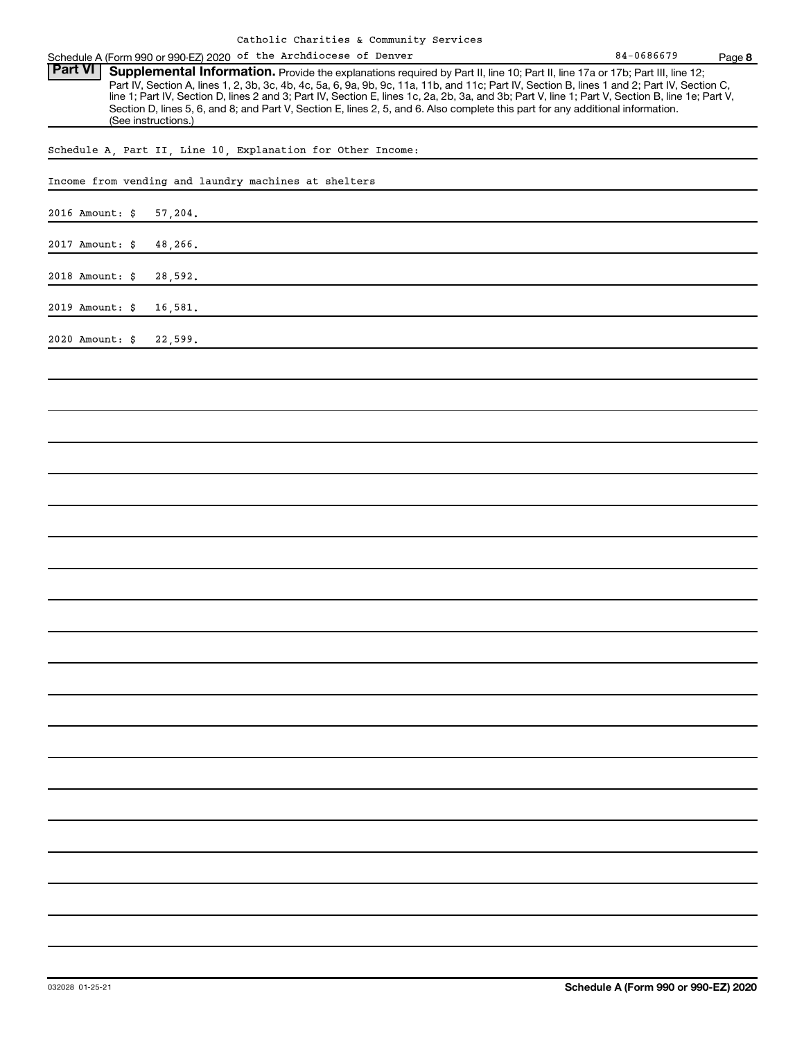| Schedule A (Form 990 or 990-EZ) 2020 of the Archdiocese of Denver                                                                                | 84-0686679 | Page 8 |
|--------------------------------------------------------------------------------------------------------------------------------------------------|------------|--------|
| <b>Part VI</b>   Supplemental Information. Provide the explanations required by Part II, line 10; Part II, line 17a or 17b; Part III, line 12;   |            |        |
| Part IV, Section A, lines 1, 2, 3b, 3c, 4b, 4c, 5a, 6, 9a, 9b, 9c, 11a, 11b, and 11c; Part IV, Section B, lines 1 and 2; Part IV, Section C,     |            |        |
| line 1; Part IV, Section D, lines 2 and 3; Part IV, Section E, lines 1c, 2a, 2b, 3a, and 3b; Part V, line 1; Part V, Section B, line 1e; Part V, |            |        |
| Section D, lines 5, 6, and 8; and Part V, Section E, lines 2, 5, and 6. Also complete this part for any additional information.                  |            |        |
| (See instructions.)                                                                                                                              |            |        |

Schedule A, Part II, Line 10, Explanation for Other Income:

| schedule $A$ , rait ii, mine iv, mapiamation for other fincome: |  |  |  |  |  |
|-----------------------------------------------------------------|--|--|--|--|--|
| Income from vending and laundry machines at shelters            |  |  |  |  |  |
| 2016 Amount: \$<br>57,204.                                      |  |  |  |  |  |
| 2017 Amount: \$<br>48,266.                                      |  |  |  |  |  |
| 2018 Amount: \$<br>28,592.                                      |  |  |  |  |  |
| 2019 Amount: \$<br>16,581.                                      |  |  |  |  |  |
| 2020 Amount: \$<br>22,599.                                      |  |  |  |  |  |
|                                                                 |  |  |  |  |  |
|                                                                 |  |  |  |  |  |
|                                                                 |  |  |  |  |  |
|                                                                 |  |  |  |  |  |
|                                                                 |  |  |  |  |  |
|                                                                 |  |  |  |  |  |
|                                                                 |  |  |  |  |  |
|                                                                 |  |  |  |  |  |
|                                                                 |  |  |  |  |  |
|                                                                 |  |  |  |  |  |
|                                                                 |  |  |  |  |  |
|                                                                 |  |  |  |  |  |
|                                                                 |  |  |  |  |  |
|                                                                 |  |  |  |  |  |
|                                                                 |  |  |  |  |  |
|                                                                 |  |  |  |  |  |
|                                                                 |  |  |  |  |  |
|                                                                 |  |  |  |  |  |
|                                                                 |  |  |  |  |  |
|                                                                 |  |  |  |  |  |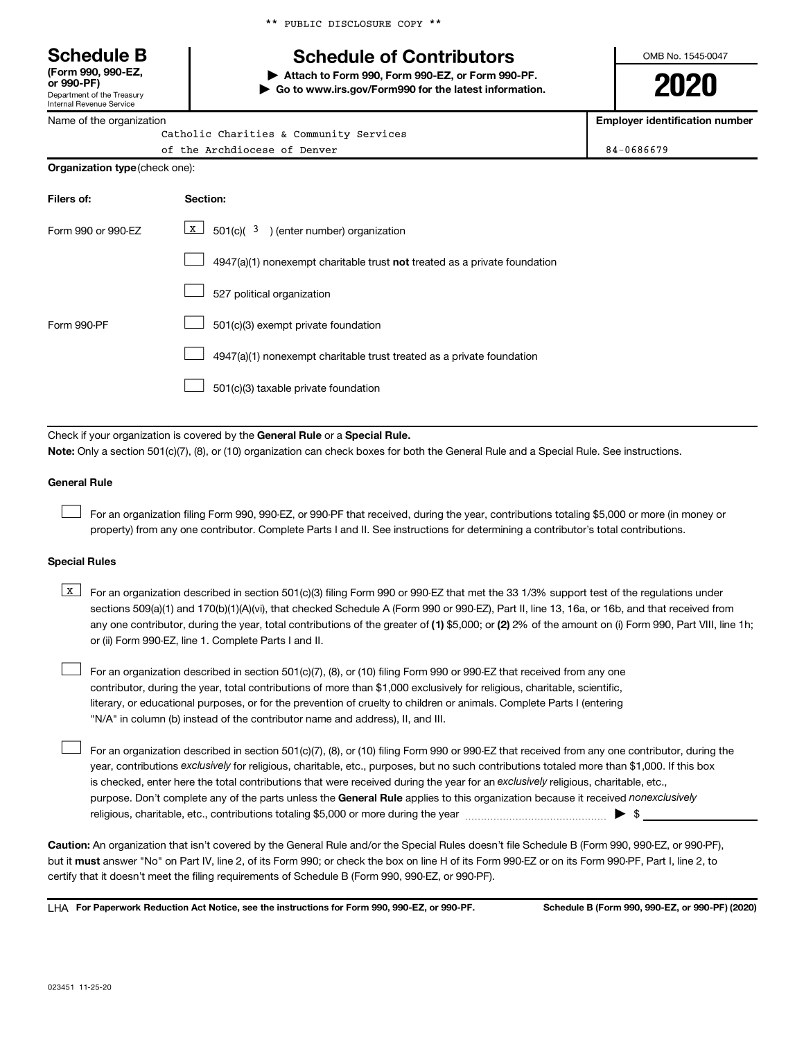\*\* PUBLIC DISCLOSURE COPY \*\*

# **Schedule B Schedule of Contributors**

**or 990-PF) | Attach to Form 990, Form 990-EZ, or Form 990-PF. | Go to www.irs.gov/Form990 for the latest information.** OMB No. 1545-0047

**2020**

**Employer identification number**

| Internal Revenue Service |  |
|--------------------------|--|
| Name of the organization |  |

Department of the Treasury

**(Form 990, 990-EZ,**

| Catholic Charities & Community Services |            |
|-----------------------------------------|------------|
| of the Archdiocese of Denver            | 84-0686679 |
| <b>Organization type</b> (check one):   |            |

| Filers of:         | Section:                                                                  |
|--------------------|---------------------------------------------------------------------------|
| Form 990 or 990-EZ | X<br>$501(c)$ ( $3$ ) (enter number) organization                         |
|                    | 4947(a)(1) nonexempt charitable trust not treated as a private foundation |
|                    | 527 political organization                                                |
| Form 990-PF        | 501(c)(3) exempt private foundation                                       |
|                    | 4947(a)(1) nonexempt charitable trust treated as a private foundation     |
|                    | 501(c)(3) taxable private foundation                                      |
|                    |                                                                           |

Check if your organization is covered by the General Rule or a Special Rule.

**Note:**  Only a section 501(c)(7), (8), or (10) organization can check boxes for both the General Rule and a Special Rule. See instructions.

#### **General Rule**

 $\Box$ 

 $\Box$ 

For an organization filing Form 990, 990-EZ, or 990-PF that received, during the year, contributions totaling \$5,000 or more (in money or property) from any one contributor. Complete Parts I and II. See instructions for determining a contributor's total contributions.

#### **Special Rules**

- any one contributor, during the year, total contributions of the greater of (1) \$5,000; or (2) 2% of the amount on (i) Form 990, Part VIII, line 1h; **K** For an organization described in section 501(c)(3) filing Form 990 or 990-EZ that met the 33 1/3% support test of the regulations under sections 509(a)(1) and 170(b)(1)(A)(vi), that checked Schedule A (Form 990 or 990-EZ), Part II, line 13, 16a, or 16b, and that received from or (ii) Form 990-EZ, line 1. Complete Parts I and II.
- For an organization described in section 501(c)(7), (8), or (10) filing Form 990 or 990-EZ that received from any one contributor, during the year, total contributions of more than \$1,000 exclusively for religious, charitable, scientific, literary, or educational purposes, or for the prevention of cruelty to children or animals. Complete Parts I (entering "N/A" in column (b) instead of the contributor name and address), II, and III.  $\Box$

purpose. Don't complete any of the parts unless the General Rule applies to this organization because it received nonexclusively year, contributions exclusively for religious, charitable, etc., purposes, but no such contributions totaled more than \$1,000. If this box is checked, enter here the total contributions that were received during the year for an exclusively religious, charitable, etc., For an organization described in section 501(c)(7), (8), or (10) filing Form 990 or 990-EZ that received from any one contributor, during the religious, charitable, etc., contributions totaling \$5,000 or more during the year  $\ldots$  $\ldots$  $\ldots$  $\ldots$  $\ldots$  $\ldots$ 

**Caution:**  An organization that isn't covered by the General Rule and/or the Special Rules doesn't file Schedule B (Form 990, 990-EZ, or 990-PF),  **must** but it answer "No" on Part IV, line 2, of its Form 990; or check the box on line H of its Form 990-EZ or on its Form 990-PF, Part I, line 2, to certify that it doesn't meet the filing requirements of Schedule B (Form 990, 990-EZ, or 990-PF).

**For Paperwork Reduction Act Notice, see the instructions for Form 990, 990-EZ, or 990-PF. Schedule B (Form 990, 990-EZ, or 990-PF) (2020)** LHA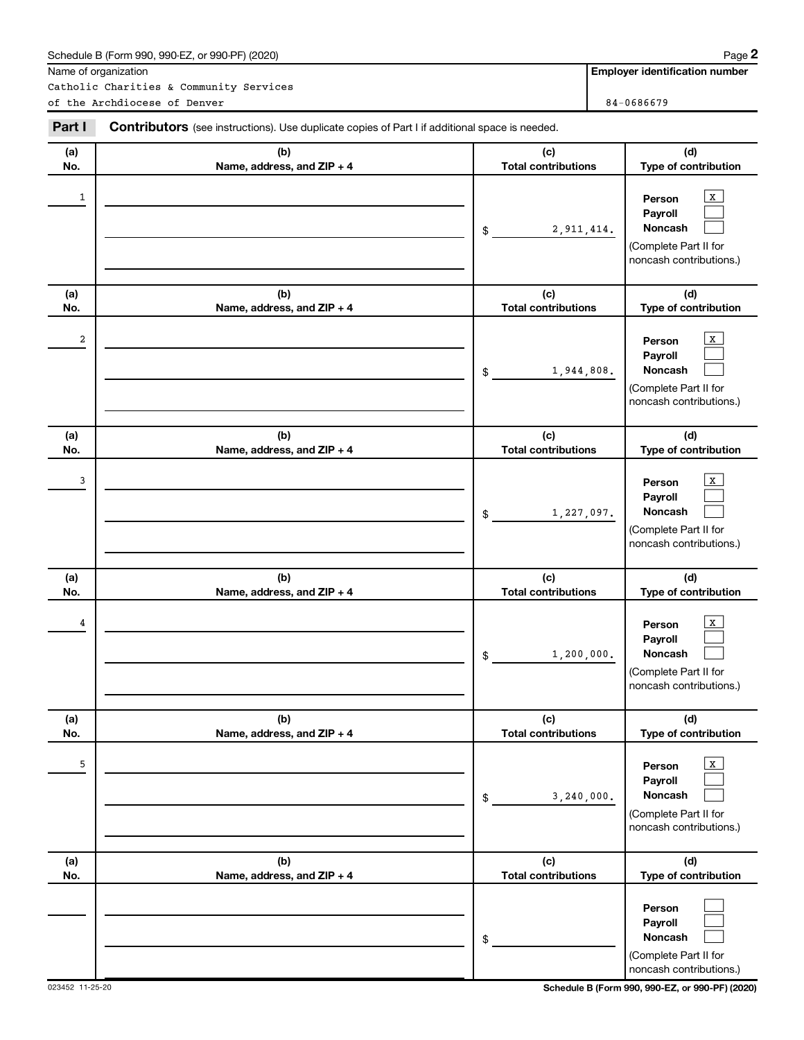|              | Schedule B (Form 990, 990-EZ, or 990-PF) (2020)<br>Name of organization                        |                                   | Page 2<br><b>Employer identification number</b>                                       |
|--------------|------------------------------------------------------------------------------------------------|-----------------------------------|---------------------------------------------------------------------------------------|
|              | Catholic Charities & Community Services                                                        |                                   |                                                                                       |
|              | of the Archdiocese of Denver                                                                   |                                   | 84-0686679                                                                            |
| Part I       | Contributors (see instructions). Use duplicate copies of Part I if additional space is needed. |                                   |                                                                                       |
| (a)<br>No.   | (b)<br>Name, address, and ZIP + 4                                                              | (c)<br><b>Total contributions</b> | (d)<br>Type of contribution                                                           |
| $\mathbf{1}$ |                                                                                                | 2, 911, 414.<br>\$                | x<br>Person<br>Payroll<br>Noncash<br>(Complete Part II for<br>noncash contributions.) |
| (a)<br>No.   | (b)<br>Name, address, and ZIP + 4                                                              | (c)<br><b>Total contributions</b> | (d)<br>Type of contribution                                                           |
| 2            |                                                                                                | 1,944,808.<br>\$                  | Person<br>Payroll<br>Noncash<br>(Complete Part II for<br>noncash contributions.)      |
| (a)<br>No.   | (b)<br>Name, address, and ZIP + 4                                                              | (c)<br><b>Total contributions</b> | (d)<br>Type of contribution                                                           |
| 3            |                                                                                                | 1,227,097.<br>\$                  | Person<br>Payroll<br>Noncash<br>(Complete Part II for<br>noncash contributions.)      |
| (a)<br>No.   | (b)<br>Name, address, and ZIP + 4                                                              | (c)<br><b>Total contributions</b> | (d)<br>Type of contribution                                                           |
| 4            |                                                                                                | 1, 200, 000.<br>\$                | x<br>Person<br>Payroll<br>Noncash<br>(Complete Part II for<br>noncash contributions.) |
| (a)<br>No.   | (b)<br>Name, address, and ZIP + 4                                                              | (c)<br><b>Total contributions</b> | (d)<br>Type of contribution                                                           |
| 5            |                                                                                                | 3,240,000.<br>\$                  | x<br>Person<br>Payroll<br>Noncash<br>(Complete Part II for<br>noncash contributions.) |
| (a)<br>No.   | (b)<br>Name, address, and ZIP + 4                                                              | (c)<br><b>Total contributions</b> | (d)<br>Type of contribution                                                           |
|              |                                                                                                | \$                                | Person<br>Payroll<br>Noncash<br>(Complete Part II for<br>noncash contributions.)      |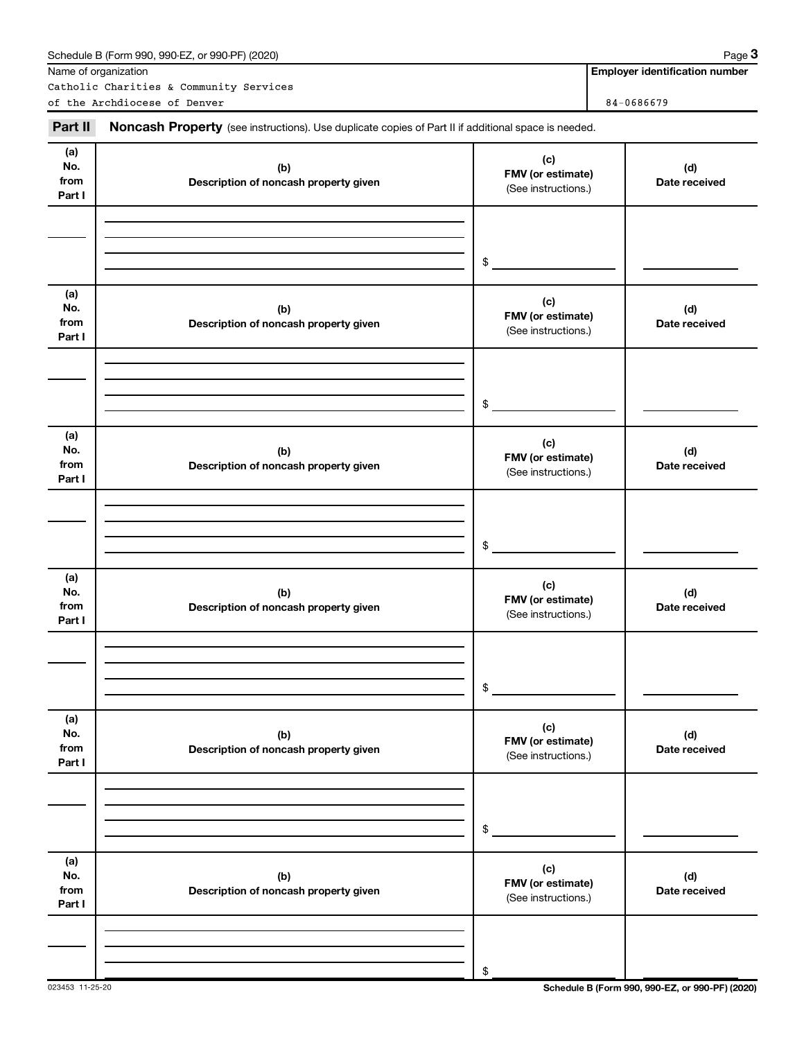|                              | Schedule B (Form 990, 990-EZ, or 990-PF) (2020)                                                     |                                                 | Page 3                                |
|------------------------------|-----------------------------------------------------------------------------------------------------|-------------------------------------------------|---------------------------------------|
|                              | Name of organization                                                                                |                                                 | <b>Employer identification number</b> |
|                              | Catholic Charities & Community Services<br>of the Archdiocese of Denver                             |                                                 | 84-0686679                            |
| Part II                      | Noncash Property (see instructions). Use duplicate copies of Part II if additional space is needed. |                                                 |                                       |
| (a)<br>No.<br>from<br>Part I | (c)<br>(b)<br>FMV (or estimate)<br>Description of noncash property given<br>(See instructions.)     |                                                 | (d)<br>Date received                  |
|                              |                                                                                                     | \$                                              |                                       |
| (a)<br>No.<br>from<br>Part I | (b)<br>Description of noncash property given                                                        | (c)<br>FMV (or estimate)<br>(See instructions.) | (d)<br>Date received                  |
|                              |                                                                                                     | \$                                              |                                       |
| (a)<br>No.<br>from<br>Part I | (b)<br>Description of noncash property given                                                        | (c)<br>FMV (or estimate)<br>(See instructions.) | (d)<br>Date received                  |
|                              |                                                                                                     | \$                                              |                                       |
| (a)<br>No.<br>from<br>Part I | (b)<br>Description of noncash property given                                                        | (c)<br>FMV (or estimate)<br>(See instructions.) | (d)<br>Date received                  |
|                              |                                                                                                     | \$                                              |                                       |
| (a)<br>No.<br>from<br>Part I | (b)<br>Description of noncash property given                                                        | (c)<br>FMV (or estimate)<br>(See instructions.) | (d)<br>Date received                  |
|                              |                                                                                                     | \$                                              |                                       |
| (a)<br>No.<br>from<br>Part I | (b)<br>Description of noncash property given                                                        | (c)<br>FMV (or estimate)<br>(See instructions.) | (d)<br>Date received                  |
|                              |                                                                                                     | \$                                              |                                       |

023453 11-25-20 **Schedule B (Form 990, 990-EZ, or 990-PF) (2020)**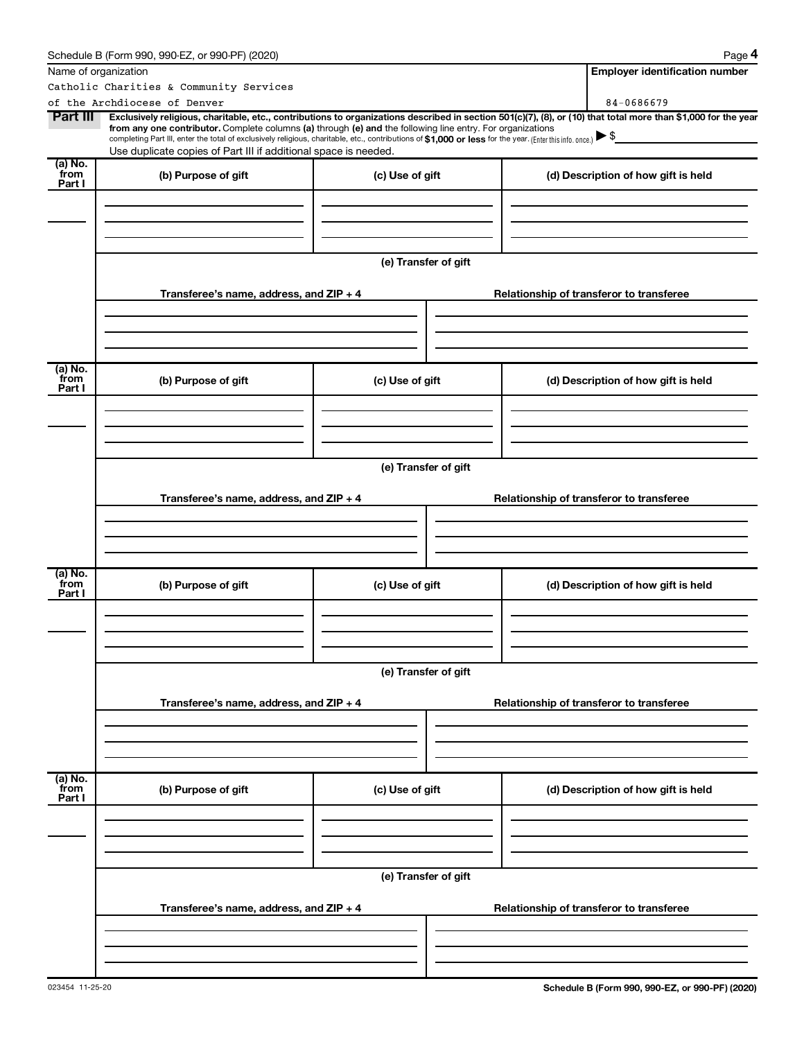|                 | Schedule B (Form 990, 990-EZ, or 990-PF) (2020)                                                                                                                                                                                                                        |                      |                                          |  | Page 4                                   |  |
|-----------------|------------------------------------------------------------------------------------------------------------------------------------------------------------------------------------------------------------------------------------------------------------------------|----------------------|------------------------------------------|--|------------------------------------------|--|
|                 | Name of organization                                                                                                                                                                                                                                                   |                      |                                          |  | <b>Employer identification number</b>    |  |
|                 | Catholic Charities & Community Services                                                                                                                                                                                                                                |                      |                                          |  |                                          |  |
|                 | of the Archdiocese of Denver                                                                                                                                                                                                                                           |                      |                                          |  | 84-0686679                               |  |
| Part III        | Exclusively religious, charitable, etc., contributions to organizations described in section 501(c)(7), (8), or (10) that total more than \$1,000 for the year                                                                                                         |                      |                                          |  |                                          |  |
|                 | from any one contributor. Complete columns (a) through (e) and the following line entry. For organizations<br>completing Part III, enter the total of exclusively religious, charitable, etc., contributions of \$1,000 or less for the year. [Enter this info. once.] |                      |                                          |  |                                          |  |
|                 | Use duplicate copies of Part III if additional space is needed.                                                                                                                                                                                                        |                      |                                          |  |                                          |  |
| (a) No.         |                                                                                                                                                                                                                                                                        |                      |                                          |  |                                          |  |
| from<br>Part I  | (b) Purpose of gift                                                                                                                                                                                                                                                    | (c) Use of gift      |                                          |  | (d) Description of how gift is held      |  |
|                 |                                                                                                                                                                                                                                                                        |                      |                                          |  |                                          |  |
|                 |                                                                                                                                                                                                                                                                        |                      |                                          |  |                                          |  |
|                 |                                                                                                                                                                                                                                                                        |                      |                                          |  |                                          |  |
|                 |                                                                                                                                                                                                                                                                        |                      |                                          |  |                                          |  |
|                 |                                                                                                                                                                                                                                                                        | (e) Transfer of gift |                                          |  |                                          |  |
|                 |                                                                                                                                                                                                                                                                        |                      |                                          |  |                                          |  |
|                 | Transferee's name, address, and $ZIP + 4$                                                                                                                                                                                                                              |                      |                                          |  | Relationship of transferor to transferee |  |
|                 |                                                                                                                                                                                                                                                                        |                      |                                          |  |                                          |  |
|                 |                                                                                                                                                                                                                                                                        |                      |                                          |  |                                          |  |
|                 |                                                                                                                                                                                                                                                                        |                      |                                          |  |                                          |  |
|                 |                                                                                                                                                                                                                                                                        |                      |                                          |  |                                          |  |
| (a) No.<br>from |                                                                                                                                                                                                                                                                        |                      |                                          |  |                                          |  |
| Part I          | (b) Purpose of gift                                                                                                                                                                                                                                                    | (c) Use of gift      |                                          |  | (d) Description of how gift is held      |  |
|                 |                                                                                                                                                                                                                                                                        |                      |                                          |  |                                          |  |
|                 |                                                                                                                                                                                                                                                                        |                      |                                          |  |                                          |  |
|                 |                                                                                                                                                                                                                                                                        |                      |                                          |  |                                          |  |
|                 |                                                                                                                                                                                                                                                                        |                      |                                          |  |                                          |  |
|                 |                                                                                                                                                                                                                                                                        | (e) Transfer of gift |                                          |  |                                          |  |
|                 |                                                                                                                                                                                                                                                                        |                      |                                          |  |                                          |  |
|                 | Transferee's name, address, and $ZIP + 4$                                                                                                                                                                                                                              |                      |                                          |  | Relationship of transferor to transferee |  |
|                 |                                                                                                                                                                                                                                                                        |                      |                                          |  |                                          |  |
|                 |                                                                                                                                                                                                                                                                        |                      |                                          |  |                                          |  |
|                 |                                                                                                                                                                                                                                                                        |                      |                                          |  |                                          |  |
|                 |                                                                                                                                                                                                                                                                        |                      |                                          |  |                                          |  |
| (a) No.<br>from | (b) Purpose of gift                                                                                                                                                                                                                                                    | (c) Use of gift      |                                          |  | (d) Description of how gift is held      |  |
| Part I          |                                                                                                                                                                                                                                                                        |                      |                                          |  |                                          |  |
|                 |                                                                                                                                                                                                                                                                        |                      |                                          |  |                                          |  |
|                 |                                                                                                                                                                                                                                                                        |                      |                                          |  |                                          |  |
|                 |                                                                                                                                                                                                                                                                        |                      |                                          |  |                                          |  |
|                 |                                                                                                                                                                                                                                                                        |                      |                                          |  |                                          |  |
|                 |                                                                                                                                                                                                                                                                        | (e) Transfer of gift |                                          |  |                                          |  |
|                 |                                                                                                                                                                                                                                                                        |                      |                                          |  |                                          |  |
|                 | Transferee's name, address, and ZIP + 4                                                                                                                                                                                                                                |                      |                                          |  | Relationship of transferor to transferee |  |
|                 |                                                                                                                                                                                                                                                                        |                      |                                          |  |                                          |  |
|                 |                                                                                                                                                                                                                                                                        |                      |                                          |  |                                          |  |
|                 |                                                                                                                                                                                                                                                                        |                      |                                          |  |                                          |  |
| (a) No.<br>from |                                                                                                                                                                                                                                                                        |                      |                                          |  |                                          |  |
| Part I          | (b) Purpose of gift                                                                                                                                                                                                                                                    | (c) Use of gift      |                                          |  | (d) Description of how gift is held      |  |
|                 |                                                                                                                                                                                                                                                                        |                      |                                          |  |                                          |  |
|                 |                                                                                                                                                                                                                                                                        |                      |                                          |  |                                          |  |
|                 |                                                                                                                                                                                                                                                                        |                      |                                          |  |                                          |  |
|                 |                                                                                                                                                                                                                                                                        |                      |                                          |  |                                          |  |
|                 |                                                                                                                                                                                                                                                                        | (e) Transfer of gift |                                          |  |                                          |  |
|                 |                                                                                                                                                                                                                                                                        |                      |                                          |  |                                          |  |
|                 | Transferee's name, address, and $ZIP + 4$                                                                                                                                                                                                                              |                      | Relationship of transferor to transferee |  |                                          |  |
|                 |                                                                                                                                                                                                                                                                        |                      |                                          |  |                                          |  |
|                 |                                                                                                                                                                                                                                                                        |                      |                                          |  |                                          |  |
|                 |                                                                                                                                                                                                                                                                        |                      |                                          |  |                                          |  |
|                 |                                                                                                                                                                                                                                                                        |                      |                                          |  |                                          |  |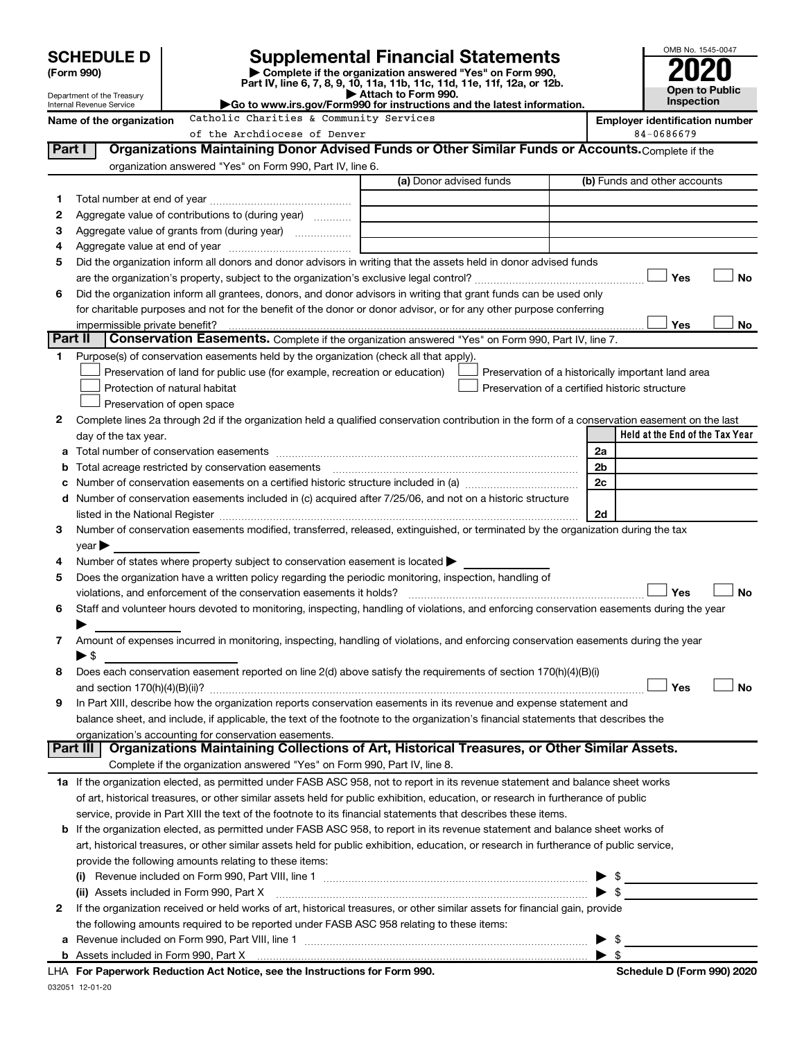|                                                                                                                                               | <b>SCHEDULE D</b>                                  |                              |                                                                                                                                                                     |  | <b>Supplemental Financial Statements</b>                                                                                                                                                                                      |    | OMB No. 1545-0047                                  |
|-----------------------------------------------------------------------------------------------------------------------------------------------|----------------------------------------------------|------------------------------|---------------------------------------------------------------------------------------------------------------------------------------------------------------------|--|-------------------------------------------------------------------------------------------------------------------------------------------------------------------------------------------------------------------------------|----|----------------------------------------------------|
|                                                                                                                                               | (Form 990)                                         |                              |                                                                                                                                                                     |  | Complete if the organization answered "Yes" on Form 990,                                                                                                                                                                      |    |                                                    |
|                                                                                                                                               | Department of the Treasury                         |                              |                                                                                                                                                                     |  | Part IV, line 6, 7, 8, 9, 10, 11a, 11b, 11c, 11d, 11e, 11f, 12a, or 12b.<br>Attach to Form 990.                                                                                                                               |    | <b>Open to Public</b>                              |
| Go to www.irs.gov/Form990 for instructions and the latest information.<br>Internal Revenue Service<br>Catholic Charities & Community Services |                                                    |                              |                                                                                                                                                                     |  |                                                                                                                                                                                                                               |    | <b>Inspection</b>                                  |
|                                                                                                                                               | Name of the organization                           |                              | <b>Employer identification number</b><br>84-0686679                                                                                                                 |  |                                                                                                                                                                                                                               |    |                                                    |
| Part I                                                                                                                                        |                                                    |                              | of the Archdiocese of Denver                                                                                                                                        |  | Organizations Maintaining Donor Advised Funds or Other Similar Funds or Accounts. Complete if the                                                                                                                             |    |                                                    |
|                                                                                                                                               |                                                    |                              | organization answered "Yes" on Form 990, Part IV, line 6.                                                                                                           |  |                                                                                                                                                                                                                               |    |                                                    |
|                                                                                                                                               |                                                    | (b) Funds and other accounts |                                                                                                                                                                     |  |                                                                                                                                                                                                                               |    |                                                    |
| 1.                                                                                                                                            |                                                    |                              |                                                                                                                                                                     |  |                                                                                                                                                                                                                               |    |                                                    |
| 2                                                                                                                                             |                                                    |                              | Aggregate value of contributions to (during year)                                                                                                                   |  |                                                                                                                                                                                                                               |    |                                                    |
| з                                                                                                                                             |                                                    |                              | Aggregate value of grants from (during year)                                                                                                                        |  |                                                                                                                                                                                                                               |    |                                                    |
| 4                                                                                                                                             |                                                    |                              |                                                                                                                                                                     |  |                                                                                                                                                                                                                               |    |                                                    |
| 5                                                                                                                                             |                                                    |                              |                                                                                                                                                                     |  | Did the organization inform all donors and donor advisors in writing that the assets held in donor advised funds                                                                                                              |    |                                                    |
|                                                                                                                                               |                                                    |                              |                                                                                                                                                                     |  |                                                                                                                                                                                                                               |    | Yes<br>No                                          |
| 6                                                                                                                                             |                                                    |                              |                                                                                                                                                                     |  | Did the organization inform all grantees, donors, and donor advisors in writing that grant funds can be used only                                                                                                             |    |                                                    |
|                                                                                                                                               |                                                    |                              |                                                                                                                                                                     |  | for charitable purposes and not for the benefit of the donor or donor advisor, or for any other purpose conferring                                                                                                            |    |                                                    |
|                                                                                                                                               | impermissible private benefit?                     |                              |                                                                                                                                                                     |  |                                                                                                                                                                                                                               |    | Yes<br>No                                          |
| Part II                                                                                                                                       |                                                    |                              |                                                                                                                                                                     |  | Conservation Easements. Complete if the organization answered "Yes" on Form 990, Part IV, line 7.                                                                                                                             |    |                                                    |
| 1.                                                                                                                                            |                                                    |                              | Purpose(s) of conservation easements held by the organization (check all that apply).<br>Preservation of land for public use (for example, recreation or education) |  |                                                                                                                                                                                                                               |    | Preservation of a historically important land area |
|                                                                                                                                               | Protection of natural habitat                      |                              |                                                                                                                                                                     |  | Preservation of a certified historic structure                                                                                                                                                                                |    |                                                    |
|                                                                                                                                               | Preservation of open space                         |                              |                                                                                                                                                                     |  |                                                                                                                                                                                                                               |    |                                                    |
| 2                                                                                                                                             |                                                    |                              |                                                                                                                                                                     |  | Complete lines 2a through 2d if the organization held a qualified conservation contribution in the form of a conservation easement on the last                                                                                |    |                                                    |
|                                                                                                                                               | day of the tax year.                               |                              |                                                                                                                                                                     |  |                                                                                                                                                                                                                               |    | Held at the End of the Tax Year                    |
|                                                                                                                                               |                                                    |                              |                                                                                                                                                                     |  |                                                                                                                                                                                                                               | 2a |                                                    |
| b                                                                                                                                             | Total acreage restricted by conservation easements |                              |                                                                                                                                                                     |  |                                                                                                                                                                                                                               |    |                                                    |
| c                                                                                                                                             |                                                    |                              |                                                                                                                                                                     |  |                                                                                                                                                                                                                               | 2c |                                                    |
| d                                                                                                                                             |                                                    |                              |                                                                                                                                                                     |  | Number of conservation easements included in (c) acquired after 7/25/06, and not on a historic structure                                                                                                                      |    |                                                    |
|                                                                                                                                               |                                                    |                              |                                                                                                                                                                     |  | listed in the National Register [11, 1200] and the National Register [11, 1200] and the National Register [11, 1200] and the National Register [11, 1200] and the National Register [11, 1200] and the National Register [11, | 2d |                                                    |
| 3                                                                                                                                             |                                                    |                              |                                                                                                                                                                     |  | Number of conservation easements modified, transferred, released, extinguished, or terminated by the organization during the tax                                                                                              |    |                                                    |
|                                                                                                                                               | $\vee$ ear $\blacktriangleright$                   |                              |                                                                                                                                                                     |  |                                                                                                                                                                                                                               |    |                                                    |
| 4                                                                                                                                             |                                                    |                              | Number of states where property subject to conservation easement is located >                                                                                       |  |                                                                                                                                                                                                                               |    |                                                    |
| 5                                                                                                                                             |                                                    |                              |                                                                                                                                                                     |  | Does the organization have a written policy regarding the periodic monitoring, inspection, handling of                                                                                                                        |    |                                                    |
|                                                                                                                                               |                                                    |                              | violations, and enforcement of the conservation easements it holds?                                                                                                 |  |                                                                                                                                                                                                                               |    | <b>No</b><br>Yes                                   |
| 6                                                                                                                                             |                                                    |                              |                                                                                                                                                                     |  | Staff and volunteer hours devoted to monitoring, inspecting, handling of violations, and enforcing conservation easements during the year                                                                                     |    |                                                    |
| 7                                                                                                                                             |                                                    |                              |                                                                                                                                                                     |  | Amount of expenses incurred in monitoring, inspecting, handling of violations, and enforcing conservation easements during the year                                                                                           |    |                                                    |
|                                                                                                                                               | $\blacktriangleright$ \$                           |                              |                                                                                                                                                                     |  |                                                                                                                                                                                                                               |    |                                                    |
| 8                                                                                                                                             |                                                    |                              |                                                                                                                                                                     |  | Does each conservation easement reported on line 2(d) above satisfy the requirements of section 170(h)(4)(B)(i)                                                                                                               |    |                                                    |
|                                                                                                                                               |                                                    |                              |                                                                                                                                                                     |  |                                                                                                                                                                                                                               |    | Yes<br><b>No</b>                                   |
| 9                                                                                                                                             |                                                    |                              |                                                                                                                                                                     |  | In Part XIII, describe how the organization reports conservation easements in its revenue and expense statement and                                                                                                           |    |                                                    |
|                                                                                                                                               |                                                    |                              |                                                                                                                                                                     |  | balance sheet, and include, if applicable, the text of the footnote to the organization's financial statements that describes the                                                                                             |    |                                                    |
|                                                                                                                                               |                                                    |                              | organization's accounting for conservation easements.                                                                                                               |  |                                                                                                                                                                                                                               |    |                                                    |
|                                                                                                                                               | Part III                                           |                              |                                                                                                                                                                     |  | Organizations Maintaining Collections of Art, Historical Treasures, or Other Similar Assets.                                                                                                                                  |    |                                                    |
|                                                                                                                                               |                                                    |                              | Complete if the organization answered "Yes" on Form 990, Part IV, line 8.                                                                                           |  |                                                                                                                                                                                                                               |    |                                                    |
|                                                                                                                                               |                                                    |                              |                                                                                                                                                                     |  | 1a If the organization elected, as permitted under FASB ASC 958, not to report in its revenue statement and balance sheet works                                                                                               |    |                                                    |
|                                                                                                                                               |                                                    |                              |                                                                                                                                                                     |  | of art, historical treasures, or other similar assets held for public exhibition, education, or research in furtherance of public                                                                                             |    |                                                    |
|                                                                                                                                               |                                                    |                              |                                                                                                                                                                     |  | service, provide in Part XIII the text of the footnote to its financial statements that describes these items.                                                                                                                |    |                                                    |
|                                                                                                                                               |                                                    |                              |                                                                                                                                                                     |  | <b>b</b> If the organization elected, as permitted under FASB ASC 958, to report in its revenue statement and balance sheet works of                                                                                          |    |                                                    |
|                                                                                                                                               |                                                    |                              | provide the following amounts relating to these items:                                                                                                              |  | art, historical treasures, or other similar assets held for public exhibition, education, or research in furtherance of public service,                                                                                       |    |                                                    |
|                                                                                                                                               |                                                    |                              |                                                                                                                                                                     |  |                                                                                                                                                                                                                               |    |                                                    |
|                                                                                                                                               |                                                    |                              |                                                                                                                                                                     |  | (ii) Assets included in Form 990, Part X <b>manual construction control and all construction</b> construction construction                                                                                                    |    |                                                    |
| 2                                                                                                                                             |                                                    |                              |                                                                                                                                                                     |  | If the organization received or held works of art, historical treasures, or other similar assets for financial gain, provide                                                                                                  |    |                                                    |
|                                                                                                                                               |                                                    |                              |                                                                                                                                                                     |  | the following amounts required to be reported under FASB ASC 958 relating to these items:                                                                                                                                     |    |                                                    |
|                                                                                                                                               |                                                    |                              |                                                                                                                                                                     |  |                                                                                                                                                                                                                               |    | \$                                                 |
|                                                                                                                                               |                                                    |                              |                                                                                                                                                                     |  |                                                                                                                                                                                                                               |    |                                                    |

| \$

032051 12-01-20 **For Paperwork Reduction Act Notice, see the Instructions for Form 990. Schedule D (Form 990) 2020** LHA

**b** Assets included in Form 990, Part X

| Schedule D (Form 990) 2020 |  |  |
|----------------------------|--|--|
|                            |  |  |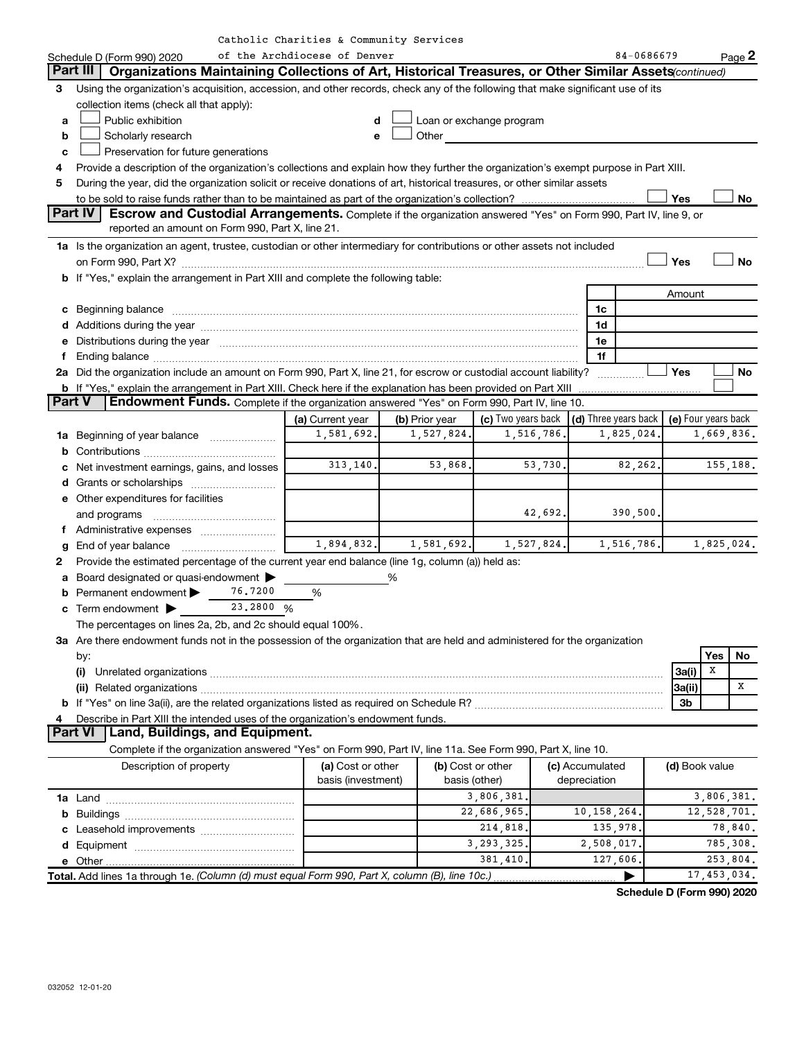| Part III<br>Organizations Maintaining Collections of Art, Historical Treasures, or Other Similar Assets(continued)<br>Using the organization's acquisition, accession, and other records, check any of the following that make significant use of its<br>3<br>collection items (check all that apply):<br>Public exhibition<br>Loan or exchange program<br>d<br>a<br>Other<br>Scholarly research<br>b<br>e<br>Preservation for future generations<br>c<br>Provide a description of the organization's collections and explain how they further the organization's exempt purpose in Part XIII.<br>4<br>During the year, did the organization solicit or receive donations of art, historical treasures, or other similar assets<br>5<br>Yes<br>No<br>Part IV<br><b>Escrow and Custodial Arrangements.</b> Complete if the organization answered "Yes" on Form 990, Part IV, line 9, or<br>reported an amount on Form 990, Part X, line 21.<br>1a Is the organization an agent, trustee, custodian or other intermediary for contributions or other assets not included<br>Yes<br>No<br>b If "Yes," explain the arrangement in Part XIII and complete the following table:<br>Amount<br>1c<br>1d<br>Distributions during the year measurement contains and all the year measurement of the state of the year measurement of the state of the state of the state of the state of the state of the state of the state of the state o<br>1e<br>е<br>1f<br>f.<br>2a Did the organization include an amount on Form 990, Part X, line 21, for escrow or custodial account liability?<br>Yes<br>No<br>b If "Yes," explain the arrangement in Part XIII. Check here if the explanation has been provided on Part XIII<br><b>Part V</b><br>Endowment Funds. Complete if the organization answered "Yes" on Form 990, Part IV, line 10.<br>(d) Three years back $\vert$ (e) Four years back<br>(c) Two years back<br>(a) Current year<br>(b) Prior year<br>1,581,692.<br>1,527,824.<br>1,516,786.<br>1,825,024.<br>1,669,836.<br>1a Beginning of year balance<br>313,140.<br>53,868.<br>53,730.<br>155,188.<br>82,262.<br>c Net investment earnings, gains, and losses<br><b>e</b> Other expenditures for facilities<br>42,692.<br>390,500.<br>and programs<br>1,894,832.<br>1,581,692.<br>1,527,824.<br>1,516,786.<br>1,825,024.<br>g<br>Provide the estimated percentage of the current year end balance (line 1g, column (a)) held as:<br>2<br>Board designated or quasi-endowment<br>%<br>а<br>76.7200<br>Permanent endowment ><br>%<br>23.2800 %<br>$c$ Term endowment $\blacktriangleright$<br>The percentages on lines 2a, 2b, and 2c should equal 100%.<br>3a Are there endowment funds not in the possession of the organization that are held and administered for the organization<br>Yes<br>No<br>by:<br>X<br>3a(i)<br>x<br>3a(ii)<br>3b<br>Describe in Part XIII the intended uses of the organization's endowment funds.<br>4<br>Part VI   Land, Buildings, and Equipment.<br>Complete if the organization answered "Yes" on Form 990, Part IV, line 11a. See Form 990, Part X, line 10.<br>Description of property<br>(a) Cost or other<br>(b) Cost or other<br>(c) Accumulated<br>(d) Book value<br>basis (investment)<br>basis (other)<br>depreciation<br>3,806,381.<br>3,806,381.<br>22,686,965.<br>12,528,701.<br>10,158,264.<br>214,818.<br>135,978.<br>78,840.<br>3, 293, 325.<br>785,308.<br>2,508,017.<br>381,410<br>127,606.<br>253,804.<br>17,453,034.<br>Total. Add lines 1a through 1e. (Column (d) must equal Form 990, Part X, column (B), line 10c.).<br>▶ | Schedule D (Form 990) 2020 | of the Archdiocese of Denver |  |  |  | 84-0686679 |  | Page 2 |
|--------------------------------------------------------------------------------------------------------------------------------------------------------------------------------------------------------------------------------------------------------------------------------------------------------------------------------------------------------------------------------------------------------------------------------------------------------------------------------------------------------------------------------------------------------------------------------------------------------------------------------------------------------------------------------------------------------------------------------------------------------------------------------------------------------------------------------------------------------------------------------------------------------------------------------------------------------------------------------------------------------------------------------------------------------------------------------------------------------------------------------------------------------------------------------------------------------------------------------------------------------------------------------------------------------------------------------------------------------------------------------------------------------------------------------------------------------------------------------------------------------------------------------------------------------------------------------------------------------------------------------------------------------------------------------------------------------------------------------------------------------------------------------------------------------------------------------------------------------------------------------------------------------------------------------------------------------------------------------------------------------------------------------------------------------------------------------------------------------------------------------------------------------------------------------------------------------------------------------------------------------------------------------------------------------------------------------------------------------------------------------------------------------------------------------------------------------------------------------------------------------------------------------------------------------------------------------------------------------------------------------------------------------------------------------------------------------------------------------------------------------------------------------------------------------------------------------------------------------------------------------------------------------------------------------------------------------------------------------------------------------------------------------------------------------------------------------------------------------------------------------------------------------------------------------------------------------------------------------------------------------------------------------------------------------------------------------------------------------------------------------------------------------------------------------------------------------------------------------------------------------------------------------------------------------------------------------|----------------------------|------------------------------|--|--|--|------------|--|--------|
|                                                                                                                                                                                                                                                                                                                                                                                                                                                                                                                                                                                                                                                                                                                                                                                                                                                                                                                                                                                                                                                                                                                                                                                                                                                                                                                                                                                                                                                                                                                                                                                                                                                                                                                                                                                                                                                                                                                                                                                                                                                                                                                                                                                                                                                                                                                                                                                                                                                                                                                                                                                                                                                                                                                                                                                                                                                                                                                                                                                                                                                                                                                                                                                                                                                                                                                                                                                                                                                                                                                                                                                |                            |                              |  |  |  |            |  |        |
|                                                                                                                                                                                                                                                                                                                                                                                                                                                                                                                                                                                                                                                                                                                                                                                                                                                                                                                                                                                                                                                                                                                                                                                                                                                                                                                                                                                                                                                                                                                                                                                                                                                                                                                                                                                                                                                                                                                                                                                                                                                                                                                                                                                                                                                                                                                                                                                                                                                                                                                                                                                                                                                                                                                                                                                                                                                                                                                                                                                                                                                                                                                                                                                                                                                                                                                                                                                                                                                                                                                                                                                |                            |                              |  |  |  |            |  |        |
|                                                                                                                                                                                                                                                                                                                                                                                                                                                                                                                                                                                                                                                                                                                                                                                                                                                                                                                                                                                                                                                                                                                                                                                                                                                                                                                                                                                                                                                                                                                                                                                                                                                                                                                                                                                                                                                                                                                                                                                                                                                                                                                                                                                                                                                                                                                                                                                                                                                                                                                                                                                                                                                                                                                                                                                                                                                                                                                                                                                                                                                                                                                                                                                                                                                                                                                                                                                                                                                                                                                                                                                |                            |                              |  |  |  |            |  |        |
|                                                                                                                                                                                                                                                                                                                                                                                                                                                                                                                                                                                                                                                                                                                                                                                                                                                                                                                                                                                                                                                                                                                                                                                                                                                                                                                                                                                                                                                                                                                                                                                                                                                                                                                                                                                                                                                                                                                                                                                                                                                                                                                                                                                                                                                                                                                                                                                                                                                                                                                                                                                                                                                                                                                                                                                                                                                                                                                                                                                                                                                                                                                                                                                                                                                                                                                                                                                                                                                                                                                                                                                |                            |                              |  |  |  |            |  |        |
|                                                                                                                                                                                                                                                                                                                                                                                                                                                                                                                                                                                                                                                                                                                                                                                                                                                                                                                                                                                                                                                                                                                                                                                                                                                                                                                                                                                                                                                                                                                                                                                                                                                                                                                                                                                                                                                                                                                                                                                                                                                                                                                                                                                                                                                                                                                                                                                                                                                                                                                                                                                                                                                                                                                                                                                                                                                                                                                                                                                                                                                                                                                                                                                                                                                                                                                                                                                                                                                                                                                                                                                |                            |                              |  |  |  |            |  |        |
|                                                                                                                                                                                                                                                                                                                                                                                                                                                                                                                                                                                                                                                                                                                                                                                                                                                                                                                                                                                                                                                                                                                                                                                                                                                                                                                                                                                                                                                                                                                                                                                                                                                                                                                                                                                                                                                                                                                                                                                                                                                                                                                                                                                                                                                                                                                                                                                                                                                                                                                                                                                                                                                                                                                                                                                                                                                                                                                                                                                                                                                                                                                                                                                                                                                                                                                                                                                                                                                                                                                                                                                |                            |                              |  |  |  |            |  |        |
|                                                                                                                                                                                                                                                                                                                                                                                                                                                                                                                                                                                                                                                                                                                                                                                                                                                                                                                                                                                                                                                                                                                                                                                                                                                                                                                                                                                                                                                                                                                                                                                                                                                                                                                                                                                                                                                                                                                                                                                                                                                                                                                                                                                                                                                                                                                                                                                                                                                                                                                                                                                                                                                                                                                                                                                                                                                                                                                                                                                                                                                                                                                                                                                                                                                                                                                                                                                                                                                                                                                                                                                |                            |                              |  |  |  |            |  |        |
|                                                                                                                                                                                                                                                                                                                                                                                                                                                                                                                                                                                                                                                                                                                                                                                                                                                                                                                                                                                                                                                                                                                                                                                                                                                                                                                                                                                                                                                                                                                                                                                                                                                                                                                                                                                                                                                                                                                                                                                                                                                                                                                                                                                                                                                                                                                                                                                                                                                                                                                                                                                                                                                                                                                                                                                                                                                                                                                                                                                                                                                                                                                                                                                                                                                                                                                                                                                                                                                                                                                                                                                |                            |                              |  |  |  |            |  |        |
|                                                                                                                                                                                                                                                                                                                                                                                                                                                                                                                                                                                                                                                                                                                                                                                                                                                                                                                                                                                                                                                                                                                                                                                                                                                                                                                                                                                                                                                                                                                                                                                                                                                                                                                                                                                                                                                                                                                                                                                                                                                                                                                                                                                                                                                                                                                                                                                                                                                                                                                                                                                                                                                                                                                                                                                                                                                                                                                                                                                                                                                                                                                                                                                                                                                                                                                                                                                                                                                                                                                                                                                |                            |                              |  |  |  |            |  |        |
|                                                                                                                                                                                                                                                                                                                                                                                                                                                                                                                                                                                                                                                                                                                                                                                                                                                                                                                                                                                                                                                                                                                                                                                                                                                                                                                                                                                                                                                                                                                                                                                                                                                                                                                                                                                                                                                                                                                                                                                                                                                                                                                                                                                                                                                                                                                                                                                                                                                                                                                                                                                                                                                                                                                                                                                                                                                                                                                                                                                                                                                                                                                                                                                                                                                                                                                                                                                                                                                                                                                                                                                |                            |                              |  |  |  |            |  |        |
|                                                                                                                                                                                                                                                                                                                                                                                                                                                                                                                                                                                                                                                                                                                                                                                                                                                                                                                                                                                                                                                                                                                                                                                                                                                                                                                                                                                                                                                                                                                                                                                                                                                                                                                                                                                                                                                                                                                                                                                                                                                                                                                                                                                                                                                                                                                                                                                                                                                                                                                                                                                                                                                                                                                                                                                                                                                                                                                                                                                                                                                                                                                                                                                                                                                                                                                                                                                                                                                                                                                                                                                |                            |                              |  |  |  |            |  |        |
|                                                                                                                                                                                                                                                                                                                                                                                                                                                                                                                                                                                                                                                                                                                                                                                                                                                                                                                                                                                                                                                                                                                                                                                                                                                                                                                                                                                                                                                                                                                                                                                                                                                                                                                                                                                                                                                                                                                                                                                                                                                                                                                                                                                                                                                                                                                                                                                                                                                                                                                                                                                                                                                                                                                                                                                                                                                                                                                                                                                                                                                                                                                                                                                                                                                                                                                                                                                                                                                                                                                                                                                |                            |                              |  |  |  |            |  |        |
|                                                                                                                                                                                                                                                                                                                                                                                                                                                                                                                                                                                                                                                                                                                                                                                                                                                                                                                                                                                                                                                                                                                                                                                                                                                                                                                                                                                                                                                                                                                                                                                                                                                                                                                                                                                                                                                                                                                                                                                                                                                                                                                                                                                                                                                                                                                                                                                                                                                                                                                                                                                                                                                                                                                                                                                                                                                                                                                                                                                                                                                                                                                                                                                                                                                                                                                                                                                                                                                                                                                                                                                |                            |                              |  |  |  |            |  |        |
|                                                                                                                                                                                                                                                                                                                                                                                                                                                                                                                                                                                                                                                                                                                                                                                                                                                                                                                                                                                                                                                                                                                                                                                                                                                                                                                                                                                                                                                                                                                                                                                                                                                                                                                                                                                                                                                                                                                                                                                                                                                                                                                                                                                                                                                                                                                                                                                                                                                                                                                                                                                                                                                                                                                                                                                                                                                                                                                                                                                                                                                                                                                                                                                                                                                                                                                                                                                                                                                                                                                                                                                |                            |                              |  |  |  |            |  |        |
|                                                                                                                                                                                                                                                                                                                                                                                                                                                                                                                                                                                                                                                                                                                                                                                                                                                                                                                                                                                                                                                                                                                                                                                                                                                                                                                                                                                                                                                                                                                                                                                                                                                                                                                                                                                                                                                                                                                                                                                                                                                                                                                                                                                                                                                                                                                                                                                                                                                                                                                                                                                                                                                                                                                                                                                                                                                                                                                                                                                                                                                                                                                                                                                                                                                                                                                                                                                                                                                                                                                                                                                |                            |                              |  |  |  |            |  |        |
|                                                                                                                                                                                                                                                                                                                                                                                                                                                                                                                                                                                                                                                                                                                                                                                                                                                                                                                                                                                                                                                                                                                                                                                                                                                                                                                                                                                                                                                                                                                                                                                                                                                                                                                                                                                                                                                                                                                                                                                                                                                                                                                                                                                                                                                                                                                                                                                                                                                                                                                                                                                                                                                                                                                                                                                                                                                                                                                                                                                                                                                                                                                                                                                                                                                                                                                                                                                                                                                                                                                                                                                |                            |                              |  |  |  |            |  |        |
|                                                                                                                                                                                                                                                                                                                                                                                                                                                                                                                                                                                                                                                                                                                                                                                                                                                                                                                                                                                                                                                                                                                                                                                                                                                                                                                                                                                                                                                                                                                                                                                                                                                                                                                                                                                                                                                                                                                                                                                                                                                                                                                                                                                                                                                                                                                                                                                                                                                                                                                                                                                                                                                                                                                                                                                                                                                                                                                                                                                                                                                                                                                                                                                                                                                                                                                                                                                                                                                                                                                                                                                |                            |                              |  |  |  |            |  |        |
|                                                                                                                                                                                                                                                                                                                                                                                                                                                                                                                                                                                                                                                                                                                                                                                                                                                                                                                                                                                                                                                                                                                                                                                                                                                                                                                                                                                                                                                                                                                                                                                                                                                                                                                                                                                                                                                                                                                                                                                                                                                                                                                                                                                                                                                                                                                                                                                                                                                                                                                                                                                                                                                                                                                                                                                                                                                                                                                                                                                                                                                                                                                                                                                                                                                                                                                                                                                                                                                                                                                                                                                |                            |                              |  |  |  |            |  |        |
|                                                                                                                                                                                                                                                                                                                                                                                                                                                                                                                                                                                                                                                                                                                                                                                                                                                                                                                                                                                                                                                                                                                                                                                                                                                                                                                                                                                                                                                                                                                                                                                                                                                                                                                                                                                                                                                                                                                                                                                                                                                                                                                                                                                                                                                                                                                                                                                                                                                                                                                                                                                                                                                                                                                                                                                                                                                                                                                                                                                                                                                                                                                                                                                                                                                                                                                                                                                                                                                                                                                                                                                |                            |                              |  |  |  |            |  |        |
|                                                                                                                                                                                                                                                                                                                                                                                                                                                                                                                                                                                                                                                                                                                                                                                                                                                                                                                                                                                                                                                                                                                                                                                                                                                                                                                                                                                                                                                                                                                                                                                                                                                                                                                                                                                                                                                                                                                                                                                                                                                                                                                                                                                                                                                                                                                                                                                                                                                                                                                                                                                                                                                                                                                                                                                                                                                                                                                                                                                                                                                                                                                                                                                                                                                                                                                                                                                                                                                                                                                                                                                |                            |                              |  |  |  |            |  |        |
|                                                                                                                                                                                                                                                                                                                                                                                                                                                                                                                                                                                                                                                                                                                                                                                                                                                                                                                                                                                                                                                                                                                                                                                                                                                                                                                                                                                                                                                                                                                                                                                                                                                                                                                                                                                                                                                                                                                                                                                                                                                                                                                                                                                                                                                                                                                                                                                                                                                                                                                                                                                                                                                                                                                                                                                                                                                                                                                                                                                                                                                                                                                                                                                                                                                                                                                                                                                                                                                                                                                                                                                |                            |                              |  |  |  |            |  |        |
|                                                                                                                                                                                                                                                                                                                                                                                                                                                                                                                                                                                                                                                                                                                                                                                                                                                                                                                                                                                                                                                                                                                                                                                                                                                                                                                                                                                                                                                                                                                                                                                                                                                                                                                                                                                                                                                                                                                                                                                                                                                                                                                                                                                                                                                                                                                                                                                                                                                                                                                                                                                                                                                                                                                                                                                                                                                                                                                                                                                                                                                                                                                                                                                                                                                                                                                                                                                                                                                                                                                                                                                |                            |                              |  |  |  |            |  |        |
|                                                                                                                                                                                                                                                                                                                                                                                                                                                                                                                                                                                                                                                                                                                                                                                                                                                                                                                                                                                                                                                                                                                                                                                                                                                                                                                                                                                                                                                                                                                                                                                                                                                                                                                                                                                                                                                                                                                                                                                                                                                                                                                                                                                                                                                                                                                                                                                                                                                                                                                                                                                                                                                                                                                                                                                                                                                                                                                                                                                                                                                                                                                                                                                                                                                                                                                                                                                                                                                                                                                                                                                |                            |                              |  |  |  |            |  |        |
|                                                                                                                                                                                                                                                                                                                                                                                                                                                                                                                                                                                                                                                                                                                                                                                                                                                                                                                                                                                                                                                                                                                                                                                                                                                                                                                                                                                                                                                                                                                                                                                                                                                                                                                                                                                                                                                                                                                                                                                                                                                                                                                                                                                                                                                                                                                                                                                                                                                                                                                                                                                                                                                                                                                                                                                                                                                                                                                                                                                                                                                                                                                                                                                                                                                                                                                                                                                                                                                                                                                                                                                |                            |                              |  |  |  |            |  |        |
|                                                                                                                                                                                                                                                                                                                                                                                                                                                                                                                                                                                                                                                                                                                                                                                                                                                                                                                                                                                                                                                                                                                                                                                                                                                                                                                                                                                                                                                                                                                                                                                                                                                                                                                                                                                                                                                                                                                                                                                                                                                                                                                                                                                                                                                                                                                                                                                                                                                                                                                                                                                                                                                                                                                                                                                                                                                                                                                                                                                                                                                                                                                                                                                                                                                                                                                                                                                                                                                                                                                                                                                |                            |                              |  |  |  |            |  |        |
|                                                                                                                                                                                                                                                                                                                                                                                                                                                                                                                                                                                                                                                                                                                                                                                                                                                                                                                                                                                                                                                                                                                                                                                                                                                                                                                                                                                                                                                                                                                                                                                                                                                                                                                                                                                                                                                                                                                                                                                                                                                                                                                                                                                                                                                                                                                                                                                                                                                                                                                                                                                                                                                                                                                                                                                                                                                                                                                                                                                                                                                                                                                                                                                                                                                                                                                                                                                                                                                                                                                                                                                |                            |                              |  |  |  |            |  |        |
|                                                                                                                                                                                                                                                                                                                                                                                                                                                                                                                                                                                                                                                                                                                                                                                                                                                                                                                                                                                                                                                                                                                                                                                                                                                                                                                                                                                                                                                                                                                                                                                                                                                                                                                                                                                                                                                                                                                                                                                                                                                                                                                                                                                                                                                                                                                                                                                                                                                                                                                                                                                                                                                                                                                                                                                                                                                                                                                                                                                                                                                                                                                                                                                                                                                                                                                                                                                                                                                                                                                                                                                |                            |                              |  |  |  |            |  |        |
|                                                                                                                                                                                                                                                                                                                                                                                                                                                                                                                                                                                                                                                                                                                                                                                                                                                                                                                                                                                                                                                                                                                                                                                                                                                                                                                                                                                                                                                                                                                                                                                                                                                                                                                                                                                                                                                                                                                                                                                                                                                                                                                                                                                                                                                                                                                                                                                                                                                                                                                                                                                                                                                                                                                                                                                                                                                                                                                                                                                                                                                                                                                                                                                                                                                                                                                                                                                                                                                                                                                                                                                |                            |                              |  |  |  |            |  |        |
|                                                                                                                                                                                                                                                                                                                                                                                                                                                                                                                                                                                                                                                                                                                                                                                                                                                                                                                                                                                                                                                                                                                                                                                                                                                                                                                                                                                                                                                                                                                                                                                                                                                                                                                                                                                                                                                                                                                                                                                                                                                                                                                                                                                                                                                                                                                                                                                                                                                                                                                                                                                                                                                                                                                                                                                                                                                                                                                                                                                                                                                                                                                                                                                                                                                                                                                                                                                                                                                                                                                                                                                |                            |                              |  |  |  |            |  |        |
|                                                                                                                                                                                                                                                                                                                                                                                                                                                                                                                                                                                                                                                                                                                                                                                                                                                                                                                                                                                                                                                                                                                                                                                                                                                                                                                                                                                                                                                                                                                                                                                                                                                                                                                                                                                                                                                                                                                                                                                                                                                                                                                                                                                                                                                                                                                                                                                                                                                                                                                                                                                                                                                                                                                                                                                                                                                                                                                                                                                                                                                                                                                                                                                                                                                                                                                                                                                                                                                                                                                                                                                |                            |                              |  |  |  |            |  |        |
|                                                                                                                                                                                                                                                                                                                                                                                                                                                                                                                                                                                                                                                                                                                                                                                                                                                                                                                                                                                                                                                                                                                                                                                                                                                                                                                                                                                                                                                                                                                                                                                                                                                                                                                                                                                                                                                                                                                                                                                                                                                                                                                                                                                                                                                                                                                                                                                                                                                                                                                                                                                                                                                                                                                                                                                                                                                                                                                                                                                                                                                                                                                                                                                                                                                                                                                                                                                                                                                                                                                                                                                |                            |                              |  |  |  |            |  |        |
|                                                                                                                                                                                                                                                                                                                                                                                                                                                                                                                                                                                                                                                                                                                                                                                                                                                                                                                                                                                                                                                                                                                                                                                                                                                                                                                                                                                                                                                                                                                                                                                                                                                                                                                                                                                                                                                                                                                                                                                                                                                                                                                                                                                                                                                                                                                                                                                                                                                                                                                                                                                                                                                                                                                                                                                                                                                                                                                                                                                                                                                                                                                                                                                                                                                                                                                                                                                                                                                                                                                                                                                |                            |                              |  |  |  |            |  |        |
|                                                                                                                                                                                                                                                                                                                                                                                                                                                                                                                                                                                                                                                                                                                                                                                                                                                                                                                                                                                                                                                                                                                                                                                                                                                                                                                                                                                                                                                                                                                                                                                                                                                                                                                                                                                                                                                                                                                                                                                                                                                                                                                                                                                                                                                                                                                                                                                                                                                                                                                                                                                                                                                                                                                                                                                                                                                                                                                                                                                                                                                                                                                                                                                                                                                                                                                                                                                                                                                                                                                                                                                |                            |                              |  |  |  |            |  |        |
|                                                                                                                                                                                                                                                                                                                                                                                                                                                                                                                                                                                                                                                                                                                                                                                                                                                                                                                                                                                                                                                                                                                                                                                                                                                                                                                                                                                                                                                                                                                                                                                                                                                                                                                                                                                                                                                                                                                                                                                                                                                                                                                                                                                                                                                                                                                                                                                                                                                                                                                                                                                                                                                                                                                                                                                                                                                                                                                                                                                                                                                                                                                                                                                                                                                                                                                                                                                                                                                                                                                                                                                |                            |                              |  |  |  |            |  |        |
|                                                                                                                                                                                                                                                                                                                                                                                                                                                                                                                                                                                                                                                                                                                                                                                                                                                                                                                                                                                                                                                                                                                                                                                                                                                                                                                                                                                                                                                                                                                                                                                                                                                                                                                                                                                                                                                                                                                                                                                                                                                                                                                                                                                                                                                                                                                                                                                                                                                                                                                                                                                                                                                                                                                                                                                                                                                                                                                                                                                                                                                                                                                                                                                                                                                                                                                                                                                                                                                                                                                                                                                |                            |                              |  |  |  |            |  |        |
|                                                                                                                                                                                                                                                                                                                                                                                                                                                                                                                                                                                                                                                                                                                                                                                                                                                                                                                                                                                                                                                                                                                                                                                                                                                                                                                                                                                                                                                                                                                                                                                                                                                                                                                                                                                                                                                                                                                                                                                                                                                                                                                                                                                                                                                                                                                                                                                                                                                                                                                                                                                                                                                                                                                                                                                                                                                                                                                                                                                                                                                                                                                                                                                                                                                                                                                                                                                                                                                                                                                                                                                |                            |                              |  |  |  |            |  |        |
|                                                                                                                                                                                                                                                                                                                                                                                                                                                                                                                                                                                                                                                                                                                                                                                                                                                                                                                                                                                                                                                                                                                                                                                                                                                                                                                                                                                                                                                                                                                                                                                                                                                                                                                                                                                                                                                                                                                                                                                                                                                                                                                                                                                                                                                                                                                                                                                                                                                                                                                                                                                                                                                                                                                                                                                                                                                                                                                                                                                                                                                                                                                                                                                                                                                                                                                                                                                                                                                                                                                                                                                |                            |                              |  |  |  |            |  |        |
|                                                                                                                                                                                                                                                                                                                                                                                                                                                                                                                                                                                                                                                                                                                                                                                                                                                                                                                                                                                                                                                                                                                                                                                                                                                                                                                                                                                                                                                                                                                                                                                                                                                                                                                                                                                                                                                                                                                                                                                                                                                                                                                                                                                                                                                                                                                                                                                                                                                                                                                                                                                                                                                                                                                                                                                                                                                                                                                                                                                                                                                                                                                                                                                                                                                                                                                                                                                                                                                                                                                                                                                |                            |                              |  |  |  |            |  |        |
|                                                                                                                                                                                                                                                                                                                                                                                                                                                                                                                                                                                                                                                                                                                                                                                                                                                                                                                                                                                                                                                                                                                                                                                                                                                                                                                                                                                                                                                                                                                                                                                                                                                                                                                                                                                                                                                                                                                                                                                                                                                                                                                                                                                                                                                                                                                                                                                                                                                                                                                                                                                                                                                                                                                                                                                                                                                                                                                                                                                                                                                                                                                                                                                                                                                                                                                                                                                                                                                                                                                                                                                |                            |                              |  |  |  |            |  |        |
|                                                                                                                                                                                                                                                                                                                                                                                                                                                                                                                                                                                                                                                                                                                                                                                                                                                                                                                                                                                                                                                                                                                                                                                                                                                                                                                                                                                                                                                                                                                                                                                                                                                                                                                                                                                                                                                                                                                                                                                                                                                                                                                                                                                                                                                                                                                                                                                                                                                                                                                                                                                                                                                                                                                                                                                                                                                                                                                                                                                                                                                                                                                                                                                                                                                                                                                                                                                                                                                                                                                                                                                |                            |                              |  |  |  |            |  |        |
|                                                                                                                                                                                                                                                                                                                                                                                                                                                                                                                                                                                                                                                                                                                                                                                                                                                                                                                                                                                                                                                                                                                                                                                                                                                                                                                                                                                                                                                                                                                                                                                                                                                                                                                                                                                                                                                                                                                                                                                                                                                                                                                                                                                                                                                                                                                                                                                                                                                                                                                                                                                                                                                                                                                                                                                                                                                                                                                                                                                                                                                                                                                                                                                                                                                                                                                                                                                                                                                                                                                                                                                |                            |                              |  |  |  |            |  |        |
|                                                                                                                                                                                                                                                                                                                                                                                                                                                                                                                                                                                                                                                                                                                                                                                                                                                                                                                                                                                                                                                                                                                                                                                                                                                                                                                                                                                                                                                                                                                                                                                                                                                                                                                                                                                                                                                                                                                                                                                                                                                                                                                                                                                                                                                                                                                                                                                                                                                                                                                                                                                                                                                                                                                                                                                                                                                                                                                                                                                                                                                                                                                                                                                                                                                                                                                                                                                                                                                                                                                                                                                |                            |                              |  |  |  |            |  |        |
|                                                                                                                                                                                                                                                                                                                                                                                                                                                                                                                                                                                                                                                                                                                                                                                                                                                                                                                                                                                                                                                                                                                                                                                                                                                                                                                                                                                                                                                                                                                                                                                                                                                                                                                                                                                                                                                                                                                                                                                                                                                                                                                                                                                                                                                                                                                                                                                                                                                                                                                                                                                                                                                                                                                                                                                                                                                                                                                                                                                                                                                                                                                                                                                                                                                                                                                                                                                                                                                                                                                                                                                |                            |                              |  |  |  |            |  |        |
|                                                                                                                                                                                                                                                                                                                                                                                                                                                                                                                                                                                                                                                                                                                                                                                                                                                                                                                                                                                                                                                                                                                                                                                                                                                                                                                                                                                                                                                                                                                                                                                                                                                                                                                                                                                                                                                                                                                                                                                                                                                                                                                                                                                                                                                                                                                                                                                                                                                                                                                                                                                                                                                                                                                                                                                                                                                                                                                                                                                                                                                                                                                                                                                                                                                                                                                                                                                                                                                                                                                                                                                |                            |                              |  |  |  |            |  |        |
|                                                                                                                                                                                                                                                                                                                                                                                                                                                                                                                                                                                                                                                                                                                                                                                                                                                                                                                                                                                                                                                                                                                                                                                                                                                                                                                                                                                                                                                                                                                                                                                                                                                                                                                                                                                                                                                                                                                                                                                                                                                                                                                                                                                                                                                                                                                                                                                                                                                                                                                                                                                                                                                                                                                                                                                                                                                                                                                                                                                                                                                                                                                                                                                                                                                                                                                                                                                                                                                                                                                                                                                |                            |                              |  |  |  |            |  |        |
|                                                                                                                                                                                                                                                                                                                                                                                                                                                                                                                                                                                                                                                                                                                                                                                                                                                                                                                                                                                                                                                                                                                                                                                                                                                                                                                                                                                                                                                                                                                                                                                                                                                                                                                                                                                                                                                                                                                                                                                                                                                                                                                                                                                                                                                                                                                                                                                                                                                                                                                                                                                                                                                                                                                                                                                                                                                                                                                                                                                                                                                                                                                                                                                                                                                                                                                                                                                                                                                                                                                                                                                |                            |                              |  |  |  |            |  |        |
|                                                                                                                                                                                                                                                                                                                                                                                                                                                                                                                                                                                                                                                                                                                                                                                                                                                                                                                                                                                                                                                                                                                                                                                                                                                                                                                                                                                                                                                                                                                                                                                                                                                                                                                                                                                                                                                                                                                                                                                                                                                                                                                                                                                                                                                                                                                                                                                                                                                                                                                                                                                                                                                                                                                                                                                                                                                                                                                                                                                                                                                                                                                                                                                                                                                                                                                                                                                                                                                                                                                                                                                |                            |                              |  |  |  |            |  |        |
|                                                                                                                                                                                                                                                                                                                                                                                                                                                                                                                                                                                                                                                                                                                                                                                                                                                                                                                                                                                                                                                                                                                                                                                                                                                                                                                                                                                                                                                                                                                                                                                                                                                                                                                                                                                                                                                                                                                                                                                                                                                                                                                                                                                                                                                                                                                                                                                                                                                                                                                                                                                                                                                                                                                                                                                                                                                                                                                                                                                                                                                                                                                                                                                                                                                                                                                                                                                                                                                                                                                                                                                |                            |                              |  |  |  |            |  |        |
|                                                                                                                                                                                                                                                                                                                                                                                                                                                                                                                                                                                                                                                                                                                                                                                                                                                                                                                                                                                                                                                                                                                                                                                                                                                                                                                                                                                                                                                                                                                                                                                                                                                                                                                                                                                                                                                                                                                                                                                                                                                                                                                                                                                                                                                                                                                                                                                                                                                                                                                                                                                                                                                                                                                                                                                                                                                                                                                                                                                                                                                                                                                                                                                                                                                                                                                                                                                                                                                                                                                                                                                |                            |                              |  |  |  |            |  |        |
|                                                                                                                                                                                                                                                                                                                                                                                                                                                                                                                                                                                                                                                                                                                                                                                                                                                                                                                                                                                                                                                                                                                                                                                                                                                                                                                                                                                                                                                                                                                                                                                                                                                                                                                                                                                                                                                                                                                                                                                                                                                                                                                                                                                                                                                                                                                                                                                                                                                                                                                                                                                                                                                                                                                                                                                                                                                                                                                                                                                                                                                                                                                                                                                                                                                                                                                                                                                                                                                                                                                                                                                |                            |                              |  |  |  |            |  |        |
|                                                                                                                                                                                                                                                                                                                                                                                                                                                                                                                                                                                                                                                                                                                                                                                                                                                                                                                                                                                                                                                                                                                                                                                                                                                                                                                                                                                                                                                                                                                                                                                                                                                                                                                                                                                                                                                                                                                                                                                                                                                                                                                                                                                                                                                                                                                                                                                                                                                                                                                                                                                                                                                                                                                                                                                                                                                                                                                                                                                                                                                                                                                                                                                                                                                                                                                                                                                                                                                                                                                                                                                |                            |                              |  |  |  |            |  |        |

**Schedule D (Form 990) 2020**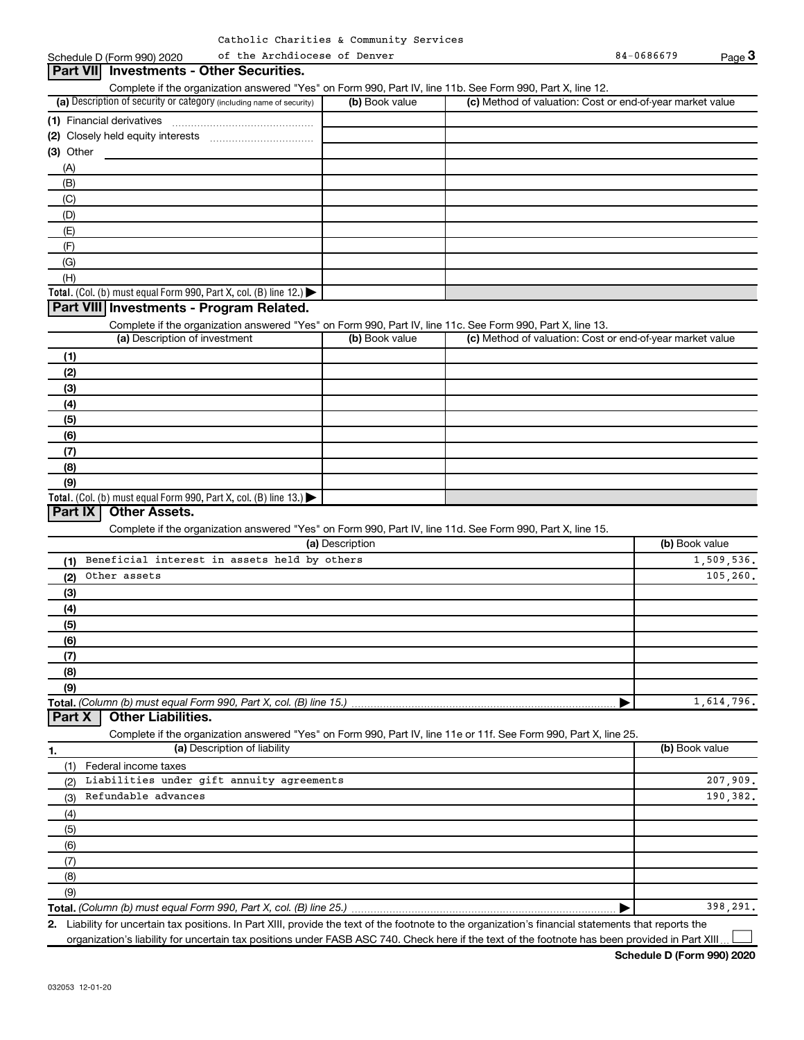#### (a) Description of security or category (including name of security)  $\vert$  (b) Book value  $\vert$  (c) **Total.** (Col. (b) must equal Form 990, Part X, col. (B) line 12.)  $\blacktriangleright$ **Total.** (Col. (b) must equal Form 990, Part X, col. (B) line  $13$ .) **(1)** Financial derivatives ~~~~~~~~~~~~~~~ **(2)** Closely held equity interests ~~~~~~~~~~~ **(3)** Other (a) Description of investment (b) Book value **(1) (2) (3) (4) (5) (6) (7) (8) (9)** (a) Description **(1) (2) (3) (4) (5) (6) (7) (8)** Schedule D (Form 990) 2020 of the Archdiocese of Denver extending the state of  $84-0686679$ Complete if the organization answered "Yes" on Form 990, Part IV, line 11b. See Form 990, Part X, line 12.  $(b)$  Book value  $\vert$  (c) Method of valuation: Cost or end-of-year market value (A) (B) (C) (D) (E) (F) (G) (H) Complete if the organization answered "Yes" on Form 990, Part IV, line 11c. See Form 990, Part X, line 13. (c) Method of valuation: Cost or end-of-year market value Complete if the organization answered "Yes" on Form 990, Part IV, line 11d. See Form 990, Part X, line 15. (b) Book value **3 Part VII Investments - Other Securities. Part VIII Investments - Program Related. Part IX Other Assets.** of the Archdiocese of Denver Beneficial interest in assets held by others 1,509,536. Other assets  $105,260$ .

**Total.**  *(Column (b) must equal Form 990, Part X, col. (B) line 15.)* **Part X Other Liabilities.**

Complete if the organization answered "Yes" on Form 990, Part IV, line 11e or 11f. See Form 990, Part X, line 25.

|

| (a) Description of liability<br>1.               | (b) Book value |
|--------------------------------------------------|----------------|
| Federal income taxes                             |                |
| Liabilities under gift annuity agreements<br>(2) | 207,909.       |
| Refundable advances<br>(3)                       | 190,382.       |
| (4)                                              |                |
| (5)                                              |                |
| (6)                                              |                |
| (7)                                              |                |
| (8)                                              |                |
| (9)                                              |                |
|                                                  | 398,291.       |

**2.** Liability for uncertain tax positions. In Part XIII, provide the text of the footnote to the organization's financial statements that reports the organization's liability for uncertain tax positions under FASB ASC 740. Check here if the text of the footnote has been provided in Part XIII.  $\perp$ 

1,614,796.

**(9)**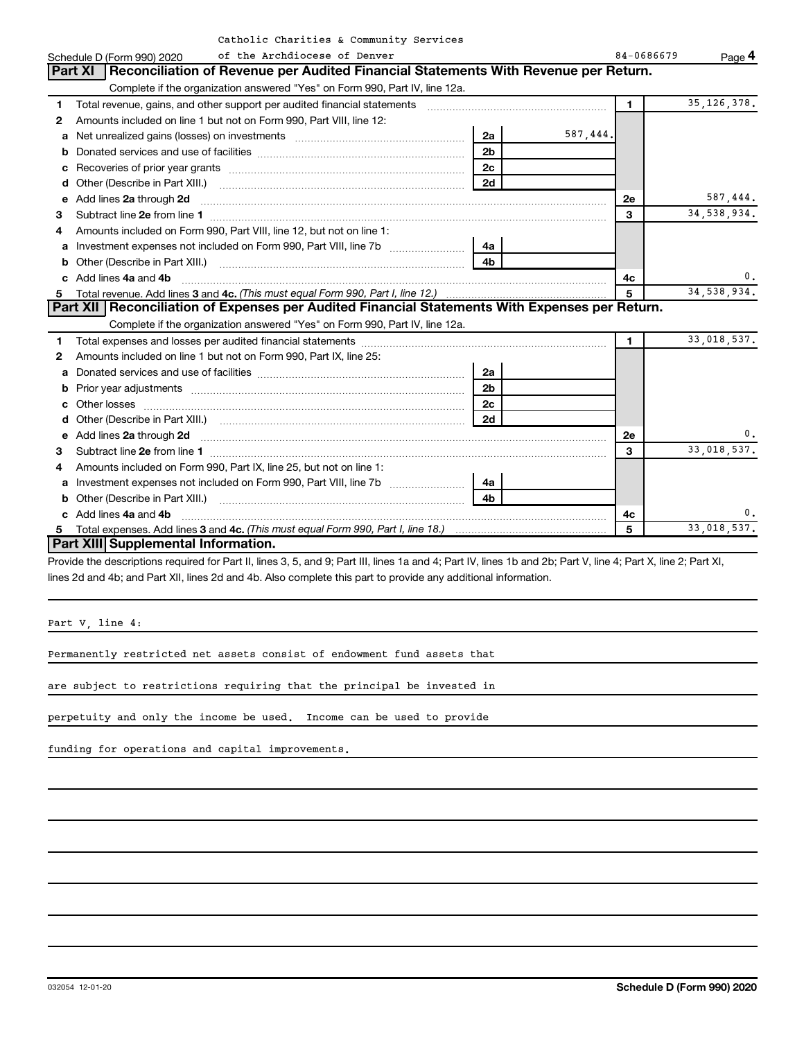|  |  |  | Catholic Charities & Community Services |  |
|--|--|--|-----------------------------------------|--|
|--|--|--|-----------------------------------------|--|

|    | Schedule D (Form 990) 2020                                           | IIC CHAIICIES & COMMUNITEY DELVICES<br>of the Archdiocese of Denver                                                                                                                                                                 |                |          | 84-0686679   | Page 4        |
|----|----------------------------------------------------------------------|-------------------------------------------------------------------------------------------------------------------------------------------------------------------------------------------------------------------------------------|----------------|----------|--------------|---------------|
|    |                                                                      | Part XI   Reconciliation of Revenue per Audited Financial Statements With Revenue per Return.                                                                                                                                       |                |          |              |               |
|    |                                                                      | Complete if the organization answered "Yes" on Form 990, Part IV, line 12a.                                                                                                                                                         |                |          |              |               |
| 1  |                                                                      | Total revenue, gains, and other support per audited financial statements [[[[[[[[[[[[[[[[[[[[[[[[[]]]]]]]]]]]                                                                                                                       |                |          | $\mathbf{1}$ | 35, 126, 378. |
| 2  | Amounts included on line 1 but not on Form 990, Part VIII, line 12:  |                                                                                                                                                                                                                                     |                |          |              |               |
| a  |                                                                      |                                                                                                                                                                                                                                     | 2a             | 587,444. |              |               |
| b  |                                                                      |                                                                                                                                                                                                                                     | 2 <sub>b</sub> |          |              |               |
| c  |                                                                      |                                                                                                                                                                                                                                     | 2 <sub>c</sub> |          |              |               |
| d  |                                                                      |                                                                                                                                                                                                                                     | 2d             |          |              |               |
| е  | Add lines 2a through 2d                                              |                                                                                                                                                                                                                                     |                |          | 2е           | 587,444.      |
| 3  |                                                                      |                                                                                                                                                                                                                                     |                |          | 3            | 34, 538, 934. |
| 4  | Amounts included on Form 990, Part VIII, line 12, but not on line 1: |                                                                                                                                                                                                                                     |                |          |              |               |
| a  |                                                                      |                                                                                                                                                                                                                                     |                |          |              |               |
|    |                                                                      |                                                                                                                                                                                                                                     | 4b.            |          |              |               |
| c. | Add lines 4a and 4b                                                  |                                                                                                                                                                                                                                     |                |          | 4с           | 0.            |
|    |                                                                      |                                                                                                                                                                                                                                     |                |          | 5            | 34, 538, 934. |
|    |                                                                      | Part XII Reconciliation of Expenses per Audited Financial Statements With Expenses per Return.                                                                                                                                      |                |          |              |               |
|    |                                                                      | Complete if the organization answered "Yes" on Form 990, Part IV, line 12a.                                                                                                                                                         |                |          |              |               |
| 1  |                                                                      |                                                                                                                                                                                                                                     |                |          | 1.           | 33,018,537.   |
| 2  | Amounts included on line 1 but not on Form 990, Part IX, line 25:    |                                                                                                                                                                                                                                     |                |          |              |               |
| a  |                                                                      |                                                                                                                                                                                                                                     | 2a             |          |              |               |
| b  |                                                                      |                                                                                                                                                                                                                                     | 2 <sub>b</sub> |          |              |               |
|    |                                                                      |                                                                                                                                                                                                                                     | 2 <sub>c</sub> |          |              |               |
| d  |                                                                      |                                                                                                                                                                                                                                     | 2d             |          |              |               |
| e  |                                                                      | Add lines 2a through 2d <b>contained a contained a contained a contained a</b> contained a contained a contained a contained a contained a contained a contained a contained a contained a contained a contained a contained a cont |                |          | 2е           | 0.            |
| 3  |                                                                      |                                                                                                                                                                                                                                     |                |          | 3            | 33,018,537.   |
| 4  | Amounts included on Form 990, Part IX, line 25, but not on line 1:   |                                                                                                                                                                                                                                     |                |          |              |               |
| a  |                                                                      |                                                                                                                                                                                                                                     | 4a             |          |              |               |
|    |                                                                      |                                                                                                                                                                                                                                     | 4 <sub>h</sub> |          |              |               |
|    | c Add lines 4a and 4b                                                |                                                                                                                                                                                                                                     |                |          | 4с           | 0.            |
|    |                                                                      |                                                                                                                                                                                                                                     |                |          | 5            | 33,018,537.   |
|    | Part XIII Supplemental Information.                                  |                                                                                                                                                                                                                                     |                |          |              |               |

Provide the descriptions required for Part II, lines 3, 5, and 9; Part III, lines 1a and 4; Part IV, lines 1b and 2b; Part V, line 4; Part X, line 2; Part XI, lines 2d and 4b; and Part XII, lines 2d and 4b. Also complete this part to provide any additional information.

Part V, line 4:

Permanently restricted net assets consist of endowment fund assets that

are subject to restrictions requiring that the principal be invested in

perpetuity and only the income be used. Income can be used to provide

funding for operations and capital improvements.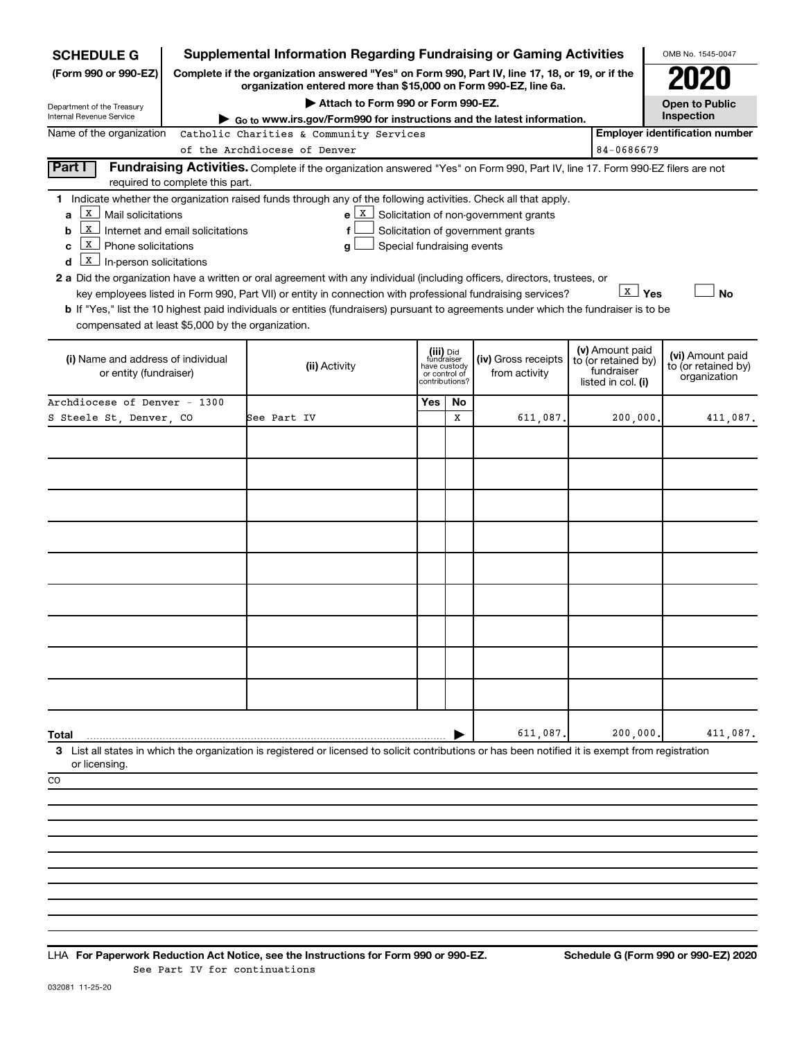| <b>SCHEDULE G</b>                                 |                                  | <b>Supplemental Information Regarding Fundraising or Gaming Activities</b>                                                                                          |     |                                         |                                                  |                                        | OMB No. 1545-0047                     |
|---------------------------------------------------|----------------------------------|---------------------------------------------------------------------------------------------------------------------------------------------------------------------|-----|-----------------------------------------|--------------------------------------------------|----------------------------------------|---------------------------------------|
| (Form 990 or 990-EZ)                              |                                  | Complete if the organization answered "Yes" on Form 990, Part IV, line 17, 18, or 19, or if the<br>organization entered more than \$15,000 on Form 990-EZ, line 6a. |     |                                         |                                                  |                                        |                                       |
| Department of the Treasury                        |                                  | Attach to Form 990 or Form 990-EZ.                                                                                                                                  |     |                                         |                                                  |                                        | <b>Open to Public</b>                 |
| Internal Revenue Service                          |                                  | Go to www.irs.gov/Form990 for instructions and the latest information.                                                                                              |     |                                         |                                                  |                                        | Inspection                            |
| Name of the organization                          |                                  | Catholic Charities & Community Services                                                                                                                             |     |                                         |                                                  | 84-0686679                             | <b>Employer identification number</b> |
|                                                   |                                  | of the Archdiocese of Denver                                                                                                                                        |     |                                         |                                                  |                                        |                                       |
| Part I                                            |                                  | Fundraising Activities. Complete if the organization answered "Yes" on Form 990, Part IV, line 17. Form 990-EZ filers are not                                       |     |                                         |                                                  |                                        |                                       |
|                                                   | required to complete this part.  | 1 Indicate whether the organization raised funds through any of the following activities. Check all that apply.                                                     |     |                                         |                                                  |                                        |                                       |
| х<br>Mail solicitations<br>a                      |                                  |                                                                                                                                                                     |     |                                         | $e \mid X$ Solicitation of non-government grants |                                        |                                       |
| ΙX<br>b                                           | Internet and email solicitations | f                                                                                                                                                                   |     |                                         | Solicitation of government grants                |                                        |                                       |
| X<br>Phone solicitations<br>c                     |                                  | Special fundraising events<br>g                                                                                                                                     |     |                                         |                                                  |                                        |                                       |
| x<br>In-person solicitations<br>d                 |                                  |                                                                                                                                                                     |     |                                         |                                                  |                                        |                                       |
|                                                   |                                  | 2 a Did the organization have a written or oral agreement with any individual (including officers, directors, trustees, or                                          |     |                                         |                                                  |                                        |                                       |
|                                                   |                                  | key employees listed in Form 990, Part VII) or entity in connection with professional fundraising services?                                                         |     |                                         |                                                  | <b>X</b> Yes                           | <b>No</b>                             |
|                                                   |                                  | <b>b</b> If "Yes," list the 10 highest paid individuals or entities (fundraisers) pursuant to agreements under which the fundraiser is to be                        |     |                                         |                                                  |                                        |                                       |
| compensated at least \$5,000 by the organization. |                                  |                                                                                                                                                                     |     |                                         |                                                  |                                        |                                       |
|                                                   |                                  |                                                                                                                                                                     |     |                                         |                                                  |                                        |                                       |
| (i) Name and address of individual                |                                  |                                                                                                                                                                     |     | (iii) Did<br>fundraiser<br>have custody | (iv) Gross receipts                              | (v) Amount paid<br>to (or retained by) | (vi) Amount paid                      |
| or entity (fundraiser)                            |                                  | (ii) Activity                                                                                                                                                       |     | or control of<br>contributions?         | from activity                                    | fundraiser                             | to (or retained by)<br>organization   |
|                                                   |                                  |                                                                                                                                                                     |     |                                         |                                                  | listed in col. (i)                     |                                       |
| Archdiocese of Denver - 1300                      |                                  |                                                                                                                                                                     | Yes | No                                      |                                                  |                                        |                                       |
| S Steele St, Denver, CO                           |                                  | See Part IV                                                                                                                                                         |     | X                                       | 611,087                                          | 200,000.                               | 411,087.                              |
|                                                   |                                  |                                                                                                                                                                     |     |                                         |                                                  |                                        |                                       |
|                                                   |                                  |                                                                                                                                                                     |     |                                         |                                                  |                                        |                                       |
|                                                   |                                  |                                                                                                                                                                     |     |                                         |                                                  |                                        |                                       |
|                                                   |                                  |                                                                                                                                                                     |     |                                         |                                                  |                                        |                                       |
|                                                   |                                  |                                                                                                                                                                     |     |                                         |                                                  |                                        |                                       |
|                                                   |                                  |                                                                                                                                                                     |     |                                         |                                                  |                                        |                                       |
|                                                   |                                  |                                                                                                                                                                     |     |                                         |                                                  |                                        |                                       |
|                                                   |                                  |                                                                                                                                                                     |     |                                         |                                                  |                                        |                                       |
|                                                   |                                  |                                                                                                                                                                     |     |                                         |                                                  |                                        |                                       |
|                                                   |                                  |                                                                                                                                                                     |     |                                         |                                                  |                                        |                                       |
|                                                   |                                  |                                                                                                                                                                     |     |                                         |                                                  |                                        |                                       |
|                                                   |                                  |                                                                                                                                                                     |     |                                         |                                                  |                                        |                                       |
|                                                   |                                  |                                                                                                                                                                     |     |                                         |                                                  |                                        |                                       |
|                                                   |                                  |                                                                                                                                                                     |     |                                         |                                                  |                                        |                                       |
|                                                   |                                  |                                                                                                                                                                     |     |                                         |                                                  |                                        |                                       |
|                                                   |                                  |                                                                                                                                                                     |     |                                         |                                                  |                                        |                                       |
|                                                   |                                  |                                                                                                                                                                     |     |                                         |                                                  |                                        |                                       |
|                                                   |                                  |                                                                                                                                                                     |     |                                         |                                                  |                                        |                                       |
| Total                                             |                                  |                                                                                                                                                                     |     |                                         | 611,087                                          | 200,000                                | 411,087.                              |
| or licensing                                      |                                  | 3 List all states in which the organization is registered or licensed to solicit contributions or has been notified it is exempt from registration                  |     |                                         |                                                  |                                        |                                       |
|                                                   |                                  |                                                                                                                                                                     |     |                                         |                                                  |                                        |                                       |
| CO                                                |                                  |                                                                                                                                                                     |     |                                         |                                                  |                                        |                                       |
|                                                   |                                  |                                                                                                                                                                     |     |                                         |                                                  |                                        |                                       |
|                                                   |                                  |                                                                                                                                                                     |     |                                         |                                                  |                                        |                                       |
|                                                   |                                  |                                                                                                                                                                     |     |                                         |                                                  |                                        |                                       |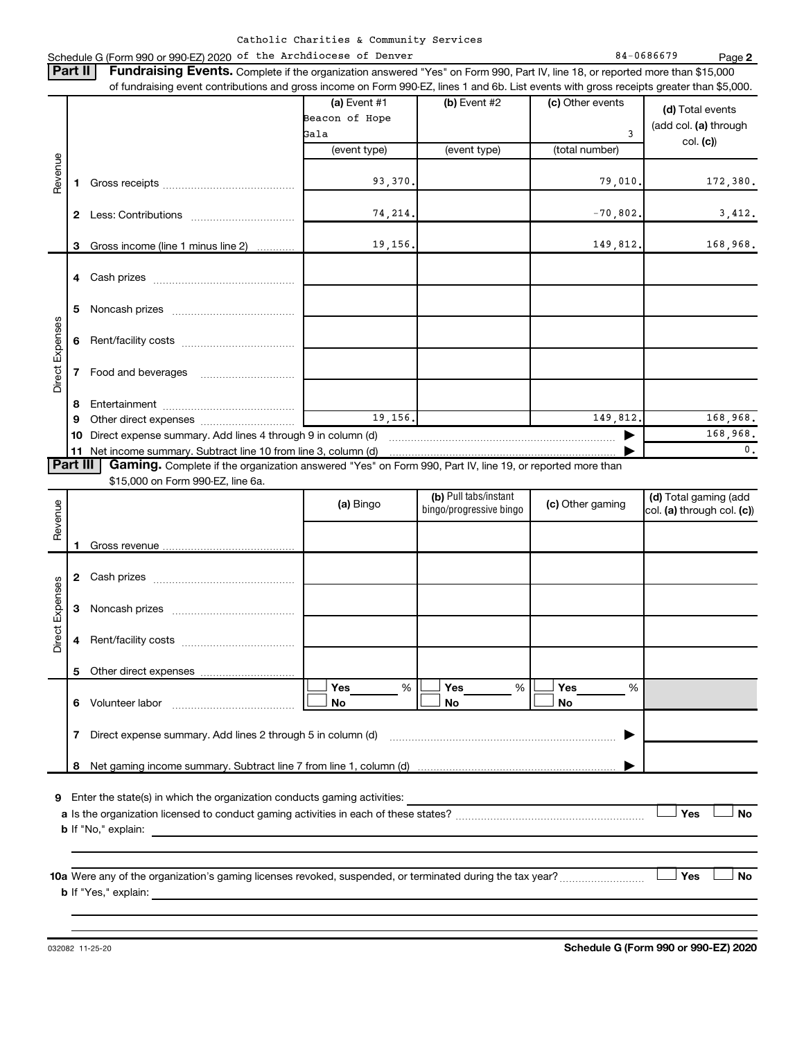|  | Catholic Charities & Community Services |  |  |  |
|--|-----------------------------------------|--|--|--|
|--|-----------------------------------------|--|--|--|

#### Schedule G (Form 990 or 990-EZ) 2020 of the Archdiocese of Denver 84 and the State 84-0686679 Page

**2**

|                            | Part II      | <b>Fundraising Events.</b> Complete if the organization answered "Yes" on Form 990, Part IV, line 18, or reported more than \$15,000      |                |                         |                  |                            |
|----------------------------|--------------|-------------------------------------------------------------------------------------------------------------------------------------------|----------------|-------------------------|------------------|----------------------------|
|                            |              | of fundraising event contributions and gross income on Form 990-EZ, lines 1 and 6b. List events with gross receipts greater than \$5,000. |                |                         |                  |                            |
|                            |              |                                                                                                                                           | (a) Event $#1$ | (b) Event #2            | (c) Other events | (d) Total events           |
|                            |              |                                                                                                                                           | Beacon of Hope |                         |                  | (add col. (a) through      |
|                            |              |                                                                                                                                           | Gala           |                         | 3                | col. (c)                   |
| Revenue<br>Direct Expenses |              |                                                                                                                                           | (event type)   | (event type)            | (total number)   |                            |
|                            |              |                                                                                                                                           |                |                         |                  |                            |
|                            | 1            |                                                                                                                                           | 93,370.        |                         | 79,010.          | 172,380.                   |
|                            |              |                                                                                                                                           |                |                         |                  |                            |
|                            | $\mathbf{2}$ |                                                                                                                                           | 74, 214.       |                         | $-70,802.$       | 3,412.                     |
|                            |              |                                                                                                                                           |                |                         |                  |                            |
|                            | 3            | Gross income (line 1 minus line 2)                                                                                                        | 19, 156.       |                         | 149,812.         | 168,968.                   |
|                            |              |                                                                                                                                           |                |                         |                  |                            |
|                            | 4            |                                                                                                                                           |                |                         |                  |                            |
|                            |              |                                                                                                                                           |                |                         |                  |                            |
|                            |              |                                                                                                                                           |                |                         |                  |                            |
|                            | 5            |                                                                                                                                           |                |                         |                  |                            |
|                            |              |                                                                                                                                           |                |                         |                  |                            |
|                            | 6            |                                                                                                                                           |                |                         |                  |                            |
|                            |              |                                                                                                                                           |                |                         |                  |                            |
|                            | 7            |                                                                                                                                           |                |                         |                  |                            |
|                            |              |                                                                                                                                           |                |                         |                  |                            |
|                            | 8            |                                                                                                                                           |                |                         |                  |                            |
|                            | 9            |                                                                                                                                           | 19, 156.       |                         | 149.812.         | 168,968.                   |
|                            | 10           | Direct expense summary. Add lines 4 through 9 in column (d)                                                                               | 168,968.       |                         |                  |                            |
|                            |              |                                                                                                                                           |                |                         |                  | $\mathbf{0}$ .             |
| Part III                   |              | Gaming. Complete if the organization answered "Yes" on Form 990, Part IV, line 19, or reported more than                                  |                |                         |                  |                            |
|                            |              | \$15,000 on Form 990-EZ, line 6a.                                                                                                         |                |                         |                  |                            |
|                            |              |                                                                                                                                           | (a) Bingo      | (b) Pull tabs/instant   | (c) Other gaming | (d) Total gaming (add      |
| Revenue                    |              |                                                                                                                                           |                | bingo/progressive bingo |                  | col. (a) through col. (c)) |
|                            |              |                                                                                                                                           |                |                         |                  |                            |
|                            |              |                                                                                                                                           |                |                         |                  |                            |
|                            |              |                                                                                                                                           |                |                         |                  |                            |
|                            |              |                                                                                                                                           |                |                         |                  |                            |
|                            |              |                                                                                                                                           |                |                         |                  |                            |
|                            | 3            |                                                                                                                                           |                |                         |                  |                            |
| Direct Expenses            |              |                                                                                                                                           |                |                         |                  |                            |
|                            |              |                                                                                                                                           |                |                         |                  |                            |
|                            |              |                                                                                                                                           |                |                         |                  |                            |
|                            |              |                                                                                                                                           |                |                         |                  |                            |
|                            | 5.           | Other direct expenses                                                                                                                     |                |                         |                  |                            |
|                            |              |                                                                                                                                           | Yes<br>%       | Yes<br>%                | Yes<br>%         |                            |
|                            | 6            | Volunteer labor                                                                                                                           | No             | No                      | No               |                            |
|                            |              |                                                                                                                                           |                |                         |                  |                            |
|                            | 7            | Direct expense summary. Add lines 2 through 5 in column (d)                                                                               |                |                         |                  |                            |
|                            |              |                                                                                                                                           |                |                         |                  |                            |
|                            | 8            |                                                                                                                                           |                |                         |                  |                            |
|                            |              |                                                                                                                                           |                |                         |                  |                            |
| 9                          |              | Enter the state(s) in which the organization conducts gaming activities:                                                                  |                |                         |                  |                            |
|                            |              |                                                                                                                                           |                |                         |                  | Yes<br><b>No</b>           |
|                            |              |                                                                                                                                           |                |                         |                  |                            |
|                            |              |                                                                                                                                           |                |                         |                  |                            |
|                            |              |                                                                                                                                           |                |                         |                  |                            |
|                            |              |                                                                                                                                           |                |                         |                  |                            |
|                            |              |                                                                                                                                           |                |                         |                  | Yes<br>No                  |
|                            |              |                                                                                                                                           |                |                         |                  |                            |
|                            |              | <b>b</b> If "Yes," explain:                                                                                                               |                |                         |                  |                            |

**Schedule G (Form 990 or 990-EZ) 2020**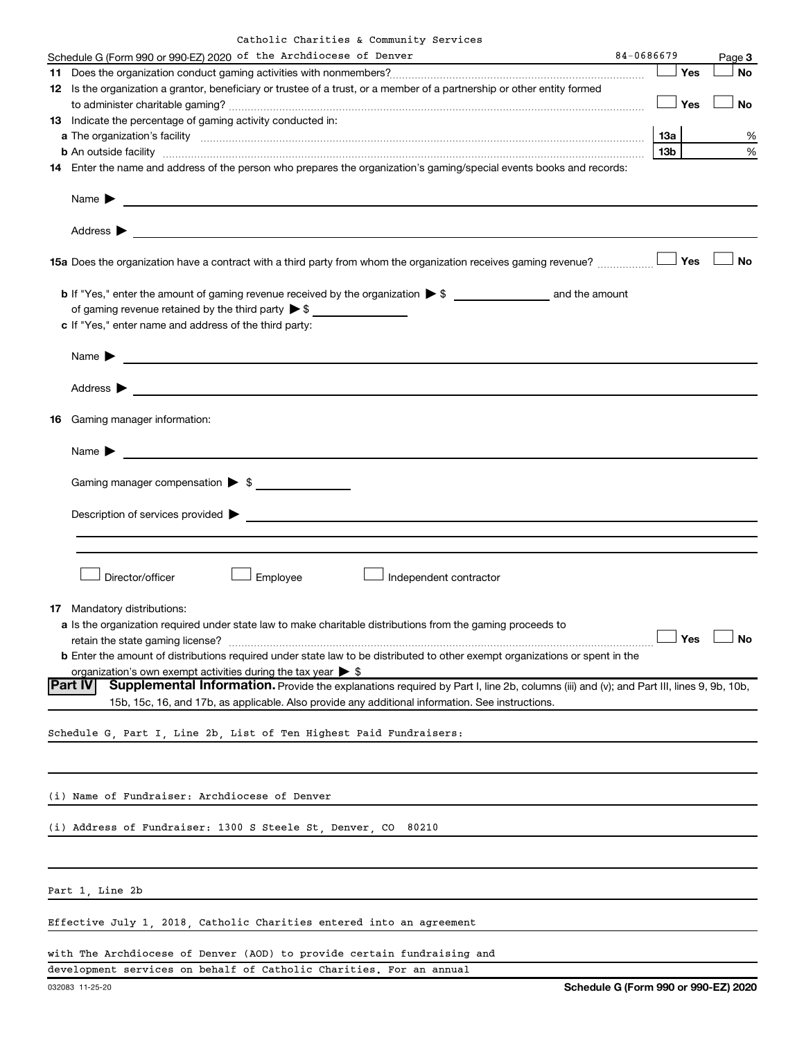|  | Catholic Charities & Community Services |  |  |  |
|--|-----------------------------------------|--|--|--|
|--|-----------------------------------------|--|--|--|

| Schedule G (Form 990 or 990-EZ) 2020 of the Archdiocese of Denver                                                                                                                                                                                      | 84-0686679      |     | Page 3    |
|--------------------------------------------------------------------------------------------------------------------------------------------------------------------------------------------------------------------------------------------------------|-----------------|-----|-----------|
|                                                                                                                                                                                                                                                        |                 | Yes | <b>No</b> |
| 12 Is the organization a grantor, beneficiary or trustee of a trust, or a member of a partnership or other entity formed                                                                                                                               |                 |     |           |
|                                                                                                                                                                                                                                                        |                 | Yes | No        |
| 13 Indicate the percentage of gaming activity conducted in:                                                                                                                                                                                            |                 |     |           |
|                                                                                                                                                                                                                                                        | 13a             |     | %         |
| b An outside facility www.communication.com/www.communication.com/www.communication.com/www.com/www.com/                                                                                                                                               | 13 <sub>b</sub> |     | %         |
| 14 Enter the name and address of the person who prepares the organization's gaming/special events books and records:                                                                                                                                   |                 |     |           |
| Name $\blacktriangleright$<br><u> 1999 - Johann John Stone, markin film fan de ferske fan de ferske fan de ferske fan de ferske fan de ferske</u>                                                                                                      |                 |     |           |
| Address $\blacktriangleright$<br><u> 1989 - Johann Barn, fransk politik (d. 1989)</u>                                                                                                                                                                  |                 |     |           |
| 15a Does the organization have a contract with a third party from whom the organization receives gaming revenue?                                                                                                                                       |                 | Yes | No        |
| of gaming revenue retained by the third party $\triangleright$ \$ $\_\_\_\_\_\_\_\_\_\_\_\_\_\_\_\_\_\_\_\_\_\_$                                                                                                                                       |                 |     |           |
| c If "Yes," enter name and address of the third party:                                                                                                                                                                                                 |                 |     |           |
| Name $\blacktriangleright$                                                                                                                                                                                                                             |                 |     |           |
| Address $\blacktriangleright$                                                                                                                                                                                                                          |                 |     |           |
| <b>16</b> Gaming manager information:                                                                                                                                                                                                                  |                 |     |           |
| Name $\blacktriangleright$                                                                                                                                                                                                                             |                 |     |           |
| Gaming manager compensation > \$                                                                                                                                                                                                                       |                 |     |           |
|                                                                                                                                                                                                                                                        |                 |     |           |
| Description of services provided >                                                                                                                                                                                                                     |                 |     |           |
|                                                                                                                                                                                                                                                        |                 |     |           |
|                                                                                                                                                                                                                                                        |                 |     |           |
| Director/officer<br>Employee<br>Independent contractor                                                                                                                                                                                                 |                 |     |           |
| 17 Mandatory distributions:                                                                                                                                                                                                                            |                 |     |           |
| a Is the organization required under state law to make charitable distributions from the gaming proceeds to                                                                                                                                            |                 |     |           |
|                                                                                                                                                                                                                                                        |                 |     |           |
| <b>b</b> Enter the amount of distributions required under state law to be distributed to other exempt organizations or spent in the                                                                                                                    |                 |     |           |
| organization's own exempt activities during the tax year $\triangleright$ \$                                                                                                                                                                           |                 |     |           |
| Part IV <br>Supplemental Information. Provide the explanations required by Part I, line 2b, columns (iii) and (v); and Part III, lines 9, 9b, 10b,<br>15b, 15c, 16, and 17b, as applicable. Also provide any additional information. See instructions. |                 |     |           |
| Schedule G, Part I, Line 2b, List of Ten Highest Paid Fundraisers:                                                                                                                                                                                     |                 |     |           |
|                                                                                                                                                                                                                                                        |                 |     |           |
| (i) Name of Fundraiser: Archdiocese of Denver                                                                                                                                                                                                          |                 |     |           |
|                                                                                                                                                                                                                                                        |                 |     |           |
| (i) Address of Fundraiser: 1300 S Steele St, Denver, CO 80210                                                                                                                                                                                          |                 |     |           |
|                                                                                                                                                                                                                                                        |                 |     |           |
| Part 1, Line 2b                                                                                                                                                                                                                                        |                 |     |           |
| Effective July 1, 2018, Catholic Charities entered into an agreement                                                                                                                                                                                   |                 |     |           |
|                                                                                                                                                                                                                                                        |                 |     |           |

with The Archdiocese of Denver (AOD) to provide certain fundraising and development services on behalf of Catholic Charities. For an annual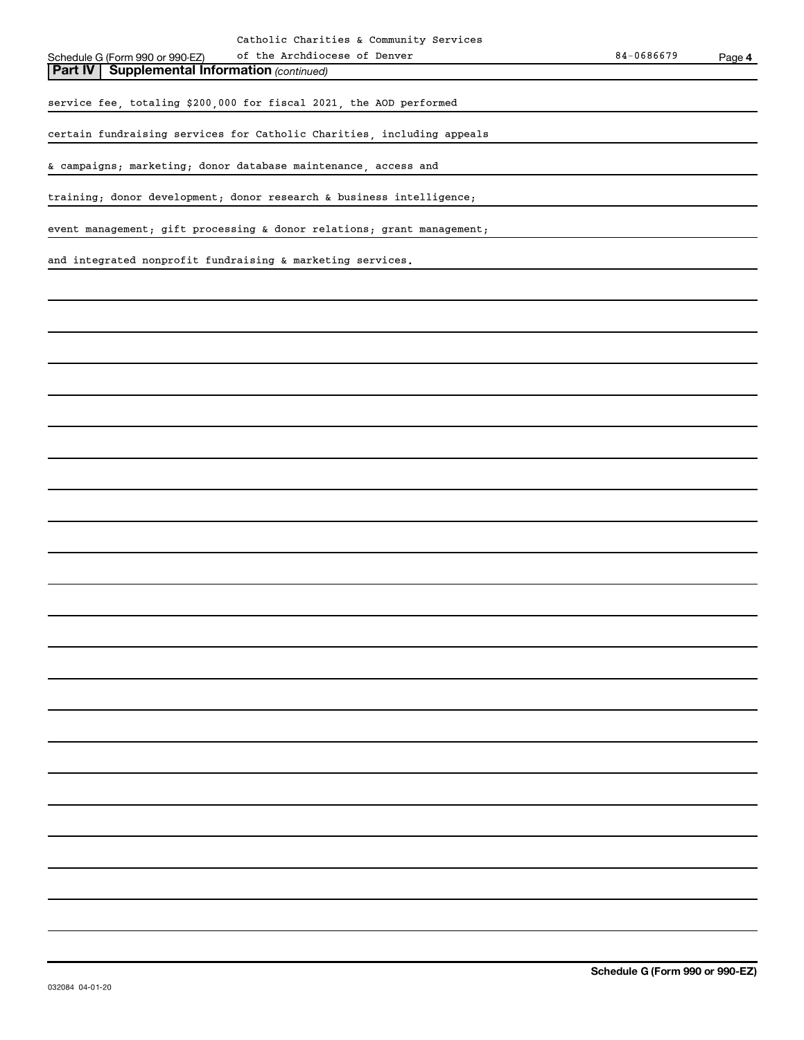of the Archdiocese of Denver

**Part IV** | Supplemental Information (continued)

service fee, totaling \$200,000 for fiscal 2021, the AOD performed

certain fundraising services for Catholic Charities, including appeals

& campaigns; marketing; donor database maintenance, access and

training; donor development; donor research & business intelligence;

event management; gift processing & donor relations; grant management;

and integrated nonprofit fundraising & marketing services.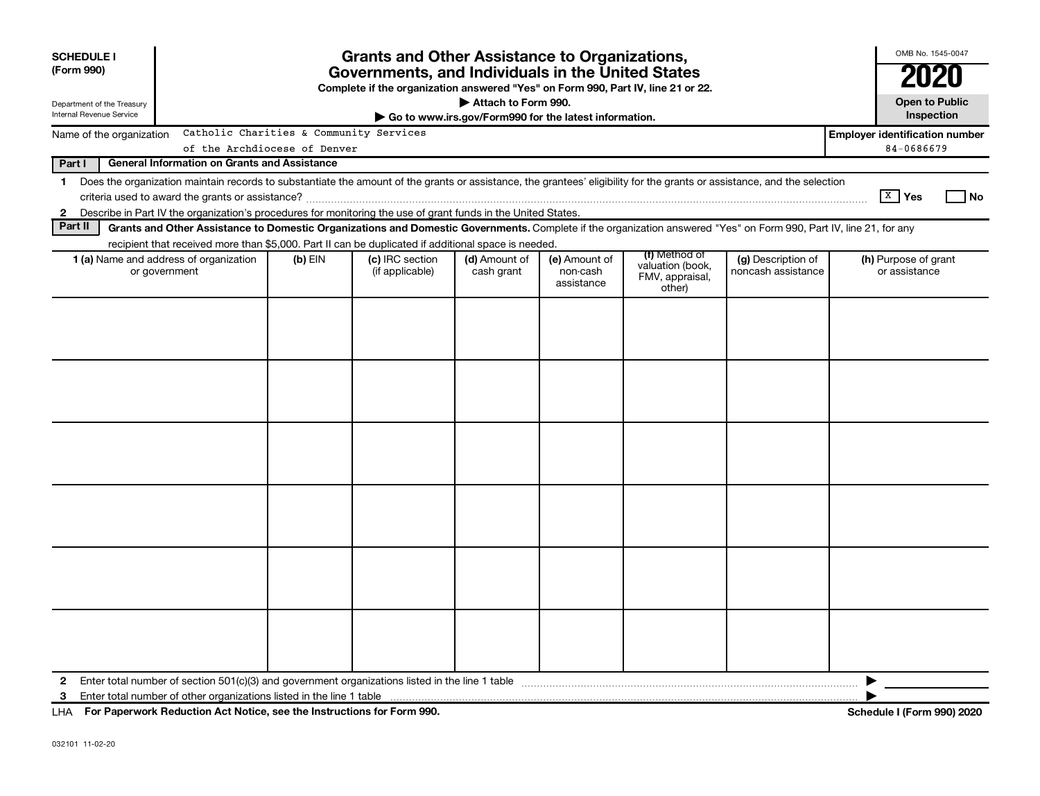| <b>SCHEDULE I</b><br>(Form 990)                        | <b>Grants and Other Assistance to Organizations,</b><br>Governments, and Individuals in the United States<br>Complete if the organization answered "Yes" on Form 990, Part IV, line 21 or 22.                                                                             |                              |                                    |                                                                              |                                         |                                                                |                                          |                                       |
|--------------------------------------------------------|---------------------------------------------------------------------------------------------------------------------------------------------------------------------------------------------------------------------------------------------------------------------------|------------------------------|------------------------------------|------------------------------------------------------------------------------|-----------------------------------------|----------------------------------------------------------------|------------------------------------------|---------------------------------------|
| Department of the Treasury<br>Internal Revenue Service |                                                                                                                                                                                                                                                                           |                              |                                    | Attach to Form 990.<br>Go to www.irs.gov/Form990 for the latest information. |                                         |                                                                |                                          | <b>Open to Public</b><br>Inspection   |
| Name of the organization                               | Catholic Charities & Community Services                                                                                                                                                                                                                                   |                              |                                    |                                                                              |                                         |                                                                |                                          | <b>Employer identification number</b> |
|                                                        |                                                                                                                                                                                                                                                                           | of the Archdiocese of Denver |                                    |                                                                              |                                         |                                                                |                                          | 84-0686679                            |
| Part I                                                 | <b>General Information on Grants and Assistance</b>                                                                                                                                                                                                                       |                              |                                    |                                                                              |                                         |                                                                |                                          |                                       |
| $\mathbf 1$                                            | Does the organization maintain records to substantiate the amount of the grants or assistance, the grantees' eligibility for the grants or assistance, and the selection                                                                                                  |                              |                                    |                                                                              |                                         |                                                                |                                          |                                       |
|                                                        |                                                                                                                                                                                                                                                                           |                              |                                    |                                                                              |                                         |                                                                |                                          | $X$ Yes<br>l No                       |
| $\mathbf{2}$<br>Part II                                | Describe in Part IV the organization's procedures for monitoring the use of grant funds in the United States.                                                                                                                                                             |                              |                                    |                                                                              |                                         |                                                                |                                          |                                       |
|                                                        | Grants and Other Assistance to Domestic Organizations and Domestic Governments. Complete if the organization answered "Yes" on Form 990, Part IV, line 21, for any<br>recipient that received more than \$5,000. Part II can be duplicated if additional space is needed. |                              |                                    |                                                                              |                                         |                                                                |                                          |                                       |
|                                                        | <b>1 (a)</b> Name and address of organization<br>or government                                                                                                                                                                                                            | $(b)$ EIN                    | (c) IRC section<br>(if applicable) | (d) Amount of<br>cash grant                                                  | (e) Amount of<br>non-cash<br>assistance | (f) Method of<br>valuation (book,<br>FMV, appraisal,<br>other) | (g) Description of<br>noncash assistance | (h) Purpose of grant<br>or assistance |
|                                                        |                                                                                                                                                                                                                                                                           |                              |                                    |                                                                              |                                         |                                                                |                                          |                                       |
|                                                        |                                                                                                                                                                                                                                                                           |                              |                                    |                                                                              |                                         |                                                                |                                          |                                       |
|                                                        |                                                                                                                                                                                                                                                                           |                              |                                    |                                                                              |                                         |                                                                |                                          |                                       |
|                                                        |                                                                                                                                                                                                                                                                           |                              |                                    |                                                                              |                                         |                                                                |                                          |                                       |
| 2                                                      | Enter total number of section $501(c)(3)$ and government organizations listed in the line 1 table                                                                                                                                                                         |                              |                                    |                                                                              |                                         |                                                                |                                          |                                       |
| 3                                                      |                                                                                                                                                                                                                                                                           |                              |                                    |                                                                              |                                         |                                                                |                                          |                                       |
|                                                        | LHA For Paperwork Reduction Act Notice, see the Instructions for Form 990.                                                                                                                                                                                                |                              |                                    |                                                                              |                                         |                                                                |                                          | <b>Schedule I (Form 990) 2020</b>     |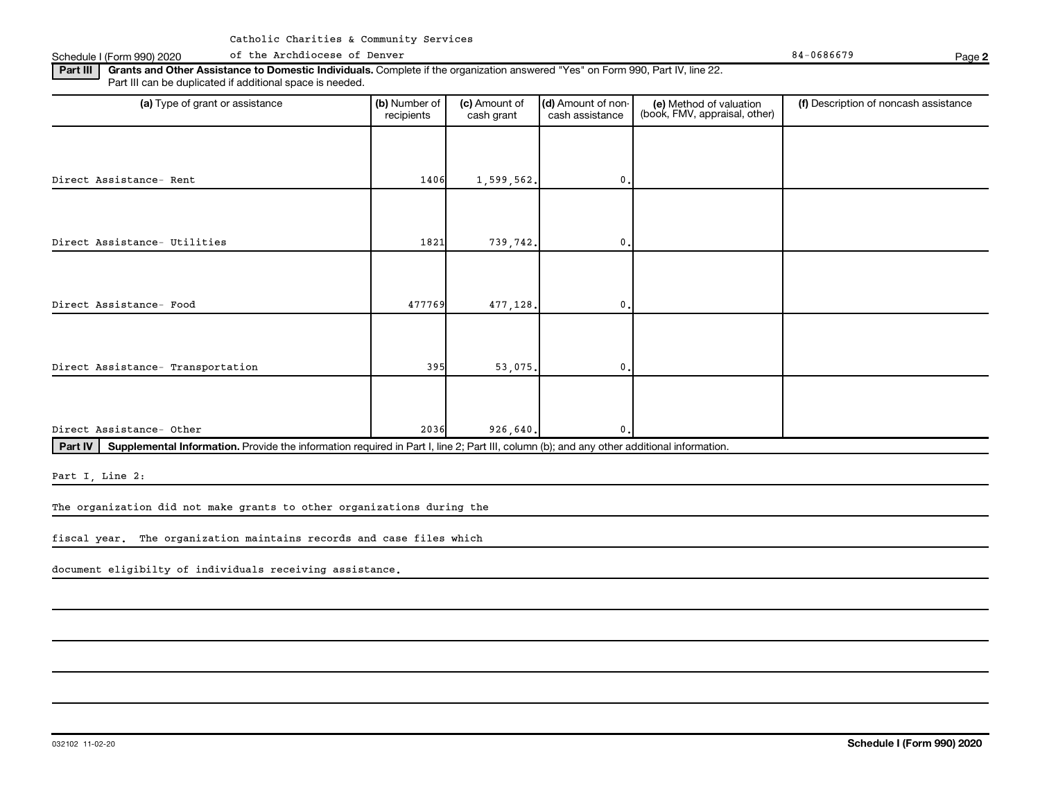Schedule I (Form 990) 2020 of the Archdiocese of Denver Research of the Archdiocese of Denver 84-0686679 Page

**2**

Part III | Grants and Other Assistance to Domestic Individuals. Complete if the organization answered "Yes" on Form 990, Part IV, line 22. Part III can be duplicated if additional space is needed.

| (a) Type of grant or assistance                                                                                                                      | (b) Number of<br>recipients | (c) Amount of<br>cash grant | (d) Amount of non-<br>cash assistance | (e) Method of valuation<br>(book, FMV, appraisal, other) | (f) Description of noncash assistance |
|------------------------------------------------------------------------------------------------------------------------------------------------------|-----------------------------|-----------------------------|---------------------------------------|----------------------------------------------------------|---------------------------------------|
|                                                                                                                                                      |                             |                             |                                       |                                                          |                                       |
| Direct Assistance- Rent                                                                                                                              | 1406                        | 1,599,562.                  | $\mathbf{0}$ .                        |                                                          |                                       |
|                                                                                                                                                      |                             |                             |                                       |                                                          |                                       |
| Direct Assistance- Utilities                                                                                                                         | 1821                        | 739,742.                    | 0.                                    |                                                          |                                       |
|                                                                                                                                                      |                             |                             |                                       |                                                          |                                       |
| Direct Assistance- Food                                                                                                                              | 477769                      | 477,128.                    | 0.                                    |                                                          |                                       |
|                                                                                                                                                      |                             |                             |                                       |                                                          |                                       |
| Direct Assistance- Transportation                                                                                                                    | 395                         | 53,075.                     | 0.                                    |                                                          |                                       |
|                                                                                                                                                      |                             |                             |                                       |                                                          |                                       |
| Direct Assistance- Other                                                                                                                             | 2036                        | 926,640.                    | $\mathbf{0}$ .                        |                                                          |                                       |
| Supplemental Information. Provide the information required in Part I, line 2; Part III, column (b); and any other additional information.<br>Part IV |                             |                             |                                       |                                                          |                                       |

Part I, Line 2:

The organization did not make grants to other organizations during the

fiscal year. The organization maintains records and case files which

document eligibilty of individuals receiving assistance.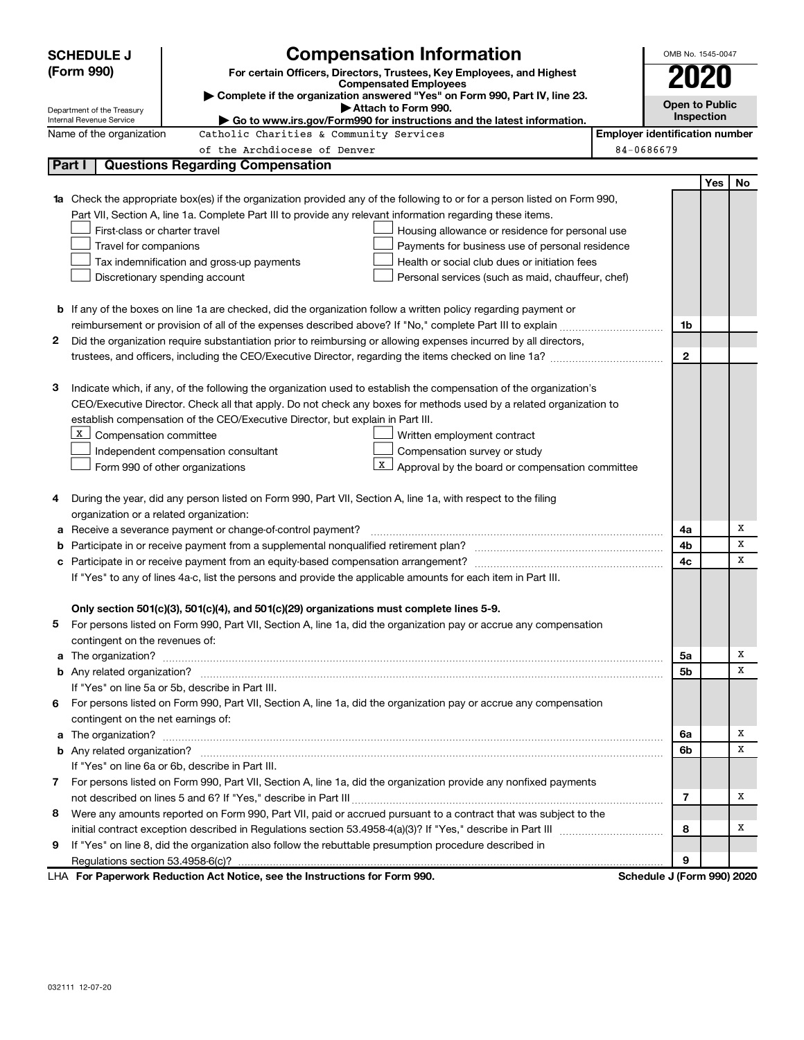|    | <b>Compensation Information</b><br><b>SCHEDULE J</b>                                                                                                                                                                                     | OMB No. 1545-0047                     |  |  |  |  |  |  |
|----|------------------------------------------------------------------------------------------------------------------------------------------------------------------------------------------------------------------------------------------|---------------------------------------|--|--|--|--|--|--|
|    | (Form 990)<br>For certain Officers, Directors, Trustees, Key Employees, and Highest                                                                                                                                                      |                                       |  |  |  |  |  |  |
|    | <b>Compensated Employees</b><br>Complete if the organization answered "Yes" on Form 990, Part IV, line 23.                                                                                                                               |                                       |  |  |  |  |  |  |
|    | <b>Open to Public</b><br>Attach to Form 990.<br>Department of the Treasury                                                                                                                                                               |                                       |  |  |  |  |  |  |
|    | Go to www.irs.gov/Form990 for instructions and the latest information.<br>Internal Revenue Service                                                                                                                                       | Inspection                            |  |  |  |  |  |  |
|    | Name of the organization<br>Catholic Charities & Community Services                                                                                                                                                                      | <b>Employer identification number</b> |  |  |  |  |  |  |
|    | of the Archdiocese of Denver                                                                                                                                                                                                             | 84-0686679                            |  |  |  |  |  |  |
|    | Part I<br><b>Questions Regarding Compensation</b>                                                                                                                                                                                        |                                       |  |  |  |  |  |  |
|    |                                                                                                                                                                                                                                          | Yes<br>No                             |  |  |  |  |  |  |
|    | <b>1a</b> Check the appropriate box(es) if the organization provided any of the following to or for a person listed on Form 990,                                                                                                         |                                       |  |  |  |  |  |  |
|    | Part VII, Section A, line 1a. Complete Part III to provide any relevant information regarding these items.                                                                                                                               |                                       |  |  |  |  |  |  |
|    | First-class or charter travel<br>Housing allowance or residence for personal use                                                                                                                                                         |                                       |  |  |  |  |  |  |
|    | Travel for companions<br>Payments for business use of personal residence                                                                                                                                                                 |                                       |  |  |  |  |  |  |
|    | Health or social club dues or initiation fees<br>Tax indemnification and gross-up payments                                                                                                                                               |                                       |  |  |  |  |  |  |
|    | Discretionary spending account<br>Personal services (such as maid, chauffeur, chef)                                                                                                                                                      |                                       |  |  |  |  |  |  |
|    |                                                                                                                                                                                                                                          |                                       |  |  |  |  |  |  |
|    | <b>b</b> If any of the boxes on line 1a are checked, did the organization follow a written policy regarding payment or                                                                                                                   |                                       |  |  |  |  |  |  |
|    |                                                                                                                                                                                                                                          | 1b                                    |  |  |  |  |  |  |
| 2  | Did the organization require substantiation prior to reimbursing or allowing expenses incurred by all directors,                                                                                                                         | $\mathbf{2}$                          |  |  |  |  |  |  |
|    |                                                                                                                                                                                                                                          |                                       |  |  |  |  |  |  |
|    |                                                                                                                                                                                                                                          |                                       |  |  |  |  |  |  |
| з  | Indicate which, if any, of the following the organization used to establish the compensation of the organization's<br>CEO/Executive Director. Check all that apply. Do not check any boxes for methods used by a related organization to |                                       |  |  |  |  |  |  |
|    | establish compensation of the CEO/Executive Director, but explain in Part III.                                                                                                                                                           |                                       |  |  |  |  |  |  |
|    | х                                                                                                                                                                                                                                        |                                       |  |  |  |  |  |  |
|    | Compensation committee<br>Written employment contract                                                                                                                                                                                    |                                       |  |  |  |  |  |  |
|    | Compensation survey or study<br>Independent compensation consultant<br>X                                                                                                                                                                 |                                       |  |  |  |  |  |  |
|    | Approval by the board or compensation committee<br>Form 990 of other organizations                                                                                                                                                       |                                       |  |  |  |  |  |  |
| 4  | During the year, did any person listed on Form 990, Part VII, Section A, line 1a, with respect to the filing                                                                                                                             |                                       |  |  |  |  |  |  |
|    | organization or a related organization:                                                                                                                                                                                                  |                                       |  |  |  |  |  |  |
| а  | Receive a severance payment or change-of-control payment?                                                                                                                                                                                | х<br>4a                               |  |  |  |  |  |  |
| b  |                                                                                                                                                                                                                                          | Х<br>4b                               |  |  |  |  |  |  |
| с  |                                                                                                                                                                                                                                          | x<br>4c                               |  |  |  |  |  |  |
|    | If "Yes" to any of lines 4a-c, list the persons and provide the applicable amounts for each item in Part III.                                                                                                                            |                                       |  |  |  |  |  |  |
|    |                                                                                                                                                                                                                                          |                                       |  |  |  |  |  |  |
|    | Only section 501(c)(3), 501(c)(4), and 501(c)(29) organizations must complete lines 5-9.                                                                                                                                                 |                                       |  |  |  |  |  |  |
|    | For persons listed on Form 990, Part VII, Section A, line 1a, did the organization pay or accrue any compensation                                                                                                                        |                                       |  |  |  |  |  |  |
|    | contingent on the revenues of:                                                                                                                                                                                                           |                                       |  |  |  |  |  |  |
| a  |                                                                                                                                                                                                                                          | Х<br>5a                               |  |  |  |  |  |  |
|    |                                                                                                                                                                                                                                          | х<br>5b                               |  |  |  |  |  |  |
|    | If "Yes" on line 5a or 5b, describe in Part III.                                                                                                                                                                                         |                                       |  |  |  |  |  |  |
| 6. | For persons listed on Form 990, Part VII, Section A, line 1a, did the organization pay or accrue any compensation                                                                                                                        |                                       |  |  |  |  |  |  |
|    | contingent on the net earnings of:                                                                                                                                                                                                       |                                       |  |  |  |  |  |  |
| a  |                                                                                                                                                                                                                                          | х<br>6a                               |  |  |  |  |  |  |
|    |                                                                                                                                                                                                                                          | X<br>6b                               |  |  |  |  |  |  |
|    | If "Yes" on line 6a or 6b, describe in Part III.                                                                                                                                                                                         |                                       |  |  |  |  |  |  |
|    | 7 For persons listed on Form 990, Part VII, Section A, line 1a, did the organization provide any nonfixed payments                                                                                                                       |                                       |  |  |  |  |  |  |
|    |                                                                                                                                                                                                                                          | х<br>7                                |  |  |  |  |  |  |
| 8  | Were any amounts reported on Form 990, Part VII, paid or accrued pursuant to a contract that was subject to the                                                                                                                          |                                       |  |  |  |  |  |  |
|    |                                                                                                                                                                                                                                          | х<br>8                                |  |  |  |  |  |  |
| 9  | If "Yes" on line 8, did the organization also follow the rebuttable presumption procedure described in                                                                                                                                   |                                       |  |  |  |  |  |  |
|    |                                                                                                                                                                                                                                          | 9                                     |  |  |  |  |  |  |
|    |                                                                                                                                                                                                                                          |                                       |  |  |  |  |  |  |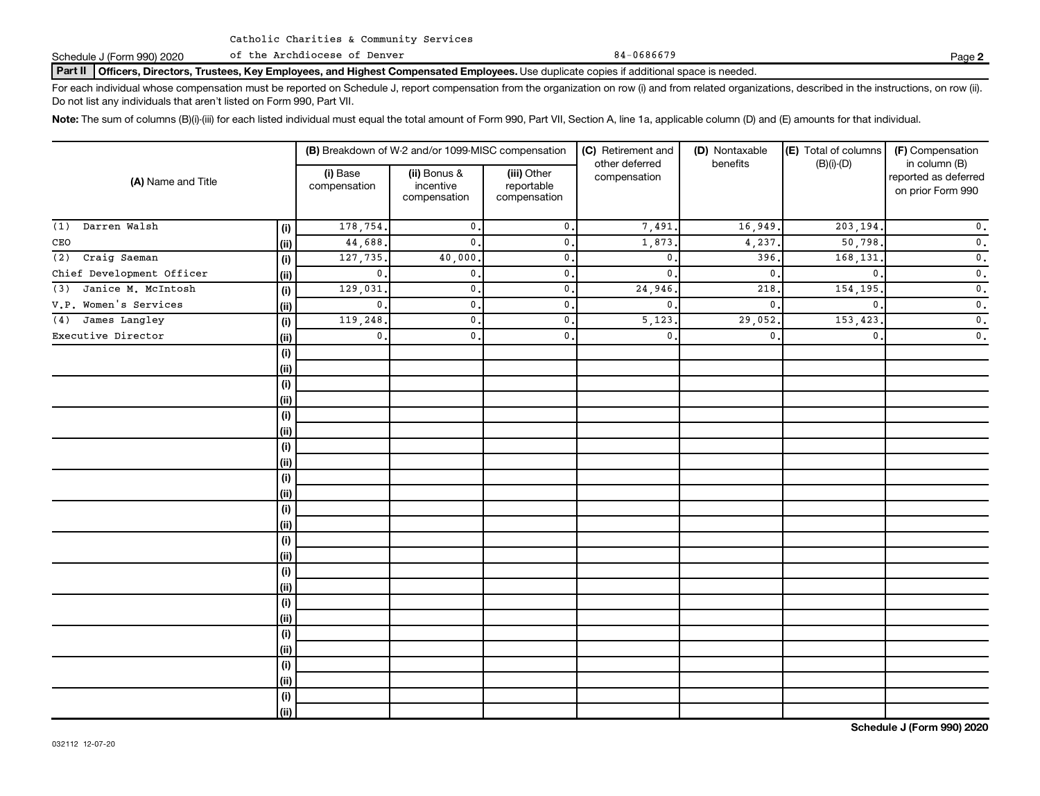Schedule J (Form 990) 2020 of the Archdiocese of Denver 84-0686679 84-0686679

Part II | Officers, Directors, Trustees, Key Employees, and Highest Compensated Employees. Use duplicate copies if additional space is needed.

For each individual whose compensation must be reported on Schedule J, report compensation from the organization on row (i) and from related organizations, described in the instructions, on row (ii). Do not list any individuals that aren't listed on Form 990, Part VII.

Note: The sum of columns (B)(i)-(iii) for each listed individual must equal the total amount of Form 990, Part VII, Section A, line 1a, applicable column (D) and (E) amounts for that individual.

|                           |      |                          | (B) Breakdown of W-2 and/or 1099-MISC compensation |                                           | (C) Retirement and             | (D) Nontaxable | (E) Total of columns | (F) Compensation                                           |  |  |
|---------------------------|------|--------------------------|----------------------------------------------------|-------------------------------------------|--------------------------------|----------------|----------------------|------------------------------------------------------------|--|--|
| (A) Name and Title        |      | (i) Base<br>compensation | (ii) Bonus &<br>incentive<br>compensation          | (iii) Other<br>reportable<br>compensation | other deferred<br>compensation | benefits       | $(B)(i)$ - $(D)$     | in column (B)<br>reported as deferred<br>on prior Form 990 |  |  |
| Darren Walsh<br>(1)       | (i)  | 178,754.                 | $\mathbf{0}$ .                                     | $\mathbf{0}$ .                            | 7,491                          | 16,949.        | 203,194              | $\mathbf 0$ .                                              |  |  |
| CEO                       | (ii) | 44,688.                  | $\mathbf{0}$ .                                     | $\mathbf{0}$ .                            | 1,873                          | 4,237.         | 50,798               | $\mathsf{0}$ .                                             |  |  |
| Craig Saeman<br>(2)       | (i)  | 127,735.                 | 40,000                                             | $\mathbf{0}$ .                            | $\mathbf{0}$                   | 396.           | 168,131              | $\mathsf{0}$ .                                             |  |  |
| Chief Development Officer | (ii) | $\mathbf 0$ .            | $\mathbf 0$ .                                      | $\mathbf{0}$ .                            | $\mathbf 0$                    | $\mathbf 0$    | $\Omega$             | $\mathsf{0}$ .                                             |  |  |
| Janice M. McIntosh<br>(3) | (i)  | 129,031                  | $\mathbf 0$ .                                      | $\mathbf 0$ .                             | 24,946                         | 218,           | 154,195              | $\mathbf 0$ .                                              |  |  |
| V.P. Women's Services     | (ii) | $\mathbf 0$ .            | $\mathbf 0$ .                                      | $\mathbf 0$ .                             | $\mathbf 0$                    | $\mathbf{0}$ . | $\mathbf{0}$         | $\mathbf 0$ .                                              |  |  |
| James Langley<br>(4)      | (i)  | 119,248                  | $\mathbf 0$ .                                      | $\mathbf 0$ .                             | 5,123                          | 29,052.        | 153,423              | $\mathbf 0$ .                                              |  |  |
| Executive Director        | (ii) | $\mathbf{0}$ .           | $\mathbf{0}$ .                                     | $\mathbf{0}$ .                            | $\mathbf{0}$ .                 | $\mathbf{0}$ . | $\mathbf{0}$ .       | $\mathbf 0$ .                                              |  |  |
|                           | (i)  |                          |                                                    |                                           |                                |                |                      |                                                            |  |  |
|                           | (ii) |                          |                                                    |                                           |                                |                |                      |                                                            |  |  |
|                           | (i)  |                          |                                                    |                                           |                                |                |                      |                                                            |  |  |
|                           | (ii) |                          |                                                    |                                           |                                |                |                      |                                                            |  |  |
|                           | (i)  |                          |                                                    |                                           |                                |                |                      |                                                            |  |  |
|                           | (ii) |                          |                                                    |                                           |                                |                |                      |                                                            |  |  |
|                           | (i)  |                          |                                                    |                                           |                                |                |                      |                                                            |  |  |
|                           | (ii) |                          |                                                    |                                           |                                |                |                      |                                                            |  |  |
|                           | (i)  |                          |                                                    |                                           |                                |                |                      |                                                            |  |  |
|                           | (ii) |                          |                                                    |                                           |                                |                |                      |                                                            |  |  |
|                           | (i)  |                          |                                                    |                                           |                                |                |                      |                                                            |  |  |
|                           | (ii) |                          |                                                    |                                           |                                |                |                      |                                                            |  |  |
|                           | (i)  |                          |                                                    |                                           |                                |                |                      |                                                            |  |  |
|                           | (ii) |                          |                                                    |                                           |                                |                |                      |                                                            |  |  |
|                           | (i)  |                          |                                                    |                                           |                                |                |                      |                                                            |  |  |
|                           | (ii) |                          |                                                    |                                           |                                |                |                      |                                                            |  |  |
|                           | (i)  |                          |                                                    |                                           |                                |                |                      |                                                            |  |  |
|                           | (ii) |                          |                                                    |                                           |                                |                |                      |                                                            |  |  |
|                           | (i)  |                          |                                                    |                                           |                                |                |                      |                                                            |  |  |
|                           | (ii) |                          |                                                    |                                           |                                |                |                      |                                                            |  |  |
|                           | (i)  |                          |                                                    |                                           |                                |                |                      |                                                            |  |  |
|                           | (ii) |                          |                                                    |                                           |                                |                |                      |                                                            |  |  |
|                           | (i)  |                          |                                                    |                                           |                                |                |                      |                                                            |  |  |
|                           | (ii) |                          |                                                    |                                           |                                |                |                      |                                                            |  |  |

**2**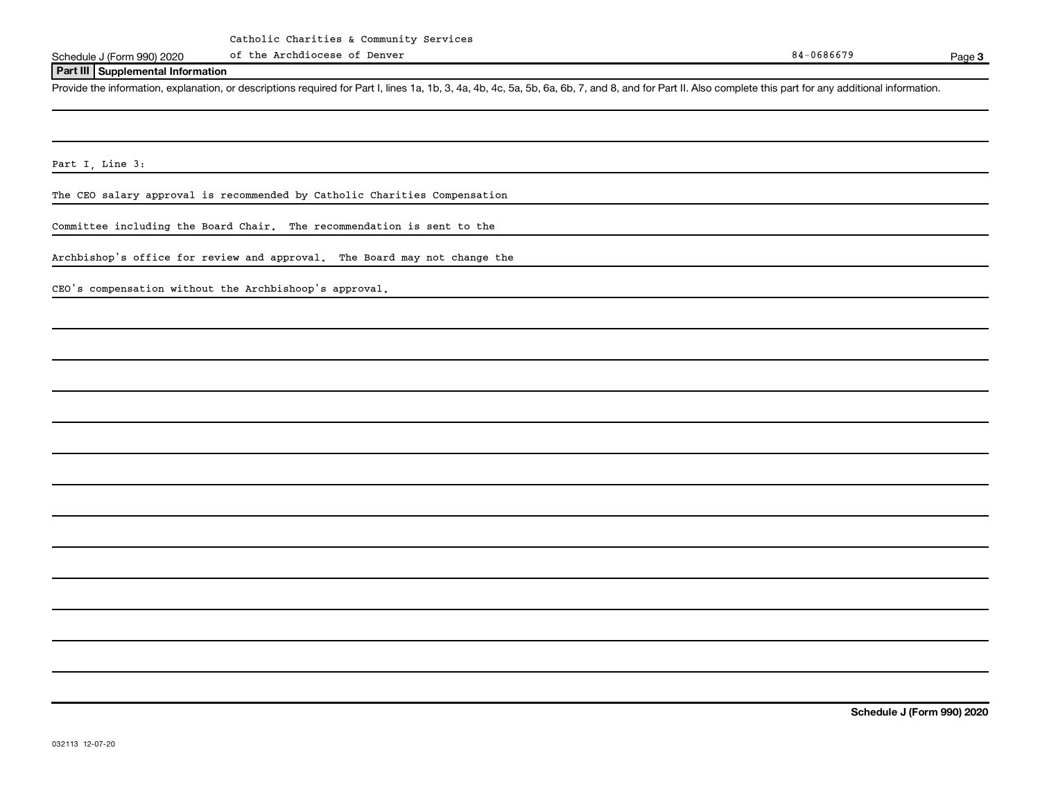Schedule J (Form 990) 2020 of the Archdiocese of Denver Research 2014 and 2015 and 2016 84-0686679 Page

Page 3

#### **Part III Supplemental Information**

Provide the information, explanation, or descriptions required for Part I, lines 1a, 1b, 3, 4a, 4b, 4c, 5a, 5b, 6a, 6b, 7, and 8, and for Part II. Also complete this part for any additional information.

Part I, Line 3:

The CEO salary approval is recommended by Catholic Charities Compensation

Committee including the Board Chair. The recommendation is sent to the

Archbishop's office for review and approval. The Board may not change the

CEO's compensation without the Archbishoop's approval.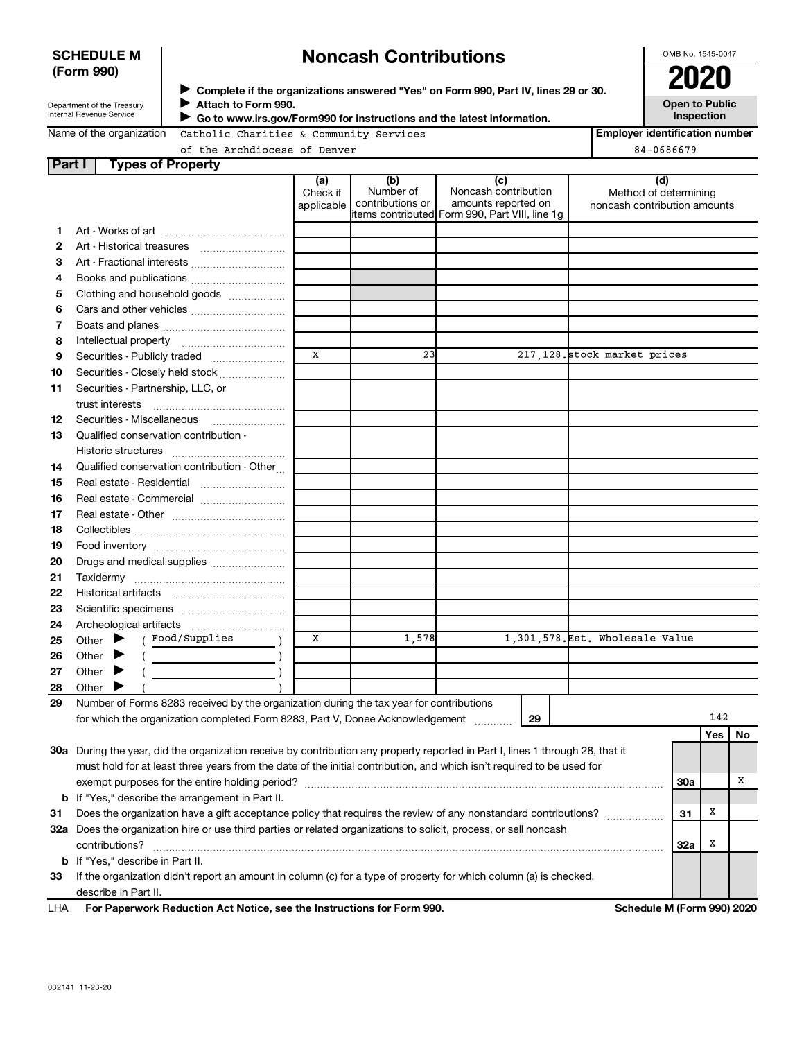### **SCHEDULE M (Form 990)**

# **Noncash Contributions**

OMB No. 1545-0047

| Department of the Treasury      |
|---------------------------------|
| <b>Internal Revenue Service</b> |

**Complete if the organizations answered "Yes" on Form 990, Part IV, lines 29 or 30. Attach to Form 990. Go to www.irs.gov/Form990 for instructions and the latest information.** J →<br>**→** Complete if the organizations answered "Yes" on Form 990, Part IV, lines 29 or 30.<br>● Complete if the organizations answered "Yes" on Form 990, Part IV, lines 29 or 30.  $\blacktriangleright$ 

**Open to Public Inspection**

|  | Name of the organization |  |
|--|--------------------------|--|
|  |                          |  |

Catholic Charities & Community Services

**Employer identification number**  $\overline{\text{B4}-0686679}$ 

| of the Archdiocese of De |  |
|--------------------------|--|
|--------------------------|--|

| Part I | <b>Types of Property</b>                                                                                                       |                               |                                      |                                                    |    |                                                              |            |     |    |
|--------|--------------------------------------------------------------------------------------------------------------------------------|-------------------------------|--------------------------------------|----------------------------------------------------|----|--------------------------------------------------------------|------------|-----|----|
|        |                                                                                                                                | (a)<br>Check if<br>applicable | (b)<br>Number of<br>contributions or | (c)<br>Noncash contribution<br>amounts reported on |    | (d)<br>Method of determining<br>noncash contribution amounts |            |     |    |
|        |                                                                                                                                |                               |                                      | items contributed Form 990, Part VIII, line 1g     |    |                                                              |            |     |    |
| 1.     |                                                                                                                                |                               |                                      |                                                    |    |                                                              |            |     |    |
| 2      |                                                                                                                                |                               |                                      |                                                    |    |                                                              |            |     |    |
| З      | Art - Fractional interests                                                                                                     |                               |                                      |                                                    |    |                                                              |            |     |    |
| 4      | Books and publications                                                                                                         |                               |                                      |                                                    |    |                                                              |            |     |    |
| 5      | Clothing and household goods                                                                                                   |                               |                                      |                                                    |    |                                                              |            |     |    |
| 6      | Cars and other vehicles                                                                                                        |                               |                                      |                                                    |    |                                                              |            |     |    |
| 7      |                                                                                                                                |                               |                                      |                                                    |    |                                                              |            |     |    |
| 8      |                                                                                                                                |                               |                                      |                                                    |    |                                                              |            |     |    |
| 9      | Securities - Publicly traded                                                                                                   | X                             | 23                                   |                                                    |    | 217,128. stock market prices                                 |            |     |    |
| 10     | Securities - Closely held stock                                                                                                |                               |                                      |                                                    |    |                                                              |            |     |    |
| 11     | Securities - Partnership, LLC, or                                                                                              |                               |                                      |                                                    |    |                                                              |            |     |    |
|        | trust interests                                                                                                                |                               |                                      |                                                    |    |                                                              |            |     |    |
| 12     | Securities - Miscellaneous                                                                                                     |                               |                                      |                                                    |    |                                                              |            |     |    |
| 13     | Qualified conservation contribution -                                                                                          |                               |                                      |                                                    |    |                                                              |            |     |    |
|        |                                                                                                                                |                               |                                      |                                                    |    |                                                              |            |     |    |
| 14     | Qualified conservation contribution - Other                                                                                    |                               |                                      |                                                    |    |                                                              |            |     |    |
|        |                                                                                                                                |                               |                                      |                                                    |    |                                                              |            |     |    |
| 15     | Real estate - Residential                                                                                                      |                               |                                      |                                                    |    |                                                              |            |     |    |
| 16     | Real estate - Commercial                                                                                                       |                               |                                      |                                                    |    |                                                              |            |     |    |
| 17     |                                                                                                                                |                               |                                      |                                                    |    |                                                              |            |     |    |
| 18     |                                                                                                                                |                               |                                      |                                                    |    |                                                              |            |     |    |
| 19     |                                                                                                                                |                               |                                      |                                                    |    |                                                              |            |     |    |
| 20     | Drugs and medical supplies                                                                                                     |                               |                                      |                                                    |    |                                                              |            |     |    |
| 21     |                                                                                                                                |                               |                                      |                                                    |    |                                                              |            |     |    |
| 22     |                                                                                                                                |                               |                                      |                                                    |    |                                                              |            |     |    |
| 23     |                                                                                                                                |                               |                                      |                                                    |    |                                                              |            |     |    |
| 24     |                                                                                                                                |                               |                                      |                                                    |    |                                                              |            |     |    |
| 25     | ( Food/Supplies<br>Other $\blacktriangleright$                                                                                 | X                             | 1,578                                |                                                    |    | 1,301,578. Est. Wholesale Value                              |            |     |    |
| 26     | Other $\blacktriangleright$                                                                                                    |                               |                                      |                                                    |    |                                                              |            |     |    |
| 27     | Other<br>▸                                                                                                                     |                               |                                      |                                                    |    |                                                              |            |     |    |
| 28     | Other $\blacktriangleright$                                                                                                    |                               |                                      |                                                    |    |                                                              |            |     |    |
| 29     | Number of Forms 8283 received by the organization during the tax year for contributions                                        |                               |                                      |                                                    |    |                                                              |            |     |    |
|        | for which the organization completed Form 8283, Part V, Donee Acknowledgement                                                  |                               |                                      |                                                    | 29 |                                                              |            | 142 |    |
|        |                                                                                                                                |                               |                                      |                                                    |    |                                                              |            | Yes | No |
|        | 30a During the year, did the organization receive by contribution any property reported in Part I, lines 1 through 28, that it |                               |                                      |                                                    |    |                                                              |            |     |    |
|        | must hold for at least three years from the date of the initial contribution, and which isn't required to be used for          |                               |                                      |                                                    |    |                                                              |            |     |    |
|        |                                                                                                                                |                               |                                      |                                                    |    |                                                              | <b>30a</b> |     | х  |
|        | <b>b</b> If "Yes," describe the arrangement in Part II.                                                                        |                               |                                      |                                                    |    |                                                              |            |     |    |
|        | Does the organization have a gift acceptance policy that requires the review of any nonstandard contributions?                 |                               |                                      |                                                    |    |                                                              |            | Х   |    |
| 31     |                                                                                                                                |                               |                                      |                                                    |    |                                                              | 31         |     |    |
|        | 32a Does the organization hire or use third parties or related organizations to solicit, process, or sell noncash              |                               |                                      |                                                    |    |                                                              |            |     |    |
|        | contributions?                                                                                                                 |                               |                                      |                                                    |    |                                                              | 32a        | Х   |    |
|        | <b>b</b> If "Yes," describe in Part II.                                                                                        |                               |                                      |                                                    |    |                                                              |            |     |    |
| 33     | If the organization didn't report an amount in column (c) for a type of property for which column (a) is checked,              |                               |                                      |                                                    |    |                                                              |            |     |    |
|        | describe in Part II.                                                                                                           |                               |                                      |                                                    |    |                                                              |            |     |    |
| LHA    | For Paperwork Reduction Act Notice, see the Instructions for Form 990.                                                         |                               |                                      |                                                    |    | Schedule M (Form 990) 2020                                   |            |     |    |

j.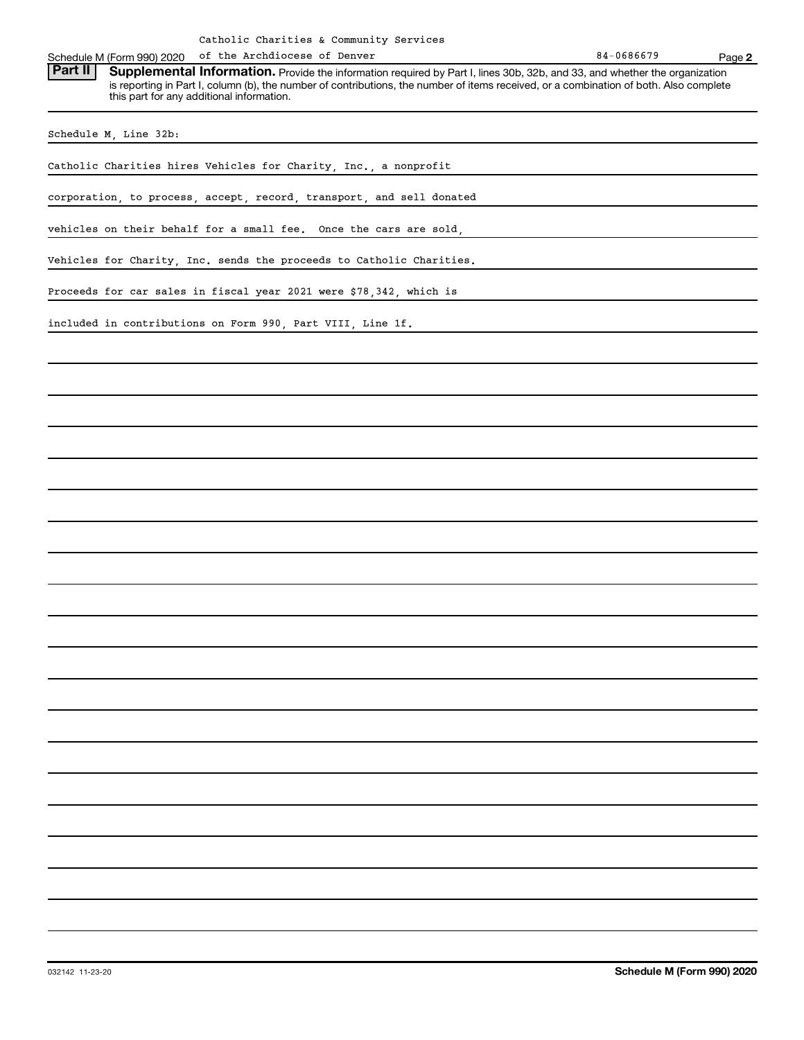of the Archdiocese of Denver

Schedule M (Form 990) 2020 of the Archdiocese of Denver<br>**Part II** Supplemental Information, Provide the information required by Part Llines 30b, 32b, and 33, and whether the Part II | Supplemental Information. Provide the information required by Part I, lines 30b, 32b, and 33, and whether the organization is reporting in Part I, column (b), the number of contributions, the number of items received, or a combination of both. Also complete this part for any additional information.

Schedule M, Line 32b:

Catholic Charities hires Vehicles for Charity, Inc., a nonprofit

corporation, to process, accept, record, transport, and sell donated

vehicles on their behalf for a small fee. Once the cars are sold,

Vehicles for Charity, Inc. sends the proceeds to Catholic Charities.

Proceeds for car sales in fiscal year 2021 were \$78,342, which is

included in contributions on Form 990, Part VIII, Line 1f.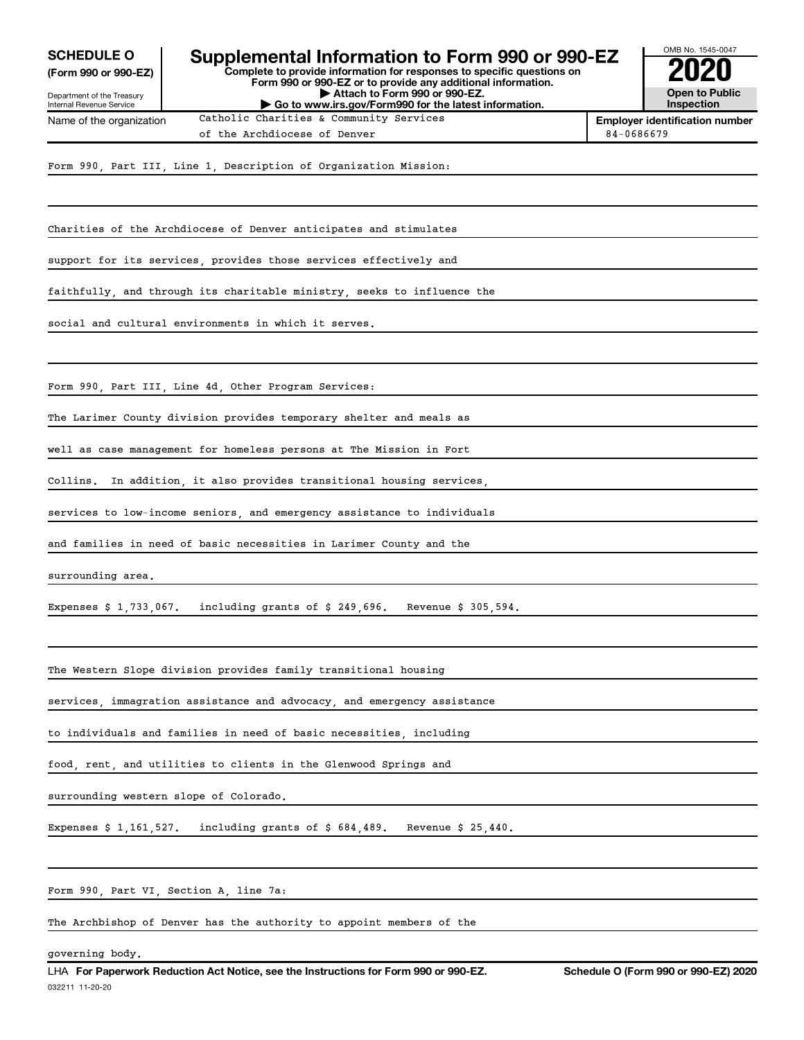**(Form 990 or 990-EZ)**

Department of the Treasury Internal Revenue Service Name of the organization

#### **Complete to provide information for responses to specific questions on Form 990 or 990-EZ or to provide any additional information. | Attach to Form 990 or 990-EZ. SCHEDULE O** Supplemental Information to Form 990 or 990-EZ  $\overline{\smash{\big)}$  2020<br>(Form 990 or 990-EZ)

**| Go to www.irs.gov/Form990 for the latest information.**

**Open to Public Inspection**

OMB No. 1545-0047

**Employer identification number** Catholic Charities & Community Services of the Archdiocese of Denver 84-0686679

Form 990, Part III, Line 1, Description of Organization Mission:

Charities of the Archdiocese of Denver anticipates and stimulates

support for its services, provides those services effectively and

faithfully, and through its charitable ministry, seeks to influence the

social and cultural environments in which it serves.

Form 990, Part III, Line 4d, Other Program Services:

The Larimer County division provides temporary shelter and meals as

well as case management for homeless persons at The Mission in Fort

Collins. In addition, it also provides transitional housing services,

services to low-income seniors, and emergency assistance to individuals

and families in need of basic necessities in Larimer County and the

surrounding area.

Expenses \$ 1,733,067. including grants of \$ 249,696. Revenue \$ 305,594.

The Western Slope division provides family transitional housing

services, immagration assistance and advocacy, and emergency assistance

to individuals and families in need of basic necessities, including

food, rent, and utilities to clients in the Glenwood Springs and

surrounding western slope of Colorado.

Expenses \$ 1,161,527. including grants of \$ 684,489. Revenue \$ 25,440.

Form 990, Part VI, Section A, line 7a:

The Archbishop of Denver has the authority to appoint members of the

governing body.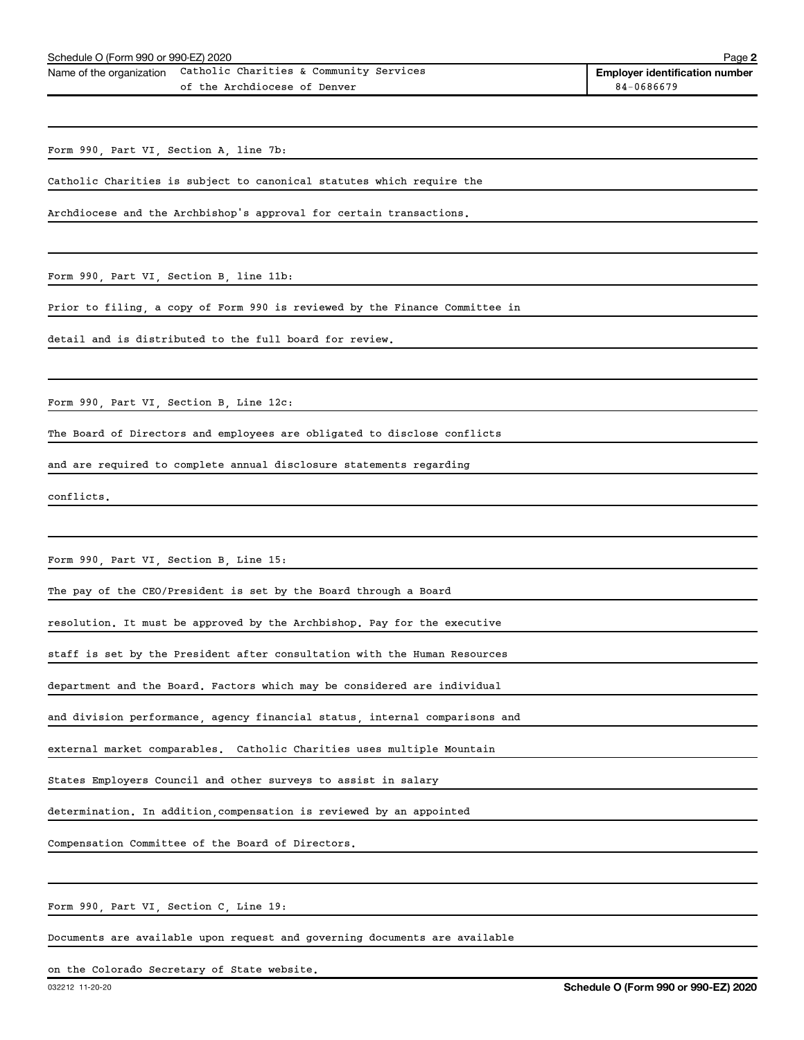| Name of the organization Catholic Charities & Community Services |
|------------------------------------------------------------------|
| of the Archdiocese of Denver                                     |

**2**

Form 990, Part VI, Section A, line 7b:

Catholic Charities is subject to canonical statutes which require the

Archdiocese and the Archbishop's approval for certain transactions.

Form 990, Part VI, Section B, line 11b:

Prior to filing, a copy of Form 990 is reviewed by the Finance Committee in

detail and is distributed to the full board for review.

Form 990, Part VI, Section B, Line 12c:

The Board of Directors and employees are obligated to disclose conflicts

and are required to complete annual disclosure statements regarding

conflicts.

Form 990, Part VI, Section B, Line 15:

The pay of the CEO/President is set by the Board through a Board

resolution. It must be approved by the Archbishop. Pay for the executive

staff is set by the President after consultation with the Human Resources

department and the Board. Factors which may be considered are individual

and division performance, agency financial status, internal comparisons and

external market comparables. Catholic Charities uses multiple Mountain

States Employers Council and other surveys to assist in salary

determination. In addition,compensation is reviewed by an appointed

Compensation Committee of the Board of Directors.

Form 990, Part VI, Section C, Line 19:

Documents are available upon request and governing documents are available

on the Colorado Secretary of State website.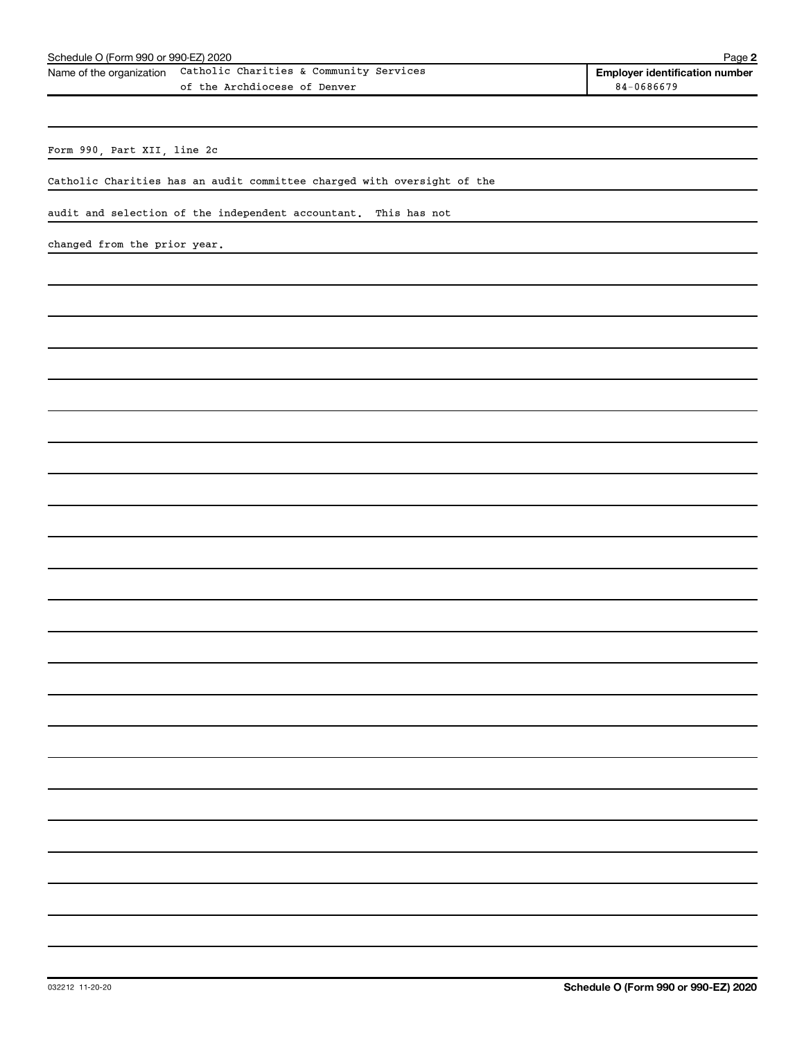Form 990, Part XII, line 2c

Catholic Charities has an audit committee charged with oversight of the

audit and selection of the independent accountant. This has not

changed from the prior year.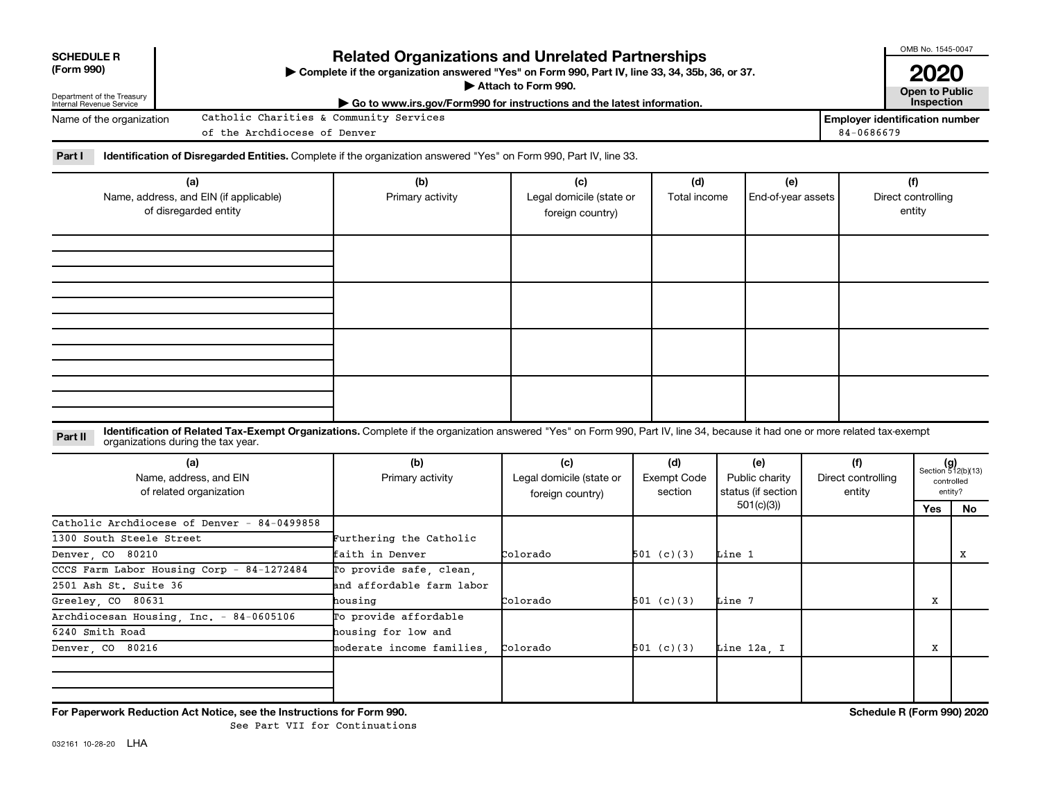| <b>SCHEDULE R</b><br>(Form 990)<br>Department of the Treasury<br>Internal Revenue Service | <b>Related Organizations and Unrelated Partnerships</b><br>Complete if the organization answered "Yes" on Form 990, Part IV, line 33, 34, 35b, 36, or 37.<br>Attach to Form 990.<br>Go to www.irs.gov/Form990 for instructions and the latest information. |                                                      |                                                     |                                      |                                                          |                                     |                                       |                                                      |
|-------------------------------------------------------------------------------------------|------------------------------------------------------------------------------------------------------------------------------------------------------------------------------------------------------------------------------------------------------------|------------------------------------------------------|-----------------------------------------------------|--------------------------------------|----------------------------------------------------------|-------------------------------------|---------------------------------------|------------------------------------------------------|
| Name of the organization                                                                  | Catholic Charities & Community Services                                                                                                                                                                                                                    |                                                      |                                                     |                                      |                                                          |                                     | <b>Employer identification number</b> |                                                      |
|                                                                                           | of the Archdiocese of Denver                                                                                                                                                                                                                               |                                                      |                                                     |                                      |                                                          | 84-0686679                          |                                       |                                                      |
| Part I                                                                                    | Identification of Disregarded Entities. Complete if the organization answered "Yes" on Form 990, Part IV, line 33.                                                                                                                                         |                                                      |                                                     |                                      |                                                          |                                     |                                       |                                                      |
|                                                                                           | (a)<br>Name, address, and EIN (if applicable)<br>of disregarded entity                                                                                                                                                                                     | (b)<br>Primary activity                              | (c)<br>Legal domicile (state or<br>foreign country) |                                      | (e)<br>Total income<br>End-of-year assets                |                                     | (f)<br>Direct controlling<br>entity   |                                                      |
|                                                                                           |                                                                                                                                                                                                                                                            |                                                      |                                                     |                                      |                                                          |                                     |                                       |                                                      |
|                                                                                           |                                                                                                                                                                                                                                                            |                                                      |                                                     |                                      |                                                          |                                     |                                       |                                                      |
| Part II                                                                                   | Identification of Related Tax-Exempt Organizations. Complete if the organization answered "Yes" on Form 990, Part IV, line 34, because it had one or more related tax-exempt<br>organizations during the tax year.                                         |                                                      |                                                     |                                      |                                                          |                                     |                                       |                                                      |
|                                                                                           | (a)<br>Name, address, and EIN<br>of related organization                                                                                                                                                                                                   | (b)<br>Primary activity                              | (c)<br>Legal domicile (state or<br>foreign country) | (d)<br><b>Exempt Code</b><br>section | (e)<br>Public charity<br>status (if section<br>501(c)(3) | (f)<br>Direct controlling<br>entity |                                       | $(g)$<br>Section 512(b)(13)<br>controlled<br>entity? |
| 1300 South Steele Street<br>Denver, CO 80210                                              | Catholic Archdiocese of Denver - 84-0499858                                                                                                                                                                                                                | Furthering the Catholic<br>faith in Denver           | Colorado                                            | 501 (c)(3)                           | Line 1                                                   |                                     | Yes                                   | No.<br>x                                             |
| 2501 Ash St. Suite 36                                                                     | CCCS Farm Labor Housing Corp - 84-1272484                                                                                                                                                                                                                  | To provide safe, clean,<br>and affordable farm labor |                                                     |                                      |                                                          |                                     |                                       |                                                      |
| Greeley, CO 80631                                                                         |                                                                                                                                                                                                                                                            | housing                                              | Colorado                                            | 501 (c)(3)                           | Line 7                                                   |                                     | X                                     |                                                      |
|                                                                                           | Archdiocesan Housing, Inc. - 84-0605106                                                                                                                                                                                                                    | To provide affordable                                |                                                     |                                      |                                                          |                                     |                                       |                                                      |
| 6240 Smith Road                                                                           |                                                                                                                                                                                                                                                            | housing for low and                                  |                                                     |                                      |                                                          |                                     |                                       |                                                      |
| Denver CO 80216                                                                           |                                                                                                                                                                                                                                                            | moderate income families.                            | Colorado                                            | 501 (c)(3)                           | Line 12a, I                                              |                                     | X                                     |                                                      |
|                                                                                           | For Paperwork Reduction Act Notice, see the Instructions for Form 990.                                                                                                                                                                                     |                                                      |                                                     |                                      |                                                          |                                     | Schedule R (Form 990) 2020            |                                                      |

See Part VII for Continuations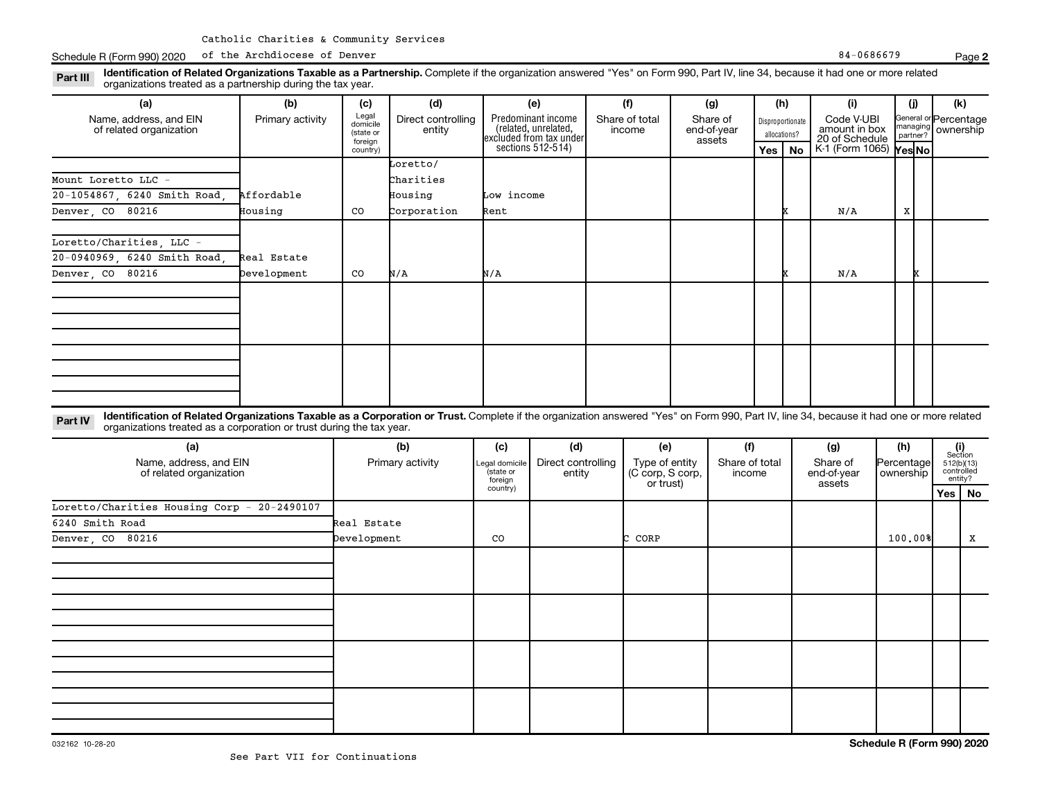Schedule R (Form 990) 2020 of the Archdiocese of Denver Research 2012 and 2012 and 2013 and 34-0686679 Page 84-0686679

organizations treated as a partnership during the tax year.

| (a)                                                                                                              | (b)              | (c)                                                                                                                                                                                                                 | (d)                          |                                  | (e)                                                                                        |                       | (f)                           |                       | (g)                               | (h)                                     |    | (i)                                                                            |            | (i)                                                     | (k)                                   |    |
|------------------------------------------------------------------------------------------------------------------|------------------|---------------------------------------------------------------------------------------------------------------------------------------------------------------------------------------------------------------------|------------------------------|----------------------------------|--------------------------------------------------------------------------------------------|-----------------------|-------------------------------|-----------------------|-----------------------------------|-----------------------------------------|----|--------------------------------------------------------------------------------|------------|---------------------------------------------------------|---------------------------------------|----|
| Name, address, and EIN<br>of related organization                                                                | Primary activity | Legal<br>domicile<br>(state or<br>foreign<br>country)                                                                                                                                                               | Direct controlling<br>entity |                                  | Predominant income<br>(related, unrelated,<br>excluded from tax under<br>sections 512-514) |                       | Share of total<br>income      |                       | Share of<br>end-of-year<br>assets | Disproportionate<br>allocations?<br>Yes | No | Code V-UBI<br>amount in box<br>20 of Schedule<br>K-1 (Form 1065) <b>Yes No</b> |            | General or Percentage<br>managing ownership<br>partner? |                                       |    |
|                                                                                                                  |                  |                                                                                                                                                                                                                     | Loretto/                     |                                  |                                                                                            |                       |                               |                       |                                   |                                         |    |                                                                                |            |                                                         |                                       |    |
| Mount Loretto LLC -                                                                                              |                  |                                                                                                                                                                                                                     | Charities                    |                                  |                                                                                            |                       |                               |                       |                                   |                                         |    |                                                                                |            |                                                         |                                       |    |
| 20-1054867, 6240 Smith Road                                                                                      | Affordable       |                                                                                                                                                                                                                     | Housing                      | Low income                       |                                                                                            |                       |                               |                       |                                   |                                         |    |                                                                                |            |                                                         |                                       |    |
| Denver, CO<br>80216                                                                                              | Housing          | CO                                                                                                                                                                                                                  | Corporation                  | Rent                             |                                                                                            |                       |                               |                       |                                   |                                         | x  | N/A                                                                            |            | X                                                       |                                       |    |
|                                                                                                                  |                  |                                                                                                                                                                                                                     |                              |                                  |                                                                                            |                       |                               |                       |                                   |                                         |    |                                                                                |            |                                                         |                                       |    |
| Loretto/Charities, LLC -                                                                                         |                  |                                                                                                                                                                                                                     |                              |                                  |                                                                                            |                       |                               |                       |                                   |                                         |    |                                                                                |            |                                                         |                                       |    |
| 20-0940969, 6240 Smith Road,                                                                                     | Real Estate      |                                                                                                                                                                                                                     |                              |                                  |                                                                                            |                       |                               |                       |                                   |                                         |    |                                                                                |            |                                                         |                                       |    |
| Denver, CO 80216                                                                                                 | Development      | CO                                                                                                                                                                                                                  | N/A                          | N/A                              |                                                                                            |                       |                               |                       |                                   |                                         | x  | N/A                                                                            |            | K.                                                      |                                       |    |
|                                                                                                                  |                  |                                                                                                                                                                                                                     |                              |                                  |                                                                                            |                       |                               |                       |                                   |                                         |    |                                                                                |            |                                                         |                                       |    |
|                                                                                                                  |                  |                                                                                                                                                                                                                     |                              |                                  |                                                                                            |                       |                               |                       |                                   |                                         |    |                                                                                |            |                                                         |                                       |    |
|                                                                                                                  |                  |                                                                                                                                                                                                                     |                              |                                  |                                                                                            |                       |                               |                       |                                   |                                         |    |                                                                                |            |                                                         |                                       |    |
|                                                                                                                  |                  |                                                                                                                                                                                                                     |                              |                                  |                                                                                            |                       |                               |                       |                                   |                                         |    |                                                                                |            |                                                         |                                       |    |
|                                                                                                                  |                  |                                                                                                                                                                                                                     |                              |                                  |                                                                                            |                       |                               |                       |                                   |                                         |    |                                                                                |            |                                                         |                                       |    |
|                                                                                                                  |                  |                                                                                                                                                                                                                     |                              |                                  |                                                                                            |                       |                               |                       |                                   |                                         |    |                                                                                |            |                                                         |                                       |    |
|                                                                                                                  |                  |                                                                                                                                                                                                                     |                              |                                  |                                                                                            |                       |                               |                       |                                   |                                         |    |                                                                                |            |                                                         |                                       |    |
| Part IV<br>organizations treated as a corporation or trust during the tax year.<br>(a)<br>Name, address, and EIN |                  | Identification of Related Organizations Taxable as a Corporation or Trust. Complete if the organization answered "Yes" on Form 990, Part IV, line 34, because it had one or more related<br>(b)<br>Primary activity |                              | (c)<br>Legal domicile            | (d)<br>Direct controlling                                                                  | (e)<br>Type of entity |                               | (f)<br>Share of total |                                   |                                         |    | (g)<br>Share of                                                                | Percentage | (h)                                                     | (i)<br>Section                        |    |
| of related organization                                                                                          |                  |                                                                                                                                                                                                                     |                              | (state or<br>foreign<br>country) | entity                                                                                     |                       | (C corp, S corp,<br>or trust) |                       | income                            |                                         |    | end-of-year<br>assets                                                          |            | ownership                                               | $512(b)(13)$<br>controlled<br>entity? |    |
| Loretto/Charities Housing Corp - 20-2490107                                                                      |                  |                                                                                                                                                                                                                     |                              |                                  |                                                                                            |                       |                               |                       |                                   |                                         |    |                                                                                |            |                                                         | Yes                                   | No |
| 6240 Smith Road                                                                                                  |                  | Real Estate                                                                                                                                                                                                         |                              |                                  |                                                                                            |                       |                               |                       |                                   |                                         |    |                                                                                |            |                                                         |                                       |    |
| Denver, CO 80216                                                                                                 |                  | Development                                                                                                                                                                                                         |                              | CO                               |                                                                                            |                       | CORP<br>r                     |                       |                                   |                                         |    |                                                                                |            | 100.00%                                                 |                                       | x  |
|                                                                                                                  |                  |                                                                                                                                                                                                                     |                              |                                  |                                                                                            |                       |                               |                       |                                   |                                         |    |                                                                                |            |                                                         |                                       |    |
|                                                                                                                  |                  |                                                                                                                                                                                                                     |                              |                                  |                                                                                            |                       |                               |                       |                                   |                                         |    |                                                                                |            |                                                         |                                       |    |
|                                                                                                                  |                  |                                                                                                                                                                                                                     |                              |                                  |                                                                                            |                       |                               |                       |                                   |                                         |    |                                                                                |            |                                                         |                                       |    |
|                                                                                                                  |                  |                                                                                                                                                                                                                     |                              |                                  |                                                                                            |                       |                               |                       |                                   |                                         |    |                                                                                |            |                                                         |                                       |    |
|                                                                                                                  |                  |                                                                                                                                                                                                                     |                              |                                  |                                                                                            |                       |                               |                       |                                   |                                         |    |                                                                                |            |                                                         |                                       |    |
|                                                                                                                  |                  |                                                                                                                                                                                                                     |                              |                                  |                                                                                            |                       |                               |                       |                                   |                                         |    |                                                                                |            |                                                         |                                       |    |
|                                                                                                                  |                  |                                                                                                                                                                                                                     |                              |                                  |                                                                                            |                       |                               |                       |                                   |                                         |    |                                                                                |            |                                                         |                                       |    |
|                                                                                                                  |                  |                                                                                                                                                                                                                     |                              |                                  |                                                                                            |                       |                               |                       |                                   |                                         |    |                                                                                |            |                                                         |                                       |    |
|                                                                                                                  |                  |                                                                                                                                                                                                                     |                              |                                  |                                                                                            |                       |                               |                       |                                   |                                         |    |                                                                                |            |                                                         |                                       |    |
|                                                                                                                  |                  |                                                                                                                                                                                                                     |                              |                                  |                                                                                            |                       |                               |                       |                                   |                                         |    |                                                                                |            |                                                         |                                       |    |
|                                                                                                                  |                  |                                                                                                                                                                                                                     |                              |                                  |                                                                                            |                       |                               |                       |                                   |                                         |    |                                                                                |            |                                                         |                                       |    |
|                                                                                                                  |                  |                                                                                                                                                                                                                     |                              |                                  |                                                                                            |                       |                               |                       |                                   |                                         |    |                                                                                |            |                                                         |                                       |    |

Part III Identification of Related Organizations Taxable as a Partnership. Complete if the organization answered "Yes" on Form 990, Part IV, line 34, because it had one or more related<br>Read to the organizations tracted as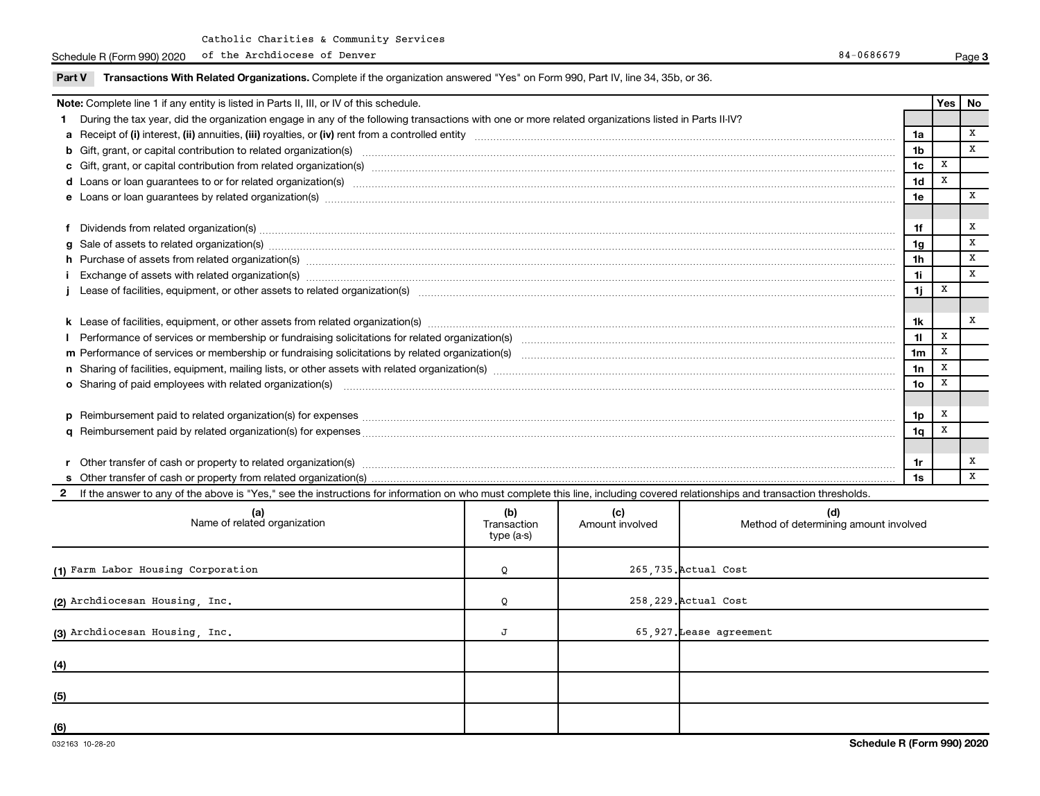Schedule R (Form 990) 2020 of the Archdiocese of Denver and Schedule R (Form 990) 2020 of the Archdiocese of Denver of the Archdiocese of Denver

| Part V | Transactions With Related Organizations. Complete if the organization answered "Yes" on Form 990, Part IV, line 34, 35b, or 36.                                                                                                |                 |       |    |
|--------|--------------------------------------------------------------------------------------------------------------------------------------------------------------------------------------------------------------------------------|-----------------|-------|----|
|        | Note: Complete line 1 if any entity is listed in Parts II, III, or IV of this schedule.                                                                                                                                        |                 | Yes l | No |
|        | 1 During the tax year, did the organization engage in any of the following transactions with one or more related organizations listed in Parts II-IV?                                                                          |                 |       |    |
|        |                                                                                                                                                                                                                                | 1a              |       | X  |
|        |                                                                                                                                                                                                                                | 1 <sub>b</sub>  |       | X  |
|        |                                                                                                                                                                                                                                | 1 <sub>c</sub>  | x     |    |
|        | d Loans or loan guarantees to or for related organization(s) mature content to the content of the content of the content of the content of the content of the content of the content of the content of the content of the cont | 1 <sub>d</sub>  | X     |    |
|        | e Loans or loan guarantees by related organization(s) made accommodal control control and control of the control of the control of the control of the control of the control of the control of the control of the control of t | 1e              |       | x  |
|        |                                                                                                                                                                                                                                |                 |       |    |
|        | f Dividends from related organization(s) manufactured and contract and contract or produced and contract and contract and contract and contract and contract and contract and contract and contract and contract and contract  | 1f              |       | x  |
|        | g Sale of assets to related organization(s) www.assettion.com/www.assettion.com/www.assettion.com/www.assettion.com/www.assettion.com/www.assettion.com/www.assettion.com/www.assettion.com/www.assettion.com/www.assettion.co | 1g              |       | X  |
|        | h Purchase of assets from related organization(s) manufactured content to the content of the content of the content of the content of the content of the content of the content of the content of the content of the content o | 1h              |       | X  |
|        | Exchange of assets with related organization(s) www.communically.communically.communically and all and are related organization(s) www.communically.communically and are related organization(s) www.communically.communically | 1i              |       | X  |
|        |                                                                                                                                                                                                                                | 1j.             | X     |    |
|        |                                                                                                                                                                                                                                |                 |       |    |
|        |                                                                                                                                                                                                                                | 1k              |       | x  |
|        | Performance of services or membership or fundraising solicitations for related organization(s) manufaction manufactured manufactured manufactured manufactured manufactured manufactured manufactured manufactured manufacture | 11              | X     |    |
|        |                                                                                                                                                                                                                                | 1 <sub>m</sub>  | X     |    |
|        |                                                                                                                                                                                                                                | 1n              | X     |    |
|        | <b>o</b> Sharing of paid employees with related organization(s)                                                                                                                                                                | 10 <sub>o</sub> | x     |    |
|        |                                                                                                                                                                                                                                |                 |       |    |
|        |                                                                                                                                                                                                                                | 1p              | X     |    |
|        |                                                                                                                                                                                                                                | 1q              | х     |    |
|        |                                                                                                                                                                                                                                |                 |       |    |
|        |                                                                                                                                                                                                                                | 1r              |       | x  |
|        |                                                                                                                                                                                                                                | 1s              |       | X  |

2 If the answer to any of the above is "Yes," see the instructions for information on who must complete this line, including covered relationships and transaction thresholds.

| (a)<br>Name of related organization | (b)<br>Transaction<br>type (a-s) | (c)<br>Amount involved | (d)<br>Method of determining amount involved |
|-------------------------------------|----------------------------------|------------------------|----------------------------------------------|
| (1) Farm Labor Housing Corporation  | Q                                |                        | 265,735. Actual Cost                         |
| (2) Archdiocesan Housing, Inc.      | Q                                |                        | 258,229. Actual Cost                         |
| (3) Archdiocesan Housing, Inc.      | J                                |                        | 65,927. Lease agreement                      |
| (4)                                 |                                  |                        |                                              |
| (5)                                 |                                  |                        |                                              |
| (6)                                 |                                  |                        |                                              |

**3**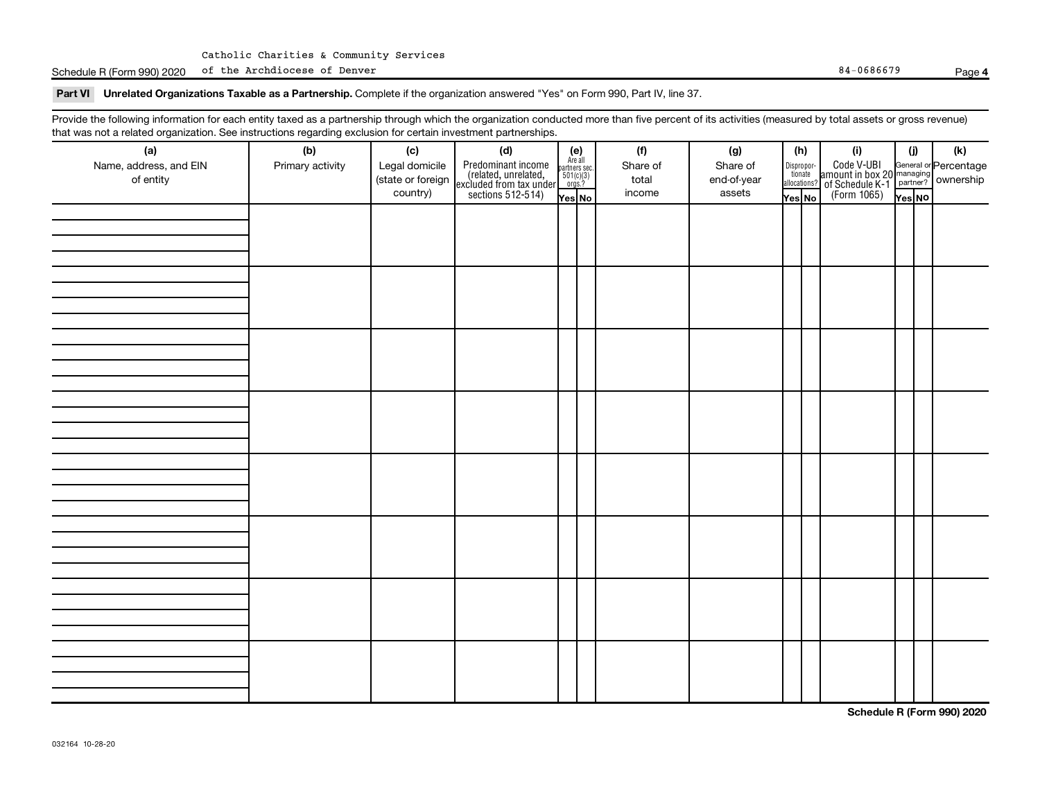Schedule R (Form 990) 2020 of the Archdiocese of Denver Research 2012 and 2012 and 2013 and 34-0686679 Page 84-0686679

#### **4**

#### Part VI Unrelated Organizations Taxable as a Partnership. Complete if the organization answered "Yes" on Form 990, Part IV, line 37.

Provide the following information for each entity taxed as a partnership through which the organization conducted more than five percent of its activities (measured by total assets or gross revenue) that was not a related organization. See instructions regarding exclusion for certain investment partnerships.

| .<br>(a)               | (b)              | (c)               | .<br><br>(d)                                                                               |                                                          | (f)      | (g)         | (h)    |                                       | (i)                                                                    | (i)    | $(\mathsf{k})$                                          |
|------------------------|------------------|-------------------|--------------------------------------------------------------------------------------------|----------------------------------------------------------|----------|-------------|--------|---------------------------------------|------------------------------------------------------------------------|--------|---------------------------------------------------------|
| Name, address, and EIN | Primary activity | Legal domicile    |                                                                                            | (e)<br>Are all<br>partners sec.<br>$501(c)(3)$<br>orgs.? | Share of | Share of    |        |                                       |                                                                        |        |                                                         |
| of entity              |                  | (state or foreign |                                                                                            |                                                          | total    | end-of-year |        | Dispropor-<br>tionate<br>allocations? |                                                                        |        | General or Percentage<br>managing<br>partner? Ownership |
|                        |                  | country)          | Predominant income<br>(related, unrelated,<br>excluded from tax under<br>sections 512-514) | Yes No                                                   | income   | assets      | Yes No |                                       | Code V-UBI<br>  amount in box 20<br>! of Schedule K-1<br>  (Form 1065) | Yes NO |                                                         |
|                        |                  |                   |                                                                                            |                                                          |          |             |        |                                       |                                                                        |        |                                                         |
|                        |                  |                   |                                                                                            |                                                          |          |             |        |                                       |                                                                        |        |                                                         |
|                        |                  |                   |                                                                                            |                                                          |          |             |        |                                       |                                                                        |        |                                                         |
|                        |                  |                   |                                                                                            |                                                          |          |             |        |                                       |                                                                        |        |                                                         |
|                        |                  |                   |                                                                                            |                                                          |          |             |        |                                       |                                                                        |        |                                                         |
|                        |                  |                   |                                                                                            |                                                          |          |             |        |                                       |                                                                        |        |                                                         |
|                        |                  |                   |                                                                                            |                                                          |          |             |        |                                       |                                                                        |        |                                                         |
|                        |                  |                   |                                                                                            |                                                          |          |             |        |                                       |                                                                        |        |                                                         |
|                        |                  |                   |                                                                                            |                                                          |          |             |        |                                       |                                                                        |        |                                                         |
|                        |                  |                   |                                                                                            |                                                          |          |             |        |                                       |                                                                        |        |                                                         |
|                        |                  |                   |                                                                                            |                                                          |          |             |        |                                       |                                                                        |        |                                                         |
|                        |                  |                   |                                                                                            |                                                          |          |             |        |                                       |                                                                        |        |                                                         |
|                        |                  |                   |                                                                                            |                                                          |          |             |        |                                       |                                                                        |        |                                                         |
|                        |                  |                   |                                                                                            |                                                          |          |             |        |                                       |                                                                        |        |                                                         |
|                        |                  |                   |                                                                                            |                                                          |          |             |        |                                       |                                                                        |        |                                                         |
|                        |                  |                   |                                                                                            |                                                          |          |             |        |                                       |                                                                        |        |                                                         |
|                        |                  |                   |                                                                                            |                                                          |          |             |        |                                       |                                                                        |        |                                                         |
|                        |                  |                   |                                                                                            |                                                          |          |             |        |                                       |                                                                        |        |                                                         |
|                        |                  |                   |                                                                                            |                                                          |          |             |        |                                       |                                                                        |        |                                                         |
|                        |                  |                   |                                                                                            |                                                          |          |             |        |                                       |                                                                        |        |                                                         |
|                        |                  |                   |                                                                                            |                                                          |          |             |        |                                       |                                                                        |        |                                                         |
|                        |                  |                   |                                                                                            |                                                          |          |             |        |                                       |                                                                        |        |                                                         |
|                        |                  |                   |                                                                                            |                                                          |          |             |        |                                       |                                                                        |        |                                                         |
|                        |                  |                   |                                                                                            |                                                          |          |             |        |                                       |                                                                        |        |                                                         |
|                        |                  |                   |                                                                                            |                                                          |          |             |        |                                       |                                                                        |        |                                                         |
|                        |                  |                   |                                                                                            |                                                          |          |             |        |                                       |                                                                        |        |                                                         |
|                        |                  |                   |                                                                                            |                                                          |          |             |        |                                       |                                                                        |        |                                                         |
|                        |                  |                   |                                                                                            |                                                          |          |             |        |                                       |                                                                        |        |                                                         |
|                        |                  |                   |                                                                                            |                                                          |          |             |        |                                       |                                                                        |        |                                                         |
|                        |                  |                   |                                                                                            |                                                          |          |             |        |                                       |                                                                        |        |                                                         |
|                        |                  |                   |                                                                                            |                                                          |          |             |        |                                       |                                                                        |        |                                                         |
|                        |                  |                   |                                                                                            |                                                          |          |             |        |                                       |                                                                        |        |                                                         |
|                        |                  |                   |                                                                                            |                                                          |          |             |        |                                       |                                                                        |        |                                                         |

**Schedule R (Form 990) 2020**